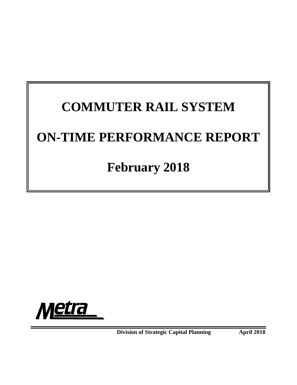# **COMMUTER RAIL SYSTEM ON-TIME PERFORMANCE REPORT**

# **February 2018**



**Division of Strategic Capital Planning 4 April 2018**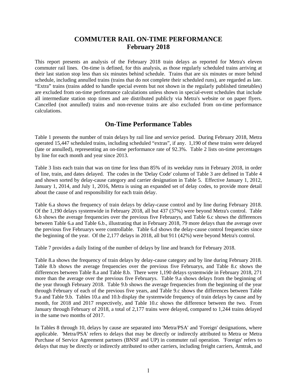# **COMMUTER RAIL ON-TIME PERFORMANCE February 2018**

This report presents an analysis of the February 2018 train delays as reported for Metra's eleven commuter rail lines. On-time is defined, for this analysis, as those regularly scheduled trains arriving at their last station stop less than six minutes behind schedule. Trains that are six minutes or more behind schedule, including annulled trains (trains that do not complete their scheduled runs), are regarded as late. "Extra" trains (trains added to handle special events but not shown in the regularly published timetables) are excluded from on-time performance calculations unless shown in special-event schedules that include all intermediate station stop times and are distributed publicly via Metra's website or on paper flyers. Cancelled (not annulled) trains and non-revenue trains are also excluded from on-time performance calculations.

# **On-Time Performance Tables**

Table 1 presents the number of train delays by rail line and service period. During February 2018, Metra operated 15,447 scheduled trains, including scheduled "extras", if any. 1,190 of these trains were delayed (late or annulled), representing an on-time performance rate of 92.3%. Table 2 lists on-time percentages by line for each month and year since 2013.

Table 3 lists each train that was on time for less than 85% of its weekday runs in February 2018, in order of line, train, and dates delayed. The codes in the 'Delay Code' column of Table 3 are defined in Table 4 and shown sorted by delay-cause category and carrier designation in Table 5. Effective January 1, 2012, January 1, 2014, and July 1, 2016, Metra is using an expanded set of delay codes, to provide more detail about the cause of and responsibility for each train delay.

Table 6.a shows the frequency of train delays by delay-cause control and by line during February 2018. Of the 1,190 delays systemwide in February 2018, all but 437 (37%) were beyond Metra's control. Table 6.b shows the average frequencies over the previous five Februarys, and Table 6.c shows the differences between Table 6.a and Table 6.b., illustrating that in February 2018, 79 more delays than the average over the previous five Februarys were controllable. Table 6.d shows the delay-cause control frequencies since the beginning of the year. Of the 2,177 delays in 2018, all but 911 (42%) were beyond Metra's control.

Table 7 provides a daily listing of the number of delays by line and branch for February 2018.

Table 8.a shows the frequency of train delays by delay-cause category and by line during February 2018. Table 8.b shows the average frequencies over the previous five Februarys, and Table 8.c shows the differences between Table 8.a and Table 8.b. There were 1,190 delays systemwide in February 2018, 271 more than the average over the previous five Februarys. Table 9.a shows delays from the beginning of the year through February 2018. Table 9.b shows the average frequencies from the beginning of the year through February of each of the previous five years, and Table 9.c shows the differences between Table 9.a and Table 9.b. Tables 10.a and 10.b display the systemwide frequency of train delays by cause and by month, for 2018 and 2017 respectively, and Table 10.c shows the difference between the two. From January through February of 2018, a total of 2,177 trains were delayed, compared to 1,244 trains delayed in the same two months of 2017.

In Tables 8 through 10, delays by cause are separated into 'Metra/PSA' and 'Foreign' designations, where applicable. 'Metra/PSA' refers to delays that may be directly or indirectly attributed to Metra or Metra Purchase of Service Agreement partners (BNSF and UP) in commuter rail operation. 'Foreign' refers to delays that may be directly or indirectly attributed to other carriers, including freight carriers, Amtrak, and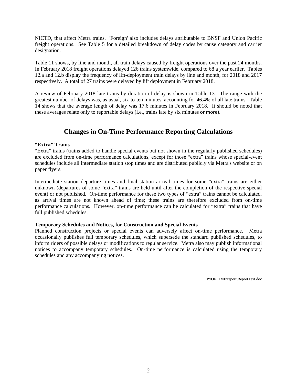NICTD, that affect Metra trains. 'Foreign' also includes delays attributable to BNSF and Union Pacific freight operations. See Table 5 for a detailed breakdown of delay codes by cause category and carrier designation.

Table 11 shows, by line and month, all train delays caused by freight operations over the past 24 months. In February 2018 freight operations delayed 126 trains systemwide, compared to 68 a year earlier. Tables 12.a and 12.b display the frequency of lift-deployment train delays by line and month, for 2018 and 2017 respectively. A total of 27 trains were delayed by lift deployment in February 2018.

A review of February 2018 late trains by duration of delay is shown in Table 13. The range with the greatest number of delays was, as usual, six-to-ten minutes, accounting for 46.4% of all late trains. Table 14 shows that the average length of delay was 17.6 minutes in February 2018. It should be noted that these averages relate only to reportable delays (i.e., trains late by six minutes or more).

# **Changes in On-Time Performance Reporting Calculations**

#### **"Extra" Trains**

"Extra" trains (trains added to handle special events but not shown in the regularly published schedules) are excluded from on-time performance calculations, except for those "extra" trains whose special-event schedules include all intermediate station stop times and are distributed publicly via Metra's website or on paper flyers.

Intermediate station departure times and final station arrival times for some "extra" trains are either unknown (departures of some "extra" trains are held until after the completion of the respective special event) or not published. On-time performance for these two types of "extra" trains cannot be calculated, as arrival times are not known ahead of time; these trains are therefore excluded from on-time performance calculations. However, on-time performance can be calculated for "extra" trains that have full published schedules.

#### **Temporary Schedules and Notices, for Construction and Special Events**

Planned construction projects or special events can adversely affect on-time performance. Metra occasionally publishes full temporary schedules, which supersede the standard published schedules, to inform riders of possible delays or modifications to regular service. Metra also may publish informational notices to accompany temporary schedules. On-time performance is calculated using the temporary schedules and any accompanying notices.

P:\ONTIME\report\ReportText.doc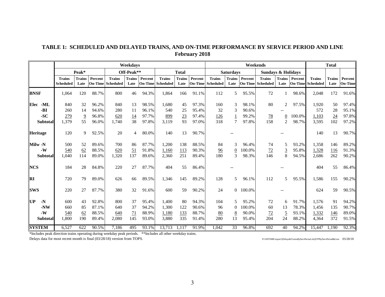# **TABLE 1: SCHEDULED AND DELAYED TRAINS, AND ON-TIME PERFORMANCE BY SERVICE PERIOD AND LINE February 2018**

|                       |                                   |                       |         |                                           | Weekdavs              |         |                                           |                       |         |                                    |                       |         | Weekends                                  |                       |                           |                                   | <b>Total</b>          |                             |
|-----------------------|-----------------------------------|-----------------------|---------|-------------------------------------------|-----------------------|---------|-------------------------------------------|-----------------------|---------|------------------------------------|-----------------------|---------|-------------------------------------------|-----------------------|---------------------------|-----------------------------------|-----------------------|-----------------------------|
|                       |                                   | Peak*                 |         |                                           | Off-Peak**            |         |                                           | <b>Total</b>          |         |                                    | <b>Saturdays</b>      |         | <b>Sundays &amp; Holidays</b>             |                       |                           |                                   |                       |                             |
|                       | <b>Trains</b><br><b>Scheduled</b> | <b>Trains</b><br>Late | Percent | <b>Trains</b><br><b>On-Time</b> Scheduled | <b>Trains</b><br>Late | Percent | <b>Trains</b><br><b>On-Time</b> Scheduled | <b>Trains</b><br>Late | Percent | <b>Trains</b><br>On-Time Scheduled | <b>Trains</b><br>Late | Percent | <b>Trains</b><br><b>On-Time Scheduled</b> | <b>Trains</b><br>Late | Percent<br><b>On-Time</b> | <b>Trains</b><br><b>Scheduled</b> | <b>Trains</b><br>Late | Percent  <br><b>On-Time</b> |
| <b>BNSF</b>           | 1,064                             | 120                   | 88.7%   | 800                                       | 46                    | 94.3%   | 1,864                                     | 166                   | 91.1%   | 112                                | 5                     | 95.5%   | 72                                        |                       | 98.6%                     | 2,048                             | 172                   | 91.6%                       |
| -ML<br>Elec           | 840                               | 32                    | 96.2%   | 840                                       | 13                    | 98.5%   | 1,680                                     | 45                    | 97.3%   | 160                                | 3                     | 98.1%   | 80                                        | $\overline{2}$        | 97.5%                     | 1.920                             | 50                    | 97.4%                       |
| -BI                   | 260                               | 14                    | 94.6%   | 280                                       | 11                    | 96.1%   | 540                                       | 25                    | 95.4%   | 32                                 | 3                     | 90.6%   |                                           |                       |                           | 572                               | 28                    | 95.1%                       |
| $-SC$                 | 279                               | $\overline{9}$        | 96.8%   | 620                                       | $\underline{14}$      | 97.7%   | 899                                       | 23                    | 97.4%   | 126                                |                       | 99.2%   | <u>78</u>                                 | $\boldsymbol{0}$      | 100.0%                    | 1,103                             | 24                    | 97.8%                       |
| <b>Subtotal</b>       | 1,379                             | 55                    | 96.0%   | 1,740                                     | 38                    | 97.8%   | 3,119                                     | 93                    | 97.0%   | 318                                | $\overline{7}$        | 97.8%   | 158                                       | 2                     | 98.7%                     | 3,595                             | 102                   | 97.2%                       |
| Heritage              | 120                               | 9                     | 92.5%   | 20                                        | 4                     | 80.0%   | 140                                       | 13                    | 90.7%   |                                    |                       |         |                                           |                       |                           | 140                               | 13                    | 90.7%                       |
| Milw -N               | 500                               | 52                    | 89.6%   | 700                                       | 86                    | 87.7%   | 1,200                                     | 138                   | 88.5%   | 84                                 | 3                     | 96.4%   | 74                                        | 5                     | 93.2%                     | 1,358                             | 146                   | 89.2%                       |
| $-W$                  | 540                               | 62                    | 88.5%   | 620                                       | 51                    | 91.8%   | 1,160                                     | <u>113</u>            | 90.3%   | 96                                 | 0                     | 100.0%  | 72                                        | $\overline{3}$        | 95.8%                     | 1,328                             | 116                   | 91.3%                       |
| <b>Subtotal</b>       | 1,040                             | 114                   | 89.0%   | 1,320                                     | 137                   | 89.6%   | 2,360                                     | 251                   | 89.4%   | 180                                | 3                     | 98.3%   | 146                                       | 8                     | 94.5%                     | 2,686                             | 262                   | 90.2%                       |
| <b>NCS</b>            | 184                               | 28                    | 84.8%   | 220                                       | 27                    | 87.7%   | 404                                       | 55                    | 86.4%   |                                    |                       |         |                                           |                       |                           | 404                               | 55                    | 86.4%                       |
| $\mathbf{R}$ <b>I</b> | 720                               | 79                    | 89.0%   | 626                                       | 66                    | 89.5%   | 1,346                                     | 145                   | 89.2%   | 128                                | 5                     | 96.1%   | 112                                       | 5                     | 95.5%                     | 1,586                             | 155                   | 90.2%                       |
| <b>ISWS</b>           | 220                               | 27                    | 87.7%   | 380                                       | 32                    | 91.6%   | 600                                       | 59                    | 90.2%   | 24                                 | $\Omega$              | 100.0%  |                                           |                       |                           | 624                               | 59                    | 90.5%                       |
| <b>IUP</b><br>$-N$    | 600                               | 43                    | 92.8%   | 800                                       | 37                    | 95.4%   | 1,400                                     | 80                    | 94.3%   | 104                                |                       | 95.2%   | 72                                        | 6                     | 91.7%                     | 1,576                             | 91                    | 94.2%                       |
| -NW                   | 660                               | 85                    | 87.1%   | 640                                       | 37                    | 94.2%   | 1,300                                     | 122                   | 90.6%   | 96                                 | $\Omega$              | 100.0%  | 60                                        | 13                    | 78.3%                     | 1,456                             | 135                   | 90.7%                       |
| $-W$                  | 540                               | 62                    | 88.5%   | 640                                       | 71                    | 88.9%   | 1,180                                     | 133                   | 88.7%   | 80                                 | 8                     | 90.0%   | <u>72</u>                                 | $\overline{5}$        | 93.1%                     | 1,332                             | 146                   | 89.0%                       |
| <b>Subtotal</b>       | 1,800                             | 190                   | 89.4%   | 2,080                                     | 145                   | 93.0%   | 3,880                                     | 335                   | 91.4%   | 280                                | 13                    | 95.4%   | 204                                       | 24                    | 88.2%                     | 4,364                             | 372                   | 91.5%                       |
| <b>SYSTEM</b>         | 6,527                             | 622                   | 90.5%   | 7,186                                     | 495                   | 93.1%   | 13,713                                    | 1.117                 | 91.9%   | 1,042                              | 33                    | 96.8%   | 692                                       | 40                    | 94.2%                     | 15,447                            | 1.190                 | 92.3%                       |

\*Includes peak direction trains operating during weekday peak periods. \*\*Includes all other weekday trains.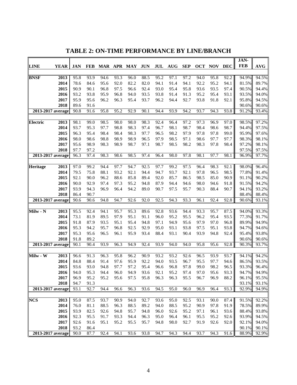|                            |      |              |                   |              |              |              |              |                   |                   |              |              |              |              | JAN-           |                |
|----------------------------|------|--------------|-------------------|--------------|--------------|--------------|--------------|-------------------|-------------------|--------------|--------------|--------------|--------------|----------------|----------------|
| <b>LINE</b><br><b>YEAR</b> |      | <b>JAN</b>   | <b>FEB</b>        |              |              | MAR APR MAY  | <b>JUN</b>   | JUL               | <b>AUG</b>        | <b>SEP</b>   | <b>OCT</b>   | <b>NOV</b>   | <b>DEC</b>   | <b>FEB</b>     | <b>AVG</b>     |
|                            |      |              |                   |              |              |              |              |                   |                   |              |              |              |              |                |                |
| <b>BNSF</b><br>2013        |      | 95.8         | 93.9              | 94.6         | 93.3         | 96.0         | 88.5         | 95.2              | 97.1              | 97.2         | 94.0         | 95.8         | 92.2         | 94.9%          | 94.5%          |
| 2014                       |      | 78.6         | 84.6              | 95.6         | 92.0         | 82.2         | 82.0         | 94.1              | 91.4              | 94.1         | 92.2         | 95.2         | 94.1         | 81.5%          | 89.7%          |
| 2015                       |      | 90.9         | 90.1              | 96.8         | 97.5         | 96.6         | 92.4         | 93.0              | 95.4              | 95.8         | 93.6         | 93.5         | 97.4         | 90.5%          | 94.4%          |
| 2016                       |      | 93.2         | 93.8              | 95.9         | 96.8         | 94.0         | 93.5         | 93.8              | 91.4              | 91.3         | 95.2         | 95.4         | 93.1         | 93.5%          | 94.0%          |
| 2017                       |      | 95.9         | 95.6              | 96.2         | 96.3         | 95.4         | 93.7         | 96.2              | 94.4              | 92.7         | 93.8         | 91.8         | 92.1         | 95.8%          | 94.5%          |
| 2018                       |      | 89.6         | 91.6              |              |              |              |              |                   |                   |              |              |              |              | 90.6%          | 90.6%          |
| $2013 - 2017$ average      |      | 90.8         | 91.6              | 95.8         | 95.2         | 92.9         | 90.1         | 94.4              | 93.9              | 94.2         | 93.7         | 94.3         | 93.8         | 91.2%          | 93.4%          |
|                            |      |              |                   |              |              |              |              |                   |                   |              |              |              |              |                | 97.2%          |
| Electric<br>2014           | 2013 | 98.1<br>93.7 | 99.0<br>95.3      | 98.5<br>97.7 | 98.0<br>98.8 | 98.0<br>98.3 | 98.3<br>97.4 | 92.4<br>96.7      | 96.4<br>98.1      | 97.2<br>98.7 | 97.3<br>98.4 | 96.9<br>98.6 | 97.0<br>98.7 | 98.5%<br>94.4% | 97.5%          |
| 2015                       |      | 96.3         | 95.4              | 98.4         | 98.4         | 98.3         | 97.7         | 96.5              | 98.2              | 97.9         | 97.8         | 97.8         | 99.0         | 95.9%          | 97.6%          |
| 2016                       |      | 98.0         | 98.6              | 98.8         | 98.9         | 98.9         | 96.5         | 97.9              | 98.5              | 97.1         | 98.6         | 97.7         | 97.7         | 98.3%          | 98.1%          |
| 2017                       |      | 95.6         | 98.9              | 98.3         | 98.9         | 98.7         | 97.1         | 98.7              | 98.5              | 98.2         | 98.3         | 97.8         | 98.4         | 97.2%          | 98.1%          |
| 2018                       |      | 97.7         | 97.2              |              |              |              |              |                   |                   |              |              |              |              | 97.5%          | 97.5%          |
| 2013-2017 average          |      | 96.3         | $\overline{97.4}$ | 98.3         | 98.6         | 98.5         | 97.4         | 96.4              | 98.0              | 97.8         | 98.1         | 97.7         | 98.1         | 96.9%          | 97.7%          |
|                            |      |              |                   |              |              |              |              |                   |                   |              |              |              |              |                |                |
| Heritage<br>2013           |      | 97.0         | 99.2              | 94.4         | 97.7         | 94.7         | 92.5         | 97.7              | 99.2              | 97.5         | 96.4         | 98.3         | 92.1         | 98.0%          | 96.4%          |
| 2014                       |      | 79.5         | 75.8              | 88.1         | 93.2         | 92.1         | 94.4         | 94.7              | 93.7              | 92.1         | 97.8         | 96.5         | 98.5         | 77.8%          | 91.4%          |
| 2015                       |      | 92.1         | 90.0              | 96.2         | 88.6         | 85.8         | 89.4         | 92.0              | 85.7              | 86.5         | 98.5         | 85.0         | 90.9         | 91.1%          | 90.2%          |
| 2016                       |      | 90.0         | 92.9              | 97.4         | 97.3         | 95.2         | 94.8         | 87.9              | 94.4              | 94.6         | 98.0         | 94.6         | 91.8         | 91.5%          | 94.2%          |
| 2017                       |      | 93.9         | 94.3              | 96.9         | 96.4         | 94.2         | 89.0         | 90.7              | 97.5              | 95.7         | 90.3         | 88.4         | 90.7         | 94.1%          | 93.2%          |
| 2018                       |      | 86.4         | 90.7              |              |              |              |              |                   |                   |              |              |              |              | 88.4%          | 88.4%          |
| 2013-2017 average          |      | 90.6         | 90.6              | 94.8         | 94.7         | 92.6         | 92.0         | 92.5              | $94.\overline{3}$ | 93.3         | 96.1         | 92.4         | 92.8         | 90.6%          | 93.1%          |
|                            |      |              |                   |              |              |              |              |                   |                   |              |              |              |              |                |                |
| 2013<br>Milw - N           |      | 95.5         | 92.4              | 94.1         | 95.7         | 95.3         | 89.6         | 92.8              | 93.6              | 94.4         | 93.3         | 95.7         | 87.5         | 94.0%          | 93.3%          |
| 2014                       |      | 73.1         | 81.9              | 89.5         | 97.9         | 95.1         | 91.1         | 96.0              | 95.2              | 95.5         | 96.2         | 95.4         | 93.5         | 77.3%          | 91.7%          |
| 2015                       |      | 91.8         | 87.9              | 93.5         | 95.1         | 95.4         | 94.8         | 97.1              | 94.9              | 95.6         | 97.9         | 97.0         | 96.8         | 89.9%          | 94.9%          |
| 2016                       |      | 95.3         | 94.2              | 95.7         | 96.8         | 92.5         | 92.9         | 95.0              | 93.1              | 93.8         | 97.5         | 95.1         | 93.8         | 94.7%          | 94.6%          |
| 2017                       |      | 95.3         | 95.6              | 96.5         | 96.1         | 95.9         | 93.4         | 88.4              | 93.1              | 90.4         | 93.9         | 94.8         | 92.4         | 95.4%          | 93.8%          |
| 2018                       |      | 91.8         | 89.2              |              |              |              |              |                   |                   |              |              |              |              | 90.6%          | 90.6%          |
| 2013-2017 average          |      | 90.1         | 90.4              | 93.9         | 96.3         | 94.9         | 92.4         | $93.\overline{9}$ | 94.0              | 94.0         | 95.8         | 95.6         | 92.8         | 90.3%          | 93.7%          |
|                            |      |              |                   |              |              |              |              |                   | 93.2              |              |              |              |              |                |                |
| Milw - W<br>2013<br>2014   |      | 96.6<br>84.8 | 91.3<br>88.4      | 96.3<br>91.4 | 95.8<br>97.6 | 96.2<br>95.9 | 90.9<br>92.2 | 93.2<br>94.0      | 93.5              | 92.6<br>96.7 | 96.5<br>95.5 | 93.9<br>97.7 | 93.7<br>94.6 | 94.1%<br>86.5% | 94.2%<br>93.5% |
| 2015                       |      | 93.6         | 93.0              | 94.8         | 97.7         | 97.2         | 95.4         | 96.6              | 96.8              | 97.8         | 99.0         | 98.2         | 96.5         | 93.3%          | 96.4%          |
| 2016                       |      | 94.0         | 95.3              | 94.4         | 96.0         | 94.9         | 93.6         | 92.1              | 95.2              | 97.4         | 97.0         | 95.6         | 93.3         | 94.7%          | 94.9%          |
|                            | 2017 | 96.9         | 95.2              | 95.2         | 95.6         | 97.5         | 95.8         | 96.3              | 96.3              | 95.5         | 96.7         | 96.9         | 88.2         | 96.1%          | 95.5%          |
|                            | 2018 | 94.7         | 91.3              |              |              |              |              |                   |                   |              |              |              |              | 93.1%          | 93.1%          |
| $2013 - 2017$ average      |      | 93.1         | 92.7              | 94.4         | 96.6         | 96.3         | 93.6         | 94.5              | 95.0              | 96.0         | 96.9         | 96.4         | 93.3         | 92.9%          | 94.9%          |
|                            |      |              |                   |              |              |              |              |                   |                   |              |              |              |              |                |                |
| $NC\overline{S}$           | 2013 | 95.0         | 87.5              | 93.7         | 90.9         | 94.0         | 92.7         | 93.6              | 95.0              | 92.5         | 93.1         | 90.0         | 87.4         | 91.5%          | 92.2%          |
| 2014                       |      | 76.0         | 81.1              | 88.5         | 96.3         | 88.5         | 89.2         | 94.0              | 88.5              | 95.2         | 90.9         | 97.8         | 91.9         | 78.5%          | 89.9%          |
| 2015                       |      | 93.9         | 82.5              | 92.6         | 94.8         | 95.7         | 94.8         | 96.0              | 92.6              | 95.2         | 97.1         | 96.1         | 93.6         | 88.4%          | 93.8%          |
| 2016                       |      | 92.3         | 95.5              | 91.7         | 93.3         | 94.4         | 96.3         | 95.0              | 96.4              | 96.1         | 95.5         | 95.2         | 92.6         | 93.9%          | 94.5%          |
| 2017                       |      | 92.6         | 91.6              | 95.1         | 95.2         | 95.5         | 95.7         | 94.8              | 98.0              | 92.7         | 91.9         | 92.6         | 92.0         | 92.1%          | 94.0%          |
| 2018                       |      | 93.2         | 86.4              |              |              |              |              |                   |                   |              |              |              |              | 90.1%          | 90.1%          |
| 2013-2017 average          |      | 90.0         | 87.7              | 92.4         | 94.1         | 93.6         | 93.8         | 94.7              | 94.3              | 94.4         | 93.7         | 94.3         | 91.6         | 88.9%          | 92.9%          |

**TABLE 2: ON-TIME PERFORMANCE BY LINE/BRANCH**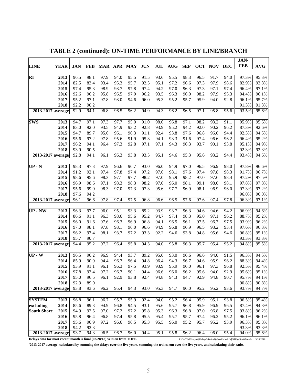|                                                                          |             |            |            |         |      |      |                   |      |            |            |            |            |            | JAN-                                                            |            |
|--------------------------------------------------------------------------|-------------|------------|------------|---------|------|------|-------------------|------|------------|------------|------------|------------|------------|-----------------------------------------------------------------|------------|
| <b>LINE</b>                                                              | <b>YEAR</b> | <b>JAN</b> | <b>FEB</b> | MAR APR |      | MAY  | <b>JUN</b>        | JUL  | <b>AUG</b> | <b>SEP</b> | <b>OCT</b> | <b>NOV</b> | <b>DEC</b> | <b>FEB</b>                                                      | <b>AVG</b> |
| $\overline{\mathbf{R}}$                                                  | 2013        | 96.5       | 98.1       | 97.9    | 94.0 | 95.5 | $\overline{91.5}$ | 93.6 | 95.5       | 98.3       | 96.5       | 91.7       | 94.0       | 97.3%                                                           | 95.3%      |
|                                                                          | 2014        | 82.5       | 83.4       | 93.4    | 95.3 | 95.7 | 92.5              | 95.1 | 97.2       | 96.6       | 97.3       | 97.9       | 98.6       | 82.9%                                                           | 93.8%      |
|                                                                          | 2015        | 97.4       | 95.3       | 98.9    | 98.7 | 97.8 | 97.4              | 94.2 | 97.0       | 96.3       | 97.3       | 97.1       | 97.4       | 96.4%                                                           | 97.1%      |
|                                                                          | 2016        | 92.6       | 96.2       | 95.8    | 96.5 | 97.9 | 96.2              | 93.5 | 96.3       | 96.0       | 98.2       | 97.9       | 95.3       | 94.4%                                                           | 96.1%      |
|                                                                          | 2017        | 95.2       | 97.1       | 97.8    | 98.0 | 94.6 | 96.0              | 95.3 | 95.2       | 95.7       | 95.9       | 94.0       | 92.8       | 96.1%                                                           | 95.7%      |
|                                                                          | 2018        | 92.2       | 90.2       |         |      |      |                   |      |            |            |            |            |            | 91.3%                                                           | 91.3%      |
| 2013-2017 average                                                        |             | 92.9       | 94.1       | 96.8    | 96.5 | 96.2 | 94.9              | 94.3 | 96.2       | 96.5       | 97.1       | 95.8       | 95.6       | 93.5%                                                           | 95.6%      |
| <b>SWS</b>                                                               | 2013        | 94.7       | 97.1       | 97.3    | 97.7 | 95.0 | 91.0              | 98.0 | 96.8       | 97.1       | 98.2       | 93.2       | 91.1       | 95.9%                                                           | 95.6%      |
|                                                                          | 2014        | 83.0       | 92.0       | 93.5    | 94.9 | 93.2 | 92.8              | 93.9 | 95.2       | 94.2       | 92.0       | 90.2       | 96.2       | 87.3%                                                           | 92.6%      |
|                                                                          | 2015        | 94.7       | 89.7       | 95.6    | 96.1 | 96.3 | 91.1              | 92.4 | 93.8       | 97.6       | 96.8       | 96.0       | 94.4       | 92.3%                                                           | 94.5%      |
|                                                                          | 2016        | 95.6       | 97.2       | 97.8    | 95.6 | 91.9 | 95.3              | 94.1 | 93.3       | 91.6       | 97.4       | 96.6       | 96.2       | 96.4%                                                           | 95.2%      |
|                                                                          | 2017        | 96.2       | 94.1       | 96.4    | 97.3 | 92.8 | 97.1              | 97.1 | 94.3       | 96.3       | 93.7       | 90.1       | 93.8       | 95.1%                                                           | 94.9%      |
|                                                                          | 2018        | 93.9       | 90.5       |         |      |      |                   |      |            |            |            |            |            | 92.3%                                                           | 92.3%      |
| $2013 - 2017$ average                                                    |             | 92.8       | 94.1       | 96.1    | 96.3 | 93.8 | 93.5              | 95.1 | 94.6       | 95.3       | 95.6       | 93.2       | 94.4       | 93.4%                                                           | 94.6%      |
|                                                                          |             |            |            |         |      |      |                   |      |            |            |            |            |            |                                                                 |            |
| $UP - N$                                                                 | 2013        | 98.3       | 97.3       | 97.9    | 96.6 | 96.7 | 93.0              | 96.0 | 94.9       | 97.0       | 96.5       | 96.9       | 98.0       | 97.8%                                                           | 96.6%      |
|                                                                          | 2014        | 91.2       | 92.1       | 97.4    | 97.8 | 97.4 | 97.2              | 97.6 | 98.1       | 97.6       | 97.4       | 97.8       | 98.3       | 91.7%                                                           | 96.7%      |
|                                                                          | 2015        | 98.6       | 95.6       | 98.3    | 97.1 | 97.7 | 98.2              | 97.0 | 95.9       | 98.2       | 97.0       | 97.6       | 98.4       | 97.2%                                                           | 97.5%      |
|                                                                          | 2016        | 96.9       | 98.6       | 97.1    | 98.3 | 98.3 | 98.2              | 97.0 | 96.0       | 98.1       | 99.1       | 98.0       | 98.1       | 97.8%                                                           | 97.8%      |
|                                                                          | 2017        | 95.6       | 99.0       | 98.3    | 97.0 | 97.3 | 97.3              | 95.6 | 97.7       | 96.9       | 98.1       | 96.9       | 96.0       | 97.3%                                                           | 97.2%      |
|                                                                          | 2018        | 97.6       | 94.2       |         |      |      |                   |      |            |            |            |            |            | 96.0%                                                           | 96.0%      |
| $2013 - 2017$ average                                                    |             | 96.1       | 96.6       | 97.8    | 97.4 | 97.5 | 96.8              | 96.6 | 96.5       | 97.6       | 97.6       | 97.4       | 97.8       | 96.3%                                                           | 97.1%      |
| UP - NW                                                                  | 2013        | 96.3       | 97.7       | 96.0    | 95.1 | 93.3 | 89.2              | 93.9 | 93.7       | 96.3       | 94.6       | 94.6       | 94.2       | 96.9%                                                           | 94.6%      |
|                                                                          | 2014        | 86.6       | 91.1       | 96.3    | 98.6 | 95.6 | 95.2              | 94.7 | 97.4       | 98.3       | 95.0       | 97.1       | 96.2       | 88.7%                                                           | 95.2%      |
|                                                                          | 2015        | 96.0       | 91.6       | 97.6    | 96.3 | 96.9 | 96.8              | 94.1 | 96.5       | 96.1       | 97.5       | 96.7       | 97.5       | 93.9%                                                           | 96.2%      |
|                                                                          | 2016        | 97.0       | 98.1       | 97.8    | 98.1 | 96.0 | 96.6              | 94.9 | 96.8       | 96.9       | 96.5       | 93.2       | 93.4       | 97.6%                                                           | 96.3%      |
|                                                                          | 2017        | 96.2       | 97.4       | 98.1    | 93.7 | 97.2 | 93.3              | 92.2 | 94.6       | 93.8       | 94.8       | 95.6       | 94.6       | 96.8%                                                           | 95.1%      |
|                                                                          | 2018        | 95.7       | 90.7       |         |      |      |                   |      |            |            |            |            |            | 93.3%                                                           | 93.3%      |
| 2013-2017 average                                                        |             | 94.4       | 95.2       | 97.2    | 96.4 | 95.8 | 94.3              | 94.0 | 95.8       | 96.3       | 95.7       | 95.4       | 95.2       | 94.8%                                                           | 95.5%      |
|                                                                          |             |            |            |         |      |      |                   |      |            |            |            |            |            |                                                                 |            |
| $UP-W$                                                                   | 2013        | 96.5       | 96.2       | 96.9    | 94.4 | 93.7 | 89.2              | 95.0 | 93.0       | 96.6       | 96.6       | 94.0       | 91.5       | 96.3%                                                           | 94.5%      |
|                                                                          | 2014        | 85.9       | 90.9       | 94.4    | 96.7 | 96.4 | 94.8              | 96.4 | 94.3       | 96.7       | 94.6       | 95.9       | 96.2       | 88.3%                                                           | 94.4%      |
|                                                                          | 2015        | 93.9       | 91.1       | 96.1    | 96.3 | 97.5 | 93.9              | 93.9 | 95.9       | 96.0       | 96.1       | 97.3       | 96.8       | 92.5%                                                           | 95.4%      |
|                                                                          | 2016        | 97.8       | 93.4       | 97.2    | 96.7 | 90.1 | 94.4              | 96.6 | 96.0       | 96.2       | 95.6       | 94.0       | 92.9       | 95.6%                                                           | 95.1%      |
|                                                                          | 2017        | 95.0       | 96.5       | 96.1    | 92.9 | 93.8 | 92.4              | 94.8 | 94.3       | 94.7       | 92.9       | 94.8       | 90.7       | 95.7%                                                           | 94.1%      |
|                                                                          | 2018        | 92.3       | 89.0       |         |      |      |                   |      |            |            |            |            |            | 90.8%                                                           | 90.8%      |
| 2013-2017 average                                                        |             | 93.8       | 93.6       | 96.2    | 95.4 | 94.3 | 93.0              | 95.3 | 94.7       | 96.0       | 95.2       | 95.2       | 93.6       | 93.7%                                                           | 94.7%      |
| <b>SYSTEM</b>                                                            | 2013        | 96.8       | 96.1       | 96.7    | 95.7 | 95.9 | 92.4              | 94.0 | 95.2       | 96.4       | 95.9       | 95.1       | 93.8       | 96.5%                                                           | 95.4%      |
| excluding                                                                | 2014        | 85.6       | 89.3       | 94.9    | 96.8 | 94.5 | 93.1              | 95.6 | 95.7       | 96.8       | 95.9       | 96.9       | 96.5       | 87.4%                                                           | 94.3%      |
| <b>South Shore</b>                                                       | 2015        | 94.9       | 92.5       | 97.0    | 97.2 | 97.2 | 95.8              | 95.3 | 96.3       | 96.8       | 97.0       | 96.8       | 97.5       | 93.8%                                                           | 96.2%      |
|                                                                          | 2016        | 95.8       | 96.4       | 96.8    | 97.4 | 95.8 | 95.5              | 95.4 | 95.7       | 95.7       | 97.4       | 96.2       | 95.2       | 96.1%                                                           | 96.1%      |
|                                                                          | 2017        | 95.6       | 96.9       | 97.2    | 96.6 | 96.5 | 95.3              | 95.5 | 96.0       | 95.2       | 95.7       | 95.2       | 93.9       | 96.3%                                                           | 95.8%      |
|                                                                          | 2018        | 94.2       | 92.3       |         |      |      |                   |      |            |            |            |            |            | 93.3%                                                           | 93.3%      |
| 2013-2017 average                                                        |             | 93.7       | 94.3       | 96.5    | 96.7 | 96.0 | 94.4              | 95.1 | 95.8       | 96.2       | 96.4       | 96.0       | 95.4       | 94.0%                                                           | 95.6%      |
| Delays data for most recent month is final (03/28/18) version from TOPS. |             |            |            |         |      |      |                   |      |            |            |            |            |            | P:\ONTIME\report\[Delays&TrainsByServPeriod.xls]OTPbyLine&Month | 3/28/2018  |

**TABLE 2 (continued): ON-TIME PERFORMANCE BY LINE/BRANCH**

**'2013-2017 average' calculated by summing the delays over the five years, summing the trains run over the five years, and calculating their ratio.**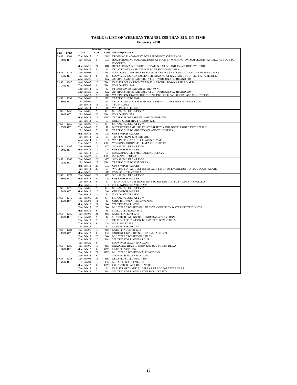|                        |                            | <b>Minutes</b>       | Delay           |                                                                                                                                     |
|------------------------|----------------------------|----------------------|-----------------|-------------------------------------------------------------------------------------------------------------------------------------|
| Train<br>Line          | Date                       | Late                 | Code            | <b>Delay Explanation</b>                                                                                                            |
| BNSF<br>1204           | Thu, Feb 15<br>Tue, Feb 20 | 10<br>8              | <b>GM</b><br>GW | DROPPING FLAGMAN AT BOX 2 PROSPECT AVE MP18.32<br>BOX 2 CROSSING MALFUNCTIONS AT MAIN ST, WASHINGTON, MAPLE AND FAIRVIEW AVE DUE TO |
| 80% OT                 |                            |                      |                 | FLOODING.                                                                                                                           |
|                        | Mon. Feb 26                | 21                   | <b>KD</b>       | REPLACED MAIN RES HOSE BETWEEN CAR 741 AND 804 AT ROOSEVELT RD                                                                      |
|                        | Tue, Feb 27                | 8                    | G               | DELAYED AT LAVERGNE DUE TO 3B SWITCH FAILURE                                                                                        |
| BNSF<br>1242           | Tue, Feb 06                | $10\,$               | FW1             | FOLLOWING 1240 THAT DEPARTED LATE ACCT SETTING OUT B/O CAR FROZEN VALVE                                                             |
| 84% OT                 | Tue, Feb 13                | 8                    | U               | SLOW MOVING ADA PASSENGER LOADING AT NAP. RAN OUT OF SLOT AS A RESULT.                                                              |
| BNSF<br>1248           | Wed, Feb 21<br>Wed, Feb 07 | 10<br>13             | GA<br>FW1       | AMTRAK SWITCH FAILURES AT CP HARRISON. #12, 818 AND E10<br>EARLIER DELAY FROM TRAIN 1214 BROKEN DOWN AT HILL YARD                   |
| 74% OT                 | Thu, Feb 08                | 9                    | FW1             | FOLLOWING 1246                                                                                                                      |
|                        | Wed, Feb 14                | 10                   | G               | #2 CROSSOVER FAILURE AT BERWYN                                                                                                      |
|                        | Wed, Feb 21                | 12                   | GA              | AMTRAK SWITCH FAILURES AT CP HARRISON. #12, 818 AND E10                                                                             |
|                        | Fri, Feb 23                | $\overline{7}$       | ZR <sub>1</sub> | WAITING ON TRAFFIC DUE TO 1242 PTC ISSUE EARLIER CAUSED CONGESTION                                                                  |
| BNSF<br>1251           | Tue, Feb 06                | 9                    | ZH1             | TRAFFIC DUE TO 1241                                                                                                                 |
| 80% OT                 | Fri, Feb 09                | 7                    | D               | DELAYED AT EOLA FOR MBRCEOL808 AND ZCHCSSE909 AT WEST EOLA                                                                          |
|                        | Tue, Feb 13<br>Wed, Feb 14 | 11<br>9              | E1<br><b>RF</b> | 1243 FAILURE<br><b>WAITING FOR LINEUP</b>                                                                                           |
| BNSF<br>1253           | Tue, Feb 06                | 9                    | GT              | SIGNAL FAILURE AT FVW                                                                                                               |
| 80% OT                 | Fri, Feb 09                | 20                   | EW1             | FOLLOWING 1255                                                                                                                      |
|                        | Mon, Feb 12                | 12                   | GW1             | TRAFFIC FROM EARLIER SWITCH PROBLEM                                                                                                 |
|                        | Tue, Feb 13                | 15                   | E1              | HOLDING FOR TRAFFIC FROM 1243                                                                                                       |
| 1259<br>BNSF           | Tue, Feb 06                | 16                   | GT              | SIGNAL FAILURE AT FVW                                                                                                               |
| 65% OT                 | Thu, Feb 08<br>Fri, Feb 09 | 7<br>$7\phantom{.0}$ | Η<br>D          | METX197 HEP FAILURE AT 14TH STREET YARD. NOT PLUGGED IN PROPERLY                                                                    |
|                        | Mon, Feb 12                | 33                   | GW              | TRAFFIC DUE TO MBRCEOL808 AND ZCHCSSE909<br><b>CUS SWITCH FAILURE</b>                                                               |
|                        | Tue, Feb 13                | 12                   | E1              | TRAFFIC FROM 1243 FAILURE                                                                                                           |
|                        | Wed, Feb 14                | 7                    | RF1             | WAITING FOR 1251 TO CLEAR INTO YARD                                                                                                 |
|                        | Thu, Feb 22                | 7                    | CW1             | WORKING AROUND PULL APART - TRAFFIC                                                                                                 |
| <b>BNSF</b><br>1267    | Tue, Feb 06                | 12                   | GT              | SIGNAL FAILURE AT FVW                                                                                                               |
| 80% OT                 | Mon, Feb 12                | 17                   | GW              | <b>CUS SWITCH FAILURE</b>                                                                                                           |
|                        | Tue, Feb 13<br>Thu, Feb 22 | 10<br>7              | E1<br>CW1       | EQ SWAP EARLIER MECHANICAL DELAYS<br>PULL APART TRAFFIC                                                                             |
| BNSF<br>1269           | Tue, Feb 06                | 26                   | GT              | SIGNAL FAILURE AT FVW                                                                                                               |
| 75% OT                 | Fri, Feb 09                | 17                   | EW1             | TRAFFIC DUE TO 1255 DELAY                                                                                                           |
|                        | Mon, Feb 12                | 26                   | GW              | <b>CUS SWITCH FAILURE</b>                                                                                                           |
|                        | Tue, Feb 13                | 28                   | E1              | WAITING FOR AIR TEST ON EQ LATE TIE ON OF ENGINE DUE TO 1243S LOCO FAILURE                                                          |
|                        | Mon, Feb 26                | 10                   | RF              | DS MISROUTE AT EOLA                                                                                                                 |
| 1271<br>BNSF<br>80% OT | Tue, Feb 06<br>Mon, Feb 12 | 22<br>20             | GT<br>GW        | SIGNAL FAILURE AT FVW<br><b>CUS SWITCH FAILURE</b>                                                                                  |
|                        | Tue, Feb 13                | $\bf{0}$             | E1              | TRAIN NOT AIR TESTED IN TIME TO SET DUE TO 1243 FAILURE- ANNULLED                                                                   |
|                        | Mon, Feb 26                | 7                    | RF1             | FOLLOWING DELAYED 1269                                                                                                              |
| 1277<br>BNSF           | Tue, Feb 06                | 20                   | GT              | SIGNAL FAILURE AT FVW                                                                                                               |
| 84% OT                 | Mon, Feb 12                | 10                   | GW              | <b>CUS SWITCH FAILURE</b>                                                                                                           |
|                        | Tue, Feb 13                | 14                   | E1              | <b>FOLLOWING TRAFFIC</b>                                                                                                            |
| BNSF<br>1279           | Tue, Feb 06                | 35<br>11             | GT              | SIGNAL FAILURE AT FVW                                                                                                               |
| 74% OT                 | Thu, Feb 08<br>Mon, Feb 12 | 21                   | G<br>GW         | CODE BROWN AT BERWYN PLANT.<br><b>WAITING FOR LINEUP</b>                                                                            |
|                        | Tue, Feb 13                | 26                   | GW              | MULTIPLE CROSSING FAILURES TRIGGERED BY WATER MELTING SNOW.                                                                         |
|                        | Mon, Feb 19                | 6                    | RF              | MISROUTED DOWN MT2                                                                                                                  |
| 1280<br>BNSF           | Tue, Feb 06                | 31                   | ZH1             | LATE FLIP FROM 1241                                                                                                                 |
| 75% OT                 | Thu, Feb 08                | 9                    | G               | 5B SWITCH FAILING TO GO NORMAL AT LAVERGNE                                                                                          |
|                        | Tue, Feb 13<br>Thu, Feb 22 | 9<br>6               | E1<br>CW        | HELD OUT OF STATION TO EXPEDITE DEPARTURES<br>PULL APART 23.3                                                                       |
|                        | Fri, Feb 23                | 7                    | E1              | LATE FLIP FROM 1241                                                                                                                 |
| BNSF<br>1281           | Tue, Feb 06                | 16                   | ZH1             | LATE FLIP DUE TO 1241                                                                                                               |
| 75% OT                 | Mon, Feb 12                | 6                    | <b>FW</b>       | DOOR STICKING OPEN ON CAR 751 AND 8274                                                                                              |
|                        | Tue, Feb 13                | 20                   | GW              | MULTIPLE CROSSING FAILURES                                                                                                          |
|                        | Thu, Feb 15                | 10                   | RA              | WAITING FOR LINEUP AT CUS                                                                                                           |
|                        | Tue, Feb 20                | 6                    |                 | SLOW PASSENGER HANDLING                                                                                                             |
| BNSF<br>1285<br>80% OT | Tue, Feb 06<br>Mon, Feb 12 | 13<br>6              | ZH1             | HNADLING TRAFFIC FROM 1281 DUE TO 1241 DELAY<br>GW1 LATE FLIP 0FF 1286                                                              |
|                        | Tue, Feb 13                | 21                   |                 | GW1 MULTIPLE CROSSING MALFUNCTIONS                                                                                                  |
|                        | Wed, Feb 14                | 6                    | л               | SLOW PASSENGER HANDLING                                                                                                             |
| BNSF<br>1288           | Tue, Feb 06                | 13                   | ZH1             | DELAYED FOLLOWING 1280                                                                                                              |
| 75% OT                 | Fri, Feb 09                | 16                   | FW              | <b>METX 193 HORN FAILURE</b>                                                                                                        |
|                        | Mon, Feb 12                | 6                    |                 | GW1 CUS SWITCH FAILURE TRAFFIC                                                                                                      |
|                        | Tue, Feb 13                | 8                    | E1              | EARLIER MECHANICAL DELAYS, DRAGGING EXTRA CARS                                                                                      |
|                        | Thu, Feb 15                | 7                    | RA              | WAITING FOR LINEUP AFTER SWS CLEARED                                                                                                |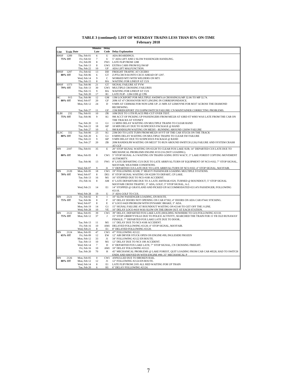| TABLE 3 (continued): LIST OF WEEKDAY TRAINS LESS THAN 85% ON-TIME |
|-------------------------------------------------------------------|
| <b>February 2018</b>                                              |

|             |                   |                            | <b>Minutes</b> | <b>Delay</b>      |                                                                                                                                  |
|-------------|-------------------|----------------------------|----------------|-------------------|----------------------------------------------------------------------------------------------------------------------------------|
| Line        | <b>Train Date</b> |                            | Late           |                   | <b>Code</b> Delay Explanation                                                                                                    |
| <b>BNSF</b> | 1289              | Thu, Feb 01                | 6              | U                 | ADA BOARDINGS.                                                                                                                   |
|             | 75% OT            | Fri, Feb 02                | $\overline{7}$ | U                 | 5" ADA LIFT AND 2 SLOW PASSENGER HANDLING.                                                                                       |
|             |                   | Fri, Feb 09                | 8              | FW1               | LATE FLIP FROM 1288                                                                                                              |
|             |                   | Tue, Feb 13                | 8              | GW1               | EXTRA CARS FROM EQ SWAP                                                                                                          |
|             |                   | Thu, Feb 22                | 10             | UF                | ADA LIFT MALFUNCTION.                                                                                                            |
| <b>BNSF</b> | 1297              | Fri, Feb 02                | 13             | DD                | FREIGHT TRAFFIC AT CICERO                                                                                                        |
|             | 80% OT            | Tue, Feb 06<br>Wed. Feb 14 | 6<br>9         | GT<br>$\mathbf C$ | Z-PTLCHC9-04 INTO CECO AHEAD OF 1297.<br>WORKED MT3 WITH WELDERS ON MT1                                                          |
|             |                   | Thu, Feb 15                | 8              | RA                | WAITING FOR LINEUP AT CUS                                                                                                        |
| <b>BNSF</b> | 1373              | Tue, Feb 06                | 21             | GT                | SIGNAL FAILURE AT FVW                                                                                                            |
|             | 79% OT            | Tue, Feb 13                | 30             | GW1               | MULTIPLE CROSSING FAILURES                                                                                                       |
|             |                   | Thu, Feb 15                | 9              | RA                | WAITING FOR LINEUP AT CUS                                                                                                        |
|             |                   | Tue, Feb 20                | 17             | R1                | LATE FLIP - 1284 UDE @ CPK                                                                                                       |
| HC          | 915               | Tue, Feb 06                | 12             | GM                | 13M LOCKPORT FOR MULTIPLE AWDM'S (4 CROSSINGS) MP 32.06 TO MP 32.74.                                                             |
|             | 80% OT            | Wed, Feb 07                | 20             | GF                | 20M AT 47 CROSSOVER NOT LINGING IN CORRESPONDANCE.                                                                               |
|             |                   | Mon, Feb 12                | 24             | D                 | 9 MIN AT CERMAK FOR NON LINE UP. 21 MIN AT LEMOYNE FOR M337 ACROSS THE DIAMOND<br>RECREWING.                                     |
|             |                   | Tue, Feb 27                | 11             | GF                | 15M BRIDGEPORT 255/310PM SWITCH FAILURE/ CN MAINTAINER CORRECTING PROBLEMS.                                                      |
| <b>ELBI</b> | 232               | Thu, Feb 01                | 10             | ZR                | 10M DUE TO 11TH PLACE PRE-CUT OVER TEST.                                                                                         |
|             | 75% OT            | Tue, Feb 06                | 9              | K1                | 9M ACCT OF PICKING UP PASSENGERS FROM ME328 AT 63RD ST WHO WAS LATE FROM THE CAR ON                                              |
|             |                   |                            |                |                   | THE TRACKS AT STONEY                                                                                                             |
|             |                   | Tue, Feb 20                | 11             | G1                | 11 MINS DELAY WAITING ON MULTIPLE TRAINS TO CLEAR RAND                                                                           |
|             |                   | Thu, Feb 22                | 18             | KP                | 18 MIN DELAY DUE TO SUSPICIOUS PACKAGE @ RAND                                                                                    |
|             |                   | Tue. Feb 27                | 10             | G                 | 9M RANDOLPH WAITING ON ME505 - RUNNING AROUND 126SW FAILURE                                                                      |
| <b>ELSC</b> | 332<br>80% OT     | Tue, Feb 06<br>Tue, Feb 20 | 23<br>6        | K1<br>G1          | 23M DO TO LATE TURN FROM ME329 AVVT OF THE CAR STUCK ON THE TRACK<br>8 MINS DELAY WAITING ON MULTIPLE TRAINS TO CLEAR SW FAILURE |
|             |                   | Thu, Feb 22                | 9              | KP                | 9 MIN DELAY DUE TO SUSPICIOUS PACKAGE @ RAND                                                                                     |
|             |                   | Tue, Feb 27                | 20             | ZB                | 20M RANDOLPH WAITING ON ME337 TO RUN AROUND SWIITCH (126) FAILURE AND SYSTEM CRASH                                               |
|             |                   |                            |                |                   | AT CCF                                                                                                                           |
| MN          | 2107              | Thu, Feb 01                | 35             | E                 | 20" STOP SIGNAL WAITING ON #2128 TO CLEAR FOX LAKE SUB; 14" DEPARTED CUS LATE DUE TO                                             |
|             |                   |                            |                |                   | MECHANICAL PROBLEMS ENGINE #155/216 (NOT LOADING).                                                                               |
|             | 80% OT            | Mon, Feb 05                | 8              |                   | CW1 5" STOP SIGNAL A-3 WAITING ON TRAINS GOING INTO WACY; 3" LAKE FOREST COPYING MOVEMENT                                        |
|             |                   |                            |                |                   | AUTHORITY.                                                                                                                       |
|             |                   | Tue, Feb 06                | 13             | FW1               | 8" LATE DEPARTING CUS DUE TO LATE ARRIVAL/TURN OF EQUIPMENT OF NCS #102; 7" STOP SIGNAL,                                         |
|             |                   | Wed, Feb 07                | 9              | $_{11}$           | MAYFAIR; WEATHER CONDITIONS.<br>5" DEPARTED CUS LATE DUE TO LATE ARRIVAL/TURN OF NCS #102; 4" STOP SIGNAL, MAYFAIR               |
| MN          | 2120              | Mon, Feb 05                | 18             | CW1               | 19" FOLLOWING #2108; 5" HEAVY PASSENGER LOADING MULTIPLE STATIONS.                                                               |
|             | 70% OT            | Wed, Feb 07                | 8              | DE1               | 8" STOP SIGNAL WAITING ON #2209 TO DEPART, CP LAKE.                                                                              |
|             |                   | Tue, Feb 13                | 16             | M1                | 16" STOPPED DUE TO NCS #108 ACCIDENT.                                                                                            |
|             |                   | Fri, Feb 16                | 8              | AM                | 6" LATE DEPARTURE DUE TO A LATE AMTRAK #329, TURNED @ ROUNDOUT; 5" STOP SIGNAL                                                   |
|             |                   |                            |                |                   | MAYFAIR CROSS TRAFFIC; 3" ADA, GOLF; 3" STOP SIGNAL, A-2.                                                                        |
|             |                   | Wed, Feb 21                | 14             | E1                | 14" STOPPED @ GRAYLAND AND PICKED UP/ACCOMMODATED #2114'S PASSENGER; FOLLOWING                                                   |
|             |                   |                            | 19             | U                 | #2118.                                                                                                                           |
| MN          | 2121              | Wed, Feb 28<br>Fri, Feb 02 | $\,$ 8 $\,$    | I                 | 3" ADA GOLF TO CUS.<br>10" SLOW PASSENGER LOADING, EN ROUTE.                                                                     |
|             | 75% OT            | Tue, Feb 06                | 8              | F                 | 10" DELAY DOORS NOT OPENING ON CAR #7302; 4" DOORS ON ADA CAR #7441 STICKING.                                                    |
|             |                   | Wed, Feb 07                | 8              | Е                 | 6" LOCO #420 PROBLEM WITH DYNAMIC BRAKE; 3" ADA.                                                                                 |
|             |                   | Mon, Feb 19                | 14             | G1                | 15" SIGNAL FAILURE AT ROUNDOUT WAITING ON #2140 TO GET OFF THE J-LINE.                                                           |
|             |                   | Wed, Feb 28                | 10             | VE                | 10" DELAY LOCO #419 WAS SLOW ON THE DRAW OUT AT EACH STATION.                                                                    |
| MN          | 2122              | Mon, Feb 05                | 39             | CW1               | 39" DELAY, DEPARTED FOX LAKE LATE (HOLDING NOWHERE TO GO) FOLLOWING #2118.                                                       |
|             | 75% OT            | Mon, Feb 12                | 37             | J                 | 15" STOP LIBERTYVILLE DUE TO POLICE ACTIVITY, SEARCHED THE TRAIN FOR 15 YR OLD RUNAWAY                                           |
|             |                   | Tue, Feb 13                | 11             | M1                | FEMALE; 7" DEPARTED FOX LAKE LATE DUE TO DOOR<br>11" DELAY DUE TO NCS #108 ACCIDENT.                                             |
|             |                   | Fri, Feb 16                | 10             | AM1               | DELAYED FOLLOWING #2120; 4" STOP SIGNAL, MAYFAIR.                                                                                |
|             |                   | Wed, Feb 21                | 8              | E1                | 8" DELAYED FOLLOWING #2120.                                                                                                      |
| MN          | 2124              | Mon, Feb 05                | 47             | CW1               | 47" FOLLOWING #2122.                                                                                                             |
|             | 65% OT            | Fri, Feb 09                | 12             | EW                | 12" AIR DRYER STUCK OPEN ON ENGINE #99, INGLESIDE FROZEN                                                                         |
|             |                   | Mon, Feb 12                | 33             | J1                | 34" FOLLOWING #2122 EN ROUTE.                                                                                                    |
|             |                   | Tue, Feb 13                | 10             | M1                | 12" DELAY DUE TO NCS 108 ACCIDENT.                                                                                               |
|             |                   | Wed, Feb 14                | $\overline{7}$ | D                 | 6" DEPARTED FOX LAKE LATE; 7" STOP SIGNAL, CN CROSSING FREIGHT.                                                                  |
|             |                   | Fri, Feb 16<br>Tue, Feb 20 | 10<br>70       | AM1<br>Н          | 10" DELAY FOLLOWING #2122.<br>45" MECHANICAL PROBLEMS @ LAKE FOREST, QUIT LOADING FROM CAB CAR #8528, HAD TO SWITCH              |
|             |                   |                            |                |                   | ENDS AND SHOVED IN WITH ENGINE #99; 25" MECHANICAL P                                                                             |
| MN          | 2126              | Mon, Feb 05                | $\Omega$       | CW1               | ANNULLED DUE TO BROKEN RAIL.                                                                                                     |
|             | 80% OT            | Mon, Feb 12                | 12             | J1                | 12" FOLLOWING #2124 EN ROUTE.                                                                                                    |
|             |                   | Wed, Feb 14                | 8              | E1                | LATE FLIP FROM 2105 ALL RED WAITING FOR UP TRAIN                                                                                 |
|             |                   | Tue, Feb 20                | 6              | H1                | 6" DELAY FOLLOWING #2124.                                                                                                        |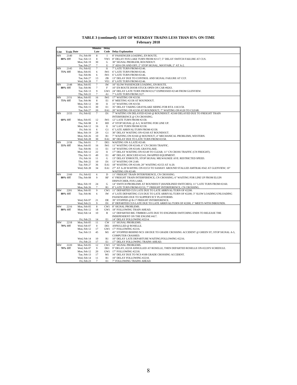|      |                   |                            | <b>Minutes</b>   | Delay       |                                                                                        |
|------|-------------------|----------------------------|------------------|-------------|----------------------------------------------------------------------------------------|
| Line | <b>Train Date</b> |                            | Late             |             | <b>Code</b> Delay Explanation                                                          |
| MN   | 2140              | Fri, Feb 09                | 8                | 1           | 8" PASSENGER LOADING, EN ROUTE.                                                        |
|      | 80% OT            | Tue, Feb 13                | 8                | YW1         | 8" DELAY FOX LAKE TURN FROM #2117; 5" DELAY SWITCH FAILURE AT CUS.                     |
|      |                   | Mon, Feb 19                | 30               | G           | 30" SIGNAL PROBLEM, ROUNDOUT.                                                          |
|      |                   | Tue, Feb 27                | $\tau$           | U           | 3" ADA ON AND OFF; 2" STOP SIGNAL, MAYFAIR; 2" AT A-2                                  |
| MN   | 2145              | Fri, Feb 02                | $\tau$           | $_{\rm II}$ | 7" LATE TURN FROM #2146.                                                               |
|      | 75% OT            | Mon, Feb 05<br>Tue, Feb 06 | 6<br>6           | IW1<br>IW1  | 6" LATE TURN FROM #2146.<br>6" LATE TURN FROM #2146.                                   |
|      |                   | Tue, Feb 27                | 13               | ZB          | 13" DELAY DUE TO CONTROL AND SIGNAL FAILURE AT CCF.                                    |
|      |                   | Wed, Feb 28                | $\overline{7}$   | VE1         | 8" LATE TURN FROM #2146.                                                               |
| MN   | 2148              | Mon, Feb 05                | $\tau$           | IW          | 10" SLOW PASSENGER LOADING, EN ROUTE.                                                  |
|      | 80% OT            | Tue, Feb 06                | 7                | F           | 10" EN ROUTE DOOR STUCK OPEN ON CAR #8263.                                             |
|      |                   | Tue, Feb 13                | 9                | GW1         | 24" DELAY LATE TURN FROM #2127 EXPRESSED #2148 FROM GLENVIEW.                          |
|      |                   | Thu, Feb 22                | $\tau$           | Al          | 7" LATE TURN FROM 2127.                                                                |
| MN   | 2151              | Mon, Feb 05                | 16               | IW1         | 17" WAITING ON #2158.                                                                  |
|      | 75% OT            | Tue, Feb 06                | 8                | E1          | 8" MEETING #2158 AT ROUNDOUT.                                                          |
|      |                   | Mon, Feb 12                | 30               | $_{\rm II}$ | 31" WAITING ON #2158.                                                                  |
|      |                   | Thu, Feb 15                | 30               | E1          | 35" DELAY TAKING GRAYSLAKE SIDING FOR RTA 118/2158.                                    |
|      |                   | Tue, Feb 27                | 20               | EA1         | 20" WAITING ON #2158 AT ROUNDOUT; 7" WAITING ON #120 TO CLEAR                          |
| MN   | 2155              | Fri, Feb 02                | $\tau$           | D1          | 7" WAITING ON DELAYED #2160 @ ROUNDOUT. #2160 DELAYED DUE TO FREIGHT TRAIN             |
|      |                   |                            |                  |             | INTERFERENCE @ CN CROSSING.                                                            |
|      | 60% OT            | Mon. Feb 05                | 12               | IW1         | 12" LATE TURN FROM #2158.                                                              |
|      |                   | Thu, Feb 08<br>Mon, Feb 12 | 8<br>16          | <b>RD</b>   | 4" STOP SIGNAL @ A-5, WAITING FOR LINE UP.<br>16" LATE TURN FROM #2158.                |
|      |                   | Fri, Feb 16                | 6                | 11<br>G1    | 6" LATE ARRIVAL/TURN FROM #2158.                                                       |
|      |                   | Mon, Feb 19                | 29               | G1          | 30" DELAY WAITING ON #2160 AT ROUNDOUT.                                                |
|      |                   | Mon, Feb 26                | 10               | R1          | 7" WAITING ON #2160 @ ROUNOUT; 4" MECHANICAL PROBLEMS, WESTERN.                        |
|      |                   | Wed, Feb 28                | 30               | EA1         | 30" DELAY DUE TO LATE TURN FROM #2158.                                                 |
| MN   | 2158              | Thu, Feb 01                | 7                | DE1         | WAITING ON A LATE #2149.                                                               |
|      | 55% OT            | Mon, Feb 05                | 16               | IW1         | 11" WAITING ON #2149; 6" CN CROSS TRAFFIC.                                             |
|      |                   | Tue, Feb 06                | 11               | E1          | 14" WAITING ON #2149, GRAYSLAKE.                                                       |
|      |                   | Mon, Feb 12                | 22               | $_{\rm II}$ | 17" DELAY WAITING ON #2149 TO CLEAR; 11" CN CROSS TRAFFIC (CN FREIGHT).                |
|      |                   | Thu, Feb 15                | 49               | E1          | 48" DELAY, RESCUED #2143, SWAPPED EQUIPMENT.                                           |
|      |                   | Fri, Feb 16                | 11               | G           | 13" DELAY ENROUTE, STOP SIGNAL MILWAUKEE AVE. RESTRICTED SPEED.                        |
|      |                   | Thu, Feb 22                | 10               | D1          | 13" WAITING ON 2149.                                                                   |
|      |                   | Tue, Feb 27                | 36               | EA1         | 18" WAITING ON #2149; 20" WAITING #2153 AT A-20.                                       |
|      |                   | Wed, Feb 28                | 34               | EA1         | 27" AT A-20 WAITING ON #2153 TO SASHAY AROUND STALLED AMTRAK #342 AT GLENVIEW; 10"     |
| MN   | 2160              | Fri, Feb 02                | 6                | $\mathbf D$ | WAITING ON #2149.<br>11" FREIGHT TRAIN INTERFERENCE, CN CROSSING.                      |
|      | 80% OT            | Thu, Feb 08                | 9                | RF          | 6" FREIGHT TRAIN INTERFERENCE, CN CROSSING; 6" WAITING FOR LINE UP FROM ELGIN          |
|      |                   |                            |                  |             | DISPATCHER, FOX LAKE.                                                                  |
|      |                   | Mon, Feb 19                | 24               | G           | 14" SWITCH PROBLEMS AT ROUNDOUT (HANDLINED SWITCHES); 11" LATE TURN FROM #2160.        |
|      |                   | Mon, Feb 26                | 7                | R1          | 8" LATE TURN FROM #2153; 7" FREIGHT INTERFERENCE, CN CROSSING.                         |
| MW   | 2201              | Mon, Feb 05                | 9                | CW1         | 11" DEPARTED CUS LATE DUE TO LATE ARRIVAL/TURN OF #2200.                               |
|      | 80% OT            | Tue, Feb 06                | 6                | <b>IW</b>   | 4" LATE DEPARTING CUS DUE TO LATE ARRIVAL/TURN OF #2200; 3" SLOW LOADING/UNLOADING     |
|      |                   |                            |                  |             | PASSENGERS DUE TO SLIPPERY/ICY PLATFORMS.                                              |
|      |                   | Wed, Feb 07                | 21               | DE          | 39" STOPPED @ B-17 FREIGHT INTERFERENCE.                                               |
|      |                   | Wed, Feb 21                | 9                | D1          | 8" DEPARTED CUS LATE DUE TO LATE ARRIVAL/TURN OF #2200; 1" MEETS WITH INBOUNDS.        |
| MW   | 2216              | Mon, Feb 05                | 8                | CW1         | 8" SIGNAL PROBLEMS.                                                                    |
|      | 80% OT            | Mon, Feb 12                | 18               | GW1         | 18" FOLLOWING TRAIN AHEAD.                                                             |
|      |                   | Wed, Feb 14                | 10               | R           | 12" DEPARTED BIG TIMBER LATE DUE TO ENGINEER SWITCHING ENDS TO RELEASE THE             |
|      |                   | Fri, Feb 23                | 14               | E1          | INDEPENDENT ON THE ENGINE #417.<br>14" DELAY FOLLOWING #2214.                          |
| MW   | 2218              | Mon, Feb 05                | 11               | CW          | 11" SIGNAL PROBLEMS.                                                                   |
|      | 70% OT            | Wed, Feb 07                | $\boldsymbol{0}$ | DE1         | ANNULLED @ ROSELLE.                                                                    |
|      |                   | Mon, Feb 12                | 17               | GW1         | 17" FOLLOWING #2216.                                                                   |
|      |                   | Tue, Feb 13                | 45               | M1          | 45" STOPPED BEHIND NCS 108 DUE TO GRADE CROSSING ACCIDENT @ GREEN ST; STOP SIGNAL A-5, |
|      |                   |                            |                  |             | COMPUTER CRASHED.                                                                      |
|      |                   | Wed, Feb 14                | 10               | R1          | 10" DELAY LATE DEPARTURE WAITING/FOLLOWING #2216.                                      |
|      |                   | Fri, Feb 23                | 17               | E1          | 17" DELAY FOLLOWING TRAINS AHEAD.                                                      |
| MW   | 2220              | Mon, Feb 05                | 12               | CW1         | 12" SIGNAL PROBLEMS.                                                                   |
|      | 70% OT            | Wed, Feb 07                | 9                | DE1         | 9" DELAY, #2218 ANNULLED AT ROSELLE, THEN DEPARTED ROSELLE ON #2220'S SCHEDULE.        |
|      |                   | Mon, Feb 12                | 20               | GW1         | 17" FOLLOWING #2218.                                                                   |
|      |                   | Tue, Feb 13                | 17               | M1          | 16" DELAY DUE TO NCS #108 GRADE CROSSING ACCIDENT.                                     |
|      |                   | Wed, Feb 14                | 11               | R1          | 10" DELAY FOLLOWING #2218.                                                             |
|      |                   | Fri, Feb 23                | 7                | E1          | 7" FOLLOWING TRAINS AHEAD.                                                             |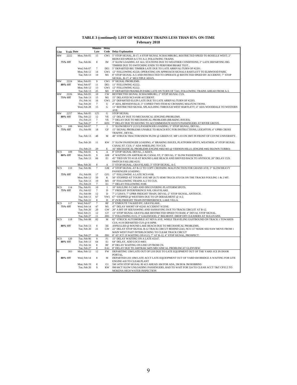|            |                   |                            | <b>Minutes</b>       | <b>Delay</b>   |                                                                                                                                                         |
|------------|-------------------|----------------------------|----------------------|----------------|---------------------------------------------------------------------------------------------------------------------------------------------------------|
| Line       | <b>Train Date</b> |                            | Late                 | Code           | <b>Delay Explanation</b>                                                                                                                                |
| MW         | 2222              | Mon. Feb 05                | 15                   | CW1            | 5" STOP SIGNAL, B-17; 4 STOP SIGNAL SCHAUMBURG, RESTRICTED SPEED TO ROSELLE WEST; 2"                                                                    |
|            |                   |                            | 8                    | <b>IW</b>      | REDUCED SPEED A-5 TO A-2, FOLLOWING TRAINS.                                                                                                             |
|            | 75% OT            | Tue, Feb 06                |                      |                | 3" SLOW LOADING AT ALL STATIONS DUE TO WEATHER CONDITIONS; 2" LATE DEPARTING BIG<br>TIMBER DUE TO SWITCHING ENDS TO PERFORM BRAKE TEST                  |
|            |                   | Wed, Feb 07                | $7\phantom{.0}$      | DE1            | 5" DEPARTED BIG TIMBER LATE DUE TO LATE ARRIVAL/TURN OF #2201.                                                                                          |
|            |                   | Mon, Feb 12                | 14                   | GW1            | 12" FOLLOWING #2220, OPERATING ON APPROACH SIGNALS BARTLETT TO ELMWOOD PARK.                                                                            |
|            |                   | Tue, Feb 13                | 19                   | M1             | 8" STOP SIGNAL A-5 AND INSTRUCTED TO OPERATE @ RESTICTED SPEED BY ACCIDENT; 7" STOP                                                                     |
|            |                   |                            |                      |                | SIGNAL, B-17; 4" MULTIPLE ADA'S.                                                                                                                        |
| MW         | 2224<br>80% OT    | Mon, Feb 05<br>Wed, Feb 07 | 9<br>11              | CW1<br>DE1     | 9" SIGNAL PROBLEMS.<br>11" FOLLOWING #2222.                                                                                                             |
|            |                   | Mon, Feb 12                | 13                   | GW1            | 12" FOLLOWING #2222.                                                                                                                                    |
|            |                   | Tue, Feb 13                | 25                   | M1             | 9" DEPARTED FRANKLIN PARK LATE ON TURN OF 7241; FOLLOWING TRAINS AHEAD FROM A-3.                                                                        |
| MW         | 2226              | Mon, Feb 05                | 10                   | <b>CW</b>      | RESTRICTED SIGNAL SCHAUMBURG; 2" STOP SIGNAL CUS.                                                                                                       |
|            | 75% OT            | Tue, Feb 13                | 15                   | M1             | 15" DELAYED NCS #108 ACCIDENT.                                                                                                                          |
|            |                   | Fri, Feb 16                | 16                   | GW1            | 23" DEPARTED ELGIN LATE DUE TO LATE ARRIVAL/TURN OF #2203.                                                                                              |
|            |                   | Tue, Feb 20<br>Wed, Feb 28 | $\tau$<br>15         | U<br>${\bf G}$ | 4" ADA, BENSENVILLE; 3" COPIED TWO ITEM #2 CROSSING MALFUNCTIONS.<br>11" RESTRICTED SIGNAL SPLAULDING THROUGH WEST BARTLETT; 4" ADA WOODDALE TO WESTERN |
|            |                   |                            |                      |                | AVE                                                                                                                                                     |
| MW         | 2257              | Mon, Feb 05                | 125                  | G              | <b>STOP SIGNAL</b>                                                                                                                                      |
|            | 80% OT            | Thu, Feb 22                | 12                   | VE             | 12" DELAY DUE TO MECHANICAL (ENGINE) PROBLEMS.                                                                                                          |
|            |                   | Fri, Feb 23                | $\tau$               | <b>VE</b>      | 7" DELAY DUE TO MECHANICAL PROBLEMS (BRAKING ISSUES).                                                                                                   |
|            |                   | Tue, Feb 27                | 7                    | KD1            | 7" DELAY DUE TO HAVING TO ACCOMMODATE #2255'S PASSENGERS AT RIVER GROVE.                                                                                |
| <b>NCS</b> | 108<br>75% OT     | Wed, Feb 07<br>Fri, Feb 09 | $\overline{7}$<br>18 | T<br>GF        | 5" SLOW/HEAVY (1213) PASSENGER LOADING; 5" STOP SIGNAL, DEVAL.<br>15" SIGNAL PROBLEMS UNABLE TO REACH RTC FOR INSTRUCTIONS, LEIGHTON; 4" UPRR CROSS     |
|            |                   |                            |                      |                | TRAFFIC, DEVAL.                                                                                                                                         |
|            |                   | Tue, Feb 13                | 48                   | M              | 48" STRUCK TRACTOR/SNOW PLOW @ GREEN ST. MP 1.03 ON 3MT IN FRONT OF COYNE UNIVERSITY.                                                                   |
|            |                   |                            |                      |                |                                                                                                                                                         |
|            |                   | Tue, Feb 20                | 11                   | <b>KW</b>      | 5" SLOW PASSENGER LOADING; 4" BRAKING ISSUES, PLATFORM SPOTS, WEATHER; 4" STOP SIGNAL                                                                   |
|            |                   |                            |                      |                | CANAL ST. CUS; 1" ADA WHEELING TO CUS.                                                                                                                  |
| NCS        | 109               | Fri, Feb 23<br>Thu, Feb 01 | 20<br>6              | E<br>А         | 16" MECHANICAL PROBLEMS ENGINE #402/403 @ VERNON HILLS. (ENGINE #402 BLOWN TURBO)<br>8" STOP SIGNAL DEVAL, 2 ADA'S.                                     |
|            | 80% OT            | Mon, Feb 05                | 9                    | AM             | 4" WAITING ON AMTRAK #8, CANAL ST; 3" DEVAL; 3" SLOW PASSENGERS.                                                                                        |
|            |                   | Tue, Feb 13                | 66                   | E1             | 45" TIED ON TO #118 AT ROUND LAKE BEACH AND SHOVED BACK TO ANTIOCH; 20" DELAY CUS                                                                       |
|            |                   |                            |                      |                | SWITCH FAILURE #235.                                                                                                                                    |
|            |                   | Mon, Feb 26                |                      | A              | 5" STOP SIGNAL, GRAYSLAKE; 3" STOP SIGNAL, A-5                                                                                                          |
| <b>NCS</b> | 110               | Tue, Feb 06                | $\overline{7}$       | <b>GM</b>      | 4" STOP SIGNAL AT B-12 TO COPY CROSSING MALFUNCTION FOR GRAND AVE; 3" SLOW/HEAVY                                                                        |
|            | 75% OT            | Fri, Feb 09                | 17                   | GF1            | PASSENGER LOADING.<br>17" FOLLOWING A LATE NCS #108.                                                                                                    |
|            |                   | Mon, Feb 12                | 50                   | K              | 50" STOPPED AT TOUHY AVE MP 20.75 SEMI TRUCK STUCK ON THE TRACKS FOULING 1 & 2 MT.                                                                      |
|            |                   | Tue, Feb 13                | 19                   | M1             | 19" FOLLOWING TRAINS A-2 TO CUS.                                                                                                                        |
|            |                   | Fri, Feb 23                | $\overline{7}$       | E1             | 7" DELAY FOLLOWING #108.                                                                                                                                |
| <b>NCS</b> | 114               | Thu, Feb 01                | 10                   | I              | 10" HAULING 9 CARS AND DISCOVERING PLATFORM SPOTS.                                                                                                      |
|            | 75% OT            | Fri, Feb 02                | $\tau$               | D              | 7" FREIGHT INTERFERENCE N/B, GRAYSLAKE.                                                                                                                 |
|            |                   | Fri, Feb 09<br>Tue, Feb 13 | 12<br>67             | D<br>YW1       | 7" 2 529A'S; 7" UPRR FREIGHT TRAIN, DEVAL; 2" STOP SIGNAL, ANTIOCH.                                                                                     |
|            |                   | Thu, Feb 22                | 8                    | D              | 67" STOPPED @ WESTERN DUE TO UP DERAILMENT @ A-2.<br>8" (N/B) FREIGHT TRAIN INTERFERENCE, LAKE VILLA                                                    |
| <b>NCS</b> | 117               | Wed, Feb 07                | 7                    | RF             | 9" ENROUTE TALKED BY, GRAYSLAKE.                                                                                                                        |
|            | 75% OT            | Wed, Feb 14                | 47                   | M1             | 47" DELAY SHORT OF #2243 ACCIDENT SCENE.                                                                                                                |
|            |                   | Tue, Feb 20                | 20                   | GW             | 20" A BIT OF SEE/SAWING AND SASHAYING DUE TO TRACK CIRCUIT AT B-12.                                                                                     |
|            |                   | Wed, Feb 21                | 12                   | GT             | 13" STOP SIGNAL GRAYSLAKE RESTRICTED SPEED TO RAM; 4" DEVAL STOP SIGNAL.                                                                                |
|            |                   | Tue, Feb 27                | 11                   | ZB1            | 5" FOLLOWING #115; 3" GALEWOOD; 2" BELMONT. DROP OFF CLEANERS AT SULLIVANS                                                                              |
| <b>NCS</b> | 118               | Thu, Feb 08                | 82                   | M              | 82" STRUCK AUTOMOBILE AT NEVA AVE. WHILE TRAVELING EASTBOUND ON TRACK 1 TOWARDS<br>CUS, #119 DEPARTED CUS @ 8:16PM.                                     |
|            | 80% OT            | Tue, Feb 13                | $\mathbf{0}$         | <b>XE</b>      | ANNULLED @ ROUND LAKE BEACH DUE TO MECHANICAL PROBLEMS.                                                                                                 |
|            |                   | Tue, Feb 20                | 21                   | GW             | 22" DELAY STOP SIGNAL B-12 TRACK CIRCUT BEHIND 2243, NCS 117 MADE SEE/SAW MOVE FROM 1                                                                   |
|            |                   |                            |                      |                | MAIN WEST PAST INTERLOCKING TO CLEAR TRACK CIRCUT                                                                                                       |
|            |                   | Tue, Feb 27                | 16                   | ZB1            | 8" AT JCT 19 WAITING ON #115; 7" AT B-12; 4" STOP SIGNAL, PROSPECT.                                                                                     |
| <b>NCS</b> | 120               | Tue, Feb 06                | 9                    | F1             | 15" DELAY WAITING ON A LATE #2147.                                                                                                                      |
|            | 80% OT            | Tue. Feb 13                | 64                   | E1             | 64" DELAY. ADD LOCO #403.                                                                                                                               |
|            |                   | Fri, Feb 16<br>Tue, Feb 27 | $\,$ 8 $\,$<br>8     | RF<br>EA1      | 8" DELAY WAITING ON LINE UP FROM CN.<br>8" DELAY DUE TO AMTRAK 340'S MECANICAL PROBLEM AT GLENVIEW.                                                     |
| RI         | 303               | Mon, Feb 12                | 12                   | <b>FW</b>      | DEPARTING 13M LATE OUT OF LSS DUE TO LATE EQUIPMENT OUT OF THE YARD. ICE IN DOOR                                                                        |
|            |                   |                            |                      |                | PORTAL.                                                                                                                                                 |
|            | 80% OT            | Wed, Feb 14                | 8                    | M              | DEPARTED LSS 10M LATE ACCT LATE EQUIOPMENT OUT OF YARD 6M BRIDGE A WAITING FOR LITE                                                                     |
|            |                   |                            |                      |                | ENGINE 418 TO CLEAR PLANT                                                                                                                               |
|            |                   | Mon, Feb 19                | 8                    | G1             | 5M 14TH STOP SIGNAL RI 413 AHEAD. 6M FOR ADA, 3M BI & 3M ROBBINS                                                                                        |
|            |                   | Tue, Feb 20                | 9                    | KW             | 9M 66CT SLOW UNLOADING PASSENGERS, HAD TO WAIT FOR 524 TO CLEAR ACCT T&T CP35.5 TO                                                                      |
|            |                   |                            |                      |                | MOKENA HIGH WATER INSPECTION                                                                                                                            |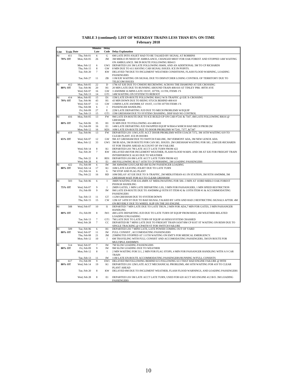|             |                   |                            | <b>Minutes</b> | Delay            |                                                                                                                                                |
|-------------|-------------------|----------------------------|----------------|------------------|------------------------------------------------------------------------------------------------------------------------------------------------|
| Line        | <b>Train Date</b> |                            | Late           |                  | <b>Code</b> Delay Explanation                                                                                                                  |
| <b>RI</b>   | 411               | Thu, Feb 01                | 6              | ${\bf G}$        | 6M LATE INTO JOLIET HAD TO BE TALKED BY SIGNAL AT ROBBINS                                                                                      |
|             | 70% OT            | Mon, Feb 05                | 26             | JM               | 3M MIDLO IN NEED OF AMBULANCE, CHANGED MEET FOR OAK FOREST AND STOPPED 14M WAITING<br>ON AMBULANCE, 9M IN ROUTE FOLLOWING RI0413               |
|             |                   | Mon, Feb 12                | 6              | GW1              | DEPARTED LSS 3M LATE FOLLOWING RI409, AND AN ADDITIONAL 3M TO CP RICHARDS                                                                      |
|             |                   | Thu, Feb 15                | 8              | GW               | 8 MIN DUE TO 411 HAVING CAB SIGNAL ISSUES. ICE IN POINTS.                                                                                      |
|             |                   | Tue, Feb 20                | $\tau$         | <b>KW</b>        | DELAYED 7M DUE TO INCLEMENT WEATHER CONDITIONS, FLASH FLOOD WARNING, LOADING<br><b>PASSENGERS</b>                                              |
|             |                   | Tue, Feb 27                | 11             | ZB               | 11M EJE WAITING ON SIGNAL DUE TO DISPATCHER LOSING CONTROL OF TERRITORY DUE TO                                                                 |
|             |                   |                            |                |                  | <b>TELECOM ISSUES</b>                                                                                                                          |
| RI          | 412               | Mon, Feb 05                | 22             | $\mathbf D$      | 17M AT EJE DUE TO CNM395 RECREWING ACROSS THE DIAMOND AT EJE CROSSING                                                                          |
|             | 80% OT            | Tue, Feb 06<br>Wed, Feb 07 | 20<br>16       | H1<br>GW         | 20 MIN LATE DUE TO RUNNING AROUND TRAIN 408/410 AT TINLEY PRK -80TH AVE<br>3 AWDMM 16 MINS LATE 191ST, 107TH, 111TH, ITEMS 1'S                 |
|             |                   | Tue, Feb 13                | 14             | GT1              | 14M WAITING ON SYSTEM TO REBOOT                                                                                                                |
| <b>RI</b>   | 414               | Mon, Feb 05                | 15             | D1               | 15M LATE EN-ROUTE FOLLOWING RI412 W/X-TRAFFIC @ EJE X-CROSSING                                                                                 |
|             | 70% OT            | Tue, Feb 06<br>Wed, Feb 07 | 43<br>11       | H1<br>GW         | 43 MIN DOWN DUE TO BEING STUCK BEHIND 408/410                                                                                                  |
|             |                   | Thu, Feb 08                | 6              | I                | 11MINS LATE AWDMM AT 191ST, 111TH 107TH ITEMS 1'S<br>PASSENGER HANDLING                                                                        |
|             |                   | Fri, Feb 09                | 27             | Е                | 22M LATE DEPARTING JUD DUE TO MECH PROBLEMS W/EQUIP                                                                                            |
|             |                   | Tue, Feb 13                | 15             | GT1              | 15M GRESHAM DUE TO SYSTEM CRASHING, DISP HAD NO CONTROL                                                                                        |
| RI          | 416               | Mon, Feb 05                | 13             | <b>FW</b>        | 9M LATE EN-ROUTE DUE TO ICE BUILD-UP ON CAR #7241 & 7347, 4M LATE FOLLOWING RI616 @<br><b>GRESHAM</b>                                          |
|             | 80% OT            | Tue, Feb 06                | 35             | H1               | 35 MIN DUE TO FOLLOWING 414 408/410                                                                                                            |
|             |                   | Fri. Feb 09                | 16             | E1               | 14M LATE DEPARTING JUD SWAPPED EQUIP W/RI414 WHICH HAD MECH PROB/2M                                                                            |
| RI          | 419               | Mon, Feb 12<br>Tue, Feb 06 | 16<br>13       | KD1<br><b>FW</b> | 16M LATE EN-ROUTE DUE TO DOOR PROBLEMS W/7241, 7377, &7347<br>DEPARTED LSS 11M LATE ACCT DOOR PROBLEMS WITH COACH 7372, 3M 16TH WAITING 619 TO |
|             |                   |                            |                |                  | CLEAR PLANT. ICE IN DOORS                                                                                                                      |
|             | 65% OT            | Wed, Feb 07                | 12             | GW               | 9M AT GRESHAM DUE TO SWITCH FAILURE, 3M VERMONT ADA, 3M NEW LENOX ADA                                                                          |
|             |                   | Mon, Feb 12                | 33             | GW1              | 3M BI ADA, 5M IN ROUTE FOR CAN SIG. ISSUES. 2M GRESHAM WAITING FOR SIG. 23M EJE-RICHARDS                                                       |
|             |                   | Wed, Feb 14                | $\,$ 8 $\,$    | K1               | ST FOR TRAINS AHEAD ACCOUNT OF SW FAILURE<br>DEPARTED LSS 7M LATE ACCT LATE TURN FROM 422                                                      |
|             |                   | Tue, Feb 20                | $\tau$         | <b>KW</b>        | DELAYED 4M FOR INCLEMENT WEATHER, FLASH FLOOD WARN. AND 3M AT EJE FOR FREIGHT TRAIN                                                            |
|             |                   |                            |                |                  | INTERFERENCE ALSO DUE TO WEATHER                                                                                                               |
|             |                   | Thu, Feb 22<br>Wed, Feb 28 | 8<br>6         | RD1<br>E1        | DEPARTED LSS 8M LATE ACCT LATE TURN FROM 422<br>4M FOLLOWING RI 617 16TH TO CP PERSHING, 2M LOADING PASSENGERS                                 |
| $_{\rm RI}$ | 422               | Fri, Feb 09                | 6              | <b>IW</b>        | 3M AMWDM GOUGAR RD 4M SLOW PASSENGER LOADING                                                                                                   |
|             | 80% OT            | Wed, Feb 14                | 17             | K1               | 16M LATE LEAVING JOLIET DUE TO LATE TURN                                                                                                       |
|             |                   | Fri, Feb 16<br>Thu, Feb 22 | 6<br>16        | G<br><b>RD</b>   | 7M STOP AND FLAG PLANT<br>10M DELAY AT EJE DUE TO X-TRAFFIC, 2M MIDLOTHIAN 411 IN STATION, 3M 95TH AWDMM, 3M                                   |
|             |                   |                            |                |                  | GRESHAM WAIT FOR 613 TO CLEAR GRESHAM                                                                                                          |
| RI          | 503               | Tue, Feb 06                | 6              | $\mathbf I$      | 3MIN WAITING FOR 616-4MIN AT MIDLOWAITING FOR 506--3 MIN AT 103RD MIDLO OAK FOREST                                                             |
|             |                   | Wed, Feb 07                | 9              | $\mathbf{I}$     | <b>PSSNGR HANDLING</b><br>2MIN GATES, 1 MIN LATE DEPARTING LSS, 3 MIN FOR PASSANGERS, 1 MIN SPEED RESTRICTION                                  |
|             | 75% OT            | Fri, Feb 09                | $\overline{9}$ | <b>IW</b>        | 9M LATE EN-ROUTE DUE TO AWDMM @ 95TH ST ITEM #2 & 119TH ITEM #1 & ACCOMMODATING                                                                |
|             |                   |                            |                |                  | <b>PASSENGERS</b>                                                                                                                              |
|             |                   | Tue, Feb 13                | 11             | <b>GT</b>        | 112M GRESHAM DUE TO SYSTEM DOWN                                                                                                                |
|             |                   | Thu, Feb 15                | 15             | <b>CW</b>        | 12M AT 14TH ST DUE TO BAD SIGNAL. TALKED BY 14TH AND HAD 2 RESTRICTING SIGNALS AFTER. 4M<br>ON BEVERLY DUE TO WHEEL SLIP ON THE 203 ENGINE.    |
| RI          | 508               | Wed, Feb 07                | 10             | I1               | DEPARTED 7 MIN LATE DUE TO LATE TRUN, 2 MIN FOR ADA,7 MIN FOR GATES, 3 MIN PASSANGER                                                           |
|             |                   |                            |                |                  | <b>HANDLING</b>                                                                                                                                |
|             | 80% OT            | Fri, Feb 09                | 8              | IW1              | 4M LATE DEPARTING JUD DUE TO LATE TURN OF EQUIP FROM RI503, 4M WEATHER RELATED<br>LOADING/UNLOADING                                            |
|             |                   | Tue, Feb 13                | $\tau$         | GT1              | 7M LATE DUE TO LATE TURN OF EQUIP AS RI503/SYSTEM CRASHED                                                                                      |
|             |                   | Wed, Feb 28                | $\tau$         | CC               | DEPARTED BI 7 MINS LATE DUE TO FREIGHT TRAIN IA507/8M CP 81ST ST WAITING ON RI509 DUE TO                                                       |
| RI          | 509               | Tue, Feb 06                | 6              | H1               | SINGLE TRACKING @ CP46TH ST FOR SWITCH FAILURE<br>DEPARTED LSS 7 MINS LATE, LATE POWER COMING OUT OF YARD                                      |
|             | 80% OT            | Wed, Feb 07                | 11             | <b>IW</b>        | FULL CONSIST, ACCOMODATING PASSENGERS                                                                                                          |
|             |                   | Thu, Feb 08                | 21             | <b>JM</b>        | 25MINUTES STOPPED AT 111TH WAITING ON EMT'S FOR MEDICAL EMERGENCY.                                                                             |
|             |                   | Mon, Feb 12                | 10             | I                | 6M TRAVELING WITH FULL CONSIST AND ACCOMODATING PASSENGERS, 5M EN ROUTE FOR                                                                    |
| <b>RI</b>   | 514               | Wed, Feb 07                | 7              | <b>IW</b>        | MULTIPLE AWDMM'S<br>7M SLOW LOADING PASSENGERS                                                                                                 |
|             | 80% OT            | Fri, Feb 09                | 9              | <b>IW</b>        | 9M SLOW LOADING DUE TO WEATHER                                                                                                                 |
|             |                   | Mon, Feb 12                | $\,$ 8 $\,$    | I                | 2 MIN WAITING FOR 511, 2 MIN FOR FLAG STOPS, 4 MIN FOR PASSANGER HANDLING WITH A 9 CAR                                                         |
|             |                   | Tue, Feb 13                | 11             | IW               | <b>TRAIN</b><br>11M LATE EN-ROUTE ACCOMMODATING PASSENGERS/RUNNING W/FULL CONSISTS                                                             |
| RI          | 617               | Fri, Feb 09                | 9              | EW1              | DELAYED 9M FOLLOWING BEHIND 615 FOLLOWING 613 THAT HAD ENGINE FAILURE @ 99TH                                                                   |
|             | 80% OT            | Wed, Feb 14                | 19             | K1               | DEPARTED LSS 12M LATE ACCT MECHANICAL PROBLEMS, 4M 16TH WAITING FOR 419 TO CLEAR                                                               |
|             |                   | Tue, Feb 20                | 8              | <b>KW</b>        | PLANT AHEAD<br>DELAYED 8M DUE TO INCLEMENT WEATHER, FLASH FLOOD WARNINGS, AND LOADING PASSENGERS                                               |
|             |                   |                            |                |                  |                                                                                                                                                |
|             |                   | Wed, Feb 28                | 8              | E1               | DEPARTED LSS 5M LATE ACCT LATE TURN, USED FOR 620 ACCT 605 ENGINE 412 B/O. 3M LOADING                                                          |
|             |                   |                            |                |                  | <b>PASSENGERS</b>                                                                                                                              |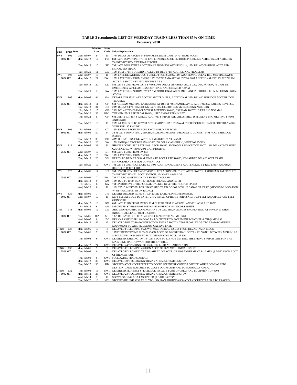| TABLE 3 (continued): LIST OF WEEKDAY TRAINS LESS THAN 85% ON-TIME |  |
|-------------------------------------------------------------------|--|
| <b>February 2018</b>                                              |  |

|             |                   |                            | <b>Minutes</b>  | Delay              |                                                                                                                                                                |
|-------------|-------------------|----------------------------|-----------------|--------------------|----------------------------------------------------------------------------------------------------------------------------------------------------------------|
| Line        | <b>Train Date</b> |                            | Late            | Code               | <b>Delay Explanation</b>                                                                                                                                       |
| <b>SWS</b>  | 802               | Wed, Feb 07                | 9               | $\mathbf D$        | 17M DELAY ASHBURN, 543/600AM, NS25E 51 CARS, 9479" HEAD ROOM.                                                                                                  |
|             | 80% OT            | Mon, Feb 12                | 12              | <b>FW</b>          | 8M LATE DEPARTING 179TH, ENG LOADING ISSUE, 3M DOOR PROBLEMS ASHBURN, 4M ASHBURN                                                                               |
|             |                   |                            |                 |                    | TALKED BY RED, CSX TRAP CIRCUIT.                                                                                                                               |
|             |                   | Tue, Feb 13                | 10              | <b>RF</b>          | 7M LATE DEPARTURE ACCT BRAKE PROBLEM WITH ENG 114, 12M DELAY CP-RIDGE ACCT RED<br>SIGNAL, NO TRAIN.                                                            |
|             |                   | Tue, Feb 20                | 11              | GW                 | 15M LOST 17TH TO 153RD, TALKED BY RED 17TH ACCT SIGNAL PROBLEMS                                                                                                |
| <b>SWS</b>  | 803               | Wed, Feb 07                | 13              | D                  | 11M LATE DEPARTING CUS, TURNED FROM SW802, 12M ADDITIONAL DELAY BRC MEETING SW806                                                                              |
|             | 80% OT            | Mon, Feb 12                | 21              |                    | FW1 12M LATE TURN FROM SW802, 15M 657/712AMWAITING SW806, 10M ADDITIONAL DELAY 712,722AM                                                                       |
|             |                   |                            |                 |                    | ACCT #13 SWITCH FAIING REVERSE AT BJ.                                                                                                                          |
|             |                   | Tue, Feb 13                | 20              | DE                 | 8M LATE TURN FROM LATE SW802, 30M DELAY ASHBURN ACCT CSX Q642 W/4400', 75 CARS IN<br>EMERGENCY AT 645AM, CSX CUT TRAIN AND CLEARED 730AM                       |
|             |                   | Tue, Feb 20                | 7               | GW                 | 11M LATE TURN NFROM SW802, 9M ADDITIONAL ACCT MECHANICAL TROUBLE. 3M MEETING SW804                                                                             |
|             |                   |                            |                 |                    | AT CSX                                                                                                                                                         |
| <b>SWS</b>  | 805               | Mon, Feb 05                | 44              | GA                 | DEPART CUS 15M LATE ACCT PLANT TROUBLE, ADDITIONAL 26M DELAY SSBRIDGE ACCT BRIDGE                                                                              |
|             |                   |                            |                 |                    | <b>TROUBLE.</b>                                                                                                                                                |
|             | 65% OT            | Mon, Feb 12<br>Tue, Feb 13 | 11<br>34        | GF<br>DE1          | 6M 734/40AM MEETING LATE SW808 AT BJ, 7M 740/47AMDELAY BJ ACCT #13 SW FAILING REVERSE.<br>28M DELAY CP74TH MEETING LATE 806, 808, 810, CSX 642BLOCKING ASHBURN |
|             |                   | Fri. Feb 16                | 15              | GF                 | 23M DELAY 736//39AM CP74TH ST MEETING SW810, CSX HAD SWITCH 3 FAILING NORMAL.                                                                                  |
|             |                   | Tue, Feb 20                | 36              | KW1                | TURNED 19M LATE FROM SW804, USED SW806'S TRAIN SET.                                                                                                            |
|             |                   | Thu, Feb 22                | 8               | GF                 | 6M DELAY CP74TH ST, HELD ACCT #11 SWITCH FAILURE AT BRC, 16M DELAY BRC MEETING SW808                                                                           |
|             |                   |                            |                 |                    | <b>AND SW810</b>                                                                                                                                               |
|             |                   | Tue, Feb 27                | 15              | E                  | 21M AT CUS DUE TO POWER NOT LOADING. HAD TO SWAP THEIR DOUBLE HEADER FOR THE SW806                                                                             |
| <b>SWS</b>  | 806               | Fri, Feb 02                | 10              | GT                 | WITH THE 187 ENGINE.<br>12M SIGNAL PROBLEMS CP LENOX-143RD. TELECOM                                                                                            |
|             | 80% OT            | Mon, Feb 05                | 50              | F                  | 38 M LATE DEPARTING , MECHANICAL PROPBLEMS, USED SW810 CONSIST. 14M ACCT SSBRIDGE                                                                              |
|             |                   |                            |                 |                    | ISSUES.                                                                                                                                                        |
|             |                   | Tue, Feb 13                | 38              | DE                 | 43M DELAY, CSX Q642 WEST IN EMERGENCY AT 645AM                                                                                                                 |
|             |                   | Tue, Feb 20                | 20              | GW                 | 17M SIGNOAL TROUBLE 179-143RD. 7M DELAY ASHBURN, MEETING SW803                                                                                                 |
| <b>SWS</b>  | 812               | Mon, Feb 05                | 21              | D                  | IHB DISP CONFUSED LATE SW810 FOR SW812, SW810 WAS 31M OUT OF SLOT. 13M DELAY X-TRAFFIC<br>Q26 CSXT3193 W/14000", 8M CP518/TRAFFIC                              |
|             | 75% OT            | Wed, Feb 07                | 10              | D1                 | 9M LATE TURN FROM SW803                                                                                                                                        |
|             |                   | Mon, Feb 12                | 16              | FW1                | 15M LATE TURN FROM SW803                                                                                                                                       |
|             |                   | Tue, Feb 13                | 23              | DE1                | READY TO DEPART 803AM 20M LATE ACCT LATE SW803, 10M ADDED DELAY ACCT TRAIN                                                                                     |
|             |                   |                            |                 |                    | MANAGEMENT SYSTEM DOWN AT CCF                                                                                                                                  |
|             |                   | Tue, Feb 20                | 19              |                    | GW1 7M LATE TURN ACCT LATE 803 10M ADDITIONAL DELAY ACCTTALKED BY RED 179TH AND RAN<br><b>RESTRICTED TO143RD</b>                                               |
| <b>SWS</b>  | 823               | Mon, Feb 05                | 14              | GF1                | 3M CP74TH ST MEET SWS#834 SINGLE TRACKING BELT JCT. ACCT. SWITCH PROBLEMS; 6M BELT JCT.                                                                        |
|             |                   |                            |                 |                    | TALKED BY SIGNAL ACCT. SWITCH ; 4M OAK LAWN ADA                                                                                                                |
|             | 75% OT            | Wed, Feb 07                | 7               | FW1                | 7M AT BRC WAITING ON THE SW834 TO CLEAR                                                                                                                        |
|             |                   | Mon, Feb 12                | 9               | GM                 | 11M DUE TO ITEM 1S AT 87TH AND PULASKI AND 107TH.                                                                                                              |
|             |                   | Fri, Feb 16<br>Wed, Feb 28 | 6<br>8          | GA<br>$\mathbf{D}$ | 7M CP ROOSEVELT RED SIGNAL; TALKED BY AT RESTRICTED SPEED.<br>11M CP518 442/453PM FOR NS#903 GEO TRAIN GOING INTO UP CANAL ST YARD (MISCOMMUNICATION           |
|             |                   |                            |                 |                    | W/ UP YARDMASTER ON RADIO.)                                                                                                                                    |
| <b>SWS</b>  | 836               | Mon. Feb 05                | $\overline{7}$  | GF1                | DEPART ORLAND 153RD ST 10M LATE; LATE FLIP FROM SWS#823.                                                                                                       |
|             | 80% OT            | Wed, Feb 07                | 10              | D                  | LEFT 5M LATE DUE TO LATE TURN. 13M AT CP RIDGE FOR CSX161 7600 FEET AND AP1GL 4200 FEET                                                                        |
|             |                   | Mon, Feb 12                | 10              | <b>GM</b>          | <b>GOING THRU.</b><br>6M LATE TURN FROM SW823. 12M DUE TO ITEM 1S AT 87TH AND PULASKI AND 107TH.                                                               |
|             |                   | Fri, Feb 23                | 6               | AM                 | 5M CP23RD ST 639/644PM FOR NS 880 BNSF6429 W/110CARS 6995FT                                                                                                    |
| <b>UPN</b>  | 343               | Mon, Feb 05                | 12              | <b>CW</b>          | ARRIVED KENOSHA, NO FLAGMAN TO FLAG TRAIN ACROSS BROKEN RAIL AT MP 0.27 @ FARM                                                                                 |
|             |                   |                            |                 |                    | INDUSTRIAL LEAD. FORM C #49107.                                                                                                                                |
|             | 80% OT            | Tue, Feb 06                | 182             | M1                 | 182" DELAYED DUE TO #341 STRUCK PEDESTRIAN, MP 33.69.                                                                                                          |
|             |                   | Wed, Feb 07                | 8               | <b>IW</b>          | HEAVY PASSENGER LOADING EN ROUTE DUE TO INCLEMENT WEATHER & XH @ MP32.98.                                                                                      |
|             |                   | Mon, Feb 19                | 52              | G                  | DELAYED DUE TO BAD CONTACT ON THE #7 SWITCH Y903 FROM LEAD 5 TTO LEAD 6 CAUSING<br>EQUIPMENT TO ARRIVE/DEPART CAL AVE LATE                                     |
| <b>UPNW</b> | 628               | Mon, Feb 05                | 10              | F1                 | DELAYED FOLLOWING #626 WIH MECHANICAL ISSUES FROM DEVAL- PARK RIDGE.                                                                                           |
|             | 80% OT            | Tue, Feb 06                | 7               | F1                 | 10MPH BETWEEN MP 22.65-22.45 ON ACCT. OF BROKEN RAIL ON TRK #2, 50MPH BETWEEN MP16.2-16.0                                                                      |
|             |                   |                            |                 |                    | & FOLLOWED #626 DEE RD TO CLYBOURN ON ACCT. OF 606                                                                                                             |
|             |                   | Thu, Feb 08                | 6               |                    | GW1 DEPARTED BARRINGTON 10" LATE DUE TO ICE NOT LETTING THE SPRING SWITCH LINE FOR THE                                                                         |
|             |                   | Mon, Feb 12                | 24              | GW1                | MAIN LINE, HAD TO WAIT FOR THE 5" TIMER.<br>DELAYED 24" WAITING FOR #626 TO CLEAR AT BARRINGTON                                                                |
| <b>UPNW</b> | 630               | Mon, Feb 05                | 9               | F1                 | DELAYED FOLLOWING #628 ON ACCT. OF #626 MECHANICAL ISSUES.                                                                                                     |
|             | 75% OT            | Tue, Feb 06                | $\,$ 8 $\,$     | F1                 | DELAYED FOLLOWING TRAINS AHEAD ON ACCT. OF #606 ANNULMENT & 10 MPH @ MP22.65 ON ACCT.                                                                          |
|             |                   |                            |                 |                    | OF BROKEN RAIL.                                                                                                                                                |
|             |                   | Thu, Feb 08                | 6               | GW1                | FOLLOWING TRAINS AHEAD.                                                                                                                                        |
|             |                   | Mon, Feb 12<br>Tue, Feb 27 | 30<br>30        | GW1<br>KD          | DELAYED 30" FOLLOWING TRAINS AHEAD AT BARRINGTON.<br>STOPPED AT CLYBOURN DUE TO DOORS ON ENTIRE CONSIST OPENED WHILE COMING INTO                               |
|             |                   |                            |                 |                    | STATION, CREW WAS ABLE TO CLOSE DOORS AND HAD TO MANUALLY OPEN.                                                                                                |
| <b>UPNW</b> | 632               | Thu, Feb 08                | 13              | KW1                | DEPARTED MCHENRY 6" LATE DUE TO LATE TURN OF CREW AND EQUIPMENT OF #603                                                                                        |
|             | 80% OT            | Mon, Feb 12                | 23              |                    | GW1 DELAYED 23" FOLLOWING TRAINS AHEAD AT BARRINGTON.                                                                                                          |
|             |                   | Wed, Feb 14                | $7\phantom{.0}$ | U                  | SLOW LOADING ADA PASSENGER @ BARRINGTON.                                                                                                                       |
|             |                   | Tue, Feb 27                | 13              | KD1                | STOPPED BEHIND #630 AT CLYBOURN, RAN AROUND #630 AT CLYBOURN TRACK 2 TO TRACK 3.                                                                               |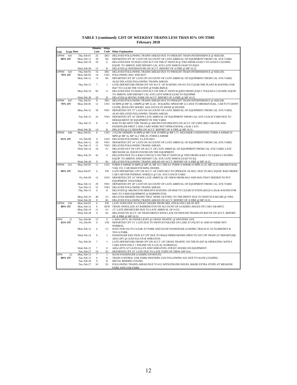| TABLE 3 (continued): LIST OF WEEKDAY TRAINS LESS THAN 85% ON-TIME |  |
|-------------------------------------------------------------------|--|
| <b>February 2018</b>                                              |  |

|                |                                   | <b>Minutes</b>       | <b>Delay</b>   |                                                                                                                                                                           |
|----------------|-----------------------------------|----------------------|----------------|---------------------------------------------------------------------------------------------------------------------------------------------------------------------------|
| Line           | <b>Train Date</b>                 | Late                 |                | <b>Code</b> Delay Explanation                                                                                                                                             |
| <b>UPNW</b>    | Thu, Feb 01<br>641                | 25                   | DE1            | DELAYED FOLLOWING TRAINS AHEAD DUE TO FREIGHT TRAIN INTERFERENCE @ SEEGER.                                                                                                |
| 80% OT         | Mon, Feb 12                       | 30                   | H1             | DEPARTED CPT 30" LATE ON ACCOUNT OF LATE ARRIVAL OF EQUIPMENT FROM CAL AVE YARD.                                                                                          |
|                | Mon, Feb 19                       | 10                   | G              | DELAYED DUE TO BAD CONTACT ON THE #7 SWITCH @ Y903 FROM LEAD 5 TO LEAD 6 CAUSING                                                                                          |
|                |                                   |                      |                | EQUIP. TO ARRIVE AND DEPART CAL AVE LATE WHICH LEAD TO EQUI                                                                                                               |
| <b>UPNW</b>    | Wed, Feb 28<br>Thu, Feb 01<br>643 | 15<br>16             | K<br>DE1       | DELAYED @ JEFFERSON PK ON ACCT. REPORT OF A FIRE @ MP 10.31<br>DELAYED FOLLOWING TRAINS AHEAD DUE TO FREIGHT TRAIN INTERFERENCE @ SEEGER.                                 |
| 70% OT         | Mon, Feb 05                       | 14                   | CW1            | FOLLOWING #641 AND #637.                                                                                                                                                  |
|                | Mon, Feb 12                       | 74                   | H1             | DEPARTED CPT 58" LATE ON ACCOUNT OF LATE ARRIVAL OF EQUIPMENT FROM CAL AVE YARD,                                                                                          |
|                |                                   |                      |                | ALSO DELAYED FOLLOWING TRAINS AHEAD.                                                                                                                                      |
|                | Thu, Feb 15                       | $\overline{7}$       | <b>I</b>       | LATE DEPARTURE FROM CPT ON ACCT. OF WAITING ON #53 TO CLEAR THE PLANT & WAITING FOR                                                                                       |
|                |                                   |                      |                | #647 TO CLEAR THE STATION @ PARK RIDGE.                                                                                                                                   |
|                | Mon, Feb 19                       | 60                   | G              | DELAYED DUE TO BAD CONTACT ON THE #7 SWITCH @903 FROM LEAD 5 TOLEAD 6 CAUSING EQUIP.                                                                                      |
|                |                                   |                      |                | TO ARRIVE AND DEPART CAL AVE LATE WHICH LEAD TO EQUIPME                                                                                                                   |
|                | Wed, Feb 28                       | 20                   | K              | DELAYED @ IRVING PARK ON ACCT. REPORT OF A FIRE @ MP 10.31.                                                                                                               |
| UPNW<br>70% OT | 647<br>Thu, Feb 01<br>Mon. Feb 05 | 8<br>12              | DE1<br>CW1     | DELAYED FOLLOWING TRAINS AHEAD DUE TO FREIGHT TRAIN INTERFERENCE @ SEEGER.<br>50 MPH @ MP 16, 10MPH @ MP 22.45 - WALKING SPEED MP 22.5 DUE TO BROKEN RAIL. CAR #7275 DONT |
|                |                                   |                      |                | CLOSE, BLEN OFF DOORS. ADA STUCK IN SNOW @ WOODS                                                                                                                          |
|                | Mon, Feb 12                       | 39                   |                | FW1 DEPARTED CPT 37" LATE ON ACCOUNT OF LATE ARRIVAL OF EQUIPMENT FROM CAL AVE YARD,                                                                                      |
|                |                                   |                      |                | ALSO DELAYED FOLLOWING TRAINS AHEAD.                                                                                                                                      |
|                | Tue, Feb 13                       | 16                   |                | YW1 DEPARTED CPT 16" DOWN LATE ARRIVAL OF EQUIPMENT FROM CAL AVE COACH YARD DUE TO                                                                                        |
|                |                                   |                      |                | DERAILMENT OF EOUIPMENT IN THE YARD.                                                                                                                                      |
|                | Thu, Feb 15                       | 8                    | U              | HAD TO RE-SPOT THE TRAIN @ ARLINGTON HEIGHTS ON ACCT. OF USED 3RD CAR FOR ADA                                                                                             |
|                |                                   |                      |                | PASSENGER-FIRST 2 ADA CARS WERE NOT OPERATIONAL (-8) & 3 ATS                                                                                                              |
|                | Wed, Feb 28                       | 14                   | K              | DELAYED @ CLYBOURN ON ACCT. REPORT OF A FIRE @ MP 10.31                                                                                                                   |
| UPNW           | 649<br>Mon, Feb 05                | 6                    | CW1            | 2 SLOW ORDERS 30 MPH @ MP 3.8 & 50 MPH @ MP 5.75. WEATHER CONDITIONS. FORM A #49940 50<br>MPH @ MP 16, MP 16.2 TRK #2. FORM A #49948                                      |
| 65% OT         | Fri, Feb 09                       | $\mathbf{Q}$         |                | GW1 DELAYED FOLOWING A LATE #651.                                                                                                                                         |
|                | Mon, Feb 12                       | 20                   | FW1            | DEPARTED CPT 14" LATE ON ACCOUNT OF LATE ARRIVAL OF EQUIPMENT FROM CAL AVE YARD.                                                                                          |
|                | Tue, Feb 13                       | 11                   | YW1            | DELAYED FOLLOWING TRAINS AHEAD.                                                                                                                                           |
|                | Wed, Feb 14                       | 10                   | F1             | DELAYED OUT OF CPT ON ACCT. OF LATE ARRIVAL OF EQUIPMENT FROM CAL AVE YARD, LATE                                                                                          |
|                |                                   |                      |                | MECHANICAL ISSUES FOUND ON THE EOUIPMENT.                                                                                                                                 |
|                | Mon, Feb 19                       | 42                   | G              | DELAYED DUE TO A BAD CONTACT ON THE #7 SWITCH @ Y903 FROM LEAD 5 TO LEAD 6 CAUSING                                                                                        |
|                |                                   | $\mathbf Q$          |                | EQUIP. TO ARRIVE AND DEPART CAL AVE LATE WHICH LEAD TO EQ                                                                                                                 |
| <b>UPNW</b>    | Wed, Feb 28<br>651<br>Mon. Feb 05 | 11                   | K1<br>CW1      | DELAYED FOLLOWING TRAINS AHEAD ON ACCT. REPORT OF A FIRE @ MP 10.31.<br>FORM A #49940 50 MPH @ MP 16, MP 16.2 TRK #2. FORM A #49948 10 MPH 22.45, MP 22.65 (BROKEN RAIL   |
|                |                                   |                      |                | VAIL ST). CAR #8428 STICKING DOORS.                                                                                                                                       |
| 60% OT         | Wed, Feb 07                       | 6                    | <b>FW</b>      | LATE DEPARTING CPT ON ACCT. OF USED #653 TO OPERATE AS #651, DUE TO #651 EQUIP. BAD ORDER                                                                                 |
|                |                                   |                      |                | CAB CAR FOR FEDERAL WHEELS @ CAL AVE COACH YARD                                                                                                                           |
|                | Fri, Feb 09                       | 12                   |                | GW1 DEPARTED CPT 14" DOWN LATE ARRIVAL OF CREW FROM #623 AND #650 THAT NEEDED TO PUT                                                                                      |
|                |                                   |                      |                | <b>EOUIPMENT TOGETHER.</b>                                                                                                                                                |
|                | Mon, Feb 12                       | 29                   | FW1            | DEPARTED CPT 40" LATE ON ACCOUNT OF LATE ARRIVAL OF EQUIPMENT FROM CAL AVE YARD.                                                                                          |
|                | Tue, Feb 13<br>Thu, Feb 15        | 15                   | YW1<br>$_{11}$ | DELAYED FOLLOWING TRAINS AHEAD.                                                                                                                                           |
|                |                                   | 6                    |                | DELAYED @ ARLINGTON HEIGHTS WAITING ON #658 TO CLEAR STATION (RULE 6.30) & WAITED FOR<br>#645 TO YARD EQUIPMENT @ BARRINGTON.                                             |
|                | Mon. Feb 19                       | 40                   | G1             | DELAYED BEHIND TRAINS THAT WERE GETTING TO THE DEPOT DUE TO SWITCH FAILURE @ Y903.                                                                                        |
|                | Wed, Feb 28                       | $\mathbf Q$          | K1             | DELAYED FOLLOWING TRAINS AHEAD ON ACCT. REPORT OF A FIRE @ MP 10.31                                                                                                       |
| UPNW           | 656<br>Mon, Feb 05                | 6                    | FW             | LATE TURN DUE TO STICKY DOORS FROM 3RD, 4TH & 6TH CAR OF SET.                                                                                                             |
| 80% OT         | Mon. Feb 12                       | $\mathbf{0}$         | <b>XFW</b>     | TRAIN ANNULLED AT BARRINGTON ON ACCOUNT OF LOADING ISSUES ON CAB CAR #8472.                                                                                               |
|                | Mon, Feb 19                       | 11                   | G1             | 15" LATE DEPARTURE DUE TO LATE ARRIVAL OF # 633.                                                                                                                          |
|                | Wed, Feb 28                       | 9                    | K1             | DELAYED ON ACCT. OF TRAIN MEETS WITH LATE OUTBOUND TRAINS EN ROUTE ON ACCT. REPORT                                                                                        |
| UPW            | 21                                | 13                   | U              | OF A FIRE @ MP 10.31<br>2 ADA LIFTS: NO DOOR LIGHT @ CROSS TRAFFIC @ WESTERN AVE.                                                                                         |
| 65% OT         | Tue, Feb 06<br>Fri, Feb 09        | 9                    | GW.            | DEPARTED CPT 15" LATE DUE TO SWITCH FAILURE ON LAKE ST PALNT 41 AND 45 WERE NOT                                                                                           |
|                |                                   |                      |                | NORMAL.                                                                                                                                                                   |
|                | Mon, Feb 12                       | 6                    | C1             | WAIT FOR #34 TO CLEAR AT PARK AND SLOW PASSENGER LOADING TRACK #2 AT ELMHURST &                                                                                           |
|                |                                   |                      |                | <b>VILLA PARK.</b>                                                                                                                                                        |
|                | Wed, Feb 14                       | 9                    | J              | PASSENGER EJECTION AT CPT DUE TO MALE PRIED DOORS OPEN TO GET ON TRAIN AT DEPARTURE.                                                                                      |
|                |                                   |                      |                | ADA LIFT @ GLEN ELLYN & WHEATON.                                                                                                                                          |
|                | Tue, Feb 20                       | $\overline{7}$       | <b>I</b>       | LATE DEPARTURE FROM CPT ON ACCT. OF CROSS TRAFFIC ON THE PLANT & OPERATING WITH 9                                                                                         |
|                |                                   |                      |                | CARS WITH ONLY 1 ENGINE ON A LOCAL SCHEDULE.                                                                                                                              |
|                | Wed, Feb 21<br>Tue, Feb 27        | $\overline{7}$<br>19 | U<br>E1        | ADA LIFTS AT GLEN ELLYN AND WHEATON; STICKY DOORS ON EQUIPMENT.<br>DEPARTED CPT 22" LATE DUE TO LATE TURN OF CREW OFF #14.                                                |
| <b>JPW</b>     | Mon, Feb 12<br>22                 | 7                    | I              | SLOW PASSENGER LOADING EN ROUTE.                                                                                                                                          |
| 80% OT         | Tue, Feb 13                       | 6                    | $\mathbf{I}$   | TRAIN CONTROL OAK PARK-WESTERN AVE FOLLOWING #20, DUE TO SLOW LOADING.                                                                                                    |
|                | Tue, Feb 20                       | 9                    | K              | METAL BINDING FOUND.                                                                                                                                                      |
|                | Tue, Feb 27                       | 10                   | E1             | FOLLOWING TRAINS AHEAD DUE TO #12 WITH ENGINE ISSUES, MADE EXTRA STOPS AT MELROSE                                                                                         |
|                |                                   |                      |                | PARK AND OAK PARK.                                                                                                                                                        |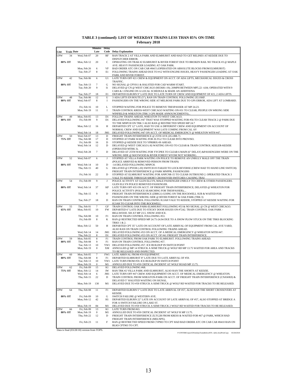|                    |                         |                              | <b>Minutes</b><br>Late | Delay       | <b>Code</b> Delay Explanation                                                                                                                                      |
|--------------------|-------------------------|------------------------------|------------------------|-------------|--------------------------------------------------------------------------------------------------------------------------------------------------------------------|
| Line<br><b>UPW</b> | <b>Train Date</b><br>34 | Wed, Feb 07                  | 20                     | RF          | RAN TRACK 2 AT VILLA PARK AND ELMHURST AND HAD TO GET RELINES AT KEDZIE DUE TO                                                                                     |
|                    | 80% OT                  | Mon, Feb 12                  | 20                     | C           | DISPATCHER ERROR.<br>OPERATING ON TRAK #2 ELMHURST & RIVER FOREST DUE TO BROKEN RAIL NO TRACK #3 @ MAPLE                                                           |
|                    |                         |                              |                        |             | AVE. HEAVY PASSENGER LOADING AT OAK PARK.                                                                                                                          |
|                    |                         | Mon, Feb 26<br>Tue, Feb 27   | 6<br>8                 | VF<br>E1    | BAD ORDER ATC ON CAB CAR #8415 (OPERATED ON ABSOLUTE BLOCKS FROM ELMHURST)<br>FOLLOWING TRAINS AHEAD DUE TO #12 WITH ENGINE ISSUES, HEAVY PASSENGER LOADING AT OAK |
| UPW                | 42                      | Tue, Feb 06                  | 6                      | U1          | PARK AND RIVER FOREST<br>LATE TURN OFF #21 CREW & EQUIPMENT ON ACCT. OF ADA LIFTS, MECHANICAL ISSUES & CROSS                                                       |
|                    |                         |                              |                        |             | TRAFFIC.                                                                                                                                                           |
|                    | 80% OT                  | Tue, Feb 13                  | 7                      | G           | NO SIGNAL @ CPY011 & HALSTED FOR CAD WARM START.                                                                                                                   |
|                    |                         | Tue, Feb 20                  | 9                      | $_{\rm II}$ | DELAYED @ CN @ WEST CHICAGO (M33681-19); 20MPH BETWEEN MP5.22-4.84; OPERATED WITH 9<br>CARS & 1 ENGINE ON A LOCAL SCHEDULE & MADE AN ADDITIONA                     |
|                    |                         | Tue, Feb 27                  | 18                     | E1          | DEPARTED ELBURN 9" LATE DUE TO LATE TURN OF CREW AND EQUIPMENT OF #21, 2 ADA LIFTS.                                                                                |
| UPW                | 48<br>80% OT            | Tue, Feb 06<br>Wed, Feb 07   | 12<br>8                | U<br>I      | 3 ADA LIFTS EN ROUTE (5"), RAN ON TRAIN CONTROL FOLLOWING ZG1SKP.<br>PASSENGERS ON THE WRONG SIDE AT MELROSE PARK DUE TO GPS ERROR, ADA LIFT AT LOMBARD.           |
|                    |                         |                              |                        |             |                                                                                                                                                                    |
|                    |                         | Fri, Feb 16                  | 10                     | L           | STOPPED WAITING FOR POLICE TO REMOVE TRESPASSER AT MP 24.23.                                                                                                       |
|                    |                         | Mon, Feb 19                  | 11                     | I           | TRAIN CONTROL KRESS-WEST CHICAGO WAITING ON #31 TO CLEAR; PEOPLE ON WRONG SIDE<br>WINFIELD & WHEATON (TRK 3 GPS MADE ANNOUNCEMENTS)                                |
| UPW                | 49                      | Mon, Feb 05                  | 13                     | D1          | FOLLOW TRAINS AHEAD, WHEATON TO WEST CHICAGO.                                                                                                                      |
|                    | 80% OT                  | Fri, Feb 09                  | 9                      | D1          | DELAYED FOLLOWING #47 THAT WAS STOPPED WAITING FOR #56 TO CLEAR TRACK 2 @ PARK DUE                                                                                 |
|                    |                         | Mon, Feb 12                  | 16                     | H           | TO THE MNPCH ON TRK 3 ALSO RAN @ RESTRICTED SPEED MP 24.7<br>DEPARTED CPT 12" LATE, HAD TO USE A DIFFERENT CREW AND EQUIPMENT ON ACCOUNT OF                        |
|                    |                         |                              |                        |             | NORMAL CREW AND EQUIPMENT WAS LATE COMING FROM CAL AV                                                                                                              |
| UPW                | 50                      | Wed, Feb 14<br>Wed, Feb 07   | 18<br>13               | JM1<br>D    | DELAYED FOLLOWING #47 ON ACCT. OF MEDICAL EMERGENCY @ WHEATON WITH #47.<br>FREIGHT TRAIN INTERFERENCE @ 25TH AVE (ZG1BR-7)                                         |
|                    | 75% OT                  | Thu, Feb 08                  | 17                     | D           | STOPPED AT PARK WAITING FOR ZLTG2 TO CLEAR INTO PROVISO.                                                                                                           |
|                    |                         | Fri, Feb 09                  | 16                     | D           | STOPPED @ KEDZIE DUE TO YPRBRX-09 AHEAD.                                                                                                                           |
|                    |                         | Wed, Feb 14                  | 12                     | D           | DELAYED @ WEST CHICAGO (-8) WAITING ON #33 TO CLEAR & TRAIN CONTROL KEELER-KEDZIE<br>(OPERATED MTRK 3).                                                            |
|                    |                         | Wed, Feb 28                  | $\tau$                 | D           | DELAYED AT 25TH WAITING FOR YYCPRX TO CLEAR 6 MAIN (6" DELAY) &PASSENGERS WERE ON THE                                                                              |
|                    |                         |                              |                        |             | WRONG SIDE @ MAYWOOD & RIVER FOREST WVOM NOT WORKING.                                                                                                              |
| UPW                | 52                      | Wed, Feb 07                  | 6                      | J           | STOPPED AT VILLA PARK WAITING ON POLICE TO REMOVE AN UNRULY MALE OFF THE TRAIN<br>(POLICE ARRIVED & REMOVED PERSON FROM TRAIN)                                     |
|                    | 80% OT                  | Wed, Feb 14                  | 10                     | D           | -14 DELAYED FOLLOWING MNPCH.                                                                                                                                       |
|                    |                         | Thu, Feb 15                  | 40                     | G           | DELAYED @ CPY038 (-20) SWITCH #3 FAILED TO LOCK REVERSE (CREW HAD TO HAND LINE SWITCH):                                                                            |
|                    |                         | Fri, Feb 16                  | 22                     | D           | FREIGHT TRAIN INTERFERENCE @ PARK MNPPR; PASSENGERS<br>STOPPED AT ELMHURST WAITING FOR ANPCNR-15 TO CLEAR OUTBOUND 2. OPERATED TRACK 3                             |
|                    |                         |                              |                        |             | VALE TO KEDZIE THROUGH SHORT CROSSOVER SWITCHES CAUSING TRAI                                                                                                       |
| UPW                | 54                      | Fri, Feb 09                  | 9                      | J           | POLICE ACTIVITY AT GLEN ELLYN, MALE PASSENGER UNRULY TO CREW & OTHER PASSENGERS.<br>GLEN ELLYN POLICE REMOVED PASSENGER.                                           |
|                    | 80% OT                  | Wed, Feb 14                  | 37                     | KP          | LATE TURN OFF #35 ON ACCT. OF FREIGHT TRAIN INTERFERENCE; DELAYED @ WHEATON FOR                                                                                    |
|                    |                         |                              |                        |             | POLICE ACTIVITY (POLICE SEARCHING FOR TRESPASSER);                                                                                                                 |
|                    |                         | Thu, Feb 15                  | 9                      | D           | FREIGHT TRAIN INTERFERENCE (ZBRG1) GOING ON THE ROCKWELL SUB & WAITED FOR<br>PASSENGERS ON THE WRONG SIDE @ RIVER FOREST & OAK PARK (TRK 3)                        |
|                    |                         | Tue, Feb 27                  | 18                     | D           | RAN ON TRAIN CONTROL FOLLOWING IG3AH VALE TO KEDZIE, STOPPED AT KEDZIE WAITING FOR                                                                                 |
| UPW                | 55                      | Thu, Feb 01                  | 7                      | GF          | IG3AH TO CLEAR INTO THE ROCKWELL<br>TRAIN CONTROL OAK PARK-ELMHURST FOLLOWING #53 & NO SIGNAL @ CN @ WEST CHICAGO.                                                 |
|                    | 65% OT                  | Mon, Feb 05                  | 10                     | <b>FW</b>   | DEPARTED 6" LATE DUE TO STICKY DOOR ISSUES ON #7242. TRAIN CONTROL OAK PARK -                                                                                      |
|                    |                         |                              |                        |             | BELLWOOD. XH AT MP 23.5. SNOW AND ICE.                                                                                                                             |
|                    |                         | Thu, Feb 08<br>Fri, Feb 09   | 10<br>8                | F1<br>K     | RAN ON TRAIN CONTROL FOLLOWING #53.<br>RAN @ RESTRICTED SPEED MP 24.75-24.94 DUE TO A SNOW PLOW STUCK ON THE TRKS BLOCKING                                         |
|                    |                         |                              |                        |             | TRKS 1 & 2.                                                                                                                                                        |
|                    |                         | Mon, Feb 12                  | 50                     | Н           | DEPARTED CPT 35" LATE ON ACCOUNT OF LATE ARRIVAL OF EQUIPMENT FROM CAL AVE YARD,<br>ALSO RAN ON TRAIN CONTROL FOLLOWING TRAINS AHEAD.                              |
|                    |                         | Wed, Feb 14                  | 14                     | JM1         | DELAYED FOLLOWING #53 ON ACCT. OF A MEDICAL EMERGENCY @ WHEATON WITH #47.                                                                                          |
|                    |                         | Thu, Feb 22                  | 8                      | D1          | DELAYED FOLLOWING #53 ON ACCT. OF #41 FREIGHT TRAIN INTERFERENCE.                                                                                                  |
| UPW                | 59<br>80% OT            | Mon, Feb 05<br>Thu, Feb 08   | 8<br>9                 | F1<br>F1    | TRAIN CONTROL FROM OAK PARK TO ELMHURST. FOLLOWING TRAINS AHEAD.<br>RAN ON TRAIN CONTROL FOLLOWING #57.                                                            |
|                    |                         | Tue, Feb 13                  | 10                     |             | YW1 DELAYED FOLLOWING #57. ICE BUILDUP IN SWITCH POINT                                                                                                             |
|                    |                         | Mon, Feb 19                  | $\bf{0}$               | XM          | ANNULLED @ MP 14 STRUCK A SEMI TRUCK @ WOLF RD MP 13.75 WAITED FOR AREA AND TRACKS                                                                                 |
| UPW                | 60                      | Mon, Feb 05                  | 7                      | FW1         | TO BE RELEASED AND INSPECTED.<br>LATE ARRIVAL FROM #59 EQUIPMENT.                                                                                                  |
|                    | 80% OT                  | Thu, Feb 08                  | 8                      | F1          | DEPARTED ELMHURST 8" LATE DUE TO LATE ARRIVAL OF #59.                                                                                                              |
|                    |                         | Tue, Feb 13<br>Feb 19<br>Mor | 10<br>$\Omega$         | M1          | YW1 LATE TURN FROM #59. ICE BUILDUP IN SWITCH POINT<br>ANNULLED DUE TO #59 CRITICAL INCIDENT AT WOLF ROAD MP 13.75                                                 |
| <b>UPW</b>         | 62                      | Fri, Feb 09                  | 15                     | K1          | DELAYED FOLLOWING #68.                                                                                                                                             |
|                    | 75% OT                  | Mon, Feb 12                  | 14                     | IW          | RAN TRK #2 VILLA PARK AND ELMHURST, ALSO RAN THE SHORTS AT KEDZIE.                                                                                                 |
|                    |                         | Wed, Feb 14<br>Thu, Feb 15   | 6<br>22                | JM1<br>D    | LATE TURN OFF #47 CREW AND EQUIPMENT ON ACCT. OF MEDICAL EMERGENCY @ WHEATON.<br>TRAIN CONTROL FROM WHEATON-PARK ON ACCT. OF FREIGHT TRAIN INTERFERENCE (CNAWK9) & |
|                    |                         |                              |                        |             | DELAYED 5" HALSTED WAITING ON SIGNAL.                                                                                                                              |
|                    |                         | Mon, Feb 19                  | 130                    | M1          | DELAYED DUE TO #59 STRUCK A SEMI TRUCK @ WOLF RD WAITED FOR TRACKS TO BE RELEASED.                                                                                 |
| UPW                | 64                      | Thu, Feb 08                  | 11                     | F1          | DEPARTED ELBURN 5" LATE DUE TO LATE ARRIVAL OF #57, ALSO RAN THE SHORT CROSSOVERS AT                                                                               |
|                    | 80% OT                  | Fri, Feb 09                  | 10                     | G           | KEDZIE.<br>SWITCH FAILURE @ WESTERN AVE.                                                                                                                           |
|                    |                         | Mon, Feb 12                  | 42                     | H1          | DEPARTED ELBURN 22" LATE ON ACCOUNT OF LATE ARRIVAL OF #57, ALSO STOPPED AT BRIDGE A                                                                               |
|                    |                         |                              |                        |             | FOR A SWITCH FAILURE ON LAKE ST.                                                                                                                                   |
| UPW                | 66                      | Mon, Feb 19<br>Fri, Feb 09   | 84<br>13               | M1<br>K1    | DELAYED DUE TO #59 STRUCK A SEMI TRUCK 2 WOLF RD WAITED FOR TRACKS TO BE RELEASED.<br>LATE TURN FROM #63.                                                          |
|                    | 80% OT                  | Mon, Feb 19                  | 0                      | M1          | ANNULLED DUE TO #59 CRITICAL INCIDENT AT WOLF R MP 13.75.                                                                                                          |
|                    |                         | Thu, Feb 22                  | 12                     | D           | FREIGHT TRAIN INTERFERENCE ZLTG2B FROM KRESS & WAITED FOR #67 @ PARK, WHICH HAD                                                                                    |
|                    |                         | Fri, Feb 23                  | 11                     | F           | FREIGHT TRAIN INTERFERENCE (MELNPX).<br>RAN @ RESTRICTED SPEED FROM CYP903 TO CPT HAD BAD ORDER ATC ON CAB CAR #8410 RAN ON                                        |
|                    |                         |                              |                        |             | BLKS CPT903 TO CPT.                                                                                                                                                |

Data is final (03/28/18) version from TOPS.

P:\ONTIME\report\[WeekdayTrainsBelow85% table.xlsx]PrintCopy 03/28/2018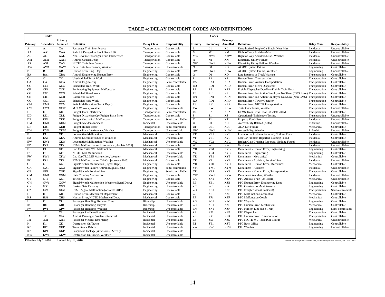#### **TABLE 4: DELAY INCIDENT CODES AND DEFINITIONS**

|                            | Codes           |                       |                                                  |                    |                       |                            | Codes          |                           |                                                                     |                    |                                                                                       |
|----------------------------|-----------------|-----------------------|--------------------------------------------------|--------------------|-----------------------|----------------------------|----------------|---------------------------|---------------------------------------------------------------------|--------------------|---------------------------------------------------------------------------------------|
|                            |                 | Primary               |                                                  |                    |                       |                            |                | Primary                   |                                                                     |                    |                                                                                       |
| Primary                    | Secondary       | Annulled              | <b>Definition</b>                                | <b>Delay Class</b> | <b>Responsibility</b> | Primary                    | Secondary      | Annulled                  | <b>Definition</b>                                                   | <b>Delay Class</b> | <b>Responsibility</b>                                                                 |
| $\mathbf{A}$               | A1              | XA                    | Passenger Train Interference                     | Transportation     | Controllable          | L                          | L1             | XL                        | Unauthorized People On Tracks/Near Miss                             | Incidental         | Uncontrollable                                                                        |
| AA                         | AA1             | <b>XAA</b>            | Rule 9.9 Delayed in Block/Rule 6.30              | Transportation     | Controllable          | M                          | M1             | XM                        | Right of Way Accident/Misc.                                         | Incidental         | Uncontrollable                                                                        |
| ${\rm AD}$                 | AD1             | XAD                   | Non-Revenue Passenger Train Interference         | Transportation     | Controllable          | MW                         | MW1            | <b>XMW</b>                | Right of Way Accident/Misc., Weather                                | Incidental         | Uncontrollable                                                                        |
| AM                         | AM1             | <b>XAM</b>            | <b>Amtrak Caused Delay</b>                       | Transportation     | Controllable          | N                          | N1             | XN                        | <b>Electricity Utility Failure</b>                                  | Incidental         | Uncontrollable                                                                        |
| AS                         | AS1             | XAS                   | NICTD Train Interference                         | Transportation     | Controllable          | <b>NW</b>                  | NW1            | <b>XNW</b>                | Electricity Utility Failure, Weather                                | Incidental         | Uncontrollable                                                                        |
| AW                         | AW1             | XAW                   | Pass. Train Interference, Weather                | Transportation     | Uncontrollable        | $\overline{0}$             | O1             | X <sub>O</sub>            | <b>AC/DC System Failure</b>                                         | Engineering        | Controllable                                                                          |
| $\, {\bf B}$               | B1              | XB                    | Human Error, Eng. Dept.                          | Engineering        | Controllable          | <b>OW</b>                  | OW1            | XOW                       | AC/DC System Failure, Weather                                       | Engineering        | Uncontrollable                                                                        |
| BA                         | BA1             | <b>XBA</b>            | Amtrak Engineering Human Error                   | Engineering        | Controllable          | $\overline{O}$             | O <sub>1</sub> | XQ                        | Late Issuance of Track Warrant                                      | Transportation     | Controllable                                                                          |
| $\overline{C}$             | C1              | <b>XC</b>             | <b>Unscheduled Track Work</b>                    | Engineering        | Controllable          | $\overline{R}$             | R1             | XR                        | Human Error, Transportation                                         | Transportation     | Controllable                                                                          |
| CA                         | CA1             | XCA                   | <b>Amtrak Engineering</b>                        | Engineering        | Semi-controllable     | RA                         | RA1            | <b>XRA</b>                | Human Error, Amtrak Transportation                                  | Transportation     | Controllable                                                                          |
| CC                         | CC1             | XCC                   | <b>Scheduled Track Work</b>                      | Engineering        | Controllable          | RD                         | RD1            | <b>XRD</b>                | Human Error, Metra Dispatcher                                       | Transportation     | Controllable                                                                          |
| CF                         | CF1             | <b>XCF</b>            | <b>Engineering Equipment Malfunction</b>         | Engineering        | Controllable          | RF                         | RF1            | <b>XRF</b>                | Freight Dispatcher/Opr/Non-Freight Train Error                      | Transportation     | Controllable                                                                          |
| CG                         | CG1             | <b>XCG</b>            | Scheduled Signal Work                            | Engineering        | Controllable          | RL                         | RL1            | <b>XRL</b>                | Human Error, Job Action/Employee No Show (CMS Error) Transportation |                    | Controllable                                                                          |
| <b>CH</b>                  | CH <sub>1</sub> | <b>XCH</b>            | <b>Contractor Failure</b>                        | Engineering        | Controllable          | RN                         | RN1            | <b>XRN</b>                | Human Error, Job Action/Employee No Show (Non-CMS) Transportation   |                    | Controllable                                                                          |
| CO                         | CO1             | <b>XCO</b>            | Scheduled Wire Work                              | Engineering        | Controllable          | <b>RO</b>                  | RO1            | <b>XRO</b>                | Human Error, Tower Operator                                         | Transportation     | Controllable                                                                          |
| <b>CM</b>                  | CM1             | <b>XCM</b>            | Switch Malfunction (Track Dept.)                 | Engineering        | Controllable          | RS                         | RS1            | <b>XRS</b>                | Human Error, NICTD Transportation                                   | Transportation     | Controllable                                                                          |
| <b>CW</b>                  | CW1             | <b>XCW</b>            | M of W Work, Weather                             | Engineering        | Uncontrollable        | <b>RW</b>                  | RW1            | <b>XRW</b>                | Train Crew Issues, Weather                                          | Transportation     | Uncontrollable                                                                        |
| D                          | D1              | <b>XD</b>             | Freight Train Interference                       | Transportation     | Semi-controllable     | <b>RZ</b>                  | RZ1            | <b>XRZ</b>                | ETMS Train Crew Error [obsolete 2015]                               | Transportation     | Controllable                                                                          |
| DD                         | DD1             | <b>XDD</b>            | Freight Dispatcher/Opr/Freight Train Error       | Transportation     | Controllable          | S                          | S <sub>1</sub> | XS                        | Operational (Efficiency) Testing                                    | Transportation     | Uncontrollable                                                                        |
| $\rm DE$                   | DE1             | <b>XDE</b>            | Freight Mechanical Malfunction                   | Transportation     | Semi-controllable     | $\mathbf T$                | T1             | XT                        | Property Vandalism                                                  | Incidental         | Uncontrollable                                                                        |
| <b>DM</b>                  | DM1             | <b>XDM</b>            | Freight-Accident/Incident                        | Incidental         | Uncontrollable        | $\overline{U}$             | U1             | XU                        | Accessibility Related (ADA)                                         | Ridership          | Uncontrollable                                                                        |
| DR                         | DR1             | <b>XDR</b>            | Freight-Human Error                              | Transportation     | Semi-controllable     | UF                         | UF1            | <b>XUF</b>                | <b>ADA Lift Failure</b>                                             | Mechanical         | Controllable                                                                          |
| <b>DW</b>                  | DW1             | <b>XDW</b>            | Freight Train Interference, Weather              | Transportation     | Uncontrollable        | UW                         | UW1            | <b>XUW</b>                | Accessibility, Weather                                              | Ridership          | Uncontrollable                                                                        |
| $\overline{\mathrm{E}}$    | E1              | XE                    | <b>Locomotive Malfunction</b>                    | Mechanical         | Controllable          | <b>VE</b>                  | VE1            | <b>XVE</b>                | Locomotive Problem Reported, Nothing Found                          | Incidental         | Controllable                                                                          |
| EA                         | EA1             | <b>XEA</b>            | Amtrak Locomotive/Car Malfunction                | Mechanical         | Uncontrollable        | VF                         | VF1            | <b>XVF</b>                | Cab Car Problem Reported, Nothing Found                             | Incidental         | Controllable                                                                          |
| EW                         | EW1             | <b>XEW</b>            | Locomotive Malfunction, Weather                  | Mechanical         | Uncontrollable        | VG                         | VG1            | <b>XVG</b>                | Broken Gate Crossing Reported, Nothing Found                        | Incidental         | Uncontrollable                                                                        |
| EZ                         | EZ1             | <b>XEZ</b>            | ETMS Malfunction on Locomotive [obsolete 2015]   | Mechanical         | Controllable          | W                          | W1             | XW                        | Gas Leak                                                            | Incidental         | Uncontrollable                                                                        |
| $\mathbf F$                | F1              | XF                    | Cab Car/Trailer/MU Malfunction                   | Mechanical         | Controllable          | YB                         | YB1            | <b>XYB</b>                | Derailment - Human Error, Engineering                               | Engineering        | Controllable                                                                          |
| FS                         | FS1             | <b>XFS</b>            | NICTD MU Malfunction                             | Mechanical         | Uncontrollable        | YC                         | YC1            | <b>XYC</b>                | Derailment - Engineering                                            | Engineering        | Controllable                                                                          |
| <b>FW</b>                  | FW1             | <b>XFW</b>            | Cab Car/TRL/MU Malfunction, Weather              | Mechanical         | Uncontrollable        | YE                         | YE1            | <b>XYE</b>                | Derailment - Mechanical                                             | Mechanical         | Controllable                                                                          |
| FZ                         | FZ1             | <b>XFZ</b>            | ETMS Malfunction on Cab Car [obsolete 2015]      | Mechanical         | Controllable          | YF                         | YF1            | <b>XYF</b>                | Derailment - Accident, Foreign Line                                 | Incidental         | Uncontrollable                                                                        |
| ${\bf G}$                  | G1              | XG                    | Signal/Switch Malfunction (Signal Dept.)         | Engineering        | Controllable          | YH                         | YH1            | <b>XYH</b>                | Derailment - Human Error, Mechanical                                | Mechanical         | Controllable                                                                          |
| GA                         | GA1             | <b>XGA</b>            | Signal/Switch Failure Amtrak (Signal Dept.)      | Engineering        | Semi-controllable     | YM                         | YM1            | <b>XYM</b>                | Derailment - Accident                                               | Incidental         | Uncontrollable                                                                        |
| GF                         | GF1             | XGF                   | Signal/Switch Foreign Line                       | Engineering        | Semi-controllable     | YR                         | YR1            | <b>XYR</b>                | Derailment - Human Error, Transportation                            | Transportation     | Controllable                                                                          |
| <b>GM</b>                  | GM1             | <b>XGM</b>            | Gate Crossing Malfunction                        | Engineering        | Controllable          | YW                         | YW1            | <b>XYW</b>                | Derailment Accident, Weather                                        | Incidental         | Uncontrollable                                                                        |
| GT                         | GT1             | XGT                   | <b>Telecom Failure</b>                           | Engineering        | Controllable          | ZA                         | ZA1            | <b>XZA</b>                | PTC Amtrak Train (On-Board)                                         | Mechanical         | Uncontrollable                                                                        |
| GW                         | GW1             | <b>XGW</b>            | Signal/Switch Malfunction Weather (Signal Dept.) | Engineering        | Uncontrollable        | ZB                         | ZB1            | <b>XZB</b>                | PTC Human Error, Engineering Dept.                                  | Engineering        | Controllable                                                                          |
| <b>GX</b>                  | GX1             | XGX                   | <b>Broken Gate Crossing</b>                      | Engineering        | Uncontrollable        | ZC                         | ZC1            | <b>XZC</b>                | PTC Construction/Maintenance                                        | Engineering        | Controllable                                                                          |
| $\operatorname{GZ}$        | GZ1             | XGZ                   | ETMS Signal Malfunction [obsolete 2015]          | Engineering        | Controllable          | ZD                         | ZD1            | <b>XZD</b>                | PTC Freight Train (On-Board)                                        | Transportation     | Semi-controllable                                                                     |
| $\, {\rm H}$               | H1              | XH                    | Human Error, Mechanical Department               | Mechanical         | Controllable          | ZE                         | ZE1            | <b>XZE</b>                | PTC Malfunction Locomotive                                          | Mechanical         | Controllable                                                                          |
| HS                         | HS1             | <b>XHS</b>            | Human Error, NICTD Mechanical Dept.              | Mechanical         | Controllable          | ZF                         | ZF1            | <b>XZF</b>                | PTC Malfunction Coach                                               | Mechanical         | Controllable                                                                          |
| $\bf{I}$                   | $\overline{11}$ | XI                    | Passenger Handling, Running Time                 | Ridership          | Uncontrollable        | ZG                         | ZG1            | <b>XZG</b>                | PTC Wayside                                                         | Engineering        | Controllable                                                                          |
| IB                         | IB1             | <b>XIB</b>            | Passenger Handling, Bicycle                      | Ridership          | Uncontrollable        | ZH                         | ZH1            | <b>XZH</b>                | PTC Human Error, Mechanical                                         | Mechanical         | Controllable                                                                          |
| IW                         | IW1             | XIW                   | Passenger Handling, Weather                      | Ridership          | Uncontrollable        | ${\rm ZN}$                 | ZN1            | $\ensuremath{\text{XZN}}$ | PTC Foreign Line (Non-Train)                                        | Engineering        | Semi-controllable                                                                     |
| $\mathbf{J}$               | J1              | XJ                    | Passenger Problems/Removal                       | Incidental         | Uncontrollable        | $\ensuremath{\mathrm{ZP}}$ | ZP1            | <b>XZP</b>                | PTC Dispatcher                                                      | Transportation     | Controllable                                                                          |
| JA                         | JA1             | XJA                   | Amtrak Passenger Problems/Removal                | Incidental         | Uncontrollable        | ZR                         | ZR1            | <b>XZR</b>                | PTC Human Error, Transportation                                     | Transportation     | Controllable                                                                          |
| JM                         | JM1             | <b>XJM</b>            | Passenger Medical Emergency                      | Incidental         | Uncontrollable        | ZS                         | ZS1            | <b>XZS</b>                | PTC NICTD MU Train (On-Board)                                       | Mechanical         | Uncontrollable                                                                        |
| K                          | K1              | XK                    | <b>Obstruction On Tracks</b>                     | Incidental         | Uncontrollable        | <b>ZT</b>                  | ZT1            | <b>XZT</b>                | PTC Back Office                                                     | Engineering        | Controllable                                                                          |
| <b>KD</b>                  | KD1             | <b>XKD</b>            | <b>Train Struck Debris</b>                       | Incidental         | Uncontrollable        | ZW                         | ZW1            | <b>XZW</b>                | PTC Weather                                                         | Engineering        | Uncontrollable                                                                        |
| $\ensuremath{\mathsf{KP}}$ | KP1             | XKP                   | Suspicious Package(s)/Person(s)/Activity         | Incidental         | Uncontrollable        |                            |                |                           |                                                                     |                    |                                                                                       |
| <b>KW</b>                  | KW1             | <b>XKW</b>            | Obstruction On Tracks, Weather                   | Incidental         | Uncontrollable        |                            |                |                           |                                                                     |                    |                                                                                       |
| Effective July 1, 2016     |                 | Revised July 19, 2016 |                                                  |                    |                       |                            |                |                           |                                                                     |                    | P:\ONTIME\[#DelayClassificationTbl2012_v2016mid.xlsx]IncidentCodeTable_Lnd 08/16/2016 |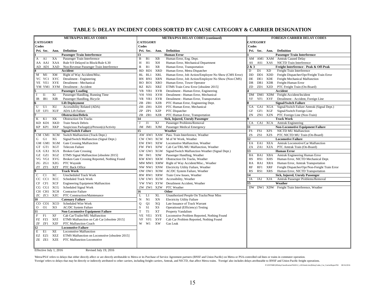#### **TABLE 5: DELAY INCIDENT CODES SORTED BY CAUSE CATEGORY & CARRIER DESIGNATION**

| <b>METRA/PSA DELAY CODES</b>                                          | <b>METRA/PSA DELAY CODES (continued)</b>                                      | <b>FOREIGN CARRIER DELAY CODES</b>                                               |
|-----------------------------------------------------------------------|-------------------------------------------------------------------------------|----------------------------------------------------------------------------------|
| <b>CATEGORY</b>                                                       | <b>CATEGORY</b>                                                               | <b>CATEGORY</b>                                                                  |
| Codes                                                                 | Codes                                                                         | Codes                                                                            |
| Pri. Sec.<br><b>Definition</b><br>Ann.                                | Pri. Sec.<br><b>Definition</b><br>Ann.                                        | Pri. Sec. Ann.<br><b>Definition</b>                                              |
| <b>Passenger Train Interference</b>                                   | <b>Human Error</b><br>13                                                      | <b>Passenger Train Interference</b>                                              |
| Passenger Train Interference<br>A1<br>XA<br>A                         | B<br>B <sub>1</sub><br>XВ<br>Human Error, Eng. Dept.                          | AM1 XAM Amtrak Caused Delay<br>AM                                                |
| XAA<br>Rule 9.9 Delayed in Block/Rule 6.30<br>AA AA1                  | XH<br>H<br>H1<br>Human Error, Mechanical Department                           | NICTD Train Interference<br>AS1 XAS<br>AS                                        |
| AD AD1<br>XAD<br>Non-Revenue Passenger Train Interference             | $\mathbb{R}$<br><b>XR</b><br>R1<br>Human Error, Transportation                | & 3<br>Freight Interference - Peak & Off-Peak                                    |
| Accident                                                              | XRD<br>Human Error, Metra Dispatcher<br>RD<br>RD1                             | D<br><b>XD</b><br>D <sub>1</sub><br>Freight Train Interference                   |
| XM<br>Right of Way Accident/Misc.<br>$M$ $M1$                         | <b>XRL</b><br>Human Error, Job Action/Employee No Show (CMS Error)<br>RL RL1  | $\rm DD$<br>DD1<br>XDD<br>Freight Dispatcher/Opr/Freight Train Error             |
| YC YC1 XYC<br>Derailment - Engineering                                | <b>XRN</b><br>Human Error, Job Action/Employee No Show (Non-CMS)<br>RN<br>RN1 | DE<br><b>XDE</b><br>Freight Mechanical Malfunction<br>DE1                        |
| Derailment - Mechanical<br>YE YE1 XYE                                 | XRO<br>Human Error, Tower Operator<br>RO RO1                                  | DR<br>DR1 XDR<br>Freight-Human Error                                             |
| YM YM1 XYM Derailment - Accident                                      | RZ RZ1<br>XRZ<br>ETMS Train Crew Error [obsolete 2015]                        | ZD<br>ZD1<br>XZD<br>PTC Freight Train (On-Board)                                 |
| <b>Passenger Loading</b>                                              | Derailment - Human Error, Engineering<br>YB YB1<br>XYB                        | Accident                                                                         |
| XI<br>Passenger Handling, Running Time<br><b>I1</b><br>$\mathbf{I}$   | YH YH1<br>XYH<br>Derailment - Human Error, Mechanical                         | DM1 XDM Freight-Accident/Incident<br>DM                                          |
| <b>XIB</b><br>IB1<br>Passenger Handling, Bicycle<br>IB                | YR YR1<br>XYR<br>Derailment - Human Error, Transportation                     | YF1<br><b>XYF</b><br>Derailment - Accident, Foreign Line<br>YF                   |
| <b>Lift Deployment</b>                                                | XZB<br>ZB 1<br>PTC Human Error, Engineering Dept.<br>ZΒ                       | <b>Signal/Switch Failure</b>                                                     |
| U<br>XU<br>Accessibility Related (ADA)<br>U1                          | XZH<br>ZH ZH1<br>PTC Human Error, Mechanical                                  | Signal/Switch Failure Amtrak (Signal Dept.)<br>GA1 XGA<br><b>GA</b>              |
| <b>XUF</b><br><b>ADA Lift Failure</b><br>UF UF1                       | ZP<br>ZP1<br>XZP<br>PTC Dispatcher                                            | GF1<br>XGF<br>Signal/Switch Foreign Line<br>GF                                   |
| <b>Obstruction/Debris</b>                                             | ZR ZR1<br>PTC Human Error, Transportation<br>XZR                              | ZN<br>ZN1<br>XZN<br>PTC Foreign Line (Non-Train)                                 |
| XK<br>K<br>K1<br><b>Obstruction On Tracks</b>                         | Sick, Injured, Unruly Passenger<br>14                                         | <b>Track Work</b>                                                                |
| <b>XKD</b><br>KD KD1<br><b>Train Struck Debris</b>                    | XJ<br>Passenger Problems/Removal<br>J1<br>J                                   | CA<br>CA1 XCA<br><b>Amtrak Engineering</b>                                       |
| XKP<br>KP KP1<br>Suspicious Package(s)/Person(s)/Activity             | JM JM1 XJM<br>Passenger Medical Emergency                                     | <b>Non-Locomotive Equipment Failure</b>                                          |
| <b>Signal/Switch Failure</b>                                          | Weather<br>15                                                                 | FS1<br><b>XFS</b><br>FS<br><b>NICTD MU Malfunction</b>                           |
| CM CM1 XCM<br>Switch Malfunction (Track Dept.)                        | AW AW1 XAW Pass. Train Interference, Weather                                  | ZS<br>ZS1<br>XZS<br>PTC NICTD MU Train (On-Board)                                |
| XG<br>G1<br>Signal/Switch Malfunction (Signal Dept.)<br>G             | M of W Work, Weather<br>CW CW1 XCW                                            | $\overline{2}$<br><b>Locomotive Failure</b>                                      |
| GM GM1 XGM<br><b>Gate Crossing Malfunction</b>                        | EW EW1 XEW<br>Locomotive Malfunction, Weather                                 | XEA<br>EA<br>EA1<br>Amtrak Locomotive/Car Malfunction                            |
| GT GT1 XGT<br><b>Telecom Failure</b>                                  | FW FW1 XFW<br>Cab Car/TRL/MU Malfunction, Weather                             | ZA<br>ZA1<br>XZA<br>PTC Amtrak Train (On-Board)                                  |
| GX GX1 XGX<br><b>Broken Gate Crossing</b>                             | GW GW1 XGW<br>Signal/Switch Malfunction Weather (Signal Dept.)                | <b>Human Error</b><br>13                                                         |
| XGZ<br>ETMS Signal Malfunction [obsolete 2015]<br>GZ GZ1              | Passenger Handling, Weather<br>IW IW1<br>XIW                                  | Amtrak Engineering Human Error<br>BA1<br>XBA<br>BA                               |
| VG VG1 XVG<br>Broken Gate Crossing Reported, Nothing Found            | KW KW1 XKW<br>Obstruction On Tracks, Weather                                  | HS1<br>XHS<br>Human Error, NICTD Mechanical Dept.<br>HS                          |
| XZG<br>PTC Wayside<br>ZG ZG1                                          | MW MW1 XMW Right of Way Accident/Misc., Weather                               | Human Error, Amtrak Transportation<br>RA<br>RA1<br>XRA                           |
| <b>XZT</b><br>ZT ZT1<br>PTC Back Office                               | Electricity Utility Failure, Weather<br>NW NW1 XNW                            | <b>RF</b><br>RF1<br><b>XRF</b><br>Freight Dispatcher/Opr/Non-Freight Train Error |
| <b>Track Work</b>                                                     | AC/DC System Failure, Weather<br>OW OW1 XOW                                   | RS1<br><b>XRS</b><br>Human Error, NICTD Transportation<br>RS                     |
| XC<br><b>Unscheduled Track Work</b><br>C<br>C1                        | Train Crew Issues, Weather<br>RW RW1 XRW                                      | Sick, Injured, Unruly Passenger<br>l4                                            |
| XCC<br>CC CC1<br><b>Scheduled Track Work</b>                          | UW UW1 XUW<br>Accessibility, Weather                                          | <b>XJA</b><br>JA<br>JA1<br>Amtrak Passenger Problems/Removal                     |
| <b>XCF</b><br>CF CF1<br><b>Engineering Equipment Malfunction</b>      | YW YW1 XYW<br>Derailment Accident, Weather                                    | Weather<br>15                                                                    |
| Scheduled Signal Work<br>XCG<br>CG CG1                                | ZW ZW1 XZW<br>PTC Weather                                                     | DW DW1 XDW Freight Train Interference, Weather                                   |
| CH CH1<br>XCH<br><b>Contractor Failure</b>                            | 16<br>Other                                                                   |                                                                                  |
| PTC Construction/Maintenance<br>ZC ZC1<br>XZC                         | <b>XL</b><br>Unauthorized People On Tracks/Near Miss<br>L<br>L1               |                                                                                  |
| <b>Catenary Failure</b><br>10                                         | XN<br><b>Electricity Utility Failure</b><br>N<br>N1                           |                                                                                  |
| XCO<br>Scheduled Wire Work<br>CO CO1                                  | Q1<br>XQ<br>Late Issuance of Track Warrant<br>Q                               |                                                                                  |
| $\overline{O}$<br>XO<br>O <sub>1</sub><br><b>AC/DC</b> System Failure | ${\bf S}$<br>XS<br>Operational (Efficiency) Testing<br>S1                     |                                                                                  |
| 11<br><b>Non-Locomotive Equipment Failure</b>                         | T<br>T1<br>XT<br>Property Vandalism                                           |                                                                                  |
| $\mathbf{F}$<br>XF<br>Cab Car/Trailer/MU Malfunction<br>F1            | VE<br><b>XVE</b><br>Locomotive Problem Reported, Nothing Found<br>VE1         |                                                                                  |
| FZ FZ1<br>XFZ<br>ETMS Malfunction on Cab Car [obsolete 2015]          | <b>XVF</b><br>VF<br>Cab Car Problem Reported, Nothing Found<br>VF1            |                                                                                  |
| ZF<br>ZF1<br>XZF<br>PTC Malfunction Coach                             | XW<br>W<br>W1<br>Gas Leak                                                     |                                                                                  |
| 12<br><b>Locomotive Failure</b>                                       |                                                                               |                                                                                  |
| E<br>E1<br>XE<br><b>Locomotive Malfunction</b>                        |                                                                               |                                                                                  |
| EZ EZ1<br>XEZ<br>ETMS Malfunction on Locomotive [obsolete 2015]       |                                                                               |                                                                                  |
| ZE ZE1<br><b>XZE</b><br>PTC Malfunction Locomotive                    |                                                                               |                                                                                  |
|                                                                       |                                                                               |                                                                                  |

Effective July 1, 2016 Revised July 19, 2016

'Metra/PSA' refers to delays that either directly affect or are directly attributable to Metra or its Purchase of Service Agreement partners (BNSF and Union Pacific) on Metra or PSA-controlled rail lines or trains in commu

Toreign' refers to delays that may be directly or indirectly attributed to other carriers, including freight carriers, Amtrak, and NICTD, that affect Metra trains. Toreign' also includes delays attributable to BNSF and Uni

P:\ONTIME\[#DelayClassificationTbl2012\_v2016mid.xlsx]DelayCodes\_Cat\_CarrierReportTbl 08/16/2016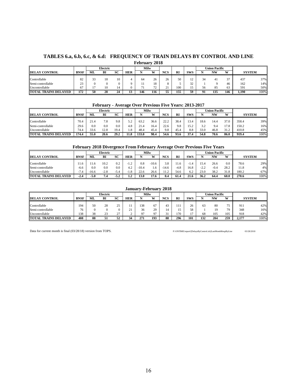#### **TABLES 6.a, 6.b, 6.c, & 6.d: FREQUENCY OF TRAIN DELAYS BY CONTROL AND LINE February 2018**

|                             |             |    | Electric |    |            | Milw |                          |     |           |                |                | Union Pacific |             |               |      |
|-----------------------------|-------------|----|----------|----|------------|------|--------------------------|-----|-----------|----------------|----------------|---------------|-------------|---------------|------|
| <b>DELAY CONTROL</b>        | <b>BNSF</b> | ML | BI       | SC | <b>HER</b> |      | <b>XXI</b>               | NCS | <b>RI</b> | <b>SWS</b>     |                | NW            | W           | <b>SYSTEM</b> |      |
|                             |             |    |          |    |            |      |                          |     |           |                | 3 <sub>A</sub> |               | $\sim$      |               |      |
| Controllable                | 82          | 55 | 18       | 10 |            | 64   | 26                       | 26  | 50        | $\overline{ }$ | ┄              | 4ì            | $\lq$ $\lq$ | 437           | 37%  |
| Semi-controllable           | 23          |    |          |    |            |      | 10<br>10                 |     |           | 22<br>ے ر      |                |               | 46          | 162           | 14%  |
| Uncontrollable              | 67          |    | 10       | 14 |            |      | $\mathbf{a}$<br><b>L</b> | ٠.  | 100       |                | 56             | 85            | 63          | 591           | 50%  |
| <b>TOTAL TRAINS DELAYED</b> | 172         | 50 | 28       | 24 |            | 146  | 116                      |     | 155       | 59             | Ω              | 135           | 146         | 1.190         | 100% |

#### **February - Average Over Previous Five Years: 2013-2017**

|                                          |             |      | Electric |      |            | Milw  |      |                  |           |                 |                | U <b>nion Pacific</b> |      |               |      |
|------------------------------------------|-------------|------|----------|------|------------|-------|------|------------------|-----------|-----------------|----------------|-----------------------|------|---------------|------|
| <b>DELAY CONTROL</b>                     | <b>BNSF</b> | ML   | BI       | SС   | <b>HER</b> |       | W    | <b>NCS</b>       | <b>RI</b> | <b>SWS</b>      |                | <b>NW</b>             | W    | <b>SYSTEM</b> |      |
| Controllable                             | 70.4        | 21.4 | 7.8      | 9.8  | ר ה<br>ے ر |       | 36.6 | າາ 1<br><u>.</u> | 38.4      | 13.4            | 18.6           | 14.4                  | 37.0 | 358.4         | 39%  |
| Semi-controllable                        | 29.6        | 0.0  | 0.0      | 0.0  | 4.8        |       | 16.4 | 22.6             | 9.8       | 15.2<br>1 J . 4 | 3 <sub>2</sub> | 9.4                   | 17.8 | 150.2         | 16%  |
| Uncontrollable                           | 74.4        | 33.6 | 12.8     | 19.4 | 1.8        | 48.4  | 45.4 | 9.8              | 45.4      | 8.8             | 33.0           | 46.8                  | 312  | 410.8         | 45%  |
| TOTAL<br><b>DELAYED</b><br><b>TRAINS</b> | 174.4       | 55.0 | 20.6     | 29.2 | 11.8       | 133.0 | 98.4 | 54.6             | 93.6      | 27              | 54.8           | 70.6                  | 86.0 | 919.4         | 100% |

#### **February 2018 Divergence From February Average Over Previous Five Years**

|                             |             |          | Electric |        |            | Milw     |            |            |           |            | Union Pacific |        |               |               |      |
|-----------------------------|-------------|----------|----------|--------|------------|----------|------------|------------|-----------|------------|---------------|--------|---------------|---------------|------|
| <b>DELAY CONTROL</b>        | <b>BNSF</b> | ML       | Bl       | SC     | <b>HER</b> |          | <b>XXI</b> | <b>NCS</b> | <b>RI</b> | <b>SWS</b> |               | NW     | W             | <b>SYSTEM</b> |      |
| Controllable                | .1.6        | .b       | 10.2     | 0.2    |            | $_{0.8}$ | $-10.6$    | 3.8        |           | ⊥.∸        | 15.4          | 26.6   | 0.0           | 78.6          | 29%  |
| Semi-controllable           | $-6.6$      | $_{0.0}$ | 0.0      | 0.0    | 4.2        | $-10.4$  | 1.6        | -14.6      | $-4.8$    | 16.8       | $-2.2$        | $-0.4$ | 28.2          | 11.8          | 4%   |
| Uncontrollable              | 7.4         | 16.6     | $-2.8$   | $-5.4$ | $\Omega$   | 22.6     | 26.6       |            | 54.6      | 6.2        | 23.0          | 38.2   | 31.8          | 180.2         | 67%  |
| <b>TOTAL TRAINS DELAYED</b> | $-2.4$      | -5.0     | 7.4      | $-5.2$ |            | 13.0     | 17.6       | 0.4        | 61.4      | 21.6       | 36.2          | 64.4   | 60.0<br>270.6 |               | 100% |

### **January-February 2018**

|                             |             |    | Electric |    |                   | Milw |     |            |           |            |     | U <b>nion Pacific</b> |     |       |               |
|-----------------------------|-------------|----|----------|----|-------------------|------|-----|------------|-----------|------------|-----|-----------------------|-----|-------|---------------|
| <b>DELAY CONTROL</b>        | <b>BNSF</b> | МL | вı       | SC | <b>HER</b>        |      | W   | <b>NCS</b> | <b>RI</b> | <b>SWS</b> |     | NW                    | W   |       | <b>SYSTEM</b> |
| Controllable                | 194         | 50 | 28       | 25 |                   | 138  | 67  |            |           | 26         | 63  | 80                    | 75  | 911   | 42%           |
| Semi-controllable           | 76          |    |          |    | $^{\circ}$ 1<br>∸ | 36   | 29  |            | . .       | 58         |     |                       | 79  | 348   | 16%           |
| Uncontrollable              | 138         | 38 | 23       | 27 | <u>.</u>          | 07   | 07  | $\sim$     | 170       |            | 68  | 105                   | 105 | 918   | 42%           |
| <b>TOTAL TRAINS DELAYED</b> | 408         | 88 | 51       | 52 | 34                | 271  | 193 | 88         | 296       | 101        | 132 | 204                   | 259 | 2,177 | 100%          |

Data for current month is final (03/28/18) version from TOPS. P:\ONTIME\report\[DelaysByControl.xls]LastMonthRespByLine 03/28/2018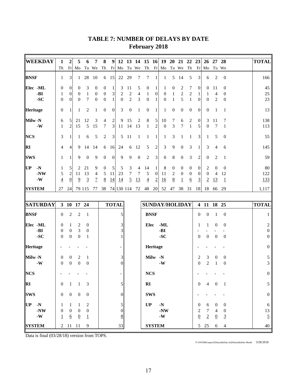| <b>WEEKDAY</b>  | 1                | $\overline{2}$          | 5                 | 6                | 7                        | 8                | 9                | 12               |                  | 13 14 15         |                  | <b>16</b>      | 19               | 20               | 21 22                 |                  | 23               | 26               | 27               | 28               | <b>TOTAL</b>     |
|-----------------|------------------|-------------------------|-------------------|------------------|--------------------------|------------------|------------------|------------------|------------------|------------------|------------------|----------------|------------------|------------------|-----------------------|------------------|------------------|------------------|------------------|------------------|------------------|
|                 | Th               | Fr                      | Mo                |                  | Tu We                    | Th               | Fr               | Mo               |                  | Tu We Th         |                  | Fr             | Mo               |                  | Tu We Th              |                  | Fr               | Mo               |                  | Tu We            |                  |
| <b>BNSF</b>     | $\mathbf{1}$     | 3                       | 1                 | 28               | 10                       | 6                | 15               | 22               | 29               | 7                | 7                | 1              | $\mathbf{1}$     | 5                | 14                    | 5                | 3                | 6                | 2                | $\boldsymbol{0}$ | 166              |
| Elec -ML        | $\boldsymbol{0}$ | $\boldsymbol{0}$        | $\mathbf{0}$      | 3                | 0                        | $\mathbf{0}$     | 1                | 3                | 11               | 5                | $\boldsymbol{0}$ | 1              | 1                | 0                | 2                     | 7                | $\boldsymbol{0}$ | $\mathbf{0}$     | 11               | $\boldsymbol{0}$ | 45               |
| -BI             | 1                | $\boldsymbol{0}$        | $\overline{0}$    | $\mathbf{1}$     | $\boldsymbol{0}$         | $\boldsymbol{0}$ | 3                | 2                | $\mathbf{2}$     | 4                | 1                | $\mathbf{0}$   | $\boldsymbol{0}$ | $\mathbf{1}$     | $\boldsymbol{2}$      | $\overline{2}$   | 1                | 1                | 4                | $\boldsymbol{0}$ | 25               |
| $-SC$           | $\boldsymbol{0}$ | $\boldsymbol{0}$        | $\theta$          | 7                | $\boldsymbol{0}$         | $\boldsymbol{0}$ | $\mathbf{1}$     | $\boldsymbol{0}$ | $\overline{2}$   | 3                | $\boldsymbol{0}$ | 1              | $\boldsymbol{0}$ | $\mathbf{1}$     | 5                     | $\mathbf{1}$     | $\boldsymbol{0}$ | $\boldsymbol{0}$ | $\overline{2}$   | $\boldsymbol{0}$ | 23               |
| <b>Heritage</b> | $\boldsymbol{0}$ | 1                       | 1                 | 2                | 1                        | $\mathbf{0}$     | $\boldsymbol{0}$ | 3                | $\boldsymbol{0}$ | 1                | $\boldsymbol{0}$ | 1              | 1                | $\boldsymbol{0}$ | $\boldsymbol{0}$      | $\mathbf{0}$     | $\mathbf{0}$     | $\boldsymbol{0}$ | 1                | 1                | 13               |
| Milw-N          | 6                | 5                       | 21                | 12               | 3                        | $\overline{4}$   | $\overline{c}$   | 9                | 15               | 2                | 8                | 5              | 10               | 7                | 6                     | $\overline{2}$   | $\boldsymbol{0}$ | 3                | 11               | 7                | 138              |
| $-W$            | 1                | $\overline{c}$          | 15                | 5                | 15                       | $\tau$           | $\mathfrak{Z}$   | 11               | 14               | 13               | $\mathbf{1}$     | $\overline{2}$ | $\mathbf{0}$     | 3                | 7                     | $\mathbf{1}$     | 5                | $\boldsymbol{0}$ | 7                | 1                | 113              |
| <b>NCS</b>      | 3                | 1                       | 1                 | 6                | 5                        | $\boldsymbol{2}$ | 3                | 5                | 11               | 1                | 1                | 1              | 1                | 3                | 1                     | 1                | 3                | 1                | 5                | $\boldsymbol{0}$ | 55               |
| <b>RI</b>       | 4                | 4                       | 9                 | 14               | 14                       | 6                | 16               | 24               | 6                | 12               | 5                | $\overline{2}$ | 3                | 9                | $\boldsymbol{0}$      | 3                | 1                | 3                | 4                | 6                | 145              |
| <b>SWS</b>      | 1                | 1                       | 9                 | $\overline{0}$   | 9                        | $\boldsymbol{0}$ | $\theta$         | 9                | 9                | $\boldsymbol{0}$ | $\overline{2}$   | 3              | $\boldsymbol{0}$ | 8                | $\mathbf{0}$          | 3                | $\overline{2}$   | $\mathbf{0}$     | 2                | 1                | 59               |
| UP<br>$-N$      | 1                | 5                       | 2                 | 21               | 9                        | $\boldsymbol{0}$ | 5                | 5                | 3                | 4                | 14               | $\mathbf{1}$   | 8                | $\boldsymbol{0}$ | $\mathbf{0}$          | $\mathbf{0}$     | $\boldsymbol{0}$ | 2                | $\theta$         | $\mathbf{0}$     | 80               |
| $-NW$           | 5                | $\overline{\mathbf{c}}$ | 11                | 13               | 4                        | 5                | 11               | 23               | 7                | 7                | 5                | $\mathbf{0}$   | 11               | 2                | $\mathbf{0}$          | $\boldsymbol{0}$ | $\boldsymbol{0}$ | $\mathbf{0}$     | $\overline{4}$   | 12               | 122              |
| $-W$            | $\overline{4}$   | $\overline{0}$          | $\overline{9}$    | $\overline{3}$   | $\overline{\mathcal{I}}$ | 8                | $\overline{14}$  | 14               | $\overline{5}$   | 13               | $\overline{4}$   | $\overline{2}$ | <u>16</u>        | 8                | $\overline{1}$        | $6\overline{6}$  | $\overline{3}$   | $\overline{2}$   | 13               | $\mathbf{1}$     | 133              |
| <b>SYSTEM</b>   | 27               | 24                      |                   | 79 115           | 77                       | 38               |                  |                  | 74 130 114       | 72               | 48               | 20             | 52               | 47               | 38                    | 31               | 18               | 18               | 66               | 29               | 1,117            |
|                 |                  |                         |                   |                  |                          |                  |                  |                  |                  |                  |                  |                |                  |                  |                       |                  |                  |                  |                  |                  |                  |
| <b>SATURDAY</b> |                  |                         | 3 10 17 24        |                  |                          |                  | <b>TOTAL</b>     |                  |                  |                  |                  |                |                  |                  | <b>SUNDAY/HOLIDAY</b> |                  |                  | 4 11 18 25       |                  |                  | <b>TOTAL</b>     |
| <b>BNSF</b>     | $\boldsymbol{0}$ | 2                       | $\overline{2}$    | $\mathbf{1}$     |                          |                  |                  | 5                |                  |                  |                  | <b>BNSF</b>    |                  |                  |                       |                  | $\mathbf{0}$     | $\boldsymbol{0}$ | 1                | $\boldsymbol{0}$ | 1                |
| Elec -ML        | $\boldsymbol{0}$ | 1                       | 2                 | 0                |                          |                  |                  | 3                |                  |                  | Elec             |                | -ML              |                  |                       |                  | 1                | 1                | $\boldsymbol{0}$ | $\boldsymbol{0}$ | 2                |
| -BI             | $\boldsymbol{0}$ | $\boldsymbol{0}$        | 3                 | $\boldsymbol{0}$ |                          |                  |                  |                  |                  |                  |                  |                | -BI              |                  |                       |                  |                  |                  |                  |                  | $\theta$         |
| $-SC$           | $\boldsymbol{0}$ | $\mathbf{0}$            | $\overline{0}$    | 1                |                          |                  |                  |                  |                  |                  |                  |                | -SC              |                  |                       |                  | $\theta$         | $\boldsymbol{0}$ | $\boldsymbol{0}$ | $\boldsymbol{0}$ | $\theta$         |
| Heritage        |                  |                         |                   |                  |                          |                  |                  |                  |                  |                  |                  | Heritage       |                  |                  |                       |                  |                  |                  |                  |                  | $\boldsymbol{0}$ |
| Milw-N          | $\boldsymbol{0}$ | $\boldsymbol{0}$        | 2                 | 1                |                          |                  |                  | 3                |                  |                  |                  | Milw -N        |                  |                  |                       |                  | 2                | 3                | $\boldsymbol{0}$ | $\boldsymbol{0}$ | $\sqrt{5}$       |
| $-W$            | $\theta$         | $\boldsymbol{0}$        | $\boldsymbol{0}$  | $\boldsymbol{0}$ |                          |                  |                  | $\Omega$         |                  |                  |                  |                | $-W$             |                  |                       |                  | $\mathbf{0}$     | $\overline{c}$   | 1                | $\boldsymbol{0}$ | 3                |
| <b>NCS</b>      |                  |                         |                   |                  |                          |                  |                  |                  |                  |                  | <b>NCS</b>       |                |                  |                  |                       |                  |                  |                  |                  |                  | $\boldsymbol{0}$ |
| $\mathbf{R}$    | $\boldsymbol{0}$ | 1                       | 1                 | 3                |                          |                  |                  | 5                |                  |                  | RI               |                |                  |                  |                       |                  | $\overline{0}$   | 4                | $\overline{0}$   | -1               | 5                |
| <b>SWS</b>      | $\boldsymbol{0}$ | $\boldsymbol{0}$        | $\boldsymbol{0}$  | $\boldsymbol{0}$ |                          |                  |                  | $\mathbf{0}$     |                  |                  | <b>SWS</b>       |                |                  |                  |                       |                  |                  |                  |                  |                  | $\boldsymbol{0}$ |
| $UP - N$        | 1                | $\mathbf{1}$            | 1                 | $\overline{2}$   |                          |                  |                  | 5                |                  |                  | UP               |                | $-N$             |                  |                       |                  | $\boldsymbol{0}$ | 6                | $\overline{0}$   | $\boldsymbol{0}$ | 6                |
| $-NW$           | $\boldsymbol{0}$ | $\overline{0}$          | $\mathbf{0}$      | $\boldsymbol{0}$ |                          |                  |                  | $\overline{0}$   |                  |                  |                  |                | $-NW$            |                  |                       |                  | $\sqrt{2}$       | $7\overline{ }$  | $\overline{4}$   | $\boldsymbol{0}$ | 13               |
| $\mbox{\bf -W}$ | $\overline{1}$   | $6\overline{6}$         | $\overline{0}$    | $\perp$          |                          |                  |                  | 8                |                  |                  |                  |                | $-W$             |                  |                       |                  | $\underline{0}$  | $\overline{2}$   | $\overline{0}$   | $\overline{3}$   | $\overline{2}$   |
| <b>SYSTEM</b>   |                  |                         | $2\quad11\quad11$ | 9                |                          |                  |                  | 33               |                  |                  |                  | <b>SYSTEM</b>  |                  |                  |                       |                  |                  | $5\quad25$       | 6                | $\overline{4}$   | 40               |
|                 |                  |                         |                   |                  |                          |                  |                  |                  |                  |                  |                  |                |                  |                  |                       |                  |                  |                  |                  |                  |                  |

# **TABLE 7: NUMBER OF DELAYS BY DATE February 2018**

Data is final (03/28/18) version from TOPS.

P:\ONTIME\report\[DelaysByDate.xls]DelaysByDate-Month 3/28/2018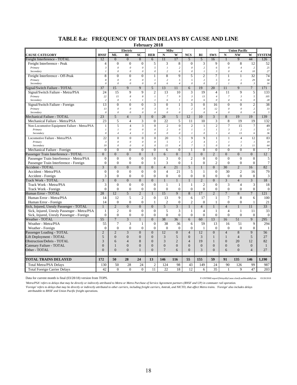**February 2018**

|                                                     |                           |                              | Electric                       | 1 COI UGLY                       |                                  | $-0.10$<br><b>Milw</b>         |                              |                                               |                                |                                |                                  | <b>Union Pacific</b>             |                                |                        |
|-----------------------------------------------------|---------------------------|------------------------------|--------------------------------|----------------------------------|----------------------------------|--------------------------------|------------------------------|-----------------------------------------------|--------------------------------|--------------------------------|----------------------------------|----------------------------------|--------------------------------|------------------------|
| <b>CAUSE CATEGORY</b>                               | <b>BNSF</b>               | ML                           | BI                             | $\bf SC$                         | <b>HER</b>                       | $\mathbf N$                    | W                            | <b>NCS</b>                                    | RI                             | <b>SWS</b>                     | ${\bf N}$                        | <b>NW</b>                        | W                              | <b>SYSTEM</b>          |
| Freight Interference - TOTAL                        | 12                        | $\overline{0}$               | $\overline{0}$                 | $\overline{0}$                   | 6                                | 11                             | 17                           | $\overline{5}$                                | 5                              | 16                             | $\mathbf{1}$                     | $\overline{9}$                   | 44                             | 126                    |
| Freight Interference - Peak                         | $\overline{4}$            | $\mathbf{0}$                 | $\boldsymbol{0}$               | $\mathbf{0}$                     | 5                                | 3                              | 8                            | $\mathbf{0}$                                  | 3                              | 9                              | $\mathbf{0}$                     | 8                                | 12                             | 52                     |
| Primary                                             | $\mathfrak{Z}$            | $\theta$                     | $\theta$                       | $\boldsymbol{\theta}$            | 5                                | $\boldsymbol{l}$               | $\sqrt{2}$                   | $\boldsymbol{\mathit{0}}$                     | $\overline{c}$                 | 6                              | $\theta$                         | $\overline{4}$                   | 2                              | 25                     |
| Secondary                                           | $\overline{I}$            | $\theta$                     | $\theta$                       | $\boldsymbol{\theta}$            | $\theta$                         | $\overline{c}$                 | 6                            | $\theta$                                      | $\mathcal{I}_{\mathcal{I}}$    | $\boldsymbol{\beta}$           | $\theta$                         | $\overline{4}$                   | 10                             | 27                     |
| Freight Interference - Off-Peak                     | 8                         | $\overline{0}$               | $\mathbf{0}$                   | $\mathbf{0}$                     | 1                                | 8                              | 9                            | 5                                             | $\overline{2}$                 | 7                              | 1                                | $\mathbf{1}$                     | 32                             | 74                     |
| Primary                                             | 8                         | $\theta$                     | $\theta$                       | $\boldsymbol{\theta}$            | $\mathcal{I}$                    | $\overline{c}$                 | 5                            | 5                                             | $\overline{c}$                 | 5<br>$\overline{c}$            | $\theta$                         | $\mathcal{I}$                    | 29                             | 58                     |
| Secondary                                           | $\theta$                  | $\theta$                     | $\theta$                       | $\boldsymbol{\theta}$            | $\boldsymbol{\mathit{0}}$        | 6                              | $\sqrt{4}$                   | $\theta$                                      | $\boldsymbol{\theta}$          |                                | $\overline{I}$                   | $\it{0}$                         | $\mathfrak{Z}$                 | 16                     |
| Signal/Switch Failure - TOTAL                       | 37                        | 15                           | $\mathbf Q$                    | $\mathbf{Q}$                     | $\overline{5}$                   | 13                             | 11                           | 6                                             | 19                             | 20                             | 11                               | $\mathbf Q$                      | $\tau$                         | 171                    |
| Signal/Switch Failure - Metra/PSA                   | 24                        | 15                           | 9                              | 9                                | $\overline{c}$                   | 13                             | 10                           | 3                                             | 19                             | 4                              | 11                               | 9                                | 5                              | 133                    |
| Primary<br>Secondary                                | 22<br>$\overline{c}$      | 15<br>$\theta$               | 8<br>$\mathfrak{1}$            | 8<br>$\mathcal{I}_{\mathcal{I}}$ | $\mathfrak{I}$<br>$\mathfrak{I}$ | $\boldsymbol{7}$<br>6          | 9<br>$\boldsymbol{l}$        | $\boldsymbol{\beta}$<br>$\boldsymbol{\theta}$ | 13<br>6                        | $\overline{4}$<br>$\theta$     | $\overline{7}$<br>$\overline{4}$ | $\mathfrak{Z}$<br>6              | 5<br>$\boldsymbol{\mathit{0}}$ | 105<br>28              |
| Signal/Switch Failure - Foreign                     | 13                        | $\overline{0}$               | $\overline{0}$                 | $\overline{0}$                   | 3                                | $\overline{0}$                 | $\mathbf{1}$                 | 3                                             | $\overline{0}$                 | 16                             | $\overline{0}$                   | $\overline{0}$                   | $\overline{2}$                 | 38                     |
| Primary                                             | 13                        | $\theta$                     | $\theta$                       | $\theta$                         | $\mathfrak z$                    | $\boldsymbol{\mathit{0}}$      | $\mathcal{I}_{\mathcal{I}}$  | $\overline{c}$                                | $\boldsymbol{\theta}$          | 12                             | $\theta$                         | $\theta$                         | $\overline{c}$                 | 33                     |
| Secondary                                           | $\theta$                  | $\boldsymbol{\mathit{0}}$    | $\boldsymbol{\mathit{0}}$      | $\it{0}$                         | $\boldsymbol{\mathit{0}}$        | $\theta$                       | $\boldsymbol{\mathit{0}}$    | $\overline{I}$                                | $\theta$                       | $\overline{4}$                 | $\mathcal{O}$                    | $\boldsymbol{\mathit{0}}$        | $\boldsymbol{\mathit{0}}$      | $\sqrt{2}$             |
| Mechanical Failure - TOTAL                          | 23                        | 5 <sup>5</sup>               | $\overline{4}$                 | 3                                | $\Omega$                         | 28                             | 5                            | 12                                            | 10                             | $\overline{3}$                 | 8                                | 19                               | 19                             | 139                    |
| Mechanical Failure - Metra/PSA                      | 23                        | 5                            | $\overline{4}$                 | 3                                | $\mathbf{0}$                     | 22                             | 5                            | 11                                            | 10                             | 3                              | 8                                | 19                               | 19                             | 132                    |
| Non-Locomotive Equipment Failure - Metra/PSA        | $\mathbf{1}$              | 5                            | $\overline{4}$                 | 3                                | $\mathbf{0}$                     | $\overline{2}$                 | $\overline{0}$               | $\overline{c}$                                | $\,1\,$                        | $\overline{c}$                 | $\overline{7}$                   | 15                               | $\overline{7}$                 | 49                     |
| Primary                                             | $\overline{I}$            | $\mathcal{I}$                | $\theta$                       | $\theta$                         | $\theta$                         | $\overline{c}$                 | $\boldsymbol{\theta}$        | $\mathcal{I}_{\mathcal{I}}$                   | $\mathcal{I}$                  | $\overline{I}$                 | $\overline{3}$                   | 2                                | $\mathbf{I}$                   | $13\,$                 |
| Secondary                                           | $\boldsymbol{\mathit{0}}$ | $\overline{4}$               | $\overline{4}$                 | 3                                | 0                                | $\boldsymbol{\theta}$          | $\boldsymbol{o}$             | $\mathcal{I}_{\mathcal{I}}$                   | $\theta$                       | $\mathcal{I}_{\mathcal{I}}$    | $\overline{4}$                   | 13                               | 6                              | 36                     |
| Locomotive Failure - Metra/PSA                      | 22                        | $\mathbf{0}$                 | $\overline{0}$                 | $\mathbf{0}$                     | $\mathbf{0}$                     | 20                             | 5                            | 9                                             | 9                              | $\mathbf{1}$                   | $\mathbf{1}$                     | $\overline{4}$                   | 12                             | 83                     |
| Primary                                             | $\mathfrak{Z}$            | $\theta$                     | $\theta$                       | $\theta$                         | 0                                | 5                              | $\mathcal{I}$                | $\overline{c}$                                | $\overline{4}$                 | $\overline{I}$                 | $\mathbf{I}$                     | $\mathbf{I}$                     | $\mathcal{I}$                  | 19                     |
| Secondary                                           | 19                        | $\theta$                     | $\theta$                       | $\boldsymbol{0}$                 | 0                                | 15                             | $\overline{4}$               | $\overline{7}$                                | 5                              | $\theta$                       | $\theta$                         | $\mathfrak{Z}$                   | II                             | 64                     |
| Mechanical Failure - Foreign                        | $\overline{0}$            | $\overline{0}$               | $\overline{0}$                 | $\overline{0}$                   | $\overline{0}$                   | $\overline{6}$                 | $\overline{0}$               | $\mathbf{1}$                                  | $\overline{0}$                 | $\overline{0}$                 | $\overline{0}$                   | $\overline{0}$                   | $\overline{0}$                 | $\overline{7}$         |
| Passenger Train Interference - TOTAL                | $\overline{0}$            | $\overline{0}$               | $\overline{0}$                 | $\overline{0}$                   |                                  | 6                              | $\overline{0}$               | $\overline{3}$                                | $\overline{0}$                 | $\overline{2}$                 | $\overline{0}$                   | $\overline{0}$                   | $\overline{0}$                 | 12                     |
| Passenger Train Interference - Metra/PSA            | $\overline{0}$            | $\mathbf{0}$                 | $\overline{0}$                 | $\mathbf{0}$                     | $\mathbf{0}$                     | 3                              | $\mathbf{0}$                 | $\overline{2}$                                | $\overline{0}$                 | $\mathbf{0}$                   | $\mathbf{0}$                     | $\mathbf{0}$                     | $\mathbf{0}$                   | 5                      |
| Passenger Train Interference - Foreign              | $\overline{0}$            | $\mathbf{0}$                 | $\overline{0}$                 | $\mathbf{0}$                     | $\mathbf{1}$                     | 3                              | $\theta$                     | $\mathbf{1}$                                  | $\theta$                       | $\overline{c}$                 | $\theta$                         | $\overline{0}$                   | $\Omega$                       | $\tau$                 |
| Accident - TOTAL                                    | $\overline{3}$            | $\overline{0}$               | $\overline{0}$                 | $\overline{0}$                   | $\overline{0}$                   | $\overline{4}$                 | 21                           | 5                                             |                                | $\Omega$                       | 30                               | $\overline{2}$                   | 16                             | 82                     |
| Accident - Metra/PSA                                | $\mathbf{0}$<br>3         | $\mathbf{0}$<br>$\mathbf{0}$ | $\mathbf{0}$                   | $\mathbf{0}$<br>$\mathbf{0}$     | $\mathbf{0}$                     | $\overline{4}$<br>$\mathbf{0}$ | 21<br>$\mathbf{0}$           | 5<br>$\overline{0}$                           | $\mathbf{1}$<br>$\overline{0}$ | $\mathbf{0}$<br>$\overline{0}$ | 30                               | $\overline{c}$<br>$\overline{0}$ | 16                             | 79                     |
| Accident - Foreign                                  | $\overline{3}$            | $\overline{0}$               | $\mathbf{0}$<br>$\overline{0}$ | $\overline{0}$                   | $\mathbf{0}$<br>$\overline{0}$   |                                |                              |                                               | $\overline{2}$                 | $\overline{0}$                 | $\mathbf{0}$<br>$\overline{3}$   | $\overline{4}$                   | $\mathbf{0}$<br>$\overline{3}$ | 3<br>18                |
| <b>Track Work - TOTAL</b><br>Track Work - Metra/PSA | 3                         | $\mathbf{0}$                 | $\mathbf{0}$                   | $\mathbf{0}$                     | $\mathbf{0}$                     | $\mathbf{1}$<br>$\mathbf{1}$   | $\mathbf{1}$<br>$\mathbf{1}$ | $\mathbf{1}$<br>$\mathbf{1}$                  | $\overline{2}$                 | $\mathbf{0}$                   | 3                                | $\overline{4}$                   | 3                              |                        |
| Track Work - Foreign                                | $\overline{0}$            | $\mathbf{0}$                 | $\overline{0}$                 | $\mathbf{0}$                     | $\mathbf{0}$                     | $\mathbf{0}$                   | $\mathbf{0}$                 | $\overline{0}$                                | $\overline{0}$                 | $\overline{0}$                 | $\mathbf{0}$                     | $\mathbf{0}$                     | $\mathbf{0}$                   | 18<br>$\boldsymbol{0}$ |
| Human Error - TOTAL                                 | 28                        | 12                           | $\overline{5}$                 | $\overline{2}$                   | $\mathbf{1}$                     | $\overline{15}$                | $\overline{9}$               | 8                                             | 17                             | $\overline{2}$                 | $\overline{7}$                   | 8                                | $\overline{7}$                 | 121                    |
| Human Error - Metra/PSA                             | 14                        | 12                           | 5                              | $\overline{2}$                   | $\mathbf{0}$                     | 13                             | $\mathbf{Q}$                 | 6                                             | 17                             | $\mathbf{1}$                   | $\overline{7}$                   | 8                                | 6                              | 100                    |
| Human Error - Foreign                               | 14                        | $\mathbf{0}$                 | $\overline{0}$                 | $\mathbf{0}$                     | $\mathbf{1}$                     | $\mathfrak{2}$                 | $\mathbf{0}$                 | $\overline{2}$                                | $\overline{0}$                 | $\mathbf{1}$                   | $\mathbf{0}$                     | $\mathbf{0}$                     | $\mathbf{1}$                   | 21                     |
| Sick, Injured, Unruly Passenger - TOTAL             | $\mathbf{1}$              | $\overline{2}$               | $\Omega$                       | $\overline{0}$                   | $\overline{0}$                   | $\overline{5}$                 | $\overline{3}$               | $\mathbf{1}$                                  | $\overline{4}$                 | $\mathbf{1}$                   | $\overline{4}$                   | $\mathbf{1}$                     | 11                             | 33                     |
| Sick, Injured, Unruly Passenger - Metra/PSA         | $\mathbf{1}$              | $\mathbf{2}$                 | $\overline{0}$                 | $\mathbf{0}$                     | $\mathbf{0}$                     | 5                              | 3                            | -1                                            | $\overline{4}$                 | 1                              | $\overline{4}$                   | 1                                | 11                             | 33                     |
| Sick, Injured, Unruly Passenger - Foreign           | $\overline{0}$            | $\mathbf{0}$                 | $\overline{0}$                 | $\boldsymbol{0}$                 | $\mathbf{0}$                     | $\overline{0}$                 | $\mathbf{0}$                 | $\overline{0}$                                | $\overline{0}$                 | $\mathbf{0}$                   | $\mathbf{0}$                     | $\overline{0}$                   | $\mathbf{0}$                   | $\mathbf{0}$           |
| Weather - TOTAL                                     | 55                        | $\overline{7}$               | $\overline{3}$                 |                                  | $\overline{0}$                   | 38                             | 36                           | 6                                             | 60                             | 13                             | 16                               | 51                               | 9                              | 295                    |
| Weather - Metra/PSA                                 | 55                        | $\tau$                       | 3                              | 1                                | $\mathbf{0}$                     | 38                             | 36                           | 6                                             | 59                             | 13                             | 16                               | 51                               | 9                              | 294                    |
| Weather - Foreign                                   | $\overline{0}$            | $\mathbf{0}$                 | $\mathbf{0}$                   | $\mathbf{0}$                     | $\mathbf{0}$                     | $\mathbf{0}$                   | $\overline{0}$               | $\overline{0}$                                | $\mathbf{1}$                   | $\overline{0}$                 | $\mathbf{0}$                     | $\overline{0}$                   | $\Omega$                       | 1                      |
| Passenger Loading - TOTAL                           | $\overline{2}$            | $\overline{2}$               | 3                              | $\overline{0}$                   | $\overline{0}$                   | 12                             | $\overline{0}$               | $\overline{4}$                                | 12                             | $\overline{0}$                 | $\overline{4}$                   | 8                                | 9                              | 56                     |
| Lift Deployment - TOTAL                             | 5                         | $\overline{0}$               | $\overline{0}$                 | $\boldsymbol{0}$                 | $\overline{0}$                   | 3                              | 5                            | $\overline{0}$                                | 3                              | 1                              | $\mathbf{1}$                     | $\overline{4}$                   | 5                              | 27                     |
| Obstruction/Debris - TOTAL                          | 3                         | 6                            | $\Delta$                       | 8                                | $\theta$                         | 3                              | $\overline{c}$               | $\overline{4}$                                | 19                             | $\mathbf{1}$                   | $\overline{0}$                   | 20                               | 12                             | 82                     |
| Catenary Failure - TOTAL                            | $\theta$                  | $\mathbf{1}$                 | $\theta$                       | $\boldsymbol{0}$                 | $\mathbf{0}$                     | $\overline{0}$                 | $\boldsymbol{0}$             | $\Omega$                                      | $\mathbf{0}$                   | $\Omega$                       | $\overline{0}$                   | $\mathbf{0}$                     | $\mathbf{0}$                   | 1                      |
| Other - TOTAL                                       | $\Omega$                  | $\theta$                     | $\Omega$                       | 1                                | $\theta$                         | $\overline{7}$                 | 6                            | $\Omega$                                      | 3                              | $\Omega$                       | 6                                | $\Omega$                         | $\overline{4}$                 | 27                     |
|                                                     |                           |                              |                                |                                  |                                  |                                |                              |                                               |                                |                                |                                  |                                  |                                |                        |
| <b>TOTAL TRAINS DELAYED</b>                         | 172                       | 50                           | 28                             | 24                               | 13                               | 146                            | 116                          | 55                                            | 155                            | 59                             | 91                               | 135                              | 146                            | 1,190                  |
| Total Metra/PSA Delays                              | 130                       | 50                           | 28                             | 24                               | $\overline{c}$                   | 124                            | 98                           | 43                                            | 149                            | 24                             | 90                               | 126                              | 99                             | 987                    |
| <b>Total Foreign Carrier Delays</b>                 | 42                        | $\theta$                     | $\theta$                       | $\overline{0}$                   | 11                               | 22                             | 18                           | 12                                            | 6                              | 35                             | $\overline{1}$                   | 9                                | 47                             | 203                    |

Data for current month is final (03/28/18) version from TOPS. P:\ONTIME\report\[DelaysByCause.xlsm]LastMonthByLine 03/28/2018

*'Metra/PSA' refers to delays that may be directly or indirectly attributed to Metra or Metra Purchase of Service Agreement partners (BNSF and UP) in commuter rail operation. 'Foreign' refers to delays that may be directly or indirectly attributed to other carriers, including freight carriers, Amtrak, and NICTD, that affect Metra trains. 'Foreign' also includes delays attributable to BNSF and Union Pacific freight operations.*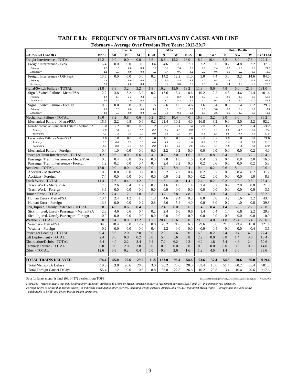# **TABLE 8.b: FREQUENCY OF TRAIN DELAYS BY CAUSE AND LINE**

**February - Average Over Previous Five Years: 2013-2017**

|                                                            | P CDI UAI V |            | Electric      |                 |            | - Average Over Frevious Five Tears: 2013-201.<br>Milw |            |            |            |            |            | <b>Union Pacific</b> |             |              |
|------------------------------------------------------------|-------------|------------|---------------|-----------------|------------|-------------------------------------------------------|------------|------------|------------|------------|------------|----------------------|-------------|--------------|
| <b>CAUSE CATEGORY</b>                                      | <b>BNSF</b> | ML         | BI            | $\overline{SC}$ | <b>HER</b> | N                                                     | W          | <b>NCS</b> | RI         | <b>SWS</b> | N          | NW                   | W           | SYSTEM       |
| Freight Interference - TOTAL                               | 19.2        | 0.0        | 0.0           | 0.0             | 3.6        | 18.8                                                  | 15.2       | 18.0       | 8.2        | 10.4       | 3.2        | 8.0                  | 17.8        | 122.4        |
| Freight Interference - Peak                                | 5.4         | 0.0        | 0.0           | 0.0             | 3.4        | 4.6                                                   | 3.0        | 7.0        | 3.2        | 3.0        | 0.2        | 4.8                  | 3.2         | 37.8         |
| Primary                                                    | 3.2         | 0.0        | 0.0           | 0.0             | 3.2        | 3.2                                                   | 2.4        | 3.8        | 1.0        | 2.4        | 0.2        | 2.6                  | 2.2         | 24.2         |
| Secondary                                                  | 2.2         | 0.0        | 0.0           | 0.0             | 0.2        | 1.4                                                   | 0.6        | 3.2        | 2.2        | 0.6        | 0.0        | 2.2                  | 1.0         | 13.6         |
| Freight Interference - Off-Peak                            | 13.8        | 0.0        | 0.0           | 0.0             | 0.2        | 14.2                                                  | 12.2       | 11.0       | 5.0        | 7.4        | 3.0        | 3.2                  | 14.6        | 84.6         |
| Primary                                                    | 11.8        | 0.0        | 0.0           | 0.0             | 0.2        | 9.0                                                   | 8.4        | $8.8\,$    | 4.2        | 6.4        | 1.6        | 2.2                  | 11.8        | 64.4         |
| Secondary                                                  | 2.0         | 0.0        | 0.0           | 0.0             | 0.0        | 5.2                                                   | 3.8        | 2.2        | 0.8        | 1.0        | 1.4        | 1.0                  | 2.8         | 20.2         |
| Signal/Switch Failure - TOTAL                              | 21.8        | 3.8        | 3.2           | 3.2             | 1.8        | 16.2                                                  | 15.0       | 13.2       | 11.8       | 8.6        | 4.8        | 6.0                  | 21.6        | 131.0        |
| Signal/Switch Failure - Metra/PSA                          | 12.2        | 3.8        | 3.2           | 3.2             | 0.2        | 13.6                                                  | 13.4       | 8.6        | 10.2       | 2.2        | 4.8        | 4.6                  | 21.4        | 101.4        |
| Primary<br>Secondary                                       | 9.2<br>3.0  | 1.6<br>2.2 | 2.2<br>1.0    | 2.4<br>0.8      | 0.2<br>0.0 | 5.4<br>8.2                                            | 8.2<br>5.2 | 4.4<br>4.2 | 6.2<br>4.0 | 1.4<br>0.8 | 3.0<br>1.8 | 1.6<br>3.0           | 4.4<br>17.0 | 50.2<br>51.2 |
| Signal/Switch Failure - Foreign                            | 9.6         | 0.0        | 0.0           | 0.0             | 1.6        | 2.6                                                   | 1.6        | 4.6        | 1.6        | 6.4        | 0.0        | 1.4                  | 0.2         | 29.6         |
| Primary                                                    | 6.6         | 0.0        | 0.0           | 0.0             | 1.4        | 1.0                                                   | 1.2        | 2.2        | 0.6        | 3.8        | 0.0        | 0.4                  | 0.2         | 17.4         |
| Secondary                                                  | 3.0         | 0.0        | 0.0           | 0.0             | 0.2        | 1.6                                                   | 0.4        | 2.4        | 1.0        | 2.6        | 0.0        | 1.0                  | 0.0         | 12.2         |
| Mechanical Failure - TOTAL                                 | 16.0        | 3.2        | 0.8           | 0.6             | 0.2        | 23.6                                                  | 10.4       | 4.0        | 16.8       | 3.2        | 9.0        | 3.0                  | 5.4         | 96.2         |
| Mechanical Failure - Metra/PSA                             | 15.6        | 2.2        | 0.8           | 0.6             | 0.2        | 21.4                                                  | 10.2       | 4.0        | 16.8       | 3.2        | 9.0        | 3.0                  | 5.2         | 92.2         |
| Non-Locomotive Equipment Failure - Metra/PSA               | 6.0         | 2.2        | 0.8           | 0.6             | 0.2        | 2.8                                                   | 1.4        | 0.4        | 2.0        | 2.0        | 1.2        | 0.2                  | 1.4         | 21.2         |
| Primary                                                    | 1.8         | 1.0        | 0.2           | 0.6             | 0.2        | 1.0                                                   | 1.0        | 0.0        | $1.2\,$    | 0.6        | 0.6        | 0.2                  | 1.0         | 9.4          |
| Secondary                                                  | 4.2         | 1.2        | 0.6           | 0.0             | $0.0\,$    | 1.8                                                   | 0.4        | 0.4        | 0.8        | 1.4        | 0.6        | 0.0                  | 0.4         | 11.8         |
| Locomotive Failure - Metra/PSA                             | 9.6         | 0.0        | 0.0           | 0.0             | 0.0        | 18.6                                                  | 8.8        | 3.6        | 14.8       | 1.2        | 7.8        | 2.8                  | 3.8         | 71.0         |
| Primary                                                    | 3.2         | 0.0        | 0.0           | 0.0             | 0.0        | 4.4                                                   | 4.4        | 1.0        | 4.2        | 0.6        | 2.0        | 1.4                  | 2.0         | 23.2         |
| Secondary                                                  | 6.4         | 0.0        | 0.0           | 0.0             | 0.0        | 14.2                                                  | 4.4        | 2.6        | 10.6       | 0.6        | 5.8        | 1.4                  | 1.8         | 47.8         |
| Mechanical Failure - Foreign                               | 0.4<br>1.2  | 1.0<br>0.6 | 0.0<br>0.0    | 0.0<br>0.6      | 0.0<br>0.4 | 2.2<br>10.2                                           | 0.2<br>2.0 | 0.0<br>1.6 | 0.0        | 0.0<br>0.8 | 0.0<br>0.4 | 0.0<br>0.8           | 0.2<br>3.2  | 4.0<br>22.4  |
| Passenger Train Interference - TOTAL                       |             |            |               |                 |            |                                                       |            |            | 0.6        |            |            |                      |             |              |
| Passenger Train Interference - Metra/PSA                   | 0.0<br>1.2  | 0.4<br>0.2 | 0.0<br>0.0    | 0.2<br>0.4      | 0.0<br>0.4 | 7.8<br>2.4                                            | 1.8<br>0.2 | 1.6<br>0.0 | 0.4<br>0.2 | 0.2<br>0.6 | 0.4<br>0.0 | 0.8<br>0.0           | 3.0<br>0.2  | 16.6<br>5.8  |
| Passenger Train Interference - Foreign<br>Accident - TOTAL | 18.0        | 0.0        | 0.0           | 0.2             | 0.0        | 3.2                                                   | 7.4        | 0.4        | 0.4        | 0.2        | 0.6        | 8.4                  | 1.2         | 40.0         |
| Accident - Metra/PSA                                       | 10.6        | 0.0        | 0.0           | 0.2             | 0.0        | 3.2                                                   | 7.2        | 0.4        | 0.2        | 0.2        | 0.6        | 8.4                  | 0.2         | 31.2         |
| Accident - Foreign                                         | 7.4         | 0.0        | 0.0           | 0.0             | 0.0        | 0.0                                                   | 0.2        | 0.0        | 0.2        | 0.0        | 0.0        | 0.0                  | 1.0         | 8.8          |
| Track Work - TOTAL                                         | 11.4        | 2.6        | 0.4           | 1.2             | 0.2        | 1.6                                                   | 1.0        | 1.4        | 2.4        | 0.2        | 0.2        | 2.0                  | 0.8         | 25.4         |
| Track Work - Metra/PSA                                     | 7.8         | 2.6        | 0.4           | 1.2             | 0.2        | 1.6                                                   | 1.0        | 1.4        | 2.4        | 0.2        | 0.2        | 2.0                  | 0.8         | 21.8         |
| Track Work - Foreign                                       | 3.6         | 0.0        | 0.0           | 0.0             | 0.0        | 0.0                                                   | 0.0        | 0.0        | 0.0        | 0.0        | 0.0        | 0.0                  | 0.0         | 3.6          |
| Human Error - TOTAL                                        | 27.2        | 2.4        | $1.2^{\circ}$ | 1.8             | 3.8        | 13.2                                                  | 7.8        | 4.8        | 8.0        | 3.0        | 3.4        | 2.6                  | 4.0         | 83.2         |
| Human Error - Metra/PSA                                    | 13.4        | 2.4        | 1.2           | 1.6             | 1.0        | 4.6                                                   | 2.4        | 0.8        | 8.0        | 0.0        | 3.2        | 1.6                  | 3.2         | 43.4         |
| Human Error - Foreign                                      | 13.8        | 0.0        | 0.0           | 0.2             | 2.8        | 8.6                                                   | 5.4        | 4.0        | 0.0        | 3.0        | 0.2        | 1.0                  | 0.8         | 39.8         |
| Sick, Injured, Unruly Passenger - TOTAL                    | 2.8         | 4.6        | 0.6           | 0.4             | 0.2        | 2.4                                                   | 6.0        | 0.6        | 1.4        | 0.4        | 1.4        | 6.8                  | $2.2\,$     | 29.8         |
| Sick, Injured, Unruly Passenger - Metra/PSA                | 2.8         | 4.6        | 0.6           | 0.4             | 0.2        | 2.4                                                   | 6.0        | 0.6        | 1.4        | 0.4        | 1.4        | 6.8                  | 2.2         | 29.8         |
| Sick, Injured, Unruly Passenger - Foreign                  | 0.0         | 0.0        | 0.0           | 0.0             | 0.0        | 0.0                                                   | 0.0        | 0.0        | 0.0        | 0.0        | 0.0        | 0.0                  | 0.0         | 0.0          |
| Weather - TOTAL                                            | 35.0        | 18.4       | 8.0           | 12.2            | 1.2        | 28.4                                                  | 21.6       | 6.0        | 29.6       | 4.0        | 21.8       | 23.4                 | 15.4        | 225.0        |
| Weather - Metra/PSA                                        | 34.8        | 18.4       | 8.0           | 12.2            | 0.8        | 26.2                                                  | 21.6       | 6.0        | 29.6       | 3.6        | 21.8       | 23.4                 | 15.0        | 221.4        |
| Weather - Foreign                                          | 0.2         | 0.0        | 0.0           | 0.0             | 0.4        | 2.2                                                   | 0.0        | 0.0        | 0.0        | 0.4        | 0.0        | 0.0                  | 0.4         | 3.6          |
| Passenger Loading - TOTAL                                  | 0.4         | 5.6        | 2.0           | 2.0             | 0.0        | 2.0                                                   | 1.6        | 0.0        | 6.8        | 0.2        | 2.4        | 0.4                  | 4.0         | 27.4         |
| Lift Deployment - TOTAL                                    | 2.4         | 0.0        | 0.0           | 0.2             | 0.0        | 5.4                                                   | 1.6        | 0.8        | 2.2        | 0.0        | 0.8        | 1.4                  | 3.6         | 18.4         |
| <b>Obstruction/Debris - TOTAL</b>                          | 6.4         | 4.0        | 2.2           | 3.4             | 0.4        | 7.2                                                   | 6.2        | 2.2        | 4.2        | 1.8        | 5.4        | 4.8                  | 2.4         | 50.6         |
| Catenary Failure - TOTAL                                   | 0.0         | 9.0        | 2.0           | 3.0             | 0.0        | 0.0                                                   | 0.0        | 0.0        | 0.0        | 0.0        | 0.0        | 0.0                  | 0.0         | 14.0         |
| Other - TOTAL                                              | 12.6        | 0.8        | 0.2           | 0.4             | 0.0        | 0.8                                                   | 2.6        | 1.6        | 1.2        | 4.6        | 1.4        | 3.0                  | 4.4         | 33.6         |
| <b>TOTAL TRAINS DELAYED</b>                                | 174.4       | 55.0       | 20.6          | 29.2            | 11.8       | 133.0                                                 | 98.4       | 54.6       | 93.6       | 37.4       | 54.8       | 70.6                 | 86.0        | 919.4        |
| Total Metra/PSA Delays                                     | 119.0       | 53.8       | 20.6          | 28.6            | 3.0        | 96.2                                                  | 75.6       | 28.0       | 83.4       | 16.6       | 51.4       | 60.2                 | 65.4        | 701.8        |
| <b>Total Foreign Carrier Delays</b>                        | 55.4        | 1.2        | 0.0           | 0.6             | 8.8        | 36.8                                                  | 22.8       | 26.6       | 10.2       | 20.8       | 3.4        | 10.4                 | 20.6        | 217.6        |
|                                                            |             |            |               |                 |            |                                                       |            |            |            |            |            |                      |             |              |

Data for latest month is final (03/14/17) version from TOPS. P:\ONTIME\report\{DelaysByCause.xlsm}LastMonthByLine 03/28/2018

*'Metra/PSA' refers to delays that may be directly or indirectly attributed to Metra or Metra Purchase of Service Agreement partners (BNSF and UP) in commuter rail operation. 'Foreign' refers to delays that may be directly or indirectly attributed to other carriers, including freight carriers, Amtrak, and NICTD, that affect Metra trains. 'Foreign' also includes delays attributable to BNSF and Union Pacific freight operations.*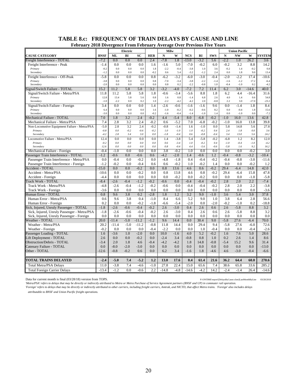| Electric<br><b>Union Pacific</b><br>Milw<br>SC<br><b>BNSF</b><br><b>ML</b><br>BI<br><b>HER</b><br>$\mathbf N$<br>W<br><b>NCS</b><br><b>SWS</b><br>${\bf N}$<br><b>NW</b><br>W<br><b>SYSTEM</b><br>RI<br>0.0<br>$-7.8$<br>$-13.0$<br>$-2.2$<br>Freight Interference - TOTAL<br>$-7.2$<br>0.0<br>0.0<br>2.4<br>1.8<br>$-3.2$<br>1.0<br>26.2<br>5.6<br>3.6<br>0.0<br>0.0<br>5.0<br>$-0.2$<br>$-0.2$<br>Freight Interference - Peak<br>$-1.4$<br>0.0<br>1.6<br>$-1.6$<br>$-7.0$<br>6.0<br>3.2<br>8.8<br>14.2<br>$-0.2$<br>0.0<br>0.0<br>0.0<br>1.8<br>$-2.2$<br>$-0.4$<br>$-3.8$<br>$1.0\,$<br>$-0.2$<br>1.4<br>$-0.2$<br>$\rm 0.8$<br>Primary<br>3.6<br>$-0.2$<br>$-3.2$<br>Secondary<br>$-1.2$<br>0.0<br>0.0<br>0.0<br>0.6<br>5.4<br>$-1.2$<br>2.4<br>0.0<br>1.8<br>9.0<br>13.4<br>$-5.8$<br>0.8<br>$-3.0$<br>Freight Interference - Off-Peak<br>0.0<br>0.0<br>0.0<br>$-6.2$<br>$-3.2$<br>$-6.0$<br>$-0.4$<br>$-2.0$<br>$-2.2$<br>17.4<br>$-10.6$<br>$-3.8$<br>0.8<br>$-7.0$<br>$-3.8$<br>$-2.2$<br>Primary<br>0.0<br>0.0<br>0.0<br>$-3.4$<br>$-1.4$<br>$-1.6$<br>$-1.2$<br>17.2<br>$-6.4$<br>$-2.0$<br>0.0<br>0.0<br>0.0<br>0.0<br>0.8<br>0.2<br>$-2.2$<br>$-0.8$<br>1.0<br>$-0.4$<br>$-1.0$<br>0.2<br>Secondary<br>$-4.2$<br>7.2<br>Signal/Switch Failure - TOTAL<br>15.2<br>11.2<br>5.8<br>5.8<br>3.2<br>$-3.2$<br>$-4.0$<br>$-7.2$<br>11.4<br>6.2<br>3.0<br>40.0<br>$-14.6$<br>Signal/Switch Failure - Metra/PSA<br>11.8<br>11.2<br>5.8<br>5.8<br>1.8<br>$-0.6$<br>$-3.4$<br>$-5.6$<br>8.8<br>1.8<br>6.2<br>4.4<br>31.6<br>$-16.4$<br>13.4<br>5.8<br>0.8<br>4.0<br>1.4<br>12.8<br>5.6<br>1.6<br>0.8<br>$-1.4$<br>6.8<br>2.6<br>0.6<br>54.8<br>Primary<br>$-1.0$<br>$-2.2$<br>0.0<br>0.2<br>1.0<br>$-4.2$<br>$-4.2$<br>2.0<br>$-0.8$<br>2.2<br>$-17.0$<br>$-2.2$<br>3.0<br>$-23.2$<br>Secondary<br>8.4<br>Signal/Switch Failure - Foreign<br>3.4<br>0.0<br>0.0<br>0.0<br>1.4<br>$-2.6$<br>$-0.6$<br>$-1.6$<br>$-1.6$<br>9.6<br>0.0<br>$-1.4$<br>1.8<br>$-0.2$<br>$-0.4$<br>Primary<br>6.4<br>0.0<br>0.0<br>0.0<br>1.6<br>$-1.0$<br>$-0.2$<br>$-0.6$<br>8.2<br>0.0<br>1.8<br>15.6<br>Secondary<br>$-3.0$<br>0.0<br>0.0<br>0.0<br>$-0.2$<br>$-1.6$<br>$-0.4$<br>$-1.4$<br>$-1.0$<br>1.4<br>0.0<br>$-1.0$<br>0.0<br>$-7.2$<br>7.0<br>3.2<br>2.4<br>$-0.2$<br>4.4<br>$-5.4$<br>8.0<br>$-6.8$<br>$-0.2$<br>42.8<br>Mechanical Failure - TOTAL<br>1.8<br>$-1.0$<br>16.0<br>13.6<br>2.8<br>3.2<br>$-0.2$<br>7.0<br>$-6.8$<br>$-0.2$<br>7.4<br>2.4<br>0.6<br>$-5.2$<br>$-1.0$<br>16.0<br>13.8<br>39.8<br>Mechanical Failure - Metra/PSA<br>2.8<br>3.2<br>$-0.8$<br>5.8<br>27.8<br>Non-Locomotive Equipment Failure - Metra/PSA<br>$-5.0$<br>2.4<br>$-0.2$<br>$-1.4$<br>1.6<br>$-1.0$<br>0.0<br>14.8<br>5.6<br>$-0.8$<br>0.0<br>$-0.2$<br>$-0.6$<br>$1.0\,$<br>$-0.2$<br>0.4<br>2.4<br>0.0<br>$-0.2$<br>$-1.0$<br>1.0<br>1.8<br>3.6<br>Primary<br>Secondary<br>$-4.2$<br>2.8<br>3.4<br>3.0<br>0.0<br>$-1.8$<br>$-0.4$<br>0.6<br>$-0.8$<br>$-0.4$<br>3.4<br>13.0<br>5.6<br>24.2<br>12.4<br>0.0<br>0.0<br>0.0<br>0.0<br>1.4<br>$-3.8$<br>5.4<br>$-5.8$<br>$-0.2$<br>1.2<br>8.2<br>12.0<br>Locomotive Failure - Metra/PSA<br>$-6.8$<br>$-0.2$<br>0.0<br>$0.0\,$<br>0.0<br>$0.0\,$<br>0.6<br>$1.0\,$<br>$-0.2$<br>0.4<br>$-1.0$<br>$-1.0$<br>$-3.4$<br>$-0.4$<br>$-4.2$<br>Primary<br>12.6<br>0.0<br>0.0<br>0.0<br>0.0<br>0.8<br>$-0.4$<br>4.4<br>$-5.6$<br>$-0.6$<br>$-5.8$<br>9.2<br>16.2<br>Secondary<br>1.6<br>$\overline{3.8}$<br>1.0<br>0.0<br>$-0.4$<br>$-1.0$<br>0.0<br>0.0<br>0.0<br>$-0.2$<br>0.0<br>0.0<br>0.0<br>$-0.2$<br>3.0<br>Mechanical Failure - Foreign<br>Passenger Train Interference - TOTAL<br>$-1.2$<br>$-0.6$<br>0.0<br>$-0.6$<br>0.6<br>$-4.2$<br>$-2.0$<br>1.4<br>$-0.6$<br>1.2<br>$-0.4$<br>$-0.8$<br>$-3.2$<br>$-10.4$<br>0.0<br>$-0.4$<br>0.0<br>$-0.2$<br>0.0<br>$-4.8$<br>$-1.8$<br>0.4<br>$-0.4$<br>$-0.2$<br>$-0.4$<br>$-0.8$<br>$-3.0$<br>Passenger Train Interference - Metra/PSA<br>$-11.6$<br>$-0.2$<br>$-0.2$<br>0.0<br>$-1.2$<br>0.0<br>$-0.4$<br>0.6<br>0.6<br>1.0<br>$-0.2$<br>1.4<br>0.0<br>$-0.2$<br>1.2<br>Passenger Train Interference - Foreign<br>$-15.0$<br>0.0<br>0.0<br>$-0.2$<br>0.0<br>0.8<br>13.6<br>4.6<br>0.6<br>$-0.2$<br>29.4<br>14.8<br>42.0<br>Accident - TOTAL<br>$-6.4$<br>Accident - Metra/PSA<br>$-10.6$<br>0.0<br>0.0<br>$-0.2$<br>0.0<br>0.8<br>0.8<br>$-0.2$<br>29.4<br>13.8<br>4.6<br>$-6.4$<br>15.8<br>47.8<br>0.0<br>0.0<br>0.0<br>$-0.2$<br>0.0<br>$-0.2$<br>0.0<br>Accident - Foreign<br>$-4.4$<br>0.0<br>0.0<br>0.0<br>0.0<br>$-1.0$<br>$-5.8$<br>$-7.4$<br>Track Work - TOTAL<br>$-8.4$<br>$-2.6$<br>$-0.4$<br>$-1.2$<br>$-0.2$<br>$-0.6$<br>0.0<br>$-0.4$<br>$-0.4$<br>$-0.2$<br>2.8<br>2.0<br>2.2<br>$-0.6$<br>$-4.8$<br>$-2.6$<br>$-0.4$<br>$-0.2$<br>0.0<br>$-0.4$<br>$-0.4$<br>$-0.2$<br>2.8<br>2.0<br>2.2<br>$-3.8$<br>Track Work - Metra/PSA<br>$-1.2$<br>0.0<br>$-3.6$<br>0.0<br>0.0<br>0.0<br>0.0<br>0.0<br>0.0<br>0.0<br>0.0<br>0.0<br>0.0<br>0.0<br>$-3.6$<br>Track Work - Foreign<br>3.8<br>$-2.8$<br>3.2<br>5.4<br>3.0<br>Human Error - TOTAL<br>0.8<br>9.6<br>0.2<br>1.8<br>1.2<br>9.0<br>$-1.0$<br>3.6<br>37.8<br>9.6<br>3.8<br>0.4<br>8.4<br>6.6<br>5.2<br>9.0<br>3.8<br>56.6<br>Human Error - Metra/PSA<br>0.6<br>$-1.0$<br>1.0<br>6.4<br>2.8<br>0.2<br>$-0.2$<br>$-1.8$<br>$-2.0$<br>$-2.0$<br>0.0<br>0.0<br>$-6.6$<br>$-5.4$<br>0.0<br>$-0.2$<br>$-1.0$<br>0.2<br>$-18.8$<br>Human Error - Foreign<br>$-3.0$<br>2.6<br>$-2.6$<br>$-0.6$<br>$-0.4$<br>$-0.2$<br>2.6<br>0.4<br>2.6<br>$-5.8$<br>8.8<br>3.2<br>Sick, Injured, Unruly Passenger - TOTAL<br>$-1.8$<br>0.6<br>Sick, Injured, Unruly Passenger - Metra/PSA<br>$-1.8$<br>$-2.6$<br>$-0.6$<br>$-0.4$<br>$-0.2$<br>2.6<br>$-3.0$<br>0.4<br>2.6<br>0.6<br>2.6<br>$-5.8$<br>8.8<br>3.2<br>Sick, Injured, Unruly Passenger - Foreign<br>0.0<br>0.0<br>0.0<br>0.0<br>0.0<br>0.0<br>0.0<br>0.0<br>0.0<br>0.0<br>0.0<br>0.0<br>0.0<br>0.0<br>$-5.0$<br>$-1.2$<br>9.6<br>0.0<br>30.4<br>9.0<br>27.6<br>70.0<br>Weather - TOTAL<br>20.0<br>$-11.4$<br>$-11.2$<br>14.4<br>$-5.8$<br>$-6.4$<br>20.2<br>$-5.0$<br>$-11.2$<br>$-0.8$<br>11.8<br>14.4<br>0.0<br>29.4<br>9.4<br>$-5.8$<br>27.6<br>72.6<br>Weather - Metra/PSA<br>$-11.4$<br>$-6.0$<br>$-2.2$<br>$-0.2$<br>0.0<br>0.0<br>0.0<br>$-0.4$<br>0.0<br>0.0<br>1.0<br>$-0.4$<br>0.0<br>0.0<br>$-0.4$<br>$-2.6$<br>Weather - Foreign<br>$-2.0$<br>4.0<br>5.2<br>1.6<br>$-3.6$<br>1.0<br>0.0<br>10.0<br>$-1.6$<br>$-0.2$<br>7.6<br>5.0<br>28.6<br>Passenger Loading - TOTAL<br>1.6<br>2.6<br>0.0<br>0.0<br>$-0.2$<br>0.0<br>$-2.4$<br>3.4<br>$-0.8$<br>0.8<br>0.2<br>Lift Deployment - TOTAL<br>1.0<br>2.6<br>1.4<br>8.6<br>2.0<br>$-4.2$<br>$-4.2$<br><b>Obstruction/Debris - TOTAL</b><br>$-3.4$<br>1.8<br>4.6<br>$-0.4$<br>1.8<br>14.8<br>$-0.8$<br>$-5.4$<br>15.2<br>9.6<br>31.4<br>$-2.0$<br>0.0<br>0.0<br>0.0<br>0.0<br>0.0<br>$-8.0$<br>$-3.0$<br>0.0<br>0.0<br>0.0<br>0.0<br>0.0<br>$-13.0$<br>Catenary Failure - TOTAL<br>Other - TOTAL<br>$-0.8$<br>$-0.2$<br>0.0<br>1.8<br>$-12.6$<br>0.6<br>6.2<br>3.4<br>$-1.6$<br>$-4.6$<br>4.6<br>$-3.0$<br>$-0.4$<br>$-6.6$<br>TOTAL TRAINS DELAYED<br>$-5.0$<br>7.4<br>$-5.2$<br>1.2<br>13.0<br>0.4<br>270.6<br>$-2.4$<br>17.6<br>61.4<br>21.6<br>36.2<br>64.4<br>60.0<br>11.0<br>$-3.8$<br>7.4<br>$-1.0$<br>22.4<br>15.0<br>7.4<br>33.6<br>$-4.6$<br>27.8<br>65.6<br>38.6<br>65.8<br>285.2<br><b>Total Metra/PSA Delays</b><br>$-13.4$<br>$-1.2$<br>0.0<br>$-0.6$<br>2.2<br>$-4.8$<br>$-4.2$<br>14.2<br>$-2.4$<br>$-14.8$<br>$-14.6$<br>$-1.4$<br>26.4<br>$-14.6$<br><b>Total Foreign Carrier Delays</b> | February 2018 Divergence From February Average Over Previous Five Years |  |  |  |  |  |  |  |
|-------------------------------------------------------------------------------------------------------------------------------------------------------------------------------------------------------------------------------------------------------------------------------------------------------------------------------------------------------------------------------------------------------------------------------------------------------------------------------------------------------------------------------------------------------------------------------------------------------------------------------------------------------------------------------------------------------------------------------------------------------------------------------------------------------------------------------------------------------------------------------------------------------------------------------------------------------------------------------------------------------------------------------------------------------------------------------------------------------------------------------------------------------------------------------------------------------------------------------------------------------------------------------------------------------------------------------------------------------------------------------------------------------------------------------------------------------------------------------------------------------------------------------------------------------------------------------------------------------------------------------------------------------------------------------------------------------------------------------------------------------------------------------------------------------------------------------------------------------------------------------------------------------------------------------------------------------------------------------------------------------------------------------------------------------------------------------------------------------------------------------------------------------------------------------------------------------------------------------------------------------------------------------------------------------------------------------------------------------------------------------------------------------------------------------------------------------------------------------------------------------------------------------------------------------------------------------------------------------------------------------------------------------------------------------------------------------------------------------------------------------------------------------------------------------------------------------------------------------------------------------------------------------------------------------------------------------------------------------------------------------------------------------------------------------------------------------------------------------------------------------------------------------------------------------------------------------------------------------------------------------------------------------------------------------------------------------------------------------------------------------------------------------------------------------------------------------------------------------------------------------------------------------------------------------------------------------------------------------------------------------------------------------------------------------------------------------------------------------------------------------------------------------------------------------------------------------------------------------------------------------------------------------------------------------------------------------------------------------------------------------------------------------------------------------------------------------------------------------------------------------------------------------------------------------------------------------------------------------------------------------------------------------------------------------------------------------------------------------------------------------------------------------------------------------------------------------------------------------------------------------------------------------------------------------------------------------------------------------------------------------------------------------------------------------------------------------------------------------------------------------------------------------------------------------------------------------------------------------------------------------------------------------------------------------------------------------------------------------------------------------------------------------------------------------------------------------------------------------------------------------------------------------------------------------------------------------------------------------------------------------------------------------------------------------------------------------------------------------------------------------------------------------------------------------------------------------------------------------------------------------------------------------------------------------------------------------------------------------------------------------------------------------------------------------------------------------------------------------------------------------------------------------------------------------------------------------------------------------------------------------------------------------------------------------------------------------------------------------------------------------------------------------------------------------------------------------------------------------------------------------------------------------------------------------------------------------------------------------------------------------------------------------------------------------------------------------------------------------------------------------------------------------------------------------------------------------------------------------------------------------------------------------------------------------------------------------------------------------------------------------------------------------------------------------------------------------------------------------------------------------------------------------------------------------------------------------------------------------------------------------------------------------------------------------------------------------------------------------------------------------------------------------------------------------------------------------------------------------------------------------------------------------------------------------------------------------------------------------------------------------------------------------------------------------------------------------------------------------------------------------------------------------------------------------------------------------------------------------------------------------------------------------------------|-------------------------------------------------------------------------|--|--|--|--|--|--|--|
|                                                                                                                                                                                                                                                                                                                                                                                                                                                                                                                                                                                                                                                                                                                                                                                                                                                                                                                                                                                                                                                                                                                                                                                                                                                                                                                                                                                                                                                                                                                                                                                                                                                                                                                                                                                                                                                                                                                                                                                                                                                                                                                                                                                                                                                                                                                                                                                                                                                                                                                                                                                                                                                                                                                                                                                                                                                                                                                                                                                                                                                                                                                                                                                                                                                                                                                                                                                                                                                                                                                                                                                                                                                                                                                                                                                                                                                                                                                                                                                                                                                                                                                                                                                                                                                                                                                                                                                                                                                                                                                                                                                                                                                                                                                                                                                                                                                                                                                                                                                                                                                                                                                                                                                                                                                                                                                                                                                                                                                                                                                                                                                                                                                                                                                                                                                                                                                                                                                                                                                                                                                                                                                                                                                                                                                                                                                                                                                                                                                                                                                                                                                                                                                                                                                                                                                                                                                                                                                                                                                                                                                                                                                                                                                                                                                                                                                                                                                                                                                                                                                                           |                                                                         |  |  |  |  |  |  |  |
|                                                                                                                                                                                                                                                                                                                                                                                                                                                                                                                                                                                                                                                                                                                                                                                                                                                                                                                                                                                                                                                                                                                                                                                                                                                                                                                                                                                                                                                                                                                                                                                                                                                                                                                                                                                                                                                                                                                                                                                                                                                                                                                                                                                                                                                                                                                                                                                                                                                                                                                                                                                                                                                                                                                                                                                                                                                                                                                                                                                                                                                                                                                                                                                                                                                                                                                                                                                                                                                                                                                                                                                                                                                                                                                                                                                                                                                                                                                                                                                                                                                                                                                                                                                                                                                                                                                                                                                                                                                                                                                                                                                                                                                                                                                                                                                                                                                                                                                                                                                                                                                                                                                                                                                                                                                                                                                                                                                                                                                                                                                                                                                                                                                                                                                                                                                                                                                                                                                                                                                                                                                                                                                                                                                                                                                                                                                                                                                                                                                                                                                                                                                                                                                                                                                                                                                                                                                                                                                                                                                                                                                                                                                                                                                                                                                                                                                                                                                                                                                                                                                                           | <b>CAUSE CATEGORY</b>                                                   |  |  |  |  |  |  |  |
|                                                                                                                                                                                                                                                                                                                                                                                                                                                                                                                                                                                                                                                                                                                                                                                                                                                                                                                                                                                                                                                                                                                                                                                                                                                                                                                                                                                                                                                                                                                                                                                                                                                                                                                                                                                                                                                                                                                                                                                                                                                                                                                                                                                                                                                                                                                                                                                                                                                                                                                                                                                                                                                                                                                                                                                                                                                                                                                                                                                                                                                                                                                                                                                                                                                                                                                                                                                                                                                                                                                                                                                                                                                                                                                                                                                                                                                                                                                                                                                                                                                                                                                                                                                                                                                                                                                                                                                                                                                                                                                                                                                                                                                                                                                                                                                                                                                                                                                                                                                                                                                                                                                                                                                                                                                                                                                                                                                                                                                                                                                                                                                                                                                                                                                                                                                                                                                                                                                                                                                                                                                                                                                                                                                                                                                                                                                                                                                                                                                                                                                                                                                                                                                                                                                                                                                                                                                                                                                                                                                                                                                                                                                                                                                                                                                                                                                                                                                                                                                                                                                                           |                                                                         |  |  |  |  |  |  |  |
|                                                                                                                                                                                                                                                                                                                                                                                                                                                                                                                                                                                                                                                                                                                                                                                                                                                                                                                                                                                                                                                                                                                                                                                                                                                                                                                                                                                                                                                                                                                                                                                                                                                                                                                                                                                                                                                                                                                                                                                                                                                                                                                                                                                                                                                                                                                                                                                                                                                                                                                                                                                                                                                                                                                                                                                                                                                                                                                                                                                                                                                                                                                                                                                                                                                                                                                                                                                                                                                                                                                                                                                                                                                                                                                                                                                                                                                                                                                                                                                                                                                                                                                                                                                                                                                                                                                                                                                                                                                                                                                                                                                                                                                                                                                                                                                                                                                                                                                                                                                                                                                                                                                                                                                                                                                                                                                                                                                                                                                                                                                                                                                                                                                                                                                                                                                                                                                                                                                                                                                                                                                                                                                                                                                                                                                                                                                                                                                                                                                                                                                                                                                                                                                                                                                                                                                                                                                                                                                                                                                                                                                                                                                                                                                                                                                                                                                                                                                                                                                                                                                                           |                                                                         |  |  |  |  |  |  |  |
|                                                                                                                                                                                                                                                                                                                                                                                                                                                                                                                                                                                                                                                                                                                                                                                                                                                                                                                                                                                                                                                                                                                                                                                                                                                                                                                                                                                                                                                                                                                                                                                                                                                                                                                                                                                                                                                                                                                                                                                                                                                                                                                                                                                                                                                                                                                                                                                                                                                                                                                                                                                                                                                                                                                                                                                                                                                                                                                                                                                                                                                                                                                                                                                                                                                                                                                                                                                                                                                                                                                                                                                                                                                                                                                                                                                                                                                                                                                                                                                                                                                                                                                                                                                                                                                                                                                                                                                                                                                                                                                                                                                                                                                                                                                                                                                                                                                                                                                                                                                                                                                                                                                                                                                                                                                                                                                                                                                                                                                                                                                                                                                                                                                                                                                                                                                                                                                                                                                                                                                                                                                                                                                                                                                                                                                                                                                                                                                                                                                                                                                                                                                                                                                                                                                                                                                                                                                                                                                                                                                                                                                                                                                                                                                                                                                                                                                                                                                                                                                                                                                                           |                                                                         |  |  |  |  |  |  |  |
|                                                                                                                                                                                                                                                                                                                                                                                                                                                                                                                                                                                                                                                                                                                                                                                                                                                                                                                                                                                                                                                                                                                                                                                                                                                                                                                                                                                                                                                                                                                                                                                                                                                                                                                                                                                                                                                                                                                                                                                                                                                                                                                                                                                                                                                                                                                                                                                                                                                                                                                                                                                                                                                                                                                                                                                                                                                                                                                                                                                                                                                                                                                                                                                                                                                                                                                                                                                                                                                                                                                                                                                                                                                                                                                                                                                                                                                                                                                                                                                                                                                                                                                                                                                                                                                                                                                                                                                                                                                                                                                                                                                                                                                                                                                                                                                                                                                                                                                                                                                                                                                                                                                                                                                                                                                                                                                                                                                                                                                                                                                                                                                                                                                                                                                                                                                                                                                                                                                                                                                                                                                                                                                                                                                                                                                                                                                                                                                                                                                                                                                                                                                                                                                                                                                                                                                                                                                                                                                                                                                                                                                                                                                                                                                                                                                                                                                                                                                                                                                                                                                                           |                                                                         |  |  |  |  |  |  |  |
|                                                                                                                                                                                                                                                                                                                                                                                                                                                                                                                                                                                                                                                                                                                                                                                                                                                                                                                                                                                                                                                                                                                                                                                                                                                                                                                                                                                                                                                                                                                                                                                                                                                                                                                                                                                                                                                                                                                                                                                                                                                                                                                                                                                                                                                                                                                                                                                                                                                                                                                                                                                                                                                                                                                                                                                                                                                                                                                                                                                                                                                                                                                                                                                                                                                                                                                                                                                                                                                                                                                                                                                                                                                                                                                                                                                                                                                                                                                                                                                                                                                                                                                                                                                                                                                                                                                                                                                                                                                                                                                                                                                                                                                                                                                                                                                                                                                                                                                                                                                                                                                                                                                                                                                                                                                                                                                                                                                                                                                                                                                                                                                                                                                                                                                                                                                                                                                                                                                                                                                                                                                                                                                                                                                                                                                                                                                                                                                                                                                                                                                                                                                                                                                                                                                                                                                                                                                                                                                                                                                                                                                                                                                                                                                                                                                                                                                                                                                                                                                                                                                                           |                                                                         |  |  |  |  |  |  |  |
|                                                                                                                                                                                                                                                                                                                                                                                                                                                                                                                                                                                                                                                                                                                                                                                                                                                                                                                                                                                                                                                                                                                                                                                                                                                                                                                                                                                                                                                                                                                                                                                                                                                                                                                                                                                                                                                                                                                                                                                                                                                                                                                                                                                                                                                                                                                                                                                                                                                                                                                                                                                                                                                                                                                                                                                                                                                                                                                                                                                                                                                                                                                                                                                                                                                                                                                                                                                                                                                                                                                                                                                                                                                                                                                                                                                                                                                                                                                                                                                                                                                                                                                                                                                                                                                                                                                                                                                                                                                                                                                                                                                                                                                                                                                                                                                                                                                                                                                                                                                                                                                                                                                                                                                                                                                                                                                                                                                                                                                                                                                                                                                                                                                                                                                                                                                                                                                                                                                                                                                                                                                                                                                                                                                                                                                                                                                                                                                                                                                                                                                                                                                                                                                                                                                                                                                                                                                                                                                                                                                                                                                                                                                                                                                                                                                                                                                                                                                                                                                                                                                                           |                                                                         |  |  |  |  |  |  |  |
|                                                                                                                                                                                                                                                                                                                                                                                                                                                                                                                                                                                                                                                                                                                                                                                                                                                                                                                                                                                                                                                                                                                                                                                                                                                                                                                                                                                                                                                                                                                                                                                                                                                                                                                                                                                                                                                                                                                                                                                                                                                                                                                                                                                                                                                                                                                                                                                                                                                                                                                                                                                                                                                                                                                                                                                                                                                                                                                                                                                                                                                                                                                                                                                                                                                                                                                                                                                                                                                                                                                                                                                                                                                                                                                                                                                                                                                                                                                                                                                                                                                                                                                                                                                                                                                                                                                                                                                                                                                                                                                                                                                                                                                                                                                                                                                                                                                                                                                                                                                                                                                                                                                                                                                                                                                                                                                                                                                                                                                                                                                                                                                                                                                                                                                                                                                                                                                                                                                                                                                                                                                                                                                                                                                                                                                                                                                                                                                                                                                                                                                                                                                                                                                                                                                                                                                                                                                                                                                                                                                                                                                                                                                                                                                                                                                                                                                                                                                                                                                                                                                                           |                                                                         |  |  |  |  |  |  |  |
|                                                                                                                                                                                                                                                                                                                                                                                                                                                                                                                                                                                                                                                                                                                                                                                                                                                                                                                                                                                                                                                                                                                                                                                                                                                                                                                                                                                                                                                                                                                                                                                                                                                                                                                                                                                                                                                                                                                                                                                                                                                                                                                                                                                                                                                                                                                                                                                                                                                                                                                                                                                                                                                                                                                                                                                                                                                                                                                                                                                                                                                                                                                                                                                                                                                                                                                                                                                                                                                                                                                                                                                                                                                                                                                                                                                                                                                                                                                                                                                                                                                                                                                                                                                                                                                                                                                                                                                                                                                                                                                                                                                                                                                                                                                                                                                                                                                                                                                                                                                                                                                                                                                                                                                                                                                                                                                                                                                                                                                                                                                                                                                                                                                                                                                                                                                                                                                                                                                                                                                                                                                                                                                                                                                                                                                                                                                                                                                                                                                                                                                                                                                                                                                                                                                                                                                                                                                                                                                                                                                                                                                                                                                                                                                                                                                                                                                                                                                                                                                                                                                                           |                                                                         |  |  |  |  |  |  |  |
|                                                                                                                                                                                                                                                                                                                                                                                                                                                                                                                                                                                                                                                                                                                                                                                                                                                                                                                                                                                                                                                                                                                                                                                                                                                                                                                                                                                                                                                                                                                                                                                                                                                                                                                                                                                                                                                                                                                                                                                                                                                                                                                                                                                                                                                                                                                                                                                                                                                                                                                                                                                                                                                                                                                                                                                                                                                                                                                                                                                                                                                                                                                                                                                                                                                                                                                                                                                                                                                                                                                                                                                                                                                                                                                                                                                                                                                                                                                                                                                                                                                                                                                                                                                                                                                                                                                                                                                                                                                                                                                                                                                                                                                                                                                                                                                                                                                                                                                                                                                                                                                                                                                                                                                                                                                                                                                                                                                                                                                                                                                                                                                                                                                                                                                                                                                                                                                                                                                                                                                                                                                                                                                                                                                                                                                                                                                                                                                                                                                                                                                                                                                                                                                                                                                                                                                                                                                                                                                                                                                                                                                                                                                                                                                                                                                                                                                                                                                                                                                                                                                                           |                                                                         |  |  |  |  |  |  |  |
|                                                                                                                                                                                                                                                                                                                                                                                                                                                                                                                                                                                                                                                                                                                                                                                                                                                                                                                                                                                                                                                                                                                                                                                                                                                                                                                                                                                                                                                                                                                                                                                                                                                                                                                                                                                                                                                                                                                                                                                                                                                                                                                                                                                                                                                                                                                                                                                                                                                                                                                                                                                                                                                                                                                                                                                                                                                                                                                                                                                                                                                                                                                                                                                                                                                                                                                                                                                                                                                                                                                                                                                                                                                                                                                                                                                                                                                                                                                                                                                                                                                                                                                                                                                                                                                                                                                                                                                                                                                                                                                                                                                                                                                                                                                                                                                                                                                                                                                                                                                                                                                                                                                                                                                                                                                                                                                                                                                                                                                                                                                                                                                                                                                                                                                                                                                                                                                                                                                                                                                                                                                                                                                                                                                                                                                                                                                                                                                                                                                                                                                                                                                                                                                                                                                                                                                                                                                                                                                                                                                                                                                                                                                                                                                                                                                                                                                                                                                                                                                                                                                                           |                                                                         |  |  |  |  |  |  |  |
|                                                                                                                                                                                                                                                                                                                                                                                                                                                                                                                                                                                                                                                                                                                                                                                                                                                                                                                                                                                                                                                                                                                                                                                                                                                                                                                                                                                                                                                                                                                                                                                                                                                                                                                                                                                                                                                                                                                                                                                                                                                                                                                                                                                                                                                                                                                                                                                                                                                                                                                                                                                                                                                                                                                                                                                                                                                                                                                                                                                                                                                                                                                                                                                                                                                                                                                                                                                                                                                                                                                                                                                                                                                                                                                                                                                                                                                                                                                                                                                                                                                                                                                                                                                                                                                                                                                                                                                                                                                                                                                                                                                                                                                                                                                                                                                                                                                                                                                                                                                                                                                                                                                                                                                                                                                                                                                                                                                                                                                                                                                                                                                                                                                                                                                                                                                                                                                                                                                                                                                                                                                                                                                                                                                                                                                                                                                                                                                                                                                                                                                                                                                                                                                                                                                                                                                                                                                                                                                                                                                                                                                                                                                                                                                                                                                                                                                                                                                                                                                                                                                                           |                                                                         |  |  |  |  |  |  |  |
|                                                                                                                                                                                                                                                                                                                                                                                                                                                                                                                                                                                                                                                                                                                                                                                                                                                                                                                                                                                                                                                                                                                                                                                                                                                                                                                                                                                                                                                                                                                                                                                                                                                                                                                                                                                                                                                                                                                                                                                                                                                                                                                                                                                                                                                                                                                                                                                                                                                                                                                                                                                                                                                                                                                                                                                                                                                                                                                                                                                                                                                                                                                                                                                                                                                                                                                                                                                                                                                                                                                                                                                                                                                                                                                                                                                                                                                                                                                                                                                                                                                                                                                                                                                                                                                                                                                                                                                                                                                                                                                                                                                                                                                                                                                                                                                                                                                                                                                                                                                                                                                                                                                                                                                                                                                                                                                                                                                                                                                                                                                                                                                                                                                                                                                                                                                                                                                                                                                                                                                                                                                                                                                                                                                                                                                                                                                                                                                                                                                                                                                                                                                                                                                                                                                                                                                                                                                                                                                                                                                                                                                                                                                                                                                                                                                                                                                                                                                                                                                                                                                                           |                                                                         |  |  |  |  |  |  |  |
|                                                                                                                                                                                                                                                                                                                                                                                                                                                                                                                                                                                                                                                                                                                                                                                                                                                                                                                                                                                                                                                                                                                                                                                                                                                                                                                                                                                                                                                                                                                                                                                                                                                                                                                                                                                                                                                                                                                                                                                                                                                                                                                                                                                                                                                                                                                                                                                                                                                                                                                                                                                                                                                                                                                                                                                                                                                                                                                                                                                                                                                                                                                                                                                                                                                                                                                                                                                                                                                                                                                                                                                                                                                                                                                                                                                                                                                                                                                                                                                                                                                                                                                                                                                                                                                                                                                                                                                                                                                                                                                                                                                                                                                                                                                                                                                                                                                                                                                                                                                                                                                                                                                                                                                                                                                                                                                                                                                                                                                                                                                                                                                                                                                                                                                                                                                                                                                                                                                                                                                                                                                                                                                                                                                                                                                                                                                                                                                                                                                                                                                                                                                                                                                                                                                                                                                                                                                                                                                                                                                                                                                                                                                                                                                                                                                                                                                                                                                                                                                                                                                                           |                                                                         |  |  |  |  |  |  |  |
|                                                                                                                                                                                                                                                                                                                                                                                                                                                                                                                                                                                                                                                                                                                                                                                                                                                                                                                                                                                                                                                                                                                                                                                                                                                                                                                                                                                                                                                                                                                                                                                                                                                                                                                                                                                                                                                                                                                                                                                                                                                                                                                                                                                                                                                                                                                                                                                                                                                                                                                                                                                                                                                                                                                                                                                                                                                                                                                                                                                                                                                                                                                                                                                                                                                                                                                                                                                                                                                                                                                                                                                                                                                                                                                                                                                                                                                                                                                                                                                                                                                                                                                                                                                                                                                                                                                                                                                                                                                                                                                                                                                                                                                                                                                                                                                                                                                                                                                                                                                                                                                                                                                                                                                                                                                                                                                                                                                                                                                                                                                                                                                                                                                                                                                                                                                                                                                                                                                                                                                                                                                                                                                                                                                                                                                                                                                                                                                                                                                                                                                                                                                                                                                                                                                                                                                                                                                                                                                                                                                                                                                                                                                                                                                                                                                                                                                                                                                                                                                                                                                                           |                                                                         |  |  |  |  |  |  |  |
|                                                                                                                                                                                                                                                                                                                                                                                                                                                                                                                                                                                                                                                                                                                                                                                                                                                                                                                                                                                                                                                                                                                                                                                                                                                                                                                                                                                                                                                                                                                                                                                                                                                                                                                                                                                                                                                                                                                                                                                                                                                                                                                                                                                                                                                                                                                                                                                                                                                                                                                                                                                                                                                                                                                                                                                                                                                                                                                                                                                                                                                                                                                                                                                                                                                                                                                                                                                                                                                                                                                                                                                                                                                                                                                                                                                                                                                                                                                                                                                                                                                                                                                                                                                                                                                                                                                                                                                                                                                                                                                                                                                                                                                                                                                                                                                                                                                                                                                                                                                                                                                                                                                                                                                                                                                                                                                                                                                                                                                                                                                                                                                                                                                                                                                                                                                                                                                                                                                                                                                                                                                                                                                                                                                                                                                                                                                                                                                                                                                                                                                                                                                                                                                                                                                                                                                                                                                                                                                                                                                                                                                                                                                                                                                                                                                                                                                                                                                                                                                                                                                                           |                                                                         |  |  |  |  |  |  |  |
|                                                                                                                                                                                                                                                                                                                                                                                                                                                                                                                                                                                                                                                                                                                                                                                                                                                                                                                                                                                                                                                                                                                                                                                                                                                                                                                                                                                                                                                                                                                                                                                                                                                                                                                                                                                                                                                                                                                                                                                                                                                                                                                                                                                                                                                                                                                                                                                                                                                                                                                                                                                                                                                                                                                                                                                                                                                                                                                                                                                                                                                                                                                                                                                                                                                                                                                                                                                                                                                                                                                                                                                                                                                                                                                                                                                                                                                                                                                                                                                                                                                                                                                                                                                                                                                                                                                                                                                                                                                                                                                                                                                                                                                                                                                                                                                                                                                                                                                                                                                                                                                                                                                                                                                                                                                                                                                                                                                                                                                                                                                                                                                                                                                                                                                                                                                                                                                                                                                                                                                                                                                                                                                                                                                                                                                                                                                                                                                                                                                                                                                                                                                                                                                                                                                                                                                                                                                                                                                                                                                                                                                                                                                                                                                                                                                                                                                                                                                                                                                                                                                                           |                                                                         |  |  |  |  |  |  |  |
|                                                                                                                                                                                                                                                                                                                                                                                                                                                                                                                                                                                                                                                                                                                                                                                                                                                                                                                                                                                                                                                                                                                                                                                                                                                                                                                                                                                                                                                                                                                                                                                                                                                                                                                                                                                                                                                                                                                                                                                                                                                                                                                                                                                                                                                                                                                                                                                                                                                                                                                                                                                                                                                                                                                                                                                                                                                                                                                                                                                                                                                                                                                                                                                                                                                                                                                                                                                                                                                                                                                                                                                                                                                                                                                                                                                                                                                                                                                                                                                                                                                                                                                                                                                                                                                                                                                                                                                                                                                                                                                                                                                                                                                                                                                                                                                                                                                                                                                                                                                                                                                                                                                                                                                                                                                                                                                                                                                                                                                                                                                                                                                                                                                                                                                                                                                                                                                                                                                                                                                                                                                                                                                                                                                                                                                                                                                                                                                                                                                                                                                                                                                                                                                                                                                                                                                                                                                                                                                                                                                                                                                                                                                                                                                                                                                                                                                                                                                                                                                                                                                                           |                                                                         |  |  |  |  |  |  |  |
|                                                                                                                                                                                                                                                                                                                                                                                                                                                                                                                                                                                                                                                                                                                                                                                                                                                                                                                                                                                                                                                                                                                                                                                                                                                                                                                                                                                                                                                                                                                                                                                                                                                                                                                                                                                                                                                                                                                                                                                                                                                                                                                                                                                                                                                                                                                                                                                                                                                                                                                                                                                                                                                                                                                                                                                                                                                                                                                                                                                                                                                                                                                                                                                                                                                                                                                                                                                                                                                                                                                                                                                                                                                                                                                                                                                                                                                                                                                                                                                                                                                                                                                                                                                                                                                                                                                                                                                                                                                                                                                                                                                                                                                                                                                                                                                                                                                                                                                                                                                                                                                                                                                                                                                                                                                                                                                                                                                                                                                                                                                                                                                                                                                                                                                                                                                                                                                                                                                                                                                                                                                                                                                                                                                                                                                                                                                                                                                                                                                                                                                                                                                                                                                                                                                                                                                                                                                                                                                                                                                                                                                                                                                                                                                                                                                                                                                                                                                                                                                                                                                                           |                                                                         |  |  |  |  |  |  |  |
|                                                                                                                                                                                                                                                                                                                                                                                                                                                                                                                                                                                                                                                                                                                                                                                                                                                                                                                                                                                                                                                                                                                                                                                                                                                                                                                                                                                                                                                                                                                                                                                                                                                                                                                                                                                                                                                                                                                                                                                                                                                                                                                                                                                                                                                                                                                                                                                                                                                                                                                                                                                                                                                                                                                                                                                                                                                                                                                                                                                                                                                                                                                                                                                                                                                                                                                                                                                                                                                                                                                                                                                                                                                                                                                                                                                                                                                                                                                                                                                                                                                                                                                                                                                                                                                                                                                                                                                                                                                                                                                                                                                                                                                                                                                                                                                                                                                                                                                                                                                                                                                                                                                                                                                                                                                                                                                                                                                                                                                                                                                                                                                                                                                                                                                                                                                                                                                                                                                                                                                                                                                                                                                                                                                                                                                                                                                                                                                                                                                                                                                                                                                                                                                                                                                                                                                                                                                                                                                                                                                                                                                                                                                                                                                                                                                                                                                                                                                                                                                                                                                                           |                                                                         |  |  |  |  |  |  |  |
|                                                                                                                                                                                                                                                                                                                                                                                                                                                                                                                                                                                                                                                                                                                                                                                                                                                                                                                                                                                                                                                                                                                                                                                                                                                                                                                                                                                                                                                                                                                                                                                                                                                                                                                                                                                                                                                                                                                                                                                                                                                                                                                                                                                                                                                                                                                                                                                                                                                                                                                                                                                                                                                                                                                                                                                                                                                                                                                                                                                                                                                                                                                                                                                                                                                                                                                                                                                                                                                                                                                                                                                                                                                                                                                                                                                                                                                                                                                                                                                                                                                                                                                                                                                                                                                                                                                                                                                                                                                                                                                                                                                                                                                                                                                                                                                                                                                                                                                                                                                                                                                                                                                                                                                                                                                                                                                                                                                                                                                                                                                                                                                                                                                                                                                                                                                                                                                                                                                                                                                                                                                                                                                                                                                                                                                                                                                                                                                                                                                                                                                                                                                                                                                                                                                                                                                                                                                                                                                                                                                                                                                                                                                                                                                                                                                                                                                                                                                                                                                                                                                                           |                                                                         |  |  |  |  |  |  |  |
|                                                                                                                                                                                                                                                                                                                                                                                                                                                                                                                                                                                                                                                                                                                                                                                                                                                                                                                                                                                                                                                                                                                                                                                                                                                                                                                                                                                                                                                                                                                                                                                                                                                                                                                                                                                                                                                                                                                                                                                                                                                                                                                                                                                                                                                                                                                                                                                                                                                                                                                                                                                                                                                                                                                                                                                                                                                                                                                                                                                                                                                                                                                                                                                                                                                                                                                                                                                                                                                                                                                                                                                                                                                                                                                                                                                                                                                                                                                                                                                                                                                                                                                                                                                                                                                                                                                                                                                                                                                                                                                                                                                                                                                                                                                                                                                                                                                                                                                                                                                                                                                                                                                                                                                                                                                                                                                                                                                                                                                                                                                                                                                                                                                                                                                                                                                                                                                                                                                                                                                                                                                                                                                                                                                                                                                                                                                                                                                                                                                                                                                                                                                                                                                                                                                                                                                                                                                                                                                                                                                                                                                                                                                                                                                                                                                                                                                                                                                                                                                                                                                                           |                                                                         |  |  |  |  |  |  |  |
|                                                                                                                                                                                                                                                                                                                                                                                                                                                                                                                                                                                                                                                                                                                                                                                                                                                                                                                                                                                                                                                                                                                                                                                                                                                                                                                                                                                                                                                                                                                                                                                                                                                                                                                                                                                                                                                                                                                                                                                                                                                                                                                                                                                                                                                                                                                                                                                                                                                                                                                                                                                                                                                                                                                                                                                                                                                                                                                                                                                                                                                                                                                                                                                                                                                                                                                                                                                                                                                                                                                                                                                                                                                                                                                                                                                                                                                                                                                                                                                                                                                                                                                                                                                                                                                                                                                                                                                                                                                                                                                                                                                                                                                                                                                                                                                                                                                                                                                                                                                                                                                                                                                                                                                                                                                                                                                                                                                                                                                                                                                                                                                                                                                                                                                                                                                                                                                                                                                                                                                                                                                                                                                                                                                                                                                                                                                                                                                                                                                                                                                                                                                                                                                                                                                                                                                                                                                                                                                                                                                                                                                                                                                                                                                                                                                                                                                                                                                                                                                                                                                                           |                                                                         |  |  |  |  |  |  |  |
|                                                                                                                                                                                                                                                                                                                                                                                                                                                                                                                                                                                                                                                                                                                                                                                                                                                                                                                                                                                                                                                                                                                                                                                                                                                                                                                                                                                                                                                                                                                                                                                                                                                                                                                                                                                                                                                                                                                                                                                                                                                                                                                                                                                                                                                                                                                                                                                                                                                                                                                                                                                                                                                                                                                                                                                                                                                                                                                                                                                                                                                                                                                                                                                                                                                                                                                                                                                                                                                                                                                                                                                                                                                                                                                                                                                                                                                                                                                                                                                                                                                                                                                                                                                                                                                                                                                                                                                                                                                                                                                                                                                                                                                                                                                                                                                                                                                                                                                                                                                                                                                                                                                                                                                                                                                                                                                                                                                                                                                                                                                                                                                                                                                                                                                                                                                                                                                                                                                                                                                                                                                                                                                                                                                                                                                                                                                                                                                                                                                                                                                                                                                                                                                                                                                                                                                                                                                                                                                                                                                                                                                                                                                                                                                                                                                                                                                                                                                                                                                                                                                                           |                                                                         |  |  |  |  |  |  |  |
|                                                                                                                                                                                                                                                                                                                                                                                                                                                                                                                                                                                                                                                                                                                                                                                                                                                                                                                                                                                                                                                                                                                                                                                                                                                                                                                                                                                                                                                                                                                                                                                                                                                                                                                                                                                                                                                                                                                                                                                                                                                                                                                                                                                                                                                                                                                                                                                                                                                                                                                                                                                                                                                                                                                                                                                                                                                                                                                                                                                                                                                                                                                                                                                                                                                                                                                                                                                                                                                                                                                                                                                                                                                                                                                                                                                                                                                                                                                                                                                                                                                                                                                                                                                                                                                                                                                                                                                                                                                                                                                                                                                                                                                                                                                                                                                                                                                                                                                                                                                                                                                                                                                                                                                                                                                                                                                                                                                                                                                                                                                                                                                                                                                                                                                                                                                                                                                                                                                                                                                                                                                                                                                                                                                                                                                                                                                                                                                                                                                                                                                                                                                                                                                                                                                                                                                                                                                                                                                                                                                                                                                                                                                                                                                                                                                                                                                                                                                                                                                                                                                                           |                                                                         |  |  |  |  |  |  |  |
|                                                                                                                                                                                                                                                                                                                                                                                                                                                                                                                                                                                                                                                                                                                                                                                                                                                                                                                                                                                                                                                                                                                                                                                                                                                                                                                                                                                                                                                                                                                                                                                                                                                                                                                                                                                                                                                                                                                                                                                                                                                                                                                                                                                                                                                                                                                                                                                                                                                                                                                                                                                                                                                                                                                                                                                                                                                                                                                                                                                                                                                                                                                                                                                                                                                                                                                                                                                                                                                                                                                                                                                                                                                                                                                                                                                                                                                                                                                                                                                                                                                                                                                                                                                                                                                                                                                                                                                                                                                                                                                                                                                                                                                                                                                                                                                                                                                                                                                                                                                                                                                                                                                                                                                                                                                                                                                                                                                                                                                                                                                                                                                                                                                                                                                                                                                                                                                                                                                                                                                                                                                                                                                                                                                                                                                                                                                                                                                                                                                                                                                                                                                                                                                                                                                                                                                                                                                                                                                                                                                                                                                                                                                                                                                                                                                                                                                                                                                                                                                                                                                                           |                                                                         |  |  |  |  |  |  |  |
|                                                                                                                                                                                                                                                                                                                                                                                                                                                                                                                                                                                                                                                                                                                                                                                                                                                                                                                                                                                                                                                                                                                                                                                                                                                                                                                                                                                                                                                                                                                                                                                                                                                                                                                                                                                                                                                                                                                                                                                                                                                                                                                                                                                                                                                                                                                                                                                                                                                                                                                                                                                                                                                                                                                                                                                                                                                                                                                                                                                                                                                                                                                                                                                                                                                                                                                                                                                                                                                                                                                                                                                                                                                                                                                                                                                                                                                                                                                                                                                                                                                                                                                                                                                                                                                                                                                                                                                                                                                                                                                                                                                                                                                                                                                                                                                                                                                                                                                                                                                                                                                                                                                                                                                                                                                                                                                                                                                                                                                                                                                                                                                                                                                                                                                                                                                                                                                                                                                                                                                                                                                                                                                                                                                                                                                                                                                                                                                                                                                                                                                                                                                                                                                                                                                                                                                                                                                                                                                                                                                                                                                                                                                                                                                                                                                                                                                                                                                                                                                                                                                                           |                                                                         |  |  |  |  |  |  |  |
|                                                                                                                                                                                                                                                                                                                                                                                                                                                                                                                                                                                                                                                                                                                                                                                                                                                                                                                                                                                                                                                                                                                                                                                                                                                                                                                                                                                                                                                                                                                                                                                                                                                                                                                                                                                                                                                                                                                                                                                                                                                                                                                                                                                                                                                                                                                                                                                                                                                                                                                                                                                                                                                                                                                                                                                                                                                                                                                                                                                                                                                                                                                                                                                                                                                                                                                                                                                                                                                                                                                                                                                                                                                                                                                                                                                                                                                                                                                                                                                                                                                                                                                                                                                                                                                                                                                                                                                                                                                                                                                                                                                                                                                                                                                                                                                                                                                                                                                                                                                                                                                                                                                                                                                                                                                                                                                                                                                                                                                                                                                                                                                                                                                                                                                                                                                                                                                                                                                                                                                                                                                                                                                                                                                                                                                                                                                                                                                                                                                                                                                                                                                                                                                                                                                                                                                                                                                                                                                                                                                                                                                                                                                                                                                                                                                                                                                                                                                                                                                                                                                                           |                                                                         |  |  |  |  |  |  |  |
|                                                                                                                                                                                                                                                                                                                                                                                                                                                                                                                                                                                                                                                                                                                                                                                                                                                                                                                                                                                                                                                                                                                                                                                                                                                                                                                                                                                                                                                                                                                                                                                                                                                                                                                                                                                                                                                                                                                                                                                                                                                                                                                                                                                                                                                                                                                                                                                                                                                                                                                                                                                                                                                                                                                                                                                                                                                                                                                                                                                                                                                                                                                                                                                                                                                                                                                                                                                                                                                                                                                                                                                                                                                                                                                                                                                                                                                                                                                                                                                                                                                                                                                                                                                                                                                                                                                                                                                                                                                                                                                                                                                                                                                                                                                                                                                                                                                                                                                                                                                                                                                                                                                                                                                                                                                                                                                                                                                                                                                                                                                                                                                                                                                                                                                                                                                                                                                                                                                                                                                                                                                                                                                                                                                                                                                                                                                                                                                                                                                                                                                                                                                                                                                                                                                                                                                                                                                                                                                                                                                                                                                                                                                                                                                                                                                                                                                                                                                                                                                                                                                                           |                                                                         |  |  |  |  |  |  |  |
|                                                                                                                                                                                                                                                                                                                                                                                                                                                                                                                                                                                                                                                                                                                                                                                                                                                                                                                                                                                                                                                                                                                                                                                                                                                                                                                                                                                                                                                                                                                                                                                                                                                                                                                                                                                                                                                                                                                                                                                                                                                                                                                                                                                                                                                                                                                                                                                                                                                                                                                                                                                                                                                                                                                                                                                                                                                                                                                                                                                                                                                                                                                                                                                                                                                                                                                                                                                                                                                                                                                                                                                                                                                                                                                                                                                                                                                                                                                                                                                                                                                                                                                                                                                                                                                                                                                                                                                                                                                                                                                                                                                                                                                                                                                                                                                                                                                                                                                                                                                                                                                                                                                                                                                                                                                                                                                                                                                                                                                                                                                                                                                                                                                                                                                                                                                                                                                                                                                                                                                                                                                                                                                                                                                                                                                                                                                                                                                                                                                                                                                                                                                                                                                                                                                                                                                                                                                                                                                                                                                                                                                                                                                                                                                                                                                                                                                                                                                                                                                                                                                                           |                                                                         |  |  |  |  |  |  |  |
|                                                                                                                                                                                                                                                                                                                                                                                                                                                                                                                                                                                                                                                                                                                                                                                                                                                                                                                                                                                                                                                                                                                                                                                                                                                                                                                                                                                                                                                                                                                                                                                                                                                                                                                                                                                                                                                                                                                                                                                                                                                                                                                                                                                                                                                                                                                                                                                                                                                                                                                                                                                                                                                                                                                                                                                                                                                                                                                                                                                                                                                                                                                                                                                                                                                                                                                                                                                                                                                                                                                                                                                                                                                                                                                                                                                                                                                                                                                                                                                                                                                                                                                                                                                                                                                                                                                                                                                                                                                                                                                                                                                                                                                                                                                                                                                                                                                                                                                                                                                                                                                                                                                                                                                                                                                                                                                                                                                                                                                                                                                                                                                                                                                                                                                                                                                                                                                                                                                                                                                                                                                                                                                                                                                                                                                                                                                                                                                                                                                                                                                                                                                                                                                                                                                                                                                                                                                                                                                                                                                                                                                                                                                                                                                                                                                                                                                                                                                                                                                                                                                                           |                                                                         |  |  |  |  |  |  |  |
|                                                                                                                                                                                                                                                                                                                                                                                                                                                                                                                                                                                                                                                                                                                                                                                                                                                                                                                                                                                                                                                                                                                                                                                                                                                                                                                                                                                                                                                                                                                                                                                                                                                                                                                                                                                                                                                                                                                                                                                                                                                                                                                                                                                                                                                                                                                                                                                                                                                                                                                                                                                                                                                                                                                                                                                                                                                                                                                                                                                                                                                                                                                                                                                                                                                                                                                                                                                                                                                                                                                                                                                                                                                                                                                                                                                                                                                                                                                                                                                                                                                                                                                                                                                                                                                                                                                                                                                                                                                                                                                                                                                                                                                                                                                                                                                                                                                                                                                                                                                                                                                                                                                                                                                                                                                                                                                                                                                                                                                                                                                                                                                                                                                                                                                                                                                                                                                                                                                                                                                                                                                                                                                                                                                                                                                                                                                                                                                                                                                                                                                                                                                                                                                                                                                                                                                                                                                                                                                                                                                                                                                                                                                                                                                                                                                                                                                                                                                                                                                                                                                                           |                                                                         |  |  |  |  |  |  |  |
|                                                                                                                                                                                                                                                                                                                                                                                                                                                                                                                                                                                                                                                                                                                                                                                                                                                                                                                                                                                                                                                                                                                                                                                                                                                                                                                                                                                                                                                                                                                                                                                                                                                                                                                                                                                                                                                                                                                                                                                                                                                                                                                                                                                                                                                                                                                                                                                                                                                                                                                                                                                                                                                                                                                                                                                                                                                                                                                                                                                                                                                                                                                                                                                                                                                                                                                                                                                                                                                                                                                                                                                                                                                                                                                                                                                                                                                                                                                                                                                                                                                                                                                                                                                                                                                                                                                                                                                                                                                                                                                                                                                                                                                                                                                                                                                                                                                                                                                                                                                                                                                                                                                                                                                                                                                                                                                                                                                                                                                                                                                                                                                                                                                                                                                                                                                                                                                                                                                                                                                                                                                                                                                                                                                                                                                                                                                                                                                                                                                                                                                                                                                                                                                                                                                                                                                                                                                                                                                                                                                                                                                                                                                                                                                                                                                                                                                                                                                                                                                                                                                                           |                                                                         |  |  |  |  |  |  |  |
|                                                                                                                                                                                                                                                                                                                                                                                                                                                                                                                                                                                                                                                                                                                                                                                                                                                                                                                                                                                                                                                                                                                                                                                                                                                                                                                                                                                                                                                                                                                                                                                                                                                                                                                                                                                                                                                                                                                                                                                                                                                                                                                                                                                                                                                                                                                                                                                                                                                                                                                                                                                                                                                                                                                                                                                                                                                                                                                                                                                                                                                                                                                                                                                                                                                                                                                                                                                                                                                                                                                                                                                                                                                                                                                                                                                                                                                                                                                                                                                                                                                                                                                                                                                                                                                                                                                                                                                                                                                                                                                                                                                                                                                                                                                                                                                                                                                                                                                                                                                                                                                                                                                                                                                                                                                                                                                                                                                                                                                                                                                                                                                                                                                                                                                                                                                                                                                                                                                                                                                                                                                                                                                                                                                                                                                                                                                                                                                                                                                                                                                                                                                                                                                                                                                                                                                                                                                                                                                                                                                                                                                                                                                                                                                                                                                                                                                                                                                                                                                                                                                                           |                                                                         |  |  |  |  |  |  |  |
|                                                                                                                                                                                                                                                                                                                                                                                                                                                                                                                                                                                                                                                                                                                                                                                                                                                                                                                                                                                                                                                                                                                                                                                                                                                                                                                                                                                                                                                                                                                                                                                                                                                                                                                                                                                                                                                                                                                                                                                                                                                                                                                                                                                                                                                                                                                                                                                                                                                                                                                                                                                                                                                                                                                                                                                                                                                                                                                                                                                                                                                                                                                                                                                                                                                                                                                                                                                                                                                                                                                                                                                                                                                                                                                                                                                                                                                                                                                                                                                                                                                                                                                                                                                                                                                                                                                                                                                                                                                                                                                                                                                                                                                                                                                                                                                                                                                                                                                                                                                                                                                                                                                                                                                                                                                                                                                                                                                                                                                                                                                                                                                                                                                                                                                                                                                                                                                                                                                                                                                                                                                                                                                                                                                                                                                                                                                                                                                                                                                                                                                                                                                                                                                                                                                                                                                                                                                                                                                                                                                                                                                                                                                                                                                                                                                                                                                                                                                                                                                                                                                                           |                                                                         |  |  |  |  |  |  |  |
|                                                                                                                                                                                                                                                                                                                                                                                                                                                                                                                                                                                                                                                                                                                                                                                                                                                                                                                                                                                                                                                                                                                                                                                                                                                                                                                                                                                                                                                                                                                                                                                                                                                                                                                                                                                                                                                                                                                                                                                                                                                                                                                                                                                                                                                                                                                                                                                                                                                                                                                                                                                                                                                                                                                                                                                                                                                                                                                                                                                                                                                                                                                                                                                                                                                                                                                                                                                                                                                                                                                                                                                                                                                                                                                                                                                                                                                                                                                                                                                                                                                                                                                                                                                                                                                                                                                                                                                                                                                                                                                                                                                                                                                                                                                                                                                                                                                                                                                                                                                                                                                                                                                                                                                                                                                                                                                                                                                                                                                                                                                                                                                                                                                                                                                                                                                                                                                                                                                                                                                                                                                                                                                                                                                                                                                                                                                                                                                                                                                                                                                                                                                                                                                                                                                                                                                                                                                                                                                                                                                                                                                                                                                                                                                                                                                                                                                                                                                                                                                                                                                                           |                                                                         |  |  |  |  |  |  |  |
|                                                                                                                                                                                                                                                                                                                                                                                                                                                                                                                                                                                                                                                                                                                                                                                                                                                                                                                                                                                                                                                                                                                                                                                                                                                                                                                                                                                                                                                                                                                                                                                                                                                                                                                                                                                                                                                                                                                                                                                                                                                                                                                                                                                                                                                                                                                                                                                                                                                                                                                                                                                                                                                                                                                                                                                                                                                                                                                                                                                                                                                                                                                                                                                                                                                                                                                                                                                                                                                                                                                                                                                                                                                                                                                                                                                                                                                                                                                                                                                                                                                                                                                                                                                                                                                                                                                                                                                                                                                                                                                                                                                                                                                                                                                                                                                                                                                                                                                                                                                                                                                                                                                                                                                                                                                                                                                                                                                                                                                                                                                                                                                                                                                                                                                                                                                                                                                                                                                                                                                                                                                                                                                                                                                                                                                                                                                                                                                                                                                                                                                                                                                                                                                                                                                                                                                                                                                                                                                                                                                                                                                                                                                                                                                                                                                                                                                                                                                                                                                                                                                                           |                                                                         |  |  |  |  |  |  |  |
|                                                                                                                                                                                                                                                                                                                                                                                                                                                                                                                                                                                                                                                                                                                                                                                                                                                                                                                                                                                                                                                                                                                                                                                                                                                                                                                                                                                                                                                                                                                                                                                                                                                                                                                                                                                                                                                                                                                                                                                                                                                                                                                                                                                                                                                                                                                                                                                                                                                                                                                                                                                                                                                                                                                                                                                                                                                                                                                                                                                                                                                                                                                                                                                                                                                                                                                                                                                                                                                                                                                                                                                                                                                                                                                                                                                                                                                                                                                                                                                                                                                                                                                                                                                                                                                                                                                                                                                                                                                                                                                                                                                                                                                                                                                                                                                                                                                                                                                                                                                                                                                                                                                                                                                                                                                                                                                                                                                                                                                                                                                                                                                                                                                                                                                                                                                                                                                                                                                                                                                                                                                                                                                                                                                                                                                                                                                                                                                                                                                                                                                                                                                                                                                                                                                                                                                                                                                                                                                                                                                                                                                                                                                                                                                                                                                                                                                                                                                                                                                                                                                                           |                                                                         |  |  |  |  |  |  |  |
|                                                                                                                                                                                                                                                                                                                                                                                                                                                                                                                                                                                                                                                                                                                                                                                                                                                                                                                                                                                                                                                                                                                                                                                                                                                                                                                                                                                                                                                                                                                                                                                                                                                                                                                                                                                                                                                                                                                                                                                                                                                                                                                                                                                                                                                                                                                                                                                                                                                                                                                                                                                                                                                                                                                                                                                                                                                                                                                                                                                                                                                                                                                                                                                                                                                                                                                                                                                                                                                                                                                                                                                                                                                                                                                                                                                                                                                                                                                                                                                                                                                                                                                                                                                                                                                                                                                                                                                                                                                                                                                                                                                                                                                                                                                                                                                                                                                                                                                                                                                                                                                                                                                                                                                                                                                                                                                                                                                                                                                                                                                                                                                                                                                                                                                                                                                                                                                                                                                                                                                                                                                                                                                                                                                                                                                                                                                                                                                                                                                                                                                                                                                                                                                                                                                                                                                                                                                                                                                                                                                                                                                                                                                                                                                                                                                                                                                                                                                                                                                                                                                                           |                                                                         |  |  |  |  |  |  |  |
|                                                                                                                                                                                                                                                                                                                                                                                                                                                                                                                                                                                                                                                                                                                                                                                                                                                                                                                                                                                                                                                                                                                                                                                                                                                                                                                                                                                                                                                                                                                                                                                                                                                                                                                                                                                                                                                                                                                                                                                                                                                                                                                                                                                                                                                                                                                                                                                                                                                                                                                                                                                                                                                                                                                                                                                                                                                                                                                                                                                                                                                                                                                                                                                                                                                                                                                                                                                                                                                                                                                                                                                                                                                                                                                                                                                                                                                                                                                                                                                                                                                                                                                                                                                                                                                                                                                                                                                                                                                                                                                                                                                                                                                                                                                                                                                                                                                                                                                                                                                                                                                                                                                                                                                                                                                                                                                                                                                                                                                                                                                                                                                                                                                                                                                                                                                                                                                                                                                                                                                                                                                                                                                                                                                                                                                                                                                                                                                                                                                                                                                                                                                                                                                                                                                                                                                                                                                                                                                                                                                                                                                                                                                                                                                                                                                                                                                                                                                                                                                                                                                                           |                                                                         |  |  |  |  |  |  |  |
|                                                                                                                                                                                                                                                                                                                                                                                                                                                                                                                                                                                                                                                                                                                                                                                                                                                                                                                                                                                                                                                                                                                                                                                                                                                                                                                                                                                                                                                                                                                                                                                                                                                                                                                                                                                                                                                                                                                                                                                                                                                                                                                                                                                                                                                                                                                                                                                                                                                                                                                                                                                                                                                                                                                                                                                                                                                                                                                                                                                                                                                                                                                                                                                                                                                                                                                                                                                                                                                                                                                                                                                                                                                                                                                                                                                                                                                                                                                                                                                                                                                                                                                                                                                                                                                                                                                                                                                                                                                                                                                                                                                                                                                                                                                                                                                                                                                                                                                                                                                                                                                                                                                                                                                                                                                                                                                                                                                                                                                                                                                                                                                                                                                                                                                                                                                                                                                                                                                                                                                                                                                                                                                                                                                                                                                                                                                                                                                                                                                                                                                                                                                                                                                                                                                                                                                                                                                                                                                                                                                                                                                                                                                                                                                                                                                                                                                                                                                                                                                                                                                                           |                                                                         |  |  |  |  |  |  |  |
|                                                                                                                                                                                                                                                                                                                                                                                                                                                                                                                                                                                                                                                                                                                                                                                                                                                                                                                                                                                                                                                                                                                                                                                                                                                                                                                                                                                                                                                                                                                                                                                                                                                                                                                                                                                                                                                                                                                                                                                                                                                                                                                                                                                                                                                                                                                                                                                                                                                                                                                                                                                                                                                                                                                                                                                                                                                                                                                                                                                                                                                                                                                                                                                                                                                                                                                                                                                                                                                                                                                                                                                                                                                                                                                                                                                                                                                                                                                                                                                                                                                                                                                                                                                                                                                                                                                                                                                                                                                                                                                                                                                                                                                                                                                                                                                                                                                                                                                                                                                                                                                                                                                                                                                                                                                                                                                                                                                                                                                                                                                                                                                                                                                                                                                                                                                                                                                                                                                                                                                                                                                                                                                                                                                                                                                                                                                                                                                                                                                                                                                                                                                                                                                                                                                                                                                                                                                                                                                                                                                                                                                                                                                                                                                                                                                                                                                                                                                                                                                                                                                                           |                                                                         |  |  |  |  |  |  |  |
|                                                                                                                                                                                                                                                                                                                                                                                                                                                                                                                                                                                                                                                                                                                                                                                                                                                                                                                                                                                                                                                                                                                                                                                                                                                                                                                                                                                                                                                                                                                                                                                                                                                                                                                                                                                                                                                                                                                                                                                                                                                                                                                                                                                                                                                                                                                                                                                                                                                                                                                                                                                                                                                                                                                                                                                                                                                                                                                                                                                                                                                                                                                                                                                                                                                                                                                                                                                                                                                                                                                                                                                                                                                                                                                                                                                                                                                                                                                                                                                                                                                                                                                                                                                                                                                                                                                                                                                                                                                                                                                                                                                                                                                                                                                                                                                                                                                                                                                                                                                                                                                                                                                                                                                                                                                                                                                                                                                                                                                                                                                                                                                                                                                                                                                                                                                                                                                                                                                                                                                                                                                                                                                                                                                                                                                                                                                                                                                                                                                                                                                                                                                                                                                                                                                                                                                                                                                                                                                                                                                                                                                                                                                                                                                                                                                                                                                                                                                                                                                                                                                                           |                                                                         |  |  |  |  |  |  |  |
|                                                                                                                                                                                                                                                                                                                                                                                                                                                                                                                                                                                                                                                                                                                                                                                                                                                                                                                                                                                                                                                                                                                                                                                                                                                                                                                                                                                                                                                                                                                                                                                                                                                                                                                                                                                                                                                                                                                                                                                                                                                                                                                                                                                                                                                                                                                                                                                                                                                                                                                                                                                                                                                                                                                                                                                                                                                                                                                                                                                                                                                                                                                                                                                                                                                                                                                                                                                                                                                                                                                                                                                                                                                                                                                                                                                                                                                                                                                                                                                                                                                                                                                                                                                                                                                                                                                                                                                                                                                                                                                                                                                                                                                                                                                                                                                                                                                                                                                                                                                                                                                                                                                                                                                                                                                                                                                                                                                                                                                                                                                                                                                                                                                                                                                                                                                                                                                                                                                                                                                                                                                                                                                                                                                                                                                                                                                                                                                                                                                                                                                                                                                                                                                                                                                                                                                                                                                                                                                                                                                                                                                                                                                                                                                                                                                                                                                                                                                                                                                                                                                                           |                                                                         |  |  |  |  |  |  |  |
|                                                                                                                                                                                                                                                                                                                                                                                                                                                                                                                                                                                                                                                                                                                                                                                                                                                                                                                                                                                                                                                                                                                                                                                                                                                                                                                                                                                                                                                                                                                                                                                                                                                                                                                                                                                                                                                                                                                                                                                                                                                                                                                                                                                                                                                                                                                                                                                                                                                                                                                                                                                                                                                                                                                                                                                                                                                                                                                                                                                                                                                                                                                                                                                                                                                                                                                                                                                                                                                                                                                                                                                                                                                                                                                                                                                                                                                                                                                                                                                                                                                                                                                                                                                                                                                                                                                                                                                                                                                                                                                                                                                                                                                                                                                                                                                                                                                                                                                                                                                                                                                                                                                                                                                                                                                                                                                                                                                                                                                                                                                                                                                                                                                                                                                                                                                                                                                                                                                                                                                                                                                                                                                                                                                                                                                                                                                                                                                                                                                                                                                                                                                                                                                                                                                                                                                                                                                                                                                                                                                                                                                                                                                                                                                                                                                                                                                                                                                                                                                                                                                                           |                                                                         |  |  |  |  |  |  |  |
|                                                                                                                                                                                                                                                                                                                                                                                                                                                                                                                                                                                                                                                                                                                                                                                                                                                                                                                                                                                                                                                                                                                                                                                                                                                                                                                                                                                                                                                                                                                                                                                                                                                                                                                                                                                                                                                                                                                                                                                                                                                                                                                                                                                                                                                                                                                                                                                                                                                                                                                                                                                                                                                                                                                                                                                                                                                                                                                                                                                                                                                                                                                                                                                                                                                                                                                                                                                                                                                                                                                                                                                                                                                                                                                                                                                                                                                                                                                                                                                                                                                                                                                                                                                                                                                                                                                                                                                                                                                                                                                                                                                                                                                                                                                                                                                                                                                                                                                                                                                                                                                                                                                                                                                                                                                                                                                                                                                                                                                                                                                                                                                                                                                                                                                                                                                                                                                                                                                                                                                                                                                                                                                                                                                                                                                                                                                                                                                                                                                                                                                                                                                                                                                                                                                                                                                                                                                                                                                                                                                                                                                                                                                                                                                                                                                                                                                                                                                                                                                                                                                                           |                                                                         |  |  |  |  |  |  |  |
|                                                                                                                                                                                                                                                                                                                                                                                                                                                                                                                                                                                                                                                                                                                                                                                                                                                                                                                                                                                                                                                                                                                                                                                                                                                                                                                                                                                                                                                                                                                                                                                                                                                                                                                                                                                                                                                                                                                                                                                                                                                                                                                                                                                                                                                                                                                                                                                                                                                                                                                                                                                                                                                                                                                                                                                                                                                                                                                                                                                                                                                                                                                                                                                                                                                                                                                                                                                                                                                                                                                                                                                                                                                                                                                                                                                                                                                                                                                                                                                                                                                                                                                                                                                                                                                                                                                                                                                                                                                                                                                                                                                                                                                                                                                                                                                                                                                                                                                                                                                                                                                                                                                                                                                                                                                                                                                                                                                                                                                                                                                                                                                                                                                                                                                                                                                                                                                                                                                                                                                                                                                                                                                                                                                                                                                                                                                                                                                                                                                                                                                                                                                                                                                                                                                                                                                                                                                                                                                                                                                                                                                                                                                                                                                                                                                                                                                                                                                                                                                                                                                                           |                                                                         |  |  |  |  |  |  |  |
|                                                                                                                                                                                                                                                                                                                                                                                                                                                                                                                                                                                                                                                                                                                                                                                                                                                                                                                                                                                                                                                                                                                                                                                                                                                                                                                                                                                                                                                                                                                                                                                                                                                                                                                                                                                                                                                                                                                                                                                                                                                                                                                                                                                                                                                                                                                                                                                                                                                                                                                                                                                                                                                                                                                                                                                                                                                                                                                                                                                                                                                                                                                                                                                                                                                                                                                                                                                                                                                                                                                                                                                                                                                                                                                                                                                                                                                                                                                                                                                                                                                                                                                                                                                                                                                                                                                                                                                                                                                                                                                                                                                                                                                                                                                                                                                                                                                                                                                                                                                                                                                                                                                                                                                                                                                                                                                                                                                                                                                                                                                                                                                                                                                                                                                                                                                                                                                                                                                                                                                                                                                                                                                                                                                                                                                                                                                                                                                                                                                                                                                                                                                                                                                                                                                                                                                                                                                                                                                                                                                                                                                                                                                                                                                                                                                                                                                                                                                                                                                                                                                                           |                                                                         |  |  |  |  |  |  |  |

# **TABLE 8.c: FREQUENCY OF TRAIN DELAYS BY CAUSE AND LINE**

Data for current month is final (03/28/18) version from TOPS. P:\ONTIME\report\[DelaysByCause.xlsm]LastMonthByLine 03/28/2018

*'Metra/PSA' refers to delays that may be directly or indirectly attributed to Metra or Metra Purchase of Service Agreement partners (BNSF and UP) in commuter rail operation. 'Foreign' refers to delays that may be directly or indirectly attributed to other carriers, including freight carriers, Amtrak, and NICTD, that affect Metra trains. 'Foreign' also includes delays* 

*attributable to BNSF and Union Pacific freight operations.*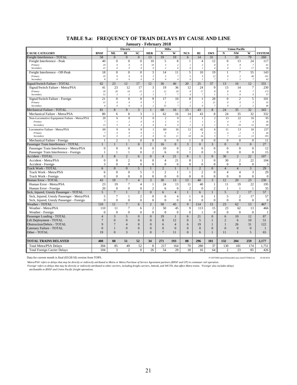|                                                              | <b>January - February 2018</b><br>Electric<br>Milw<br><b>Union Pacific</b><br>BI<br>SC<br><b>HER</b><br>${\bf N}$<br><b>NCS</b><br>RI<br><b>SWS</b><br>${\bf N}$<br><b>NW</b><br>W<br><b>SYSTEM</b><br><b>BNSF</b><br>ML<br>W |                                   |                                |                                         |                                    |                                |                                       |                       |                                 |                          |                                       |                                  |                           |              |
|--------------------------------------------------------------|-------------------------------------------------------------------------------------------------------------------------------------------------------------------------------------------------------------------------------|-----------------------------------|--------------------------------|-----------------------------------------|------------------------------------|--------------------------------|---------------------------------------|-----------------------|---------------------------------|--------------------------|---------------------------------------|----------------------------------|---------------------------|--------------|
|                                                              |                                                                                                                                                                                                                               |                                   |                                |                                         |                                    |                                |                                       |                       |                                 |                          |                                       |                                  |                           |              |
| <b>CAUSE CATEGORY</b>                                        |                                                                                                                                                                                                                               |                                   |                                |                                         |                                    |                                |                                       |                       |                                 |                          |                                       |                                  |                           |              |
| Freight Interference - TOTAL                                 | 58                                                                                                                                                                                                                            | $\overline{0}$                    | $\overline{0}$                 | $\overline{0}$                          | 13                                 | 19                             | 19                                    | 6                     | 14                              | 31                       | $\mathbf{1}$                          | 20                               | 79                        | 260          |
| Freight Interference - Peak                                  | 40                                                                                                                                                                                                                            | $\Omega$                          | $\mathbf{0}$                   | $\overline{0}$                          | 10                                 | 5                              | 8                                     | $\mathbf{1}$          | $\overline{4}$                  | 12                       | $\Omega$                              | 13                               | 24                        | 117          |
| Primary                                                      | 19                                                                                                                                                                                                                            | $\theta$                          | $\boldsymbol{\mathit{0}}$      | $\theta$                                | 10                                 | $\mathfrak{Z}$                 | $\sqrt{2}$                            | $\overline{I}$        | $\boldsymbol{\beta}$            | 8<br>$\overline{A}$      | $\boldsymbol{\theta}$                 | $\boldsymbol{8}$                 | $\boldsymbol{7}$          | 61           |
| Secondary                                                    | 21<br>18                                                                                                                                                                                                                      | $\boldsymbol{\theta}$<br>$\Omega$ | $\theta$<br>$\overline{0}$     | $\boldsymbol{\theta}$<br>$\overline{0}$ | $\boldsymbol{o}$<br>$\overline{3}$ | 2<br>14                        | 6<br>$\overline{11}$                  | 0<br>5                | $\cal I$<br>10                  | 19                       | $\boldsymbol{\theta}$<br>$\mathbf{1}$ | 5<br>7                           | 17<br>55                  | 56           |
| Freight Interference - Off-Peak<br>Primary                   | 10                                                                                                                                                                                                                            | $\theta$                          | $\boldsymbol{\mathit{0}}$      | $\theta$                                | $\boldsymbol{\beta}$               | 5                              | $\boldsymbol{7}$                      | 5                     | $\boldsymbol{9}$                | 12                       | $\boldsymbol{\theta}$                 | $\sqrt{2}$                       | $\sqrt{48}$               | 143<br>101   |
| Secondary                                                    | $\boldsymbol{8}$                                                                                                                                                                                                              | $\boldsymbol{\theta}$             | $\it{0}$                       | $\boldsymbol{\theta}$                   | $\boldsymbol{o}$                   | $\overline{9}$                 | $\overline{4}$                        | $\boldsymbol{\theta}$ | $\mathcal{I}$                   | 7                        | $\mathcal{I}$                         | 5                                | $\overline{7}$            | $42\,$       |
| ignal/Switch Failure - TOTAL                                 | 62                                                                                                                                                                                                                            | 23                                | 12                             | 17                                      | 12                                 | 36                             | 46                                    | 20                    | 25                              | 37                       | 13                                    | 16                               | 12                        | 331          |
| Signal/Switch Failure - Metra/PSA                            | 41                                                                                                                                                                                                                            | 23                                | 12                             | 17                                      | 3                                  | 19                             | 36                                    | 12                    | 24                              | 9                        | 13                                    | 14                               | 7                         | 230          |
| Primary                                                      | 29                                                                                                                                                                                                                            | 20                                | 10                             | 15                                      | $\overline{c}$                     | 12                             | 29                                    | 8                     | 17                              | 8                        | 8                                     | 8                                | $\overline{7}$            | 173          |
| Secondary                                                    | 12                                                                                                                                                                                                                            | $\mathfrak{Z}$                    | $\sqrt{2}$                     | $\sqrt{2}$                              | $\cal I$                           | $\overline{7}$                 | $\boldsymbol{7}$                      | $\sqrt{4}$            | $\boldsymbol{7}$                | $\mathcal{I}$            | 5                                     | 6                                | $\boldsymbol{\mathit{0}}$ | 57           |
| Signal/Switch Failure - Foreign                              | 21                                                                                                                                                                                                                            | $\mathbf{0}$                      | $\mathbf{0}$                   | $\mathbf{0}$                            | 9                                  | 17                             | 10                                    | 8                     | $\mathbf{1}$                    | 28                       | $\mathbf{0}$                          | $\overline{c}$                   | 5                         | 101          |
| Primary                                                      | 15                                                                                                                                                                                                                            | $\boldsymbol{\theta}$             | $\theta$                       | $\boldsymbol{\theta}$                   | $\boldsymbol{7}$                   | $\overline{c}$                 | $\mathfrak{Z}$                        | $\mathfrak{z}$        | $\mathcal{I}$                   | 21                       | $\boldsymbol{\theta}$                 | $\boldsymbol{\mathit{0}}$        | $\mathfrak{z}$            | 55           |
| Secondary                                                    | 6<br>81                                                                                                                                                                                                                       | $\boldsymbol{\theta}$             | $\theta$<br>9                  | $\boldsymbol{\theta}$                   | $\sqrt{2}$                         | 15<br>68                       | $\boldsymbol{7}$                      | 5                     | $\boldsymbol{\mathit{0}}$<br>43 | 7                        | $\boldsymbol{\mathit{0}}$<br>24       | $\sqrt{2}$                       | $\sqrt{2}$<br>32          | $\sqrt{46}$  |
| Mechanical Failure - TOTAL<br>Mechanical Failure - Metra/PSA | 80                                                                                                                                                                                                                            | 8<br>6                            | 8                              | 3                                       | 1<br>1                             | 62                             | 16<br>16                              | 15<br>14              | 43                              | 8<br>8                   | 24                                    | 35                               | 32                        | 343          |
|                                                              | 20                                                                                                                                                                                                                            |                                   |                                | 3<br>$\overline{3}$                     | $\mathbf{0}$                       | $\sqrt{2}$                     |                                       | $\overline{c}$        |                                 | $\overline{c}$           |                                       | 35<br>22                         | 16                        | 332          |
| Non-Locomotive Equipment Failure - Metra/PSA<br>Primary      | $\boldsymbol{7}$                                                                                                                                                                                                              | 6<br>$\mathbf{I}$                 | $\,$ 8 $\,$<br>$\overline{2}$  | $\boldsymbol{\theta}$                   | $\boldsymbol{o}$                   | 2                              | $\mathbf{0}$<br>$\boldsymbol{\theta}$ | $\mathcal{I}$         | $\mathbf{1}$<br>$\mathcal{I}$   | $\mathcal{I}$            | 13<br>$\overline{4}$                  | $\boldsymbol{\beta}$             | $\overline{4}$            | 95<br>26     |
| Secondary                                                    | 13                                                                                                                                                                                                                            | 5                                 | 6                              | $\mathfrak{Z}$                          | $\theta$                           | $\theta$                       | 0                                     | $\overline{I}$        | $\boldsymbol{\mathit{0}}$       | $\mathfrak{I}$           | $\overline{9}$                        | 19                               | 12                        | 69           |
| Locomotive Failure - Metra/PSA                               | 60                                                                                                                                                                                                                            | $\theta$                          | $\overline{0}$                 | $\theta$                                | $\mathbf{1}$                       | 60                             | 16                                    | 12                    | 42                              | 6                        | 11                                    | 13                               | 16                        | 237          |
| Primary                                                      | $\overline{7}$                                                                                                                                                                                                                | $\theta$                          | $\theta$                       | $\Omega$                                | $\mathcal{I}$                      | 9                              | 5                                     | 2                     | 8                               | 3                        | $\boldsymbol{\Lambda}$                | 2                                | $\mathfrak{Z}$            | 44           |
| Secondary                                                    | 53                                                                                                                                                                                                                            | $\boldsymbol{\theta}$             | $\theta$                       | $\it{0}$                                | $\boldsymbol{o}$                   | 51                             | $\cal{H}$                             | $10$                  | 34                              | $\overline{\mathbf{3}}$  | $\boldsymbol{7}$                      | $\cal II$                        | 13                        | 193          |
| Mechanical Failure - Foreign                                 | 1                                                                                                                                                                                                                             | $\overline{2}$                    | $\mathbf{1}$                   | $\overline{0}$                          | $\overline{0}$                     | 6                              | $\overline{0}$                        | $\mathbf{1}$          | $\overline{0}$                  | $\overline{0}$           | $\overline{0}$                        | $\overline{0}$                   | $\overline{0}$            | 11           |
| Passenger Train Interference - TOTAL                         | $\mathbf{1}$                                                                                                                                                                                                                  |                                   |                                | $\overline{0}$                          | 2                                  | 16                             | $\overline{0}$                        | 3                     | $\Omega$                        | $\overline{3}$           | $\Omega$                              | $\Omega$                         | $\overline{0}$            | 27           |
| Passenger Train Interference - Metra/PSA                     | $\mathbf{0}$                                                                                                                                                                                                                  | $\Omega$                          | $\mathbf{0}$                   | $\mathbf{0}$                            | $\overline{0}$                     | 10                             | $\Omega$                              | $\overline{2}$        | $\mathbf{0}$                    | $\overline{0}$           | $\mathbf{0}$                          | $\theta$                         | $\mathbf{0}$              | 12           |
| Passenger Train Interference - Foreign                       | 1                                                                                                                                                                                                                             | $\overline{1}$                    | 1                              | $\mathbf{0}$                            | $\overline{2}$                     | 6                              | $\Omega$                              | 1                     | $\mathbf{0}$                    | 3                        | $\mathbf{0}$                          | $\Omega$                         | $\Omega$                  | 15           |
| Accident - TOTAL                                             | 3                                                                                                                                                                                                                             | 8                                 | $\overline{2}$                 | 6                                       | $\mathbf{0}$                       | $\overline{4}$                 | 21                                    | 8                     |                                 | $\overline{0}$           | 30                                    | $\overline{2}$                   | $\overline{22}$           | 107          |
| Accident - Metra/PSA                                         | $\overline{0}$<br>3                                                                                                                                                                                                           | 8<br>$\theta$                     | $\overline{2}$<br>$\mathbf{0}$ | 6<br>$\mathbf{0}$                       | $\theta$<br>$\overline{0}$         | $\overline{4}$<br>$\mathbf{0}$ | 21<br>$\mathbf{0}$                    | 8<br>$\overline{0}$   | $\mathbf{1}$<br>$\mathbf{0}$    | $\Omega$<br>$\mathbf{0}$ | 30<br>$\overline{0}$                  | $\overline{2}$<br>$\overline{0}$ | 22<br>$\mathbf{0}$        | 104          |
| Accident - Foreign<br><b>Track Work - TOTAL</b>              | 6                                                                                                                                                                                                                             | $\Omega$                          | $\Omega$                       | $\overline{5}$                          | $\mathbf{1}$                       | $\overline{2}$                 | $\mathbf{1}$                          | $\mathbf{1}$          | $\mathfrak{D}$                  | $\Omega$                 | $\overline{4}$                        | $\overline{4}$                   | $\overline{3}$            | 3<br>29      |
| Track Work - Metra/PSA                                       | 6                                                                                                                                                                                                                             | $\Omega$                          | $\Omega$                       | 5                                       | 1                                  | $\overline{2}$                 | -1                                    | 1                     | $\overline{2}$                  | $\Omega$                 | $\overline{4}$                        | $\overline{4}$                   | 3                         | 29           |
| Track Work - Foreign                                         | $\overline{0}$                                                                                                                                                                                                                | $\overline{0}$                    | $\mathbf{0}$                   | $\mathbf{0}$                            | $\mathbf{0}$                       | $\mathbf{0}$                   | $\mathbf{0}$                          | $\overline{0}$        | $\mathbf{0}$                    | $\mathbf{0}$             | $\mathbf{0}$                          | $\mathbf{0}$                     | $\mathbf{0}$              | $\mathbf{0}$ |
| <b>Human Error - TOTAL</b>                                   | 43                                                                                                                                                                                                                            | 19                                | $\overline{7}$                 | $\overline{4}$                          | 3                                  | 30                             | 13                                    | 13                    | 40                              | 3                        | 12                                    | 20                               | 23                        | 230          |
| Human Error - Metra/PSA                                      | 23                                                                                                                                                                                                                            | 19                                | 7                              | $\overline{4}$                          | 1                                  | 24                             | 13                                    | 11                    | 40                              | -1                       | 11                                    | 19                               | 22                        | 195          |
| Human Error - Foreign                                        | 20                                                                                                                                                                                                                            | $\Omega$                          | $\mathbf{0}$                   | $\mathbf{0}$                            | $\overline{2}$                     | 6                              | $\mathbf{0}$                          | $\overline{c}$        | $\mathbf{0}$                    | $\overline{c}$           | $\mathbf{1}$                          | 1                                | 1                         | 35           |
| Sick, Injured, Unruly Passenger - TOTAL                      | $\overline{5}$                                                                                                                                                                                                                | $\tau$                            | $\mathbf{1}$                   | $\overline{2}$                          | $\Omega$                           | 6                              | $\overline{4}$                        | $\mathbf{1}$          | 6                               | $\mathbf{1}$             | $\overline{5}$                        | $\overline{2}$                   | 17                        | 57           |
| Sick, Injured, Unruly Passenger - Metra/PSA                  | 5                                                                                                                                                                                                                             | $\overline{7}$                    | 1                              | $\overline{2}$                          | $\overline{0}$                     | 6                              | $\overline{4}$                        | $\mathbf{1}$          | 6                               | 1                        | 5                                     | $\overline{2}$                   | 17                        | 57           |
| Sick, Injured, Unruly Passenger - Foreign                    | $\mathbf{0}$                                                                                                                                                                                                                  | $\mathbf{0}$                      | $\mathbf{0}$                   | $\overline{0}$                          | $\mathbf{0}$                       | $\overline{0}$                 | $\mathbf{0}$                          | $\mathbf{0}$          | $\mathbf{0}$                    | $\mathbf{0}$             | $\mathbf{0}$                          | $\mathbf{0}$                     | $\mathbf{0}$              | $\mathbf{0}$ |
| <b>Weather - TOTAL</b>                                       | 110                                                                                                                                                                                                                           | 11                                | $\overline{7}$                 | 6                                       | $\overline{2}$                     | 50                             | 45                                    | 9                     | 114                             | 15                       | 23                                    | 62                               | 13                        | 467          |
| Weather - Metra/PSA                                          | 110                                                                                                                                                                                                                           | 11                                | $\tau$                         | 6                                       | $\overline{2}$                     | 50                             | 45                                    | 9                     | 113                             | 15                       | 23                                    | 62                               | 13                        | 466          |
| Weather - Foreign                                            | $\theta$                                                                                                                                                                                                                      | $\Omega$                          | $\Omega$                       | $\overline{0}$                          | $\theta$                           | $\theta$                       | $\Omega$                              | $\theta$              | $\mathbf{1}$                    | $\Omega$                 | $\Omega$                              | $\Omega$                         | $\Omega$                  | 1            |
| Passenger Loading - TOTAL                                    | $\overline{4}$                                                                                                                                                                                                                | 3                                 | 5                              | $\overline{0}$                          | $\overline{0}$                     | 19                             | $\mathbf{1}$                          | 6                     | 21                              | $\overline{0}$           | 6                                     | 10                               | 12                        | 87           |
| Lift Deployment - TOTAL                                      | $\overline{7}$                                                                                                                                                                                                                | $\mathbf{0}$                      | $\mathbf{0}$                   | $\boldsymbol{0}$                        | $\boldsymbol{0}$                   | 8                              | 12                                    | $\boldsymbol{0}$      | 5                               | $\mathbf{1}$             | $\overline{2}$                        | 6                                | 10                        | 51           |
| Obstruction/Debris - TOTAL                                   | 9                                                                                                                                                                                                                             | $\overline{7}$                    | $\overline{\mathcal{A}}$       | 8                                       | $\Omega$                           | 6                              | $\overline{4}$                        | 6                     | 19                              | $\mathbf{1}$             | $\mathbf{1}$                          | 26                               | 31                        | 122          |
| Catenary Failure - TOTAL                                     | $\overline{0}$                                                                                                                                                                                                                | $\mathbf{1}$                      | $\overline{0}$                 | $\mathbf{0}$                            | $\mathbf{0}$                       | $\mathbf{0}$                   | $\mathbf{0}$                          | $\overline{0}$        | $\Omega$                        | $\overline{0}$           | $\overline{0}$                        | $\mathbf{0}$                     | $\overline{0}$            | 1            |
| Other - TOTAL                                                | 19                                                                                                                                                                                                                            | $\theta$                          | 3                              | $\mathbf{1}$                            | $\Omega$                           | $\overline{7}$                 | 11                                    | $\Omega$              | 6                               | $\mathbf{1}$             | 11                                    | $\mathbf{1}$                     | 5                         | 65           |
| <b>TOTAL TRAINS DELAYED</b>                                  | 408                                                                                                                                                                                                                           | 88                                | 51                             | 52                                      | 34                                 | 271                            | 193                                   | 88                    | 296                             | 101                      | 132                                   | 204                              | 259                       | 2,177        |
| <b>Total Metra/PSA Delays</b>                                | 304                                                                                                                                                                                                                           | 85                                | 49                             | 52                                      | 8                                  | 217                            | 164                                   | 70                    | 280                             | 37                       | 130                                   | 181                              | 174                       | 1,751        |
| <b>Total Foreign Carrier Delays</b>                          | 104                                                                                                                                                                                                                           | 3                                 | $\overline{2}$                 | $\overline{0}$                          | 26                                 | 54                             | 29                                    | 18                    | 16                              | 64                       | $\overline{c}$                        | 23                               | 85                        | 426          |

#### **TABLE 9.a: FREQUENCY OF TRAIN DELAYS BY CAUSE AND LINE**

Data for current month is final (03/28/18) version from TOPS. P:\ONTIME\export\[DelaysByCause.xlsm]YTDByLine 03/28/2018

'Metra/PSA' refers to delays that may be directly or indirectly attributed to Metra o Metra Purchase of Service Agreement partners (BNSF and UP) in commuter rail operation.<br>'Foreign' refers to delays that may be directly o

*attributable to BNSF and Union Pacific freight operations.*

21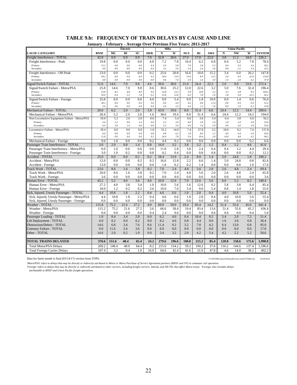|                                              | January - February - Average Over Previous Five Years: 2013-2017 |             |                |             |            |             |             |                |             |             |              |                      |             |               |
|----------------------------------------------|------------------------------------------------------------------|-------------|----------------|-------------|------------|-------------|-------------|----------------|-------------|-------------|--------------|----------------------|-------------|---------------|
|                                              |                                                                  |             | Electric       |             |            | Milw        |             |                |             |             |              | <b>Union Pacific</b> |             |               |
| <b>CAUSE CATEGORY</b>                        | <b>BNSF</b>                                                      | ML          | BI             | <b>SC</b>   | <b>HER</b> | N           | W           | <b>NCS</b>     | RI          | <b>SWS</b>  | N            | <b>NW</b>            | W           | <b>SYSTEM</b> |
| Freight Interference - TOTAL                 | 42.8                                                             | 0.0         | 0.0            | 0.0         | 7.0        | 32.8        | 28.6        | 27.0           | 17.0        | 22.0        | 3.8          | 11.2                 | 34.0        | 226.2         |
| Freight Interference - Peak                  | 19.8                                                             | 0.0         | 0.0            | 0.0         | 6.8        | 7.2         | 7.8         | 10.4           | 6.2         | 6.8         | 0.4          | 5.2                  | 7.8         | 78.4          |
| Primary                                      | 15.2                                                             | 0.0         | $0.0\,$        | 0.0         | 6.4        | 5.0         | 5.8         | 7.0            | 3.8         | 5.2         | 0.4          | 3.0                  | 4.4         | 56.2          |
| Secondary                                    | 4.6                                                              | 0.0         | 0.0            | 0.0         | 0.4        | 2.2         | 2.0         | 3.4            | 2.4         | 1.6         | 0.0          | 2.2                  | 3.4         | 22.2          |
| Freight Interference - Off-Peak              | 23.0                                                             | 0.0         | 0.0            | 0.0         | 0.2        | 25.6        | 20.8        | 16.6           | 10.8        | 15.2        | 3.4          | 6.0                  | 26.2        | 147.8         |
| Primary<br>Secondary                         | 18.2<br>4.8                                                      | 0.0<br>0.0  | $0.0\,$<br>0.0 | 0.0<br>0.0  | 0.2<br>0.0 | 16.0<br>9.6 | 13.4<br>7.4 | 13.6<br>3.0    | 8.4<br>2.4  | 12.2<br>3.0 | 2.0<br>1.4   | 4.0<br>2.0           | 22.0<br>4.2 | 110.0<br>37.8 |
| Signal/Switch Failure - TOTAL                | 51.6                                                             | 14.6        | 7.0            | 9.8         | 4.6        | 39.6        | 30.6        | 21.0           | 24.4        | 22.2        | 5.0          | 9.0                  | 33.0        | 272.4         |
| Signal/Switch Failure - Metra/PSA            | 25.8                                                             | 14.6        | 7.0            | 9.8         | 0.6        | 30.6        | 25.2        | 12.0           | 22.6        | 3.2         | 5.0          | 7.6                  | 32.4        | 196.4         |
| Primary                                      | 15.8                                                             | 8.2         | 4.8            | 8.0         | 0.4        | 14.8        | 13.2        | 5.8            | 14.8        | 2.2         | 3.2          | 3.8                  | 9.2         | 104.2         |
| Secondary                                    | 10.0                                                             | 6.4         | 2.2            | 1.8         | 0.2        | 15.8        | 12.0        | 6.2            | 7.8         | 1.0         | 1.8          | 3.8                  | 23.2        | 92.2          |
| Signal/Switch Failure - Foreign              | 25.8                                                             | 0.0         | 0.0            | 0.0         | 4.0        | 9.0         | 5.4         | 9.0            | 1.8         | 19.0        | 0.0          | 1.4                  | 0.6         | 76.0          |
| Primary                                      | 20.2                                                             | 0.0         | $0.0\,$        | 0.0         | 3.6        | 6.6         | 4.4         | 4.6            | 0.6         | 11.4        | 0.0          | 0.4                  | 0.4         | 52.2          |
| Secondary                                    | 5.6                                                              | 0.0         | 0.0            | 0.0         | 0.4        | 2.4         | 1.0         | 4.4            | 1.2         | 7.6         | 0.0          | 1.0                  | 0.2         | 23.8          |
| Mechanical Failure - TOTAL                   | 29.0                                                             | 6.2         | 2.0            | 2.0         | 1.8        | 43.0        | 19.6        | 8.0            | 31.4        | 6.6         | 24.4         | 12.2                 | 14.4        | 200.6         |
| Mechanical Failure - Metra/PSA               | 28.4                                                             | 5.2         | 2.0            | 2.0         | 1.6        | 38.6        | 19.4        | 8.0            | 31.4        | 6.6         | 24.4         | 12.2                 | 14.2        | 194.0         |
| Non-Locomotive Equipment Failure - Metra/PSA | 10.0                                                             | 5.2         | 2.0            | 2.0         | 0.6        | 7.4         | 5.4         | 0.6            | 3.6         | 3.4         | 6.4          | 3.0                  | 6.6         | 56.2          |
| Primary<br>Secondary                         | 3.6<br>6.4                                                       | 2.2<br>3.0  | 0.6<br>1.4     | 1.4<br>0.6  | 0.6<br>0.0 | 2.2<br>5.2  | 2.0<br>3.4  | $0.0\,$<br>0.6 | 2.0<br>1.6  | 1.4<br>2.0  | $1.8$<br>4.6 | 1.0<br>2.0           | 3.8<br>2.8  | 22.6<br>33.6  |
| Locomotive Failure - Metra/PSA               | 18.4                                                             | 0.0         | 0.0            | 0.0         | 1.0        | 31.2        | 14.0        | 7.4            | 27.8        | 3.2         | 18.0         | 9.2                  | 7.6         | 137.8         |
| Primary                                      | 6.6                                                              | 0.0         | 0.0            | $0.0\,$     | 0.8        | 6.8         | $6.2\,$     | 1.8            | 8.4         | $1.2\,$     | $4.0\,$      | 4.4                  | 3.4         | 43.6          |
| Secondary                                    | 11.8                                                             | 0.0         | 0.0            | 0.0         | 0.2        | 24.4        | 7.8         | 5.6            | 19.4        | 2.0         | 14.0         | 4.8                  | 4.2         | 94.2          |
| Mechanical Failure - Foreign                 | 0.6                                                              | 1.0         | 0.0            | 0.0         | 0.2        | 4.4         | 0.2         | 0.0            | 0.0         | 0.0         | 0.0          | 0.0                  | 0.2         | 6.6           |
| Passenger Train Interference - TOTAL         | 3.0                                                              | 2.0         | 0.8            | 1.4         | 0.8        | 16.0        | 3.2         | 3.8            | 3.2         | 1.2         | 0.4          | 1.2                  | 4.6         | 41.6          |
| Passenger Train Interference - Metra/PSA     | 0.0                                                              | 1.0         | 0.6            | 0.6         | 0.0        | 11.8        | 2.8         | 3.8            | 2.4         | 0.4         | 0.4          | 1.2                  | 4.4         | 29.4          |
| Passenger Train Interference - Foreign       | 3.0                                                              | 1.0         | 0.2            | 0.8         | 0.8        | 4.2         | 0.4         | 0.0            | 0.8         | 0.8         | 0.0          | 0.0                  | 0.2         | 12.2          |
| Accident - TOTAL                             | 25.0                                                             | 0.0         | 0.0            | 0.2         | 0.2        | 18.4        | 13.0        | 2.4            | 8.0         | 1.4         | 5.0          | 24.8                 | 1.8         | 100.2         |
| Accident - Metra/PSA                         | 12.0                                                             | 0.0         | 0.0            | 0.2         | 0.2        | 16.6        | 12.8        | 2.2            | 6.6         | 1.4         | 5.0          | 24.8                 | 0.8         | 82.6          |
| Accident - Foreign                           | 13.0                                                             | 0.0         | 0.0            | 0.0         | 0.0        | 1.8         | 0.2         | 0.2            | 1.4         | 0.0         | 0.0          | 0.0                  | 1.0         | 17.6          |
| Track Work - TOTAL                           | 23.6                                                             | 8.6         | 1.6            | 3.8         | 0.2        | 7.0         | 2.4         | 4.8            | 5.6         | 2.0         | 2.6          | 4.8                  | 2.4         | 69.4          |
| Track Work - Metra/PSA                       | 20.0                                                             | 8.6         | 1.6            | 3.8         | 0.2        | 7.0         | 2.4         | 4.8            | 5.6         | 2.0         | 2.6          | 4.8                  | 2.4         | 65.8          |
| Track Work - Foreign                         | 3.6                                                              | 0.0         | 0.0            | 0.0         | 0.0        | 0.0         | 0.0         | 0.0            | 0.0         | 0.0         | 0.0          | 0.0                  | 0.0         | 3.6           |
| <b>Human Error - TOTAL</b>                   | 45.2                                                             | 5.2         | 4.0            | 3.6         | 4.6        | 20.0        | 12.6        | 7.0            | 12.6        | 5.6         | 6.6          | 5.2                  | 8.2         | 140.4         |
| Human Error - Metra/PSA                      | 27.2                                                             | 4.0         | 3.8            | 3.4         | 1.0        | 10.0        | 5.6         | 1.6            | 12.6        | 0.2         | 5.8          | 3.8                  | 6.4         | 85.4          |
| Human Error - Foreign                        | 18.0                                                             | 1.2         | 0.2            | 0.2         | 3.6        | 10.0        | 7.0         | 5.4            | 0.0         | 5.4         | 0.8          | 1.4                  | 1.8         | 55.0          |
| Sick, Injured, Unruly Passenger - TOTAL      | 4.4                                                              | 10.8        | 1.8            | 2.2         | 0.4        | 4.6         | 6.6         | 1.0            | 2.8         | 0.4         | 4.0          | 10.8                 | 5.6         | 55.4          |
| Sick, Injured, Unruly Passenger - Metra/PSA  | 4.4                                                              | 10.8        | 1.8            | 2.2         | 0.4        | 4.6         | 6.6         | 1.0            | 2.8         | 0.4         | 4.0          | 10.8                 | 5.6         | 55.4          |
| Sick, Injured, Unruly Passenger - Foreign    | 0.0                                                              | 0.0<br>75.2 | 0.0<br>21.6    | 0.0<br>27.2 | 0.0<br>4.0 | 0.0<br>69.0 | 0.0<br>59.0 | 0.0<br>19.4    | 0.0<br>83.4 | 0.0<br>14.2 | 0.0<br>51.4  | 0.0<br>55.6          | 0.0<br>45.6 | 0.0<br>641.4  |
| Weather - TOTAL<br>Weather - Metra/PSA       | 115.8<br>115.2                                                   | 75.2        | 21.6           | 27.2        | 3.6        | 66.6        | 58.4        | 19.4           | 83.4        | 13.6        | 51.4         | 55.6                 | 45.2        | 636.4         |
| Weather - Foreign                            | 0.6                                                              | 0.0         | 0.0            | 0.0         | 0.4        | 2.4         | 0.6         | 0.0            | 0.0         | 0.6         | 0.0          | 0.0                  | 0.4         | 5.0           |
| Passenger Loading - TOTAL                    | 1.0                                                              | 8.4         | 3.4            | 2.8         | 0.0        | 6.2         | 4.0         | 0.4            | 10.4        | 0.2         | 5.4          | 2.0                  | 7.2         | 51.4          |
| Lift Deployment - TOTAL                      | 6.0                                                              | 0.2         | 0.0            | 0.2         | 0.0        | 8.2         | 4.6         | 0.8            | 4.4         | 0.0         | 1.6          | 3.6                  | 6.8         | 36.4          |
| <b>Obstruction/Debris - TOTAL</b>            | 14.6                                                             | 6.8         | 3.4            | 7.6         | 0.6        | 11.4        | 9.2         | 3.2            | 7.8         | 4.2         | 6.4          | 13.0                 | 6.8         | 95.0          |
| Catenary Failure - TOTAL                     | 0.0                                                              | 11.6        | 2.6            | 3.6         | 0.0        | 0.0         | 0.0         | 0.0            | 0.0         | 0.0         | 0.0          | 0.0                  | 0.0         | 17.8          |
| Other - TOTAL                                | 14.6                                                             | 2.0         | 0.2            | 1.0         | 0.0        | 3.4         | 3.2         | 2.0            | 4.2         | 5.4         | 4.2          | 5.2                  | 5.2         | 50.6          |
|                                              |                                                                  |             |                |             |            |             |             |                |             |             |              |                      |             |               |
| <b>TOTAL TRAINS DELAYED</b>                  | 376.6                                                            | 151.6       | 48.4           | 65.4        | 24.2       | 279.6       | 196.6       | 100.8          | 215.2       | 85.4        | 120.8        | 158.6                | 175.6       | 1,998.8       |
| <b>Total Metra/PSA Delays</b>                | 269.2                                                            | 148.4       | 48.0           | 64.4        | 8.2        | 215.0       | 154.2       | 59.2           | 194.2       | 37.6        | 116.2        | 144.6                | 137.4       | 1,596.6       |
| <b>Total Foreign Carrier Delays</b>          | 107.4                                                            | 3.2         | 0.4            | 1.0         | 16.0       | 64.6        | 42.4        | 41.6           | 21.0        | 47.8        | 4.6          | 14.0                 | 38.2        | 402.2         |

# **TABLE 9.b: FREQUENCY OF TRAIN DELAYS BY CAUSE AND LINE**

Data for latest month is final (03/14/17) version from TOPS. P:\ONTIME\export\[DelaysByCause.xlsm]YTDByLine 03/28/2018

Metra/PSA' refers to delays that may be directly or indirectly attributed to Metra Purchase of Service Agreement partners (BNSF and UP) in commuter rail operation.<br>'Foreign' refers to delays that may be directly or indirec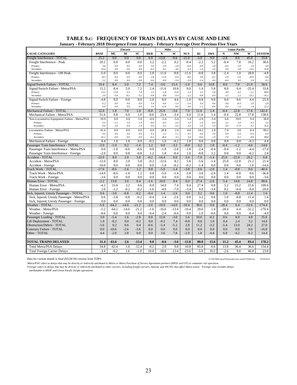| January - February 2018 Divergence From January - February Average Over Previous Five Years |               |                  |                    |                  |                  |                   |                  |                  |                          |                  |                  |                      |                |                |
|---------------------------------------------------------------------------------------------|---------------|------------------|--------------------|------------------|------------------|-------------------|------------------|------------------|--------------------------|------------------|------------------|----------------------|----------------|----------------|
|                                                                                             | Electric      |                  |                    |                  |                  | Milw              |                  |                  |                          |                  |                  | <b>Union Pacific</b> |                |                |
| <b>CAUSE CATEGORY</b>                                                                       | <b>BNSF</b>   | <b>ML</b>        | BI                 | SC               | <b>HER</b>       | $\mathbf N$       | W                | <b>NCS</b>       | RI                       | <b>SWS</b>       | ${\bf N}$        | <b>NW</b>            | W              | <b>SYSTEM</b>  |
| Freight Interference - TOTAL                                                                | 15.2          | 0.0              | 0.0                | 0.0              | 6.0              | $-13.8$           | $-9.6$           | $-21.0$          | $-3.0$                   | 9.0              | $-2.8$           | 8.8                  | 45.0           | 33.8           |
| Freight Interference - Peak                                                                 | 20.2          | 0.0              | 0.0                | 0.0              | 3.2              | $-2.2$            | 0.2              | $-9.4$           | $-2.2$                   | 5.2              | $-0.4$           | 7.8                  | 16.2           | 38.6           |
| Primary                                                                                     | $3.8\,$       | 0.0              | $0.0\,$            | 0.0              | 3.6              | $-2.0$            | $-3.8$           | $-6.0$           | $-0.8$                   | 2.8              | $-0.4$           | 5.0                  | 2.6            | $4.8\,$        |
| Secondary                                                                                   | 16.4          | 0.0              | 0.0                | 0.0              | $-0.4$           | $-0.2$            | 4.0              | $-3.4$           | $-1.4$                   | 2.4              | 0.0              | 2.8                  | 13.6           | 33.8           |
| Freight Interference - Off-Peak                                                             | $-5.0$        | 0.0              | 0.0                | 0.0              | 2.8              | $-11.6$           | $-9.8$           | $-11.6$          | $-0.8$                   | 3.8              | $-2.4$           | 1.0                  | 28.8           | $-4.8$         |
| Primary<br>Secondary                                                                        | $-8.2$<br>3.2 | 0.0<br>$0.0\,$   | $0.0\,$<br>$0.0\,$ | 0.0<br>0.0       | 2.8<br>0.0       | $-11.0$<br>$-0.6$ | $-6.4$<br>$-3.4$ | $-8.6$<br>$-3.0$ | 0.6<br>$-1.4$            | $-0.2$<br>4.0    | $-2.0$<br>$-0.4$ | $-2.0$<br>3.0        | 26.0<br>2.8    | $-9.0$<br>4.2  |
| Signal/Switch Failure - TOTAL                                                               | 10.4          | 8.4              | 5.0                | 7.2              | 7.4              | $-3.6$            | 15.4             | $-1.0$           | 0.6                      | 14.8             | 8.0              | 7.0                  | $-21.0$        | 58.6           |
| Signal/Switch Failure - Metra/PSA                                                           | 15.2          | 8.4              | 5.0                | 7.2              | 2.4              | $-11.6$           | 10.8             | 0.0              | 1.4                      | 5.8              | 8.0              | 6.4                  | $-25.4$        | 33.6           |
| Primary                                                                                     | 13.2          | 11.8             | 5.2                | 7.0              | 1.6              | $-2.8$            | 15.8             | 2.2              | 2.2                      | 5.8              | $4.8\,$          | 4.2                  | $-2.2$         | 68.8           |
| Secondary                                                                                   | 2.0           | $-3.4$           | $-0.2$             | 0.2              | $0.8\,$          | $-8.8$            | $-5.0$           | $-2.2$           | $-0.8$                   | 0.0              | 3.2              | 2.2                  | $-23.2$        | $-35.2$        |
| Signal/Switch Failure - Foreign                                                             | $-4.8$        | 0.0              | 0.0                | 0.0              | 5.0              | 8.0               | 4.6              | $-1.0$           | $-0.8$                   | 9.0              | 0.0              | 0.6                  | 4.4            | 25.0           |
| Primary                                                                                     | $-5.2$        | 0.0              | 0.0                | 0.0              | 3.4              | $-4.6$            | $-1.4$           | $-1.6$           | 0.4                      | 9.6              | 0.0              | $-0.4$               | 2.6            | 2.8            |
| Secondary                                                                                   | 0.4           | $0.0\,$          | $0.0\,$            | 0.0              | 1.6              | 12.6              | 6.0              | 0.6              | $-1.2$                   | $-0.6$           | 0.0              | 1.0                  | 1.8            | 22.2           |
| Mechanical Failure - TOTAL                                                                  | 52.0          | 1.8              | 7.0                | 1.0              | $-0.8$           | 25.0              | $-3.6$           | 7.0              | 11.6                     | 1.4              | $-0.4$           | 22.8                 | 17.6           | 142.4          |
| Mechanical Failure - Metra/PSA                                                              | 51.6          | 0.8              | 6.0                | 1.0              | $-0.6$           | 23.4              | $-3.4$           | 6.0              | 11.6                     | 1.4              | $-0.4$           | 22.8                 | 17.8           | 138.0          |
| Non-Locomotive Equipment Failure - Metra/PSA                                                | 10.0          | 0.8              | 6.0                | 1.0              | $-0.6$           | $-5.4$            | $-5.4$           | 1.4              | $-2.6$                   | $-1.4$           | 6.6              | 19.0                 | 9.4            | 38.8           |
| Primary<br>Secondary                                                                        | 3.4<br>6.6    | $-1.2$<br>2.0    | 1.4<br>4.6         | $-1.4$<br>2.4    | $-0.6$<br>0.0    | $-0.2$<br>$-5.2$  | $-2.0$<br>$-3.4$ | 1.0<br>0.4       | $\hbox{-} 1.0$<br>$-1.6$ | $-0.4$<br>$-1.0$ | 2.2<br>4.4       | 2.0<br>17.0          | 0.2<br>9.2     | 3.4<br>35.4    |
| Locomotive Failure - Metra/PSA                                                              | 41.6          | 0.0              | 0.0                | 0.0              | 0.0              | 28.8              | 2.0              | 4.6              | 14.2                     | 2.8              | $-7.0$           | 3.8                  | 8.4            | 99.2           |
| Primary                                                                                     | 0.4           | 0.0              | 0.0                | 0.0              | 0.2              | 2.2               | $-1.2$           | 0.2              | $-0.4$                   | 1.8              | 0.0              | $-2.4$               | $-0.4$         | 0.4            |
| Secondary                                                                                   | 41.2          | $0.0\,$          | $0.0\,$            | 0.0              | $-0.2$           | 26.6              | 3.2              | 4.4              | 14.6                     | 1.0              | $-7.0$           | 6.2                  | 8.8            | 98.8           |
| Mechanical Failure - Foreign                                                                | 0.4           | 1.0              | 1.0                | 0.0              | $-0.2$           | 1.6               | $-0.2$           | 1.0              | 0.0                      | 0.0              | 0.0              | 0.0                  | $-0.2$         | 4.4            |
| Passenger Train Interference - TOTAL                                                        | $-2.0$        | $-1.0$           | 0.2                | $-1.4$           | 1.2              | 0.0               | $-3.2$           | $-0.8$           | $-3.2$                   | 1.8              | $-0.4$           | $-1.2$               | $-4.6$         | $-14.6$        |
| Passenger Train Interference - Metra/PSA                                                    | 0.0           | $-1.0$           | $-0.6$             | $-0.6$           | 0.0              | $-1.8$            | $-2.8$           | $-1.8$           | $-2.4$                   | $-0.4$           | $-0.4$           | $-1.2$               | $-4.4$         | $-17.4$        |
| Passenger Train Interference - Foreign                                                      | $-2.0$        | 0.0              | 0.8                | $-0.8$           | 1.2              | 1.8               | $-0.4$           | 1.0              | $-0.8$                   | 2.2              | 0.0              | 0.0                  | $-0.2$         | 2.8            |
| Accident - TOTAL                                                                            | $-22.0$       | 8.0              | 2.0                | 5.8              | $-0.2$           | $-14.4$           | 8.0              | 5.6              | $-7.0$                   | $-1.4$           | 25.0             | $-22.8$              | 20.2           | 6.8            |
| Accident - Metra/PSA                                                                        | $-12.0$       | 8.0              | 2.0                | 5.8              | $-0.2$           | $-12.6$           | 8.2              | 5.8              | $-5.6$                   | $-1.4$           | 25.0             | $-22.8$              | 21.2           | 21.4           |
| Accident - Foreign                                                                          | $-10.0$       | 0.0              | 0.0                | 0.0              | 0.0              | $-1.8$            | $-0.2$           | $-0.2$           | $-1.4$                   | 0.0              | 0.0              | 0.0                  | $-1.0$         | $-14.6$        |
| Track Work - TOTAL                                                                          | $-17.6$       | $-8.6$           | $-1.6$             | 1.2              | 0.8              | $-5.0$            | $-1.4$           | $-3.8$           | $-3.6$                   | $-2.0$           | 1.4              | $-0.8$               | 0.6            | $-40.4$        |
| Track Work - Metra/PSA                                                                      | $-14.0$       | $-8.6$           | $-1.6$             | 1.2              | 0.8              | $-5.0$            | $-1.4$           | $-3.8$           | $-3.6$                   | $-2.0$           | 1.4              | $-0.8$               | 0.6            | $-36.8$        |
| Track Work - Foreign                                                                        | $-3.6$        | 0.0              | 0.0                | 0.0              | 0.0              | 0.0               | 0.0              | 0.0              | 0.0                      | 0.0              | 0.0              | 0.0                  | 0.0            | $-3.6$         |
| <b>Human Error - TOTAL</b>                                                                  | $-2.2$        | 13.8             | 3.0                | 0.4              | $-1.6$           | 10.0              | 0.4              | 6.0              | 27.4                     | $-2.6$           | 5.4              | 14.8                 | 14.8           | 89.6           |
| Human Error - Metra/PSA                                                                     | $-4.2$<br>2.0 | 15.0             | 3.2<br>$-0.2$      | 0.6              | 0.0              | 14.0              | 7.4<br>$-7.0$    | 9.4              | 27.4<br>0.0              | 0.8<br>$-3.4$    | 5.2              | 15.2                 | 15.6           | 109.6          |
| Human Error - Foreign                                                                       | 0.6           | $-1.2$<br>$-3.8$ | $-0.8$             | $-0.2$<br>$-0.2$ | $-1.6$<br>$-0.4$ | $-4.0$<br>1.4     | $-2.6$           | $-3.4$<br>0.0    | 3.2                      | 0.6              | 0.2<br>1.0       | $-0.4$<br>$-8.8$     | $-0.8$<br>11.4 | $-20.0$<br>1.6 |
| Sick, Injured, Unruly Passenger - TOTAL<br>Sick, Injured, Unruly Passenger - Metra/PSA      | 0.6           | $-3.8$           | $-0.8$             | $-0.2$           | $-0.4$           | 1.4               | $-2.6$           | 0.0              | 3.2                      | 0.6              | 1.0              | $-8.8$               | 11.4           | 1.6            |
| Sick, Injured, Unruly Passenger - Foreign                                                   | 0.0           | 0.0              | 0.0                | 0.0              | 0.0              | 0.0               | 0.0              | 0.0              | 0.0                      | 0.0              | 0.0              | 0.0                  | 0.0            | 0.0            |
| Weather - TOTAL                                                                             | $-5.8$        | $-64.2$          | $-14.6$            | $-21.2$          | $-2.0$           | $-19.0$           | $-14.0$          | $-10.4$          | 30.6                     | 0.8              | $-28.4$          | 6.4                  | $-32.6$        | $-174.4$       |
| Weather - Metra/PSA                                                                         | $-5.2$        | $-64.2$          | $-14.6$            | $-21.2$          | $-1.6$           | $-16.6$           | $-13.4$          | $-10.4$          | 29.6                     | 1.4              | $-28.4$          | 6.4                  | $-32.2$        | $-170.4$       |
| Weather - Foreign                                                                           | $-0.6$        | 0.0              | 0.0                | 0.0              | $-0.4$           | $-2.4$            | $-0.6$           | 0.0              | 1.0                      | $-0.6$           | 0.0              | 0.0                  | $-0.4$         | $-4.0$         |
| Passenger Loading - TOTAL                                                                   | 3.0           | $-5.4$           | 1.6                | $-2.8$           | 0.0              | 12.8              | $-3.0$           | 5.6              | 10.6                     | $-0.2$           | 0.6              | 8.0                  | 4.8            | 35.6           |
| Lift Deployment - TOTAL                                                                     | 1.0           | $-0.2$           | 0.0                | $-0.2$           | 0.0              | $-0.2$            | 7.4              | $-0.8$           | 0.6                      | 1.0              | 0.4              | 2.4                  | 3.2            | 14.6           |
| <b>Obstruction/Debris - TOTAL</b>                                                           | $-5.6$        | 0.2              | 0.6                | 0.4              | $-0.6$           | $-5.4$            | $-5.2$           | 2.8              | 11.2                     | $-3.2$           | $-5.4$           | 13.0                 | 24.2           | 27.0           |
| Catenary Failure - TOTAL                                                                    | 0.0           | $-10.6$          | $-2.6$             | $-3.6$           | 0.0              | 0.0               | 0.0              | 0.0              | 0.0                      | 0.0              | 0.0              | 0.0                  | 0.0            | $-16.8$        |
| Other - TOTAL                                                                               | 4.4           | $-2.0$           | 2.8                | 0.0              | 0.0              | 3.6               | 7.8              | $-2.0$           | 1.8                      | $-4.4$           | 6.8              | $-4.2$               | $-0.2$         | 14.4           |
|                                                                                             |               |                  |                    |                  |                  |                   |                  |                  |                          |                  |                  |                      |                |                |
| TOTAL TRAINS DELAYED                                                                        | 31.4          | -63.6            | 2.6                | -13.4            | 9.8              | $-8.6$            | $-3.6$           | $-12.8$          | 80.8                     | 15.6             | 11.2             | 45.4                 | 83.4           | 178.2          |
| <b>Total Metra/PSA Delays</b>                                                               | 34.8          | $-63.4$          | 1.0                | $-12.4$          | $-0.2$           | 2.0               | 9.8              | 10.8             | 85.8                     | $-0.6$           | 13.8             | 36.4                 | 36.6           | 154.4          |
| <b>Total Foreign Carrier Delays</b>                                                         | $-3.4$        | $-0.2$           | 1.6                | $-1.0$           | 10.0             | $-10.6$           | $-13.4$          | $-23.6$          | $-5.0$                   | 16.2             | $-2.6$           | 9.0                  | 46.8           | 23.8           |

**TABLE 9.c: FREQUENCY OF TRAIN DELAYS BY CAUSE AND LINE**

Data for current month is final (03/28/18) version from TOPS. P:\ONTIME\export\[DelaysByCause.xlsm]YTDByLine 03/28/2018

*'Metra/PSA' refers to delays that may be directly or indirectly attributed to Metra or Metra Purchase of Service Agreement partners (BNSF and UP) in commuter rail operation.*

*'Foreign' refers to delays that may be directly or indirectly attributed to other carriers, including freight carriers, Amtrak, and NICTD, that affect Metra trains. 'Foreign' also includes delays* 

*attributable to BNSF and Union Pacific freight operations.*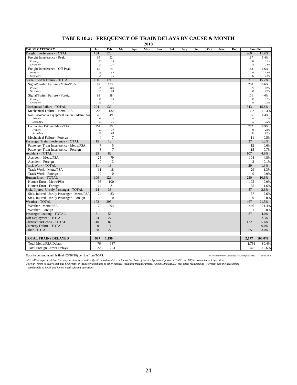# **TABLE 10.a: FREQUENCY OF TRAIN DELAYS BY CAUSE & MONTH**

**2018**

| Freight Interference - TOTAL<br>134<br>126<br>260<br>11.9%<br>Freight Interference - Peak<br>52<br>117<br>5.4%<br>65<br>25<br>Primary<br>36<br>61<br>2.8%<br>27<br>Secondary<br>29<br>56<br>2.6%<br>74<br>Freight Interference - Off-Peak<br>69<br>143<br>6.6%<br>Primary<br>43<br>58<br>101<br>4.6%<br>Secondary<br>26<br>16<br>42<br>1.9%<br>Signal/Switch Failure - TOTAL<br>160<br>171<br>331<br>15.2%<br>Signal/Switch Failure - Metra/PSA<br>133<br>97<br>230<br>10.6%<br>68<br>105<br>7.9%<br>Primary<br>173<br>Secondary<br>29<br>28<br>57<br>2.6%<br>63<br>38<br>Signal/Switch Failure - Foreign<br>101<br>4.6%<br>22<br>33<br>Primary<br>55<br>2.5%<br>Secondary<br>41<br>5<br>46<br>2.1%<br>139<br>343<br>Mechanical Failure - TOTAL<br>204<br>15.8%<br>200<br>Mechanical Failure - Metra/PSA<br>132<br>332<br>15.3%<br>49<br>46<br>95<br>4.4%<br>Non-Locomotive Equipment Failure - Metra/PSA<br>13<br>13<br>Primary<br>26<br>1.2%<br>33<br>36<br>69<br>3.2%<br>Secondary<br>Locomotive Failure - Metra/PSA<br>154<br>83<br>237<br>10.9%<br>Primary<br>25<br>19<br>44<br>2.0%<br>129<br>64<br>8.9%<br>Secondary<br>193<br>7<br>0.5%<br>Mechanical Failure - Foreign<br>$\overline{4}$<br>11<br>Passenger Train Interference - TOTAL<br>15<br>12<br>27<br>1.2%<br>7<br>5<br>Passenger Train Interference - Metra/PSA<br>12<br>0.6%<br>$\boldsymbol{7}$<br>8<br>15<br>0.7%<br>Passenger Train Interference - Foreign<br>25<br>82<br><b>Accident - TOTAL</b><br>107<br>4.9%<br>79<br>104<br>4.8%<br>Accident - Metra/PSA<br>25<br>3<br>$\mathbf{0}$<br>Accident - Foreign<br>3<br>0.1%<br>18<br><b>Track Work - TOTAL</b><br>29<br>1.3%<br>11<br>11<br>18<br>29<br>Track Work - Metra/PSA<br>1.3%<br>$\theta$<br>$\Omega$<br>$\Omega$<br>Track Work - Foreign<br>0.0%<br>Human Error - TOTAL<br>109<br>121<br>230<br>10.6%<br>95<br>100<br>195<br>Human Error - Metra/PSA<br>9.0%<br>14<br>21<br>Human Error - Foreign<br>35<br>1.6%<br>24<br>33<br>Sick, Injured, Unruly Passenger - TOTAL<br>57<br>2.6%<br>Sick, Injured, Unruly Passenger - Metra/PSA<br>33<br>24<br>57<br>2.6%<br>$\mathbf{0}$<br>$\overline{0}$<br>$\mathbf{0}$<br>Sick, Injured, Unruly Passenger - Foreign<br>0.0%<br>295<br>467<br>Weather - TOTAL<br>172<br>21.5%<br>Weather - Metra/PSA<br>172<br>294<br>466<br>21.4%<br>$\theta$<br>Weather - Foreign<br>0.0%<br>$\mathbf{1}$<br>-1<br>31<br>56<br>87<br>4.0%<br>Passenger Loading - TOTAL<br>24<br>27<br>51<br>2.3%<br>Lift Deployment - TOTAL<br>82<br>122<br>Obstruction/Debris - TOTAL<br>40<br>5.6%<br>$\overline{0}$<br>Catenary Failure - TOTAL<br>$\mathbf{1}$<br>$\mathbf{1}$<br>0.0%<br>Other - TOTAL<br>38<br>27<br>65<br>3.0%<br><b>TOTAL TRAINS DELAYED</b><br>1,190<br>100.0%<br>987<br>2,177<br>764<br>987<br>1,751<br>80.4%<br><b>Total Metra/PSA Delays</b><br>223<br>203<br>426<br>19.6%<br><b>Total Foreign Carrier Delays</b> | <b>CAUSE CATEGORY</b> | Jan | Feb | Mar | Apr | May | Jun | Jul | Aug | Sep | Oct | Nov | Dec | Jan - Feb |  |
|---------------------------------------------------------------------------------------------------------------------------------------------------------------------------------------------------------------------------------------------------------------------------------------------------------------------------------------------------------------------------------------------------------------------------------------------------------------------------------------------------------------------------------------------------------------------------------------------------------------------------------------------------------------------------------------------------------------------------------------------------------------------------------------------------------------------------------------------------------------------------------------------------------------------------------------------------------------------------------------------------------------------------------------------------------------------------------------------------------------------------------------------------------------------------------------------------------------------------------------------------------------------------------------------------------------------------------------------------------------------------------------------------------------------------------------------------------------------------------------------------------------------------------------------------------------------------------------------------------------------------------------------------------------------------------------------------------------------------------------------------------------------------------------------------------------------------------------------------------------------------------------------------------------------------------------------------------------------------------------------------------------------------------------------------------------------------------------------------------------------------------------------------------------------------------------------------------------------------------------------------------------------------------------------------------------------------------------------------------------------------------------------------------------------------------------------------------------------------------------------------------------------------------------------------------------------------------------------------------------------------------------------------------------------------------------------------------------------------------------------------------------------------------------------------------------------------------------------------------------------------------------|-----------------------|-----|-----|-----|-----|-----|-----|-----|-----|-----|-----|-----|-----|-----------|--|
|                                                                                                                                                                                                                                                                                                                                                                                                                                                                                                                                                                                                                                                                                                                                                                                                                                                                                                                                                                                                                                                                                                                                                                                                                                                                                                                                                                                                                                                                                                                                                                                                                                                                                                                                                                                                                                                                                                                                                                                                                                                                                                                                                                                                                                                                                                                                                                                                                                                                                                                                                                                                                                                                                                                                                                                                                                                                                       |                       |     |     |     |     |     |     |     |     |     |     |     |     |           |  |
|                                                                                                                                                                                                                                                                                                                                                                                                                                                                                                                                                                                                                                                                                                                                                                                                                                                                                                                                                                                                                                                                                                                                                                                                                                                                                                                                                                                                                                                                                                                                                                                                                                                                                                                                                                                                                                                                                                                                                                                                                                                                                                                                                                                                                                                                                                                                                                                                                                                                                                                                                                                                                                                                                                                                                                                                                                                                                       |                       |     |     |     |     |     |     |     |     |     |     |     |     |           |  |
|                                                                                                                                                                                                                                                                                                                                                                                                                                                                                                                                                                                                                                                                                                                                                                                                                                                                                                                                                                                                                                                                                                                                                                                                                                                                                                                                                                                                                                                                                                                                                                                                                                                                                                                                                                                                                                                                                                                                                                                                                                                                                                                                                                                                                                                                                                                                                                                                                                                                                                                                                                                                                                                                                                                                                                                                                                                                                       |                       |     |     |     |     |     |     |     |     |     |     |     |     |           |  |
|                                                                                                                                                                                                                                                                                                                                                                                                                                                                                                                                                                                                                                                                                                                                                                                                                                                                                                                                                                                                                                                                                                                                                                                                                                                                                                                                                                                                                                                                                                                                                                                                                                                                                                                                                                                                                                                                                                                                                                                                                                                                                                                                                                                                                                                                                                                                                                                                                                                                                                                                                                                                                                                                                                                                                                                                                                                                                       |                       |     |     |     |     |     |     |     |     |     |     |     |     |           |  |
|                                                                                                                                                                                                                                                                                                                                                                                                                                                                                                                                                                                                                                                                                                                                                                                                                                                                                                                                                                                                                                                                                                                                                                                                                                                                                                                                                                                                                                                                                                                                                                                                                                                                                                                                                                                                                                                                                                                                                                                                                                                                                                                                                                                                                                                                                                                                                                                                                                                                                                                                                                                                                                                                                                                                                                                                                                                                                       |                       |     |     |     |     |     |     |     |     |     |     |     |     |           |  |
|                                                                                                                                                                                                                                                                                                                                                                                                                                                                                                                                                                                                                                                                                                                                                                                                                                                                                                                                                                                                                                                                                                                                                                                                                                                                                                                                                                                                                                                                                                                                                                                                                                                                                                                                                                                                                                                                                                                                                                                                                                                                                                                                                                                                                                                                                                                                                                                                                                                                                                                                                                                                                                                                                                                                                                                                                                                                                       |                       |     |     |     |     |     |     |     |     |     |     |     |     |           |  |
|                                                                                                                                                                                                                                                                                                                                                                                                                                                                                                                                                                                                                                                                                                                                                                                                                                                                                                                                                                                                                                                                                                                                                                                                                                                                                                                                                                                                                                                                                                                                                                                                                                                                                                                                                                                                                                                                                                                                                                                                                                                                                                                                                                                                                                                                                                                                                                                                                                                                                                                                                                                                                                                                                                                                                                                                                                                                                       |                       |     |     |     |     |     |     |     |     |     |     |     |     |           |  |
|                                                                                                                                                                                                                                                                                                                                                                                                                                                                                                                                                                                                                                                                                                                                                                                                                                                                                                                                                                                                                                                                                                                                                                                                                                                                                                                                                                                                                                                                                                                                                                                                                                                                                                                                                                                                                                                                                                                                                                                                                                                                                                                                                                                                                                                                                                                                                                                                                                                                                                                                                                                                                                                                                                                                                                                                                                                                                       |                       |     |     |     |     |     |     |     |     |     |     |     |     |           |  |
|                                                                                                                                                                                                                                                                                                                                                                                                                                                                                                                                                                                                                                                                                                                                                                                                                                                                                                                                                                                                                                                                                                                                                                                                                                                                                                                                                                                                                                                                                                                                                                                                                                                                                                                                                                                                                                                                                                                                                                                                                                                                                                                                                                                                                                                                                                                                                                                                                                                                                                                                                                                                                                                                                                                                                                                                                                                                                       |                       |     |     |     |     |     |     |     |     |     |     |     |     |           |  |
|                                                                                                                                                                                                                                                                                                                                                                                                                                                                                                                                                                                                                                                                                                                                                                                                                                                                                                                                                                                                                                                                                                                                                                                                                                                                                                                                                                                                                                                                                                                                                                                                                                                                                                                                                                                                                                                                                                                                                                                                                                                                                                                                                                                                                                                                                                                                                                                                                                                                                                                                                                                                                                                                                                                                                                                                                                                                                       |                       |     |     |     |     |     |     |     |     |     |     |     |     |           |  |
|                                                                                                                                                                                                                                                                                                                                                                                                                                                                                                                                                                                                                                                                                                                                                                                                                                                                                                                                                                                                                                                                                                                                                                                                                                                                                                                                                                                                                                                                                                                                                                                                                                                                                                                                                                                                                                                                                                                                                                                                                                                                                                                                                                                                                                                                                                                                                                                                                                                                                                                                                                                                                                                                                                                                                                                                                                                                                       |                       |     |     |     |     |     |     |     |     |     |     |     |     |           |  |
|                                                                                                                                                                                                                                                                                                                                                                                                                                                                                                                                                                                                                                                                                                                                                                                                                                                                                                                                                                                                                                                                                                                                                                                                                                                                                                                                                                                                                                                                                                                                                                                                                                                                                                                                                                                                                                                                                                                                                                                                                                                                                                                                                                                                                                                                                                                                                                                                                                                                                                                                                                                                                                                                                                                                                                                                                                                                                       |                       |     |     |     |     |     |     |     |     |     |     |     |     |           |  |
|                                                                                                                                                                                                                                                                                                                                                                                                                                                                                                                                                                                                                                                                                                                                                                                                                                                                                                                                                                                                                                                                                                                                                                                                                                                                                                                                                                                                                                                                                                                                                                                                                                                                                                                                                                                                                                                                                                                                                                                                                                                                                                                                                                                                                                                                                                                                                                                                                                                                                                                                                                                                                                                                                                                                                                                                                                                                                       |                       |     |     |     |     |     |     |     |     |     |     |     |     |           |  |
|                                                                                                                                                                                                                                                                                                                                                                                                                                                                                                                                                                                                                                                                                                                                                                                                                                                                                                                                                                                                                                                                                                                                                                                                                                                                                                                                                                                                                                                                                                                                                                                                                                                                                                                                                                                                                                                                                                                                                                                                                                                                                                                                                                                                                                                                                                                                                                                                                                                                                                                                                                                                                                                                                                                                                                                                                                                                                       |                       |     |     |     |     |     |     |     |     |     |     |     |     |           |  |
|                                                                                                                                                                                                                                                                                                                                                                                                                                                                                                                                                                                                                                                                                                                                                                                                                                                                                                                                                                                                                                                                                                                                                                                                                                                                                                                                                                                                                                                                                                                                                                                                                                                                                                                                                                                                                                                                                                                                                                                                                                                                                                                                                                                                                                                                                                                                                                                                                                                                                                                                                                                                                                                                                                                                                                                                                                                                                       |                       |     |     |     |     |     |     |     |     |     |     |     |     |           |  |
|                                                                                                                                                                                                                                                                                                                                                                                                                                                                                                                                                                                                                                                                                                                                                                                                                                                                                                                                                                                                                                                                                                                                                                                                                                                                                                                                                                                                                                                                                                                                                                                                                                                                                                                                                                                                                                                                                                                                                                                                                                                                                                                                                                                                                                                                                                                                                                                                                                                                                                                                                                                                                                                                                                                                                                                                                                                                                       |                       |     |     |     |     |     |     |     |     |     |     |     |     |           |  |
|                                                                                                                                                                                                                                                                                                                                                                                                                                                                                                                                                                                                                                                                                                                                                                                                                                                                                                                                                                                                                                                                                                                                                                                                                                                                                                                                                                                                                                                                                                                                                                                                                                                                                                                                                                                                                                                                                                                                                                                                                                                                                                                                                                                                                                                                                                                                                                                                                                                                                                                                                                                                                                                                                                                                                                                                                                                                                       |                       |     |     |     |     |     |     |     |     |     |     |     |     |           |  |
|                                                                                                                                                                                                                                                                                                                                                                                                                                                                                                                                                                                                                                                                                                                                                                                                                                                                                                                                                                                                                                                                                                                                                                                                                                                                                                                                                                                                                                                                                                                                                                                                                                                                                                                                                                                                                                                                                                                                                                                                                                                                                                                                                                                                                                                                                                                                                                                                                                                                                                                                                                                                                                                                                                                                                                                                                                                                                       |                       |     |     |     |     |     |     |     |     |     |     |     |     |           |  |
|                                                                                                                                                                                                                                                                                                                                                                                                                                                                                                                                                                                                                                                                                                                                                                                                                                                                                                                                                                                                                                                                                                                                                                                                                                                                                                                                                                                                                                                                                                                                                                                                                                                                                                                                                                                                                                                                                                                                                                                                                                                                                                                                                                                                                                                                                                                                                                                                                                                                                                                                                                                                                                                                                                                                                                                                                                                                                       |                       |     |     |     |     |     |     |     |     |     |     |     |     |           |  |
|                                                                                                                                                                                                                                                                                                                                                                                                                                                                                                                                                                                                                                                                                                                                                                                                                                                                                                                                                                                                                                                                                                                                                                                                                                                                                                                                                                                                                                                                                                                                                                                                                                                                                                                                                                                                                                                                                                                                                                                                                                                                                                                                                                                                                                                                                                                                                                                                                                                                                                                                                                                                                                                                                                                                                                                                                                                                                       |                       |     |     |     |     |     |     |     |     |     |     |     |     |           |  |
|                                                                                                                                                                                                                                                                                                                                                                                                                                                                                                                                                                                                                                                                                                                                                                                                                                                                                                                                                                                                                                                                                                                                                                                                                                                                                                                                                                                                                                                                                                                                                                                                                                                                                                                                                                                                                                                                                                                                                                                                                                                                                                                                                                                                                                                                                                                                                                                                                                                                                                                                                                                                                                                                                                                                                                                                                                                                                       |                       |     |     |     |     |     |     |     |     |     |     |     |     |           |  |
|                                                                                                                                                                                                                                                                                                                                                                                                                                                                                                                                                                                                                                                                                                                                                                                                                                                                                                                                                                                                                                                                                                                                                                                                                                                                                                                                                                                                                                                                                                                                                                                                                                                                                                                                                                                                                                                                                                                                                                                                                                                                                                                                                                                                                                                                                                                                                                                                                                                                                                                                                                                                                                                                                                                                                                                                                                                                                       |                       |     |     |     |     |     |     |     |     |     |     |     |     |           |  |
|                                                                                                                                                                                                                                                                                                                                                                                                                                                                                                                                                                                                                                                                                                                                                                                                                                                                                                                                                                                                                                                                                                                                                                                                                                                                                                                                                                                                                                                                                                                                                                                                                                                                                                                                                                                                                                                                                                                                                                                                                                                                                                                                                                                                                                                                                                                                                                                                                                                                                                                                                                                                                                                                                                                                                                                                                                                                                       |                       |     |     |     |     |     |     |     |     |     |     |     |     |           |  |
|                                                                                                                                                                                                                                                                                                                                                                                                                                                                                                                                                                                                                                                                                                                                                                                                                                                                                                                                                                                                                                                                                                                                                                                                                                                                                                                                                                                                                                                                                                                                                                                                                                                                                                                                                                                                                                                                                                                                                                                                                                                                                                                                                                                                                                                                                                                                                                                                                                                                                                                                                                                                                                                                                                                                                                                                                                                                                       |                       |     |     |     |     |     |     |     |     |     |     |     |     |           |  |
|                                                                                                                                                                                                                                                                                                                                                                                                                                                                                                                                                                                                                                                                                                                                                                                                                                                                                                                                                                                                                                                                                                                                                                                                                                                                                                                                                                                                                                                                                                                                                                                                                                                                                                                                                                                                                                                                                                                                                                                                                                                                                                                                                                                                                                                                                                                                                                                                                                                                                                                                                                                                                                                                                                                                                                                                                                                                                       |                       |     |     |     |     |     |     |     |     |     |     |     |     |           |  |
|                                                                                                                                                                                                                                                                                                                                                                                                                                                                                                                                                                                                                                                                                                                                                                                                                                                                                                                                                                                                                                                                                                                                                                                                                                                                                                                                                                                                                                                                                                                                                                                                                                                                                                                                                                                                                                                                                                                                                                                                                                                                                                                                                                                                                                                                                                                                                                                                                                                                                                                                                                                                                                                                                                                                                                                                                                                                                       |                       |     |     |     |     |     |     |     |     |     |     |     |     |           |  |
|                                                                                                                                                                                                                                                                                                                                                                                                                                                                                                                                                                                                                                                                                                                                                                                                                                                                                                                                                                                                                                                                                                                                                                                                                                                                                                                                                                                                                                                                                                                                                                                                                                                                                                                                                                                                                                                                                                                                                                                                                                                                                                                                                                                                                                                                                                                                                                                                                                                                                                                                                                                                                                                                                                                                                                                                                                                                                       |                       |     |     |     |     |     |     |     |     |     |     |     |     |           |  |
|                                                                                                                                                                                                                                                                                                                                                                                                                                                                                                                                                                                                                                                                                                                                                                                                                                                                                                                                                                                                                                                                                                                                                                                                                                                                                                                                                                                                                                                                                                                                                                                                                                                                                                                                                                                                                                                                                                                                                                                                                                                                                                                                                                                                                                                                                                                                                                                                                                                                                                                                                                                                                                                                                                                                                                                                                                                                                       |                       |     |     |     |     |     |     |     |     |     |     |     |     |           |  |
|                                                                                                                                                                                                                                                                                                                                                                                                                                                                                                                                                                                                                                                                                                                                                                                                                                                                                                                                                                                                                                                                                                                                                                                                                                                                                                                                                                                                                                                                                                                                                                                                                                                                                                                                                                                                                                                                                                                                                                                                                                                                                                                                                                                                                                                                                                                                                                                                                                                                                                                                                                                                                                                                                                                                                                                                                                                                                       |                       |     |     |     |     |     |     |     |     |     |     |     |     |           |  |
|                                                                                                                                                                                                                                                                                                                                                                                                                                                                                                                                                                                                                                                                                                                                                                                                                                                                                                                                                                                                                                                                                                                                                                                                                                                                                                                                                                                                                                                                                                                                                                                                                                                                                                                                                                                                                                                                                                                                                                                                                                                                                                                                                                                                                                                                                                                                                                                                                                                                                                                                                                                                                                                                                                                                                                                                                                                                                       |                       |     |     |     |     |     |     |     |     |     |     |     |     |           |  |
|                                                                                                                                                                                                                                                                                                                                                                                                                                                                                                                                                                                                                                                                                                                                                                                                                                                                                                                                                                                                                                                                                                                                                                                                                                                                                                                                                                                                                                                                                                                                                                                                                                                                                                                                                                                                                                                                                                                                                                                                                                                                                                                                                                                                                                                                                                                                                                                                                                                                                                                                                                                                                                                                                                                                                                                                                                                                                       |                       |     |     |     |     |     |     |     |     |     |     |     |     |           |  |
|                                                                                                                                                                                                                                                                                                                                                                                                                                                                                                                                                                                                                                                                                                                                                                                                                                                                                                                                                                                                                                                                                                                                                                                                                                                                                                                                                                                                                                                                                                                                                                                                                                                                                                                                                                                                                                                                                                                                                                                                                                                                                                                                                                                                                                                                                                                                                                                                                                                                                                                                                                                                                                                                                                                                                                                                                                                                                       |                       |     |     |     |     |     |     |     |     |     |     |     |     |           |  |
|                                                                                                                                                                                                                                                                                                                                                                                                                                                                                                                                                                                                                                                                                                                                                                                                                                                                                                                                                                                                                                                                                                                                                                                                                                                                                                                                                                                                                                                                                                                                                                                                                                                                                                                                                                                                                                                                                                                                                                                                                                                                                                                                                                                                                                                                                                                                                                                                                                                                                                                                                                                                                                                                                                                                                                                                                                                                                       |                       |     |     |     |     |     |     |     |     |     |     |     |     |           |  |
|                                                                                                                                                                                                                                                                                                                                                                                                                                                                                                                                                                                                                                                                                                                                                                                                                                                                                                                                                                                                                                                                                                                                                                                                                                                                                                                                                                                                                                                                                                                                                                                                                                                                                                                                                                                                                                                                                                                                                                                                                                                                                                                                                                                                                                                                                                                                                                                                                                                                                                                                                                                                                                                                                                                                                                                                                                                                                       |                       |     |     |     |     |     |     |     |     |     |     |     |     |           |  |
|                                                                                                                                                                                                                                                                                                                                                                                                                                                                                                                                                                                                                                                                                                                                                                                                                                                                                                                                                                                                                                                                                                                                                                                                                                                                                                                                                                                                                                                                                                                                                                                                                                                                                                                                                                                                                                                                                                                                                                                                                                                                                                                                                                                                                                                                                                                                                                                                                                                                                                                                                                                                                                                                                                                                                                                                                                                                                       |                       |     |     |     |     |     |     |     |     |     |     |     |     |           |  |
|                                                                                                                                                                                                                                                                                                                                                                                                                                                                                                                                                                                                                                                                                                                                                                                                                                                                                                                                                                                                                                                                                                                                                                                                                                                                                                                                                                                                                                                                                                                                                                                                                                                                                                                                                                                                                                                                                                                                                                                                                                                                                                                                                                                                                                                                                                                                                                                                                                                                                                                                                                                                                                                                                                                                                                                                                                                                                       |                       |     |     |     |     |     |     |     |     |     |     |     |     |           |  |
|                                                                                                                                                                                                                                                                                                                                                                                                                                                                                                                                                                                                                                                                                                                                                                                                                                                                                                                                                                                                                                                                                                                                                                                                                                                                                                                                                                                                                                                                                                                                                                                                                                                                                                                                                                                                                                                                                                                                                                                                                                                                                                                                                                                                                                                                                                                                                                                                                                                                                                                                                                                                                                                                                                                                                                                                                                                                                       |                       |     |     |     |     |     |     |     |     |     |     |     |     |           |  |
|                                                                                                                                                                                                                                                                                                                                                                                                                                                                                                                                                                                                                                                                                                                                                                                                                                                                                                                                                                                                                                                                                                                                                                                                                                                                                                                                                                                                                                                                                                                                                                                                                                                                                                                                                                                                                                                                                                                                                                                                                                                                                                                                                                                                                                                                                                                                                                                                                                                                                                                                                                                                                                                                                                                                                                                                                                                                                       |                       |     |     |     |     |     |     |     |     |     |     |     |     |           |  |
|                                                                                                                                                                                                                                                                                                                                                                                                                                                                                                                                                                                                                                                                                                                                                                                                                                                                                                                                                                                                                                                                                                                                                                                                                                                                                                                                                                                                                                                                                                                                                                                                                                                                                                                                                                                                                                                                                                                                                                                                                                                                                                                                                                                                                                                                                                                                                                                                                                                                                                                                                                                                                                                                                                                                                                                                                                                                                       |                       |     |     |     |     |     |     |     |     |     |     |     |     |           |  |
|                                                                                                                                                                                                                                                                                                                                                                                                                                                                                                                                                                                                                                                                                                                                                                                                                                                                                                                                                                                                                                                                                                                                                                                                                                                                                                                                                                                                                                                                                                                                                                                                                                                                                                                                                                                                                                                                                                                                                                                                                                                                                                                                                                                                                                                                                                                                                                                                                                                                                                                                                                                                                                                                                                                                                                                                                                                                                       |                       |     |     |     |     |     |     |     |     |     |     |     |     |           |  |
|                                                                                                                                                                                                                                                                                                                                                                                                                                                                                                                                                                                                                                                                                                                                                                                                                                                                                                                                                                                                                                                                                                                                                                                                                                                                                                                                                                                                                                                                                                                                                                                                                                                                                                                                                                                                                                                                                                                                                                                                                                                                                                                                                                                                                                                                                                                                                                                                                                                                                                                                                                                                                                                                                                                                                                                                                                                                                       |                       |     |     |     |     |     |     |     |     |     |     |     |     |           |  |
|                                                                                                                                                                                                                                                                                                                                                                                                                                                                                                                                                                                                                                                                                                                                                                                                                                                                                                                                                                                                                                                                                                                                                                                                                                                                                                                                                                                                                                                                                                                                                                                                                                                                                                                                                                                                                                                                                                                                                                                                                                                                                                                                                                                                                                                                                                                                                                                                                                                                                                                                                                                                                                                                                                                                                                                                                                                                                       |                       |     |     |     |     |     |     |     |     |     |     |     |     |           |  |
|                                                                                                                                                                                                                                                                                                                                                                                                                                                                                                                                                                                                                                                                                                                                                                                                                                                                                                                                                                                                                                                                                                                                                                                                                                                                                                                                                                                                                                                                                                                                                                                                                                                                                                                                                                                                                                                                                                                                                                                                                                                                                                                                                                                                                                                                                                                                                                                                                                                                                                                                                                                                                                                                                                                                                                                                                                                                                       |                       |     |     |     |     |     |     |     |     |     |     |     |     |           |  |
|                                                                                                                                                                                                                                                                                                                                                                                                                                                                                                                                                                                                                                                                                                                                                                                                                                                                                                                                                                                                                                                                                                                                                                                                                                                                                                                                                                                                                                                                                                                                                                                                                                                                                                                                                                                                                                                                                                                                                                                                                                                                                                                                                                                                                                                                                                                                                                                                                                                                                                                                                                                                                                                                                                                                                                                                                                                                                       |                       |     |     |     |     |     |     |     |     |     |     |     |     |           |  |
|                                                                                                                                                                                                                                                                                                                                                                                                                                                                                                                                                                                                                                                                                                                                                                                                                                                                                                                                                                                                                                                                                                                                                                                                                                                                                                                                                                                                                                                                                                                                                                                                                                                                                                                                                                                                                                                                                                                                                                                                                                                                                                                                                                                                                                                                                                                                                                                                                                                                                                                                                                                                                                                                                                                                                                                                                                                                                       |                       |     |     |     |     |     |     |     |     |     |     |     |     |           |  |
|                                                                                                                                                                                                                                                                                                                                                                                                                                                                                                                                                                                                                                                                                                                                                                                                                                                                                                                                                                                                                                                                                                                                                                                                                                                                                                                                                                                                                                                                                                                                                                                                                                                                                                                                                                                                                                                                                                                                                                                                                                                                                                                                                                                                                                                                                                                                                                                                                                                                                                                                                                                                                                                                                                                                                                                                                                                                                       |                       |     |     |     |     |     |     |     |     |     |     |     |     |           |  |
|                                                                                                                                                                                                                                                                                                                                                                                                                                                                                                                                                                                                                                                                                                                                                                                                                                                                                                                                                                                                                                                                                                                                                                                                                                                                                                                                                                                                                                                                                                                                                                                                                                                                                                                                                                                                                                                                                                                                                                                                                                                                                                                                                                                                                                                                                                                                                                                                                                                                                                                                                                                                                                                                                                                                                                                                                                                                                       |                       |     |     |     |     |     |     |     |     |     |     |     |     |           |  |
|                                                                                                                                                                                                                                                                                                                                                                                                                                                                                                                                                                                                                                                                                                                                                                                                                                                                                                                                                                                                                                                                                                                                                                                                                                                                                                                                                                                                                                                                                                                                                                                                                                                                                                                                                                                                                                                                                                                                                                                                                                                                                                                                                                                                                                                                                                                                                                                                                                                                                                                                                                                                                                                                                                                                                                                                                                                                                       |                       |     |     |     |     |     |     |     |     |     |     |     |     |           |  |

Data for current month is final (03/28/18) version from TOPS. P:\ONTIME\report\{DelaysByCause.xlsm}AllMonths 03/28/2018

Metra/PSA' refers to delays that may be directly or indirectly attributed to Metra or Metra Purchase of Service Agreement partners (BNSF and UP) in commuter rail operation.<br>'Foreign' refers to delays that may be directly o

24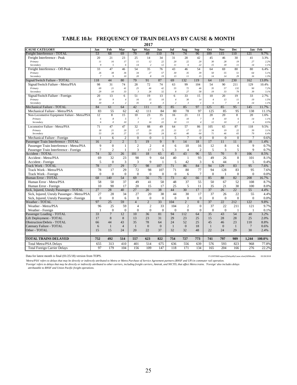#### **TABLE 10.b: FREQUENCY OF TRAIN DELAYS BY CAUSE & MONTH**

**2017**

| <b>CAUSE CATEGORY</b>                                  | Jan                | Feb                       | Mar                  | Apr                                | May                            | Jun            | Jul                     | Aug                            | <b>Sep</b>                         | Oct                | Nov                  | Dec                |                        | Jan - Feb    |
|--------------------------------------------------------|--------------------|---------------------------|----------------------|------------------------------------|--------------------------------|----------------|-------------------------|--------------------------------|------------------------------------|--------------------|----------------------|--------------------|------------------------|--------------|
| Freight Interference - TOTAL                           | 53                 | 68                        | 69                   | 79                                 | 49                             | 110            | 74                      | 74                             | 96                                 | 109                | 115                  | 110                | 121                    | 9.7%         |
| Freight Interference - Peak                            | 20                 | 21                        | 23                   | 25                                 | 14                             | 34             | 31                      | 28                             | 42                                 | 45                 | 46                   | 30                 | 41                     | 3.3%         |
| Primary                                                | 11                 | 16                        | 17                   | $\cal II$                          | 12                             | 22             | 20                      | 22                             | 20                                 | 30                 | 28                   | 19                 | 27                     | 2.2%         |
| Secondary                                              | 9                  | 5                         | 6                    | 14                                 | $\sqrt{2}$                     | 12             | 11                      | 6                              | 22                                 | 15                 | 18                   | $_{II}$            | 14                     | 1.1%         |
| Freight Interference - Off-Peak                        | 33                 | 47                        | 46                   | 54                                 | 35                             | 76             | 43                      | 46                             | 54                                 | 64                 | 69                   | 80                 | 80                     | 6.4%         |
| Primary                                                | 26                 | 38                        | 36                   | 34                                 | 27                             | 57             | 30                      | 35                             | 39                                 | 50                 | 55                   | 51                 | 64                     | 5.1%         |
| Secondary                                              | $\overline{7}$     | 9                         | 10                   | 20                                 | $\boldsymbol{8}$               | 19             | 13                      | 11                             | 15                                 | 14                 | 14                   | 29                 | 16                     | 1.3%         |
| Signal/Switch Failure - TOTAL                          | 118                | 44                        | 80                   | 79                                 | 91                             | 87             | 69                      | 132                            | 119                                | 64                 | 110                  | 230                | 162                    | 13.0%        |
| Signal/Switch Failure - Metra/PSA                      | 98                 | 31                        | 74                   | 28                                 | 72                             | 74             | 63                      | 99                             | 104                                | 54                 | 90                   | 211                | 129                    | 10.4%        |
| Primary                                                | 69<br>29           | 21<br>$10\,$              | 41<br>33             | 25<br>$\mathfrak{Z}$               | 46<br>26                       | 42<br>32       | 55<br>8                 | $72\,$<br>27                   | 46<br>58                           | 35<br>19           | 57<br>33             | 132<br>79          | 90<br>39               | 7.2%         |
| Secondary                                              | 20                 | 13                        |                      |                                    |                                |                |                         | 33                             |                                    | 10                 | 20                   | 19                 | 33                     | 3.1%         |
| Signal/Switch Failure - Foreign<br>Primary             | 10                 | 9                         | 6<br>$\overline{4}$  | 51<br>16                           | 19<br>15                       | 13<br>10       | 6<br>$\overline{4}$     | 30                             | 15<br>14                           | $\overline{4}$     | 13                   | II                 | 19                     | 2.7%<br>1.5% |
| Secondary                                              | 10                 | $\overline{4}$            | $\sqrt{2}$           | 35                                 | $\overline{4}$                 | $\mathfrak{Z}$ | $\overline{\mathbf{z}}$ | $\mathfrak{Z}$                 | $\overline{1}$                     | 6                  | $\overline{7}$       | 8                  | 14                     | 1.1%         |
| Mechanical Failure - TOTAL                             | 84                 | 61                        | 64                   | 42                                 | 111                            | 85             | 85                      | 85                             | 97                                 | 125                | 85                   | 95                 | 145                    | 11.7%        |
| Mechanical Failure - Metra/PSA                         | 83                 | 55                        | 62                   | 42                                 | 111                            | 84             | 80                      | 78                             | 97                                 | 125                | 85                   | 95                 | 138                    | 11.1%        |
| Non-Locomotive Equipment Failure - Metra/PSA           | 12                 | 8                         | 15                   | 10                                 | 23                             | 35             | 16                      | 21                             | 11                                 | 20                 | 20                   | 8                  | 20                     | 1.6%         |
| Primary                                                | 6                  | $\boldsymbol{8}$          | 5                    | $\overline{7}$                     | $\overline{7}$                 | 13             | 6                       | 10                             | $\overline{7}$                     | 8                  | 10                   | 6                  | 14                     | 1.1%         |
| Secondary                                              | 6                  | $\boldsymbol{\mathit{0}}$ | 10                   | $\mathfrak{Z}$                     | 16                             | 22             | $I\mathcal{O}$          | 11                             | $\sqrt{4}$                         | 12                 | 10                   | $\overline{2}$     | 6                      | 0.5%         |
| Locomotive Failure - Metra/PSA                         | 71                 | 47                        | 47                   | 32                                 | 88                             | 49             | 64                      | 57                             | 86                                 | 105                | 65                   | 87                 | 118                    | 9.5%         |
| Primary                                                | ${\it 18}$         | 21                        | 20                   | 17                                 | 29                             | 25             | 21                      | 17                             | 22                                 | 34                 | 19                   | 22                 | 39                     | 3.1%         |
| Secondary                                              | 53                 | 26                        | 27                   | 15                                 | 59                             | 24             | 43                      | 40                             | 64                                 | 71                 | 46                   | 65                 | 79                     | 6.4%         |
| Mechanical Failure - Foreign                           |                    | 6                         | $\overline{c}$       | $\mathbf{0}$                       | $\overline{0}$                 | $\mathbf{1}$   | 5                       | $\overline{7}$                 | $\mathbf{0}$                       | $\overline{0}$     | $\overline{0}$       | $\overline{0}$     | $\overline{7}$         | 0.6%         |
| Passenger Train Interference - TOTAL                   | 16                 | $\overline{2}$            | $\overline{2}$       | 5                                  | 19                             | 9              | 9                       | 14                             | 18                                 | 17                 | 11                   | 11                 | 18                     | 1.4%         |
| Passenger Train Interference - Metra/PSA               | 9                  | $\overline{0}$            | 1                    | $\overline{2}$                     | $\overline{2}$                 | 4              | 6                       | 10                             | 16                                 | 12                 | 8                    | 6                  | 9                      | 0.7%         |
| Passenger Train Interference - Foreign                 | 7                  | $\overline{c}$            | $\mathbf{1}$         | 3                                  | 17                             | 5              | 3                       | $\overline{4}$                 | $\overline{2}$                     | 5                  | 3                    | 5                  | 9                      | 0.7%         |
| <b>Accident - TOTAL</b>                                | 74                 | 32                        | 26                   | 101                                | 18                             | 65             | 45                      | 43                             | 96                                 | 55                 | 70                   | 9                  | 106                    | 8.5%         |
| Accident - Metra/PSA                                   | 69                 | 32                        | 23                   | 98                                 | 9                              | 64             | 40                      | 1                              | 93                                 | 49                 | 26                   | 8                  | 101                    | 8.1%         |
| Accident - Foreign                                     | 5                  | $\mathbf{0}$              | 3                    | 3                                  | 9                              | $\mathbf{1}$   | 5                       | 42                             | 3                                  | 6                  | 44                   | $\mathbf{1}$       | 5                      | 0.4%         |
| <b>Track Work - TOTAL</b>                              | 78                 | 17                        | 29                   | 72                                 | 98                             | 107            | 71                      | 86                             | 84                                 | 94                 | 129                  | 83                 | 95                     | 7.6%         |
| Track Work - Metra/PSA                                 | 78                 | 17                        | 29                   | 72                                 | 98                             | 107            | 71                      | 80                             | 77                                 | 94                 | 128                  | 83                 | 95                     | 7.6%         |
| Track Work - Foreign                                   | $\Omega$           | $\mathbf{0}$              | $\boldsymbol{0}$     | $\mathbf{0}$                       | $\theta$                       | $\mathbf{0}$   | $\theta$                | 6                              | $\overline{7}$                     | $\mathbf{0}$       | $\mathbf{1}$         | $\mathbf{0}$       | $\Omega$               | 0.0%         |
| Human Error - TOTAL                                    | 68                 | 140                       | 54                   | 69                                 | 56                             | 75             | 73                      | 42                             | 66                                 | 85                 | 88                   | 82                 | 208                    | 16.7%        |
| Human Error - Metra/PSA                                | 58                 | 50                        | 37                   | 49                                 | 41                             | 58             | 48                      | 37                             | 55                                 | 50                 | 67                   | 52                 | 108                    | 8.7%         |
| Human Error - Foreign                                  | 10                 | 90                        | 17                   | 20                                 | 15                             | 17             | 25                      | 5                              | 11                                 | 35                 | 21                   | 30                 | 100                    | 8.0%         |
| Sick, Injured, Unruly Passenger - TOTAL                | 27                 | 28                        | 40                   | 27                                 | 20                             | 38             | 44                      | 30 <sup>2</sup>                | 17                                 | 37                 | 26                   | 22                 | 55                     | 4.4%         |
| Sick, Injured, Unruly Passenger - Metra/PSA            | 27                 | 28                        | 34                   | 27                                 | 20                             | 38             | 44                      | 30                             | 17                                 | 37                 | 26                   | 22                 | 55                     | 4.4%         |
| Sick, Injured, Unruly Passenger - Foreign              | $\theta$<br>97     | $\mathbf{0}$<br>25        | 6<br>59              | $\boldsymbol{0}$<br>$\overline{4}$ | $\mathbf{0}$<br>$\overline{2}$ | $\mathbf{0}$   | $\Omega$                | $\mathbf{0}$<br>$\overline{2}$ | $\boldsymbol{0}$<br>$\overline{0}$ | $\mathbf{0}$<br>37 | $\overline{0}$<br>22 | $\overline{0}$     | $\mathbf{0}$<br>122    | 0.0%         |
| Weather - TOTAL                                        |                    |                           |                      |                                    |                                | 33             | 104                     |                                |                                    |                    |                      | 212                |                        | 9.8%         |
| Weather - Metra/PSA                                    | 96<br>$\mathbf{1}$ | 25<br>$\mathbf{0}$        | 59                   | $\overline{4}$                     | $\overline{2}$                 | 33<br>$\Omega$ | 104<br>$\Omega$         | $\overline{2}$                 | $\mathbf{0}$<br>$\Omega$           | 37<br>$\Omega$     | 22<br>$\Omega$       | 211<br>1           | 121<br>$\mathbf{1}$    | 9.7%         |
| Weather - Foreign<br>Passenger Loading - TOTAL         | 33                 | $\overline{7}$            | $\mathbf{0}$<br>12   | $\mathbf{0}$<br>10                 | $\mathbf{0}$<br>36             | 81             | 94                      | $\mathbf{0}$<br>112            | 64                                 | 35                 | 43                   | 54                 | 40                     | 0.1%<br>3.2% |
|                                                        | 17                 | 8                         | 8                    | 13                                 | 23                             | 31             | 29                      | 23                             | 25                                 | 15                 | 28                   |                    |                        |              |
| Lift Deployment - TOTAL                                |                    | 44                        |                      | 35                                 | 78                             | 64             | 24                      | 52                             |                                    | 45                 |                      | 28                 | 25                     | 2.0%         |
| Obstruction/Debris - TOTAL<br>Catenary Failure - TOTAL | 66<br>6            | $\mathbf{1}$              | 43<br>$\overline{4}$ | $\mathbf{1}$                       | $\overline{0}$                 | $\Omega$       | $\mathbf{1}$            | $\overline{0}$                 | 25<br>18                           | $\mathbf{1}$       | 46<br>$\overline{0}$ | 23<br>$\mathbf{1}$ | 110<br>$7\phantom{.0}$ | 8.8%<br>0.6% |
|                                                        | 15                 | 15                        | 24                   | 20                                 | 22                             | 37             | 32                      | 32                             | 48                                 | 22                 | 24                   | 29                 | 30                     | 2.4%         |
| Other - TOTAL                                          |                    |                           |                      |                                    |                                |                |                         |                                |                                    |                    |                      |                    |                        |              |
| <b>TOTAL TRAINS DELAYED</b>                            | 752                | 492                       | 514                  | 557                                | 623                            | 822            | 754                     | 727                            | 773                                | 741                | 797                  | 989                | 1,244                  | 100.0%       |
| <b>Total Metra/PSA Delays</b>                          | 655                | 313                       | 410                  | 401                                | 514                            | 675            | 636                     | 556                            | 639                                | 576                | 593                  | 823                | 968                    | 77.8%        |
| <b>Total Foreign Carrier Delays</b>                    | 97                 | 179                       | 104                  | 156                                | 109                            | 147            | 118                     | 171                            | 134                                | 165                | 204                  | 166                | 276                    | 22.2%        |

Data for latest month is final (01/25/18) version from TOPS. P:\ONTIME\report\[DelaysByCause.xlsm]AllMonths 03/28/2018

*'Metra/PSA' refers to delays that may be directly or indirectly attributed to Metra or Metra Purchase of Service Agreement partners (BNSF and UP) in commuter rail operation.*

'Foreign' refers to delays that may be directly or indirectly attributed to other carriers, including freight carriers, Amtrak, and NICTD, that affect Metra trains. 'Foreign' also includes delays<br>attributable to BNSF and U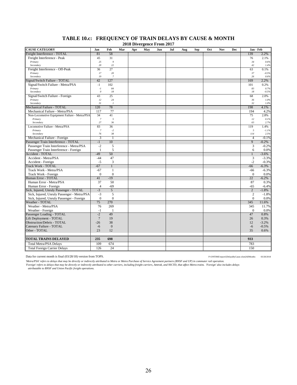| Freight Interference - TOTAL<br>58<br>139<br>2.2%<br>81<br>Freight Interference - Peak<br>31<br>45<br>76<br>2.1%<br>Primary<br>25<br>$\boldsymbol{9}$<br>0.6%<br>34<br>22<br>20<br>Secondary<br>42<br>1.4%<br>27<br>Freight Interference - Off-Peak<br>36<br>0.1%<br>63<br>17<br>Primary<br>20<br>37<br>$-0.5%$<br>Secondary<br>19<br>$\overline{7}$<br>0.6%<br>26<br>42<br>Signal/Switch Failure - TOTAL<br>127<br>169<br>2.2%<br>Signal/Switch Failure - Metra/PSA<br>$-1$<br>102<br>101<br>0.2%<br>84<br>0.7%<br>Primary<br>83<br>$-I$<br>18<br>Secondary<br>$\theta$<br>$18\,$<br>$-0.5%$<br>25<br>Signal/Switch Failure - Foreign<br>43<br>2.0%<br>68<br>Primary<br>12<br>24<br>36<br>1.0%<br>Secondary<br>31<br>$\mathcal{I}_{\mathcal{I}}$<br>32<br>1.0%<br>78<br>Mechanical Failure - TOTAL<br>120<br>198<br>4.1%<br>77<br>Mechanical Failure - Metra/PSA<br>117<br>194<br>4.2%<br>41<br>Non-Locomotive Equipment Failure - Metra/PSA<br>34<br>75<br>2.8%<br>$\boldsymbol{7}$<br>$\overline{5}$<br>12<br>0.1%<br>Primary<br>27<br>Secondary<br>36<br>2.7%<br>63<br>Locomotive Failure - Metra/PSA<br>83<br>36<br>119<br>1.4%<br>$\overline{7}$<br>$-2$<br>Primary<br>5<br>$-1.1%$<br>38<br>Secondary<br>76<br>114<br>2.5%<br>Mechanical Failure - Foreign<br>3<br>$\overline{4}$<br>$-0.1%$<br>$\mathbf{1}$<br>Passenger Train Interference - TOTAL<br>$-1$<br>10<br>9<br>$-0.2%$<br>$-2$<br>5<br>3<br>$-0.2%$<br>Passenger Train Interference - Metra/PSA<br>$\mathbf{1}$<br>5<br>Passenger Train Interference - Foreign<br>6<br>0.0%<br><b>Accident - TOTAL</b><br>$-49$<br>50<br>$\mathbf{1}$<br>$-3.6%$<br>Accident - Metra/PSA<br>$-44$<br>47<br>3<br>$-3.3%$<br>3<br>$-5$<br>Accident - Foreign<br>$-2$<br>$-0.3%$<br><b>Track Work - TOTAL</b><br>$-67$<br>$\overline{1}$<br>$-6.3%$<br>$-66$<br>Track Work - Metra/PSA<br>$-67$<br>1<br>-66<br>$-6.3%$<br>$\overline{0}$<br>$\mathbf{0}$<br>Track Work - Foreign<br>$\mathbf{0}$<br>0.0%<br>$-19$<br>Human Error - TOTAL<br>41<br>22<br>$-6.2\%$<br>50<br>Human Error - Metra/PSA<br>37<br>87<br>0.3%<br>$-69$<br>Human Error - Foreign<br>$\overline{4}$<br>$-65$<br>$-6.4%$<br>$\overline{5}$<br>Sick, Injured, Unruly Passenger - TOTAL<br>$-3$<br>$\overline{2}$<br>$-1.8%$<br>$-3$<br>Sick, Injured, Unruly Passenger - Metra/PSA<br>5<br>$\overline{2}$<br>$-1.8%$<br>$\overline{0}$<br>$\mathbf{0}$<br>Sick, Injured, Unruly Passenger - Foreign<br>$\Omega$<br>0.0%<br><b>Weather - TOTAL</b><br>270<br>75<br>345<br>11.6%<br>269<br>Weather - Metra/PSA<br>76<br>345<br>11.7%<br>Weather - Foreign<br>$-1$<br>$\mathbf{0}$<br>0.0%<br>$\mathbf{1}$<br>$-2$<br>49<br>Passenger Loading - TOTAL<br>47<br>0.8%<br>$\overline{7}$<br>Lift Deployment - TOTAL<br>19<br>0.3%<br>26<br>38<br><b>Obstruction/Debris - TOTAL</b><br>$-26$<br>$-3.2%$<br>12<br>$\overline{0}$<br>Catenary Failure - TOTAL<br>$-6$<br>$-6$<br>$-0.5%$<br>12<br>Other - TOTAL<br>23<br>35<br>0.6%<br><b>TOTAL TRAINS DELAYED</b><br>235<br>698<br>933<br>109<br>674<br>783<br><b>Total Metra/PSA Delays</b><br>24<br>126<br>150<br><b>Total Foreign Carrier Delays</b> | <b>CAUSE CATEGORY</b> | Jan | Feb | Mar | Apr | $\frac{2010 \text{ B}}{1000 \text{ A}}$<br>May | Jun | Jul | Aug | <b>Sep</b> | Oct | <b>Nov</b> | Dec | Jan - Feb |  |
|---------------------------------------------------------------------------------------------------------------------------------------------------------------------------------------------------------------------------------------------------------------------------------------------------------------------------------------------------------------------------------------------------------------------------------------------------------------------------------------------------------------------------------------------------------------------------------------------------------------------------------------------------------------------------------------------------------------------------------------------------------------------------------------------------------------------------------------------------------------------------------------------------------------------------------------------------------------------------------------------------------------------------------------------------------------------------------------------------------------------------------------------------------------------------------------------------------------------------------------------------------------------------------------------------------------------------------------------------------------------------------------------------------------------------------------------------------------------------------------------------------------------------------------------------------------------------------------------------------------------------------------------------------------------------------------------------------------------------------------------------------------------------------------------------------------------------------------------------------------------------------------------------------------------------------------------------------------------------------------------------------------------------------------------------------------------------------------------------------------------------------------------------------------------------------------------------------------------------------------------------------------------------------------------------------------------------------------------------------------------------------------------------------------------------------------------------------------------------------------------------------------------------------------------------------------------------------------------------------------------------------------------------------------------------------------------------------------------------------------------------------------------------------------------------------------------------------------------------------------------------------------------------------------------------------------------------------------------------------------------------------------------------------------------------------------------------------------------------------------------|-----------------------|-----|-----|-----|-----|------------------------------------------------|-----|-----|-----|------------|-----|------------|-----|-----------|--|
|                                                                                                                                                                                                                                                                                                                                                                                                                                                                                                                                                                                                                                                                                                                                                                                                                                                                                                                                                                                                                                                                                                                                                                                                                                                                                                                                                                                                                                                                                                                                                                                                                                                                                                                                                                                                                                                                                                                                                                                                                                                                                                                                                                                                                                                                                                                                                                                                                                                                                                                                                                                                                                                                                                                                                                                                                                                                                                                                                                                                                                                                                                                     |                       |     |     |     |     |                                                |     |     |     |            |     |            |     |           |  |
|                                                                                                                                                                                                                                                                                                                                                                                                                                                                                                                                                                                                                                                                                                                                                                                                                                                                                                                                                                                                                                                                                                                                                                                                                                                                                                                                                                                                                                                                                                                                                                                                                                                                                                                                                                                                                                                                                                                                                                                                                                                                                                                                                                                                                                                                                                                                                                                                                                                                                                                                                                                                                                                                                                                                                                                                                                                                                                                                                                                                                                                                                                                     |                       |     |     |     |     |                                                |     |     |     |            |     |            |     |           |  |
|                                                                                                                                                                                                                                                                                                                                                                                                                                                                                                                                                                                                                                                                                                                                                                                                                                                                                                                                                                                                                                                                                                                                                                                                                                                                                                                                                                                                                                                                                                                                                                                                                                                                                                                                                                                                                                                                                                                                                                                                                                                                                                                                                                                                                                                                                                                                                                                                                                                                                                                                                                                                                                                                                                                                                                                                                                                                                                                                                                                                                                                                                                                     |                       |     |     |     |     |                                                |     |     |     |            |     |            |     |           |  |
|                                                                                                                                                                                                                                                                                                                                                                                                                                                                                                                                                                                                                                                                                                                                                                                                                                                                                                                                                                                                                                                                                                                                                                                                                                                                                                                                                                                                                                                                                                                                                                                                                                                                                                                                                                                                                                                                                                                                                                                                                                                                                                                                                                                                                                                                                                                                                                                                                                                                                                                                                                                                                                                                                                                                                                                                                                                                                                                                                                                                                                                                                                                     |                       |     |     |     |     |                                                |     |     |     |            |     |            |     |           |  |
|                                                                                                                                                                                                                                                                                                                                                                                                                                                                                                                                                                                                                                                                                                                                                                                                                                                                                                                                                                                                                                                                                                                                                                                                                                                                                                                                                                                                                                                                                                                                                                                                                                                                                                                                                                                                                                                                                                                                                                                                                                                                                                                                                                                                                                                                                                                                                                                                                                                                                                                                                                                                                                                                                                                                                                                                                                                                                                                                                                                                                                                                                                                     |                       |     |     |     |     |                                                |     |     |     |            |     |            |     |           |  |
|                                                                                                                                                                                                                                                                                                                                                                                                                                                                                                                                                                                                                                                                                                                                                                                                                                                                                                                                                                                                                                                                                                                                                                                                                                                                                                                                                                                                                                                                                                                                                                                                                                                                                                                                                                                                                                                                                                                                                                                                                                                                                                                                                                                                                                                                                                                                                                                                                                                                                                                                                                                                                                                                                                                                                                                                                                                                                                                                                                                                                                                                                                                     |                       |     |     |     |     |                                                |     |     |     |            |     |            |     |           |  |
|                                                                                                                                                                                                                                                                                                                                                                                                                                                                                                                                                                                                                                                                                                                                                                                                                                                                                                                                                                                                                                                                                                                                                                                                                                                                                                                                                                                                                                                                                                                                                                                                                                                                                                                                                                                                                                                                                                                                                                                                                                                                                                                                                                                                                                                                                                                                                                                                                                                                                                                                                                                                                                                                                                                                                                                                                                                                                                                                                                                                                                                                                                                     |                       |     |     |     |     |                                                |     |     |     |            |     |            |     |           |  |
|                                                                                                                                                                                                                                                                                                                                                                                                                                                                                                                                                                                                                                                                                                                                                                                                                                                                                                                                                                                                                                                                                                                                                                                                                                                                                                                                                                                                                                                                                                                                                                                                                                                                                                                                                                                                                                                                                                                                                                                                                                                                                                                                                                                                                                                                                                                                                                                                                                                                                                                                                                                                                                                                                                                                                                                                                                                                                                                                                                                                                                                                                                                     |                       |     |     |     |     |                                                |     |     |     |            |     |            |     |           |  |
|                                                                                                                                                                                                                                                                                                                                                                                                                                                                                                                                                                                                                                                                                                                                                                                                                                                                                                                                                                                                                                                                                                                                                                                                                                                                                                                                                                                                                                                                                                                                                                                                                                                                                                                                                                                                                                                                                                                                                                                                                                                                                                                                                                                                                                                                                                                                                                                                                                                                                                                                                                                                                                                                                                                                                                                                                                                                                                                                                                                                                                                                                                                     |                       |     |     |     |     |                                                |     |     |     |            |     |            |     |           |  |
|                                                                                                                                                                                                                                                                                                                                                                                                                                                                                                                                                                                                                                                                                                                                                                                                                                                                                                                                                                                                                                                                                                                                                                                                                                                                                                                                                                                                                                                                                                                                                                                                                                                                                                                                                                                                                                                                                                                                                                                                                                                                                                                                                                                                                                                                                                                                                                                                                                                                                                                                                                                                                                                                                                                                                                                                                                                                                                                                                                                                                                                                                                                     |                       |     |     |     |     |                                                |     |     |     |            |     |            |     |           |  |
|                                                                                                                                                                                                                                                                                                                                                                                                                                                                                                                                                                                                                                                                                                                                                                                                                                                                                                                                                                                                                                                                                                                                                                                                                                                                                                                                                                                                                                                                                                                                                                                                                                                                                                                                                                                                                                                                                                                                                                                                                                                                                                                                                                                                                                                                                                                                                                                                                                                                                                                                                                                                                                                                                                                                                                                                                                                                                                                                                                                                                                                                                                                     |                       |     |     |     |     |                                                |     |     |     |            |     |            |     |           |  |
|                                                                                                                                                                                                                                                                                                                                                                                                                                                                                                                                                                                                                                                                                                                                                                                                                                                                                                                                                                                                                                                                                                                                                                                                                                                                                                                                                                                                                                                                                                                                                                                                                                                                                                                                                                                                                                                                                                                                                                                                                                                                                                                                                                                                                                                                                                                                                                                                                                                                                                                                                                                                                                                                                                                                                                                                                                                                                                                                                                                                                                                                                                                     |                       |     |     |     |     |                                                |     |     |     |            |     |            |     |           |  |
|                                                                                                                                                                                                                                                                                                                                                                                                                                                                                                                                                                                                                                                                                                                                                                                                                                                                                                                                                                                                                                                                                                                                                                                                                                                                                                                                                                                                                                                                                                                                                                                                                                                                                                                                                                                                                                                                                                                                                                                                                                                                                                                                                                                                                                                                                                                                                                                                                                                                                                                                                                                                                                                                                                                                                                                                                                                                                                                                                                                                                                                                                                                     |                       |     |     |     |     |                                                |     |     |     |            |     |            |     |           |  |
|                                                                                                                                                                                                                                                                                                                                                                                                                                                                                                                                                                                                                                                                                                                                                                                                                                                                                                                                                                                                                                                                                                                                                                                                                                                                                                                                                                                                                                                                                                                                                                                                                                                                                                                                                                                                                                                                                                                                                                                                                                                                                                                                                                                                                                                                                                                                                                                                                                                                                                                                                                                                                                                                                                                                                                                                                                                                                                                                                                                                                                                                                                                     |                       |     |     |     |     |                                                |     |     |     |            |     |            |     |           |  |
|                                                                                                                                                                                                                                                                                                                                                                                                                                                                                                                                                                                                                                                                                                                                                                                                                                                                                                                                                                                                                                                                                                                                                                                                                                                                                                                                                                                                                                                                                                                                                                                                                                                                                                                                                                                                                                                                                                                                                                                                                                                                                                                                                                                                                                                                                                                                                                                                                                                                                                                                                                                                                                                                                                                                                                                                                                                                                                                                                                                                                                                                                                                     |                       |     |     |     |     |                                                |     |     |     |            |     |            |     |           |  |
|                                                                                                                                                                                                                                                                                                                                                                                                                                                                                                                                                                                                                                                                                                                                                                                                                                                                                                                                                                                                                                                                                                                                                                                                                                                                                                                                                                                                                                                                                                                                                                                                                                                                                                                                                                                                                                                                                                                                                                                                                                                                                                                                                                                                                                                                                                                                                                                                                                                                                                                                                                                                                                                                                                                                                                                                                                                                                                                                                                                                                                                                                                                     |                       |     |     |     |     |                                                |     |     |     |            |     |            |     |           |  |
|                                                                                                                                                                                                                                                                                                                                                                                                                                                                                                                                                                                                                                                                                                                                                                                                                                                                                                                                                                                                                                                                                                                                                                                                                                                                                                                                                                                                                                                                                                                                                                                                                                                                                                                                                                                                                                                                                                                                                                                                                                                                                                                                                                                                                                                                                                                                                                                                                                                                                                                                                                                                                                                                                                                                                                                                                                                                                                                                                                                                                                                                                                                     |                       |     |     |     |     |                                                |     |     |     |            |     |            |     |           |  |
|                                                                                                                                                                                                                                                                                                                                                                                                                                                                                                                                                                                                                                                                                                                                                                                                                                                                                                                                                                                                                                                                                                                                                                                                                                                                                                                                                                                                                                                                                                                                                                                                                                                                                                                                                                                                                                                                                                                                                                                                                                                                                                                                                                                                                                                                                                                                                                                                                                                                                                                                                                                                                                                                                                                                                                                                                                                                                                                                                                                                                                                                                                                     |                       |     |     |     |     |                                                |     |     |     |            |     |            |     |           |  |
|                                                                                                                                                                                                                                                                                                                                                                                                                                                                                                                                                                                                                                                                                                                                                                                                                                                                                                                                                                                                                                                                                                                                                                                                                                                                                                                                                                                                                                                                                                                                                                                                                                                                                                                                                                                                                                                                                                                                                                                                                                                                                                                                                                                                                                                                                                                                                                                                                                                                                                                                                                                                                                                                                                                                                                                                                                                                                                                                                                                                                                                                                                                     |                       |     |     |     |     |                                                |     |     |     |            |     |            |     |           |  |
|                                                                                                                                                                                                                                                                                                                                                                                                                                                                                                                                                                                                                                                                                                                                                                                                                                                                                                                                                                                                                                                                                                                                                                                                                                                                                                                                                                                                                                                                                                                                                                                                                                                                                                                                                                                                                                                                                                                                                                                                                                                                                                                                                                                                                                                                                                                                                                                                                                                                                                                                                                                                                                                                                                                                                                                                                                                                                                                                                                                                                                                                                                                     |                       |     |     |     |     |                                                |     |     |     |            |     |            |     |           |  |
|                                                                                                                                                                                                                                                                                                                                                                                                                                                                                                                                                                                                                                                                                                                                                                                                                                                                                                                                                                                                                                                                                                                                                                                                                                                                                                                                                                                                                                                                                                                                                                                                                                                                                                                                                                                                                                                                                                                                                                                                                                                                                                                                                                                                                                                                                                                                                                                                                                                                                                                                                                                                                                                                                                                                                                                                                                                                                                                                                                                                                                                                                                                     |                       |     |     |     |     |                                                |     |     |     |            |     |            |     |           |  |
|                                                                                                                                                                                                                                                                                                                                                                                                                                                                                                                                                                                                                                                                                                                                                                                                                                                                                                                                                                                                                                                                                                                                                                                                                                                                                                                                                                                                                                                                                                                                                                                                                                                                                                                                                                                                                                                                                                                                                                                                                                                                                                                                                                                                                                                                                                                                                                                                                                                                                                                                                                                                                                                                                                                                                                                                                                                                                                                                                                                                                                                                                                                     |                       |     |     |     |     |                                                |     |     |     |            |     |            |     |           |  |
|                                                                                                                                                                                                                                                                                                                                                                                                                                                                                                                                                                                                                                                                                                                                                                                                                                                                                                                                                                                                                                                                                                                                                                                                                                                                                                                                                                                                                                                                                                                                                                                                                                                                                                                                                                                                                                                                                                                                                                                                                                                                                                                                                                                                                                                                                                                                                                                                                                                                                                                                                                                                                                                                                                                                                                                                                                                                                                                                                                                                                                                                                                                     |                       |     |     |     |     |                                                |     |     |     |            |     |            |     |           |  |
|                                                                                                                                                                                                                                                                                                                                                                                                                                                                                                                                                                                                                                                                                                                                                                                                                                                                                                                                                                                                                                                                                                                                                                                                                                                                                                                                                                                                                                                                                                                                                                                                                                                                                                                                                                                                                                                                                                                                                                                                                                                                                                                                                                                                                                                                                                                                                                                                                                                                                                                                                                                                                                                                                                                                                                                                                                                                                                                                                                                                                                                                                                                     |                       |     |     |     |     |                                                |     |     |     |            |     |            |     |           |  |
|                                                                                                                                                                                                                                                                                                                                                                                                                                                                                                                                                                                                                                                                                                                                                                                                                                                                                                                                                                                                                                                                                                                                                                                                                                                                                                                                                                                                                                                                                                                                                                                                                                                                                                                                                                                                                                                                                                                                                                                                                                                                                                                                                                                                                                                                                                                                                                                                                                                                                                                                                                                                                                                                                                                                                                                                                                                                                                                                                                                                                                                                                                                     |                       |     |     |     |     |                                                |     |     |     |            |     |            |     |           |  |
|                                                                                                                                                                                                                                                                                                                                                                                                                                                                                                                                                                                                                                                                                                                                                                                                                                                                                                                                                                                                                                                                                                                                                                                                                                                                                                                                                                                                                                                                                                                                                                                                                                                                                                                                                                                                                                                                                                                                                                                                                                                                                                                                                                                                                                                                                                                                                                                                                                                                                                                                                                                                                                                                                                                                                                                                                                                                                                                                                                                                                                                                                                                     |                       |     |     |     |     |                                                |     |     |     |            |     |            |     |           |  |
|                                                                                                                                                                                                                                                                                                                                                                                                                                                                                                                                                                                                                                                                                                                                                                                                                                                                                                                                                                                                                                                                                                                                                                                                                                                                                                                                                                                                                                                                                                                                                                                                                                                                                                                                                                                                                                                                                                                                                                                                                                                                                                                                                                                                                                                                                                                                                                                                                                                                                                                                                                                                                                                                                                                                                                                                                                                                                                                                                                                                                                                                                                                     |                       |     |     |     |     |                                                |     |     |     |            |     |            |     |           |  |
|                                                                                                                                                                                                                                                                                                                                                                                                                                                                                                                                                                                                                                                                                                                                                                                                                                                                                                                                                                                                                                                                                                                                                                                                                                                                                                                                                                                                                                                                                                                                                                                                                                                                                                                                                                                                                                                                                                                                                                                                                                                                                                                                                                                                                                                                                                                                                                                                                                                                                                                                                                                                                                                                                                                                                                                                                                                                                                                                                                                                                                                                                                                     |                       |     |     |     |     |                                                |     |     |     |            |     |            |     |           |  |
|                                                                                                                                                                                                                                                                                                                                                                                                                                                                                                                                                                                                                                                                                                                                                                                                                                                                                                                                                                                                                                                                                                                                                                                                                                                                                                                                                                                                                                                                                                                                                                                                                                                                                                                                                                                                                                                                                                                                                                                                                                                                                                                                                                                                                                                                                                                                                                                                                                                                                                                                                                                                                                                                                                                                                                                                                                                                                                                                                                                                                                                                                                                     |                       |     |     |     |     |                                                |     |     |     |            |     |            |     |           |  |
|                                                                                                                                                                                                                                                                                                                                                                                                                                                                                                                                                                                                                                                                                                                                                                                                                                                                                                                                                                                                                                                                                                                                                                                                                                                                                                                                                                                                                                                                                                                                                                                                                                                                                                                                                                                                                                                                                                                                                                                                                                                                                                                                                                                                                                                                                                                                                                                                                                                                                                                                                                                                                                                                                                                                                                                                                                                                                                                                                                                                                                                                                                                     |                       |     |     |     |     |                                                |     |     |     |            |     |            |     |           |  |
|                                                                                                                                                                                                                                                                                                                                                                                                                                                                                                                                                                                                                                                                                                                                                                                                                                                                                                                                                                                                                                                                                                                                                                                                                                                                                                                                                                                                                                                                                                                                                                                                                                                                                                                                                                                                                                                                                                                                                                                                                                                                                                                                                                                                                                                                                                                                                                                                                                                                                                                                                                                                                                                                                                                                                                                                                                                                                                                                                                                                                                                                                                                     |                       |     |     |     |     |                                                |     |     |     |            |     |            |     |           |  |
|                                                                                                                                                                                                                                                                                                                                                                                                                                                                                                                                                                                                                                                                                                                                                                                                                                                                                                                                                                                                                                                                                                                                                                                                                                                                                                                                                                                                                                                                                                                                                                                                                                                                                                                                                                                                                                                                                                                                                                                                                                                                                                                                                                                                                                                                                                                                                                                                                                                                                                                                                                                                                                                                                                                                                                                                                                                                                                                                                                                                                                                                                                                     |                       |     |     |     |     |                                                |     |     |     |            |     |            |     |           |  |
|                                                                                                                                                                                                                                                                                                                                                                                                                                                                                                                                                                                                                                                                                                                                                                                                                                                                                                                                                                                                                                                                                                                                                                                                                                                                                                                                                                                                                                                                                                                                                                                                                                                                                                                                                                                                                                                                                                                                                                                                                                                                                                                                                                                                                                                                                                                                                                                                                                                                                                                                                                                                                                                                                                                                                                                                                                                                                                                                                                                                                                                                                                                     |                       |     |     |     |     |                                                |     |     |     |            |     |            |     |           |  |
|                                                                                                                                                                                                                                                                                                                                                                                                                                                                                                                                                                                                                                                                                                                                                                                                                                                                                                                                                                                                                                                                                                                                                                                                                                                                                                                                                                                                                                                                                                                                                                                                                                                                                                                                                                                                                                                                                                                                                                                                                                                                                                                                                                                                                                                                                                                                                                                                                                                                                                                                                                                                                                                                                                                                                                                                                                                                                                                                                                                                                                                                                                                     |                       |     |     |     |     |                                                |     |     |     |            |     |            |     |           |  |
|                                                                                                                                                                                                                                                                                                                                                                                                                                                                                                                                                                                                                                                                                                                                                                                                                                                                                                                                                                                                                                                                                                                                                                                                                                                                                                                                                                                                                                                                                                                                                                                                                                                                                                                                                                                                                                                                                                                                                                                                                                                                                                                                                                                                                                                                                                                                                                                                                                                                                                                                                                                                                                                                                                                                                                                                                                                                                                                                                                                                                                                                                                                     |                       |     |     |     |     |                                                |     |     |     |            |     |            |     |           |  |
|                                                                                                                                                                                                                                                                                                                                                                                                                                                                                                                                                                                                                                                                                                                                                                                                                                                                                                                                                                                                                                                                                                                                                                                                                                                                                                                                                                                                                                                                                                                                                                                                                                                                                                                                                                                                                                                                                                                                                                                                                                                                                                                                                                                                                                                                                                                                                                                                                                                                                                                                                                                                                                                                                                                                                                                                                                                                                                                                                                                                                                                                                                                     |                       |     |     |     |     |                                                |     |     |     |            |     |            |     |           |  |
|                                                                                                                                                                                                                                                                                                                                                                                                                                                                                                                                                                                                                                                                                                                                                                                                                                                                                                                                                                                                                                                                                                                                                                                                                                                                                                                                                                                                                                                                                                                                                                                                                                                                                                                                                                                                                                                                                                                                                                                                                                                                                                                                                                                                                                                                                                                                                                                                                                                                                                                                                                                                                                                                                                                                                                                                                                                                                                                                                                                                                                                                                                                     |                       |     |     |     |     |                                                |     |     |     |            |     |            |     |           |  |
|                                                                                                                                                                                                                                                                                                                                                                                                                                                                                                                                                                                                                                                                                                                                                                                                                                                                                                                                                                                                                                                                                                                                                                                                                                                                                                                                                                                                                                                                                                                                                                                                                                                                                                                                                                                                                                                                                                                                                                                                                                                                                                                                                                                                                                                                                                                                                                                                                                                                                                                                                                                                                                                                                                                                                                                                                                                                                                                                                                                                                                                                                                                     |                       |     |     |     |     |                                                |     |     |     |            |     |            |     |           |  |
|                                                                                                                                                                                                                                                                                                                                                                                                                                                                                                                                                                                                                                                                                                                                                                                                                                                                                                                                                                                                                                                                                                                                                                                                                                                                                                                                                                                                                                                                                                                                                                                                                                                                                                                                                                                                                                                                                                                                                                                                                                                                                                                                                                                                                                                                                                                                                                                                                                                                                                                                                                                                                                                                                                                                                                                                                                                                                                                                                                                                                                                                                                                     |                       |     |     |     |     |                                                |     |     |     |            |     |            |     |           |  |
|                                                                                                                                                                                                                                                                                                                                                                                                                                                                                                                                                                                                                                                                                                                                                                                                                                                                                                                                                                                                                                                                                                                                                                                                                                                                                                                                                                                                                                                                                                                                                                                                                                                                                                                                                                                                                                                                                                                                                                                                                                                                                                                                                                                                                                                                                                                                                                                                                                                                                                                                                                                                                                                                                                                                                                                                                                                                                                                                                                                                                                                                                                                     |                       |     |     |     |     |                                                |     |     |     |            |     |            |     |           |  |
|                                                                                                                                                                                                                                                                                                                                                                                                                                                                                                                                                                                                                                                                                                                                                                                                                                                                                                                                                                                                                                                                                                                                                                                                                                                                                                                                                                                                                                                                                                                                                                                                                                                                                                                                                                                                                                                                                                                                                                                                                                                                                                                                                                                                                                                                                                                                                                                                                                                                                                                                                                                                                                                                                                                                                                                                                                                                                                                                                                                                                                                                                                                     |                       |     |     |     |     |                                                |     |     |     |            |     |            |     |           |  |
|                                                                                                                                                                                                                                                                                                                                                                                                                                                                                                                                                                                                                                                                                                                                                                                                                                                                                                                                                                                                                                                                                                                                                                                                                                                                                                                                                                                                                                                                                                                                                                                                                                                                                                                                                                                                                                                                                                                                                                                                                                                                                                                                                                                                                                                                                                                                                                                                                                                                                                                                                                                                                                                                                                                                                                                                                                                                                                                                                                                                                                                                                                                     |                       |     |     |     |     |                                                |     |     |     |            |     |            |     |           |  |
|                                                                                                                                                                                                                                                                                                                                                                                                                                                                                                                                                                                                                                                                                                                                                                                                                                                                                                                                                                                                                                                                                                                                                                                                                                                                                                                                                                                                                                                                                                                                                                                                                                                                                                                                                                                                                                                                                                                                                                                                                                                                                                                                                                                                                                                                                                                                                                                                                                                                                                                                                                                                                                                                                                                                                                                                                                                                                                                                                                                                                                                                                                                     |                       |     |     |     |     |                                                |     |     |     |            |     |            |     |           |  |
|                                                                                                                                                                                                                                                                                                                                                                                                                                                                                                                                                                                                                                                                                                                                                                                                                                                                                                                                                                                                                                                                                                                                                                                                                                                                                                                                                                                                                                                                                                                                                                                                                                                                                                                                                                                                                                                                                                                                                                                                                                                                                                                                                                                                                                                                                                                                                                                                                                                                                                                                                                                                                                                                                                                                                                                                                                                                                                                                                                                                                                                                                                                     |                       |     |     |     |     |                                                |     |     |     |            |     |            |     |           |  |
|                                                                                                                                                                                                                                                                                                                                                                                                                                                                                                                                                                                                                                                                                                                                                                                                                                                                                                                                                                                                                                                                                                                                                                                                                                                                                                                                                                                                                                                                                                                                                                                                                                                                                                                                                                                                                                                                                                                                                                                                                                                                                                                                                                                                                                                                                                                                                                                                                                                                                                                                                                                                                                                                                                                                                                                                                                                                                                                                                                                                                                                                                                                     |                       |     |     |     |     |                                                |     |     |     |            |     |            |     |           |  |
|                                                                                                                                                                                                                                                                                                                                                                                                                                                                                                                                                                                                                                                                                                                                                                                                                                                                                                                                                                                                                                                                                                                                                                                                                                                                                                                                                                                                                                                                                                                                                                                                                                                                                                                                                                                                                                                                                                                                                                                                                                                                                                                                                                                                                                                                                                                                                                                                                                                                                                                                                                                                                                                                                                                                                                                                                                                                                                                                                                                                                                                                                                                     |                       |     |     |     |     |                                                |     |     |     |            |     |            |     |           |  |
|                                                                                                                                                                                                                                                                                                                                                                                                                                                                                                                                                                                                                                                                                                                                                                                                                                                                                                                                                                                                                                                                                                                                                                                                                                                                                                                                                                                                                                                                                                                                                                                                                                                                                                                                                                                                                                                                                                                                                                                                                                                                                                                                                                                                                                                                                                                                                                                                                                                                                                                                                                                                                                                                                                                                                                                                                                                                                                                                                                                                                                                                                                                     |                       |     |     |     |     |                                                |     |     |     |            |     |            |     |           |  |
|                                                                                                                                                                                                                                                                                                                                                                                                                                                                                                                                                                                                                                                                                                                                                                                                                                                                                                                                                                                                                                                                                                                                                                                                                                                                                                                                                                                                                                                                                                                                                                                                                                                                                                                                                                                                                                                                                                                                                                                                                                                                                                                                                                                                                                                                                                                                                                                                                                                                                                                                                                                                                                                                                                                                                                                                                                                                                                                                                                                                                                                                                                                     |                       |     |     |     |     |                                                |     |     |     |            |     |            |     |           |  |

#### **TABLE 10.c: FREQUENCY OF TRAIN DELAYS BY CAUSE & MONTH 2018 Divergence From 2017**

Data for current month is final (03/28/18) version from TOPS. P:\ONTIME\report\{DelaysByCause.xlsm}AllMonths 03/28/2018

Metra/PSA' refers to delays that may be directly or indirectly attributed to Metra or Metra Purchase of Service Agreement partners (BNSF and UP) in commuter rail operation.<br>'Foreign' refers to delays that may be directly a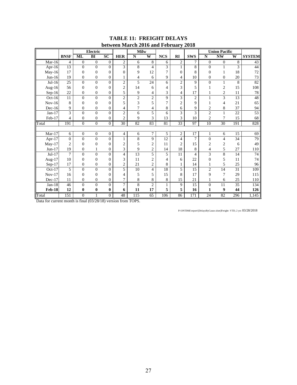|               |                |                  | <b>Electric</b>  |                  | DUUN UUH INIHI UH        | <b>Milw</b>             |                          | $2010$ and $101$ and $y$ |                | $-010$         |                | <b>Union Pacific</b> |                |                 |
|---------------|----------------|------------------|------------------|------------------|--------------------------|-------------------------|--------------------------|--------------------------|----------------|----------------|----------------|----------------------|----------------|-----------------|
|               | <b>BNSF</b>    | <b>ML</b>        | BI               | $\overline{SC}$  | <b>HER</b>               | $\overline{\mathbf{N}}$ | $\overline{\mathbf{W}}$  | <b>NCS</b>               | RI             | <b>SWS</b>     | $\mathbf N$    | <b>NW</b>            | W              | <b>SYSTEM</b>   |
| $Mar-16$      | 4              | $\boldsymbol{0}$ | $\boldsymbol{0}$ | $\boldsymbol{0}$ | $\overline{c}$           | 6                       | 8                        | 6                        | $\overline{2}$ | 7              | $\overline{0}$ | $\mathbf{0}$         | $\overline{8}$ | 43              |
| Apr-16        | 13             | $\mathbf{0}$     | $\overline{0}$   | $\Omega$         | 3                        | $\overline{8}$          | $\overline{\mathcal{A}}$ | $\overline{3}$           | $\mathbf{1}$   | 8              | $\overline{0}$ | $\mathbf{1}$         | 3              | 44              |
| May-16        | 17             | $\overline{0}$   | $\boldsymbol{0}$ | $\theta$         | $\theta$                 | 9                       | 12                       | 7                        | $\overline{0}$ | 8              | $\overline{0}$ | 1                    | 18             | 72              |
| $Jun-16$      | 19             | $\mathbf{0}$     | $\boldsymbol{0}$ | 0                |                          | 4                       | 6                        | 9                        | 4              | 10             | $\overline{0}$ | $\mathbf{0}$         | 20             | 73              |
| $Jul-16$      | 25             | $\overline{0}$   | $\overline{0}$   | $\overline{0}$   | $\overline{c}$           | 5                       | 24                       | 6                        | $\overline{c}$ | 9              | $\overline{0}$ | $\mathbf{1}$         | 8              | 82              |
| Aug- $16$     | 56             | $\mathbf{0}$     | $\overline{0}$   | $\overline{0}$   | $\overline{c}$           | 14                      | 6                        | 4                        | 3              | 5              |                | 2                    | 15             | 108             |
| $Sep-16$      | 22             | $\overline{0}$   | $\boldsymbol{0}$ | $\overline{0}$   | 5                        | 9                       | 4                        | 3                        | 4              | 17             | 1              | $\overline{c}$       | 11             | $78\,$          |
| $Oct-16$      | 11             | $\Omega$         | $\theta$         | $\theta$         | $\overline{2}$           | $\overline{2}$          | $\overline{2}$           | 9                        | 3              | $\overline{c}$ | 1              | 3                    | 13             | 48              |
| $Nov-16$      | 8              | $\theta$         | $\mathbf{0}$     | $\overline{0}$   | 5                        | 3                       | 5                        | 7                        | $\overline{c}$ | 9              | 1              | 4                    | 21             | 65              |
| $Dec-16$      | 9              | $\mathbf{0}$     | $\boldsymbol{0}$ | $\overline{0}$   | 4                        | $\overline{7}$          | 4                        | 8                        | 6              | 9              | $\overline{c}$ | 8                    | 37             | 94              |
| $Jan-17$      | 3              | $\Omega$         | $\overline{0}$   | $\overline{0}$   | $\overline{c}$           | 6                       | 5                        | 6                        | 3              | 3              | $\overline{c}$ | $\mathbf{1}$         | 22             | 53              |
| Feb-17        | 4              | $\mathbf{0}$     | $\boldsymbol{0}$ | $\boldsymbol{0}$ | $\overline{c}$           | 9                       | 3                        | 13                       | 3              | 10             | $\overline{c}$ | $\overline{7}$       | 15             | 68              |
| Total         | 191            | $\mathbf{0}$     | $\boldsymbol{0}$ | $\boldsymbol{0}$ | 30                       | 82                      | 83                       | 81                       | 33             | 97             | 10             | 30                   | 191            | 828             |
|               |                |                  |                  |                  |                          |                         |                          |                          |                |                |                |                      |                |                 |
| $Mar-17$      | 6              | $\boldsymbol{0}$ | $\boldsymbol{0}$ | $\boldsymbol{0}$ | $\overline{\mathcal{A}}$ | 6                       | $\overline{7}$           | 5                        | $\overline{2}$ | 17             | $\mathbf{1}$   | $\sqrt{6}$           | 15             | 69              |
| Apr- $17$     | $\overline{0}$ | $\overline{0}$   | $\overline{0}$   | $\overline{0}$   | $\mathbf{1}$             | $\overline{8}$          | 9                        | 12                       | $\overline{4}$ | $\overline{7}$ | $\theta$       | $\overline{4}$       | 34             | $\overline{79}$ |
| $May-17$      | $\overline{2}$ | $\Omega$         | $\overline{0}$   | $\overline{0}$   | $\overline{c}$           | 5                       | $\overline{c}$           | 11                       | $\overline{2}$ | 15             | $\sqrt{2}$     | $\overline{c}$       | 6              | 49              |
| $Jun-17$      | 19             | $\boldsymbol{0}$ | $\mathbf{1}$     | $\overline{0}$   | 3                        | 9                       | $\overline{c}$           | 14                       | 18             | 8              | 4              | 5                    | 27             | 110             |
| $Jul-17$      | $\overline{7}$ | $\Omega$         | $\overline{0}$   | $\theta$         | $\overline{4}$           | 13                      | 5                        | 5                        | 11             | 4              | 3              | 8                    | 14             | 74              |
| Aug-17        | 10             | $\Omega$         | $\boldsymbol{0}$ | $\overline{0}$   | 3                        | 11                      | $\overline{c}$           | 4                        | 6              | 22             | $\theta$       | 5                    | 11             | 74              |
| Sep-17        | 17             | $\mathbf{0}$     | $\boldsymbol{0}$ | $\overline{0}$   | $\overline{c}$           | 21                      | $\overline{c}$           | 8                        | $\mathbf{1}$   | 14             |                | 5                    | 25             | 96              |
| $Oct-17$      | 5              | $\Omega$         | $\overline{0}$   | $\Omega$         | 5                        | $\overline{10}$         | $\overline{4}$           | 18                       | 5              | 15             | $\overline{2}$ | 14                   | 31             | 109             |
| $Nov-17$      | 16             | $\Omega$         | $\overline{0}$   | $\Omega$         | 4                        | 5                       | 5                        | 15                       | 8              | 17             | 9              | 7                    | 29             | 115             |
| Dec-17        | 11             | $\boldsymbol{0}$ | $\boldsymbol{0}$ | $\boldsymbol{0}$ | $\overline{7}$           | $\,8\,$                 | 8                        | 8                        | 15             | 21             |                | 6                    | 25             | 110             |
| $Jan-18$      | 46             | $\mathbf{0}$     | $\overline{0}$   | $\overline{0}$   | $\overline{7}$           | 8                       | $\overline{2}$           |                          | 9              | 15             | $\overline{0}$ | 11                   | 35             | 134             |
| <b>Feb-18</b> | 12             | $\bf{0}$         | $\bf{0}$         | $\bf{0}$         | 6                        | 11                      | 17                       | 5                        | 5              | 16             | $\mathbf{1}$   | 9                    | 44             | 126             |
| Total         | 151            | $\mathbf{0}$     |                  | $\overline{0}$   | 48                       | 115                     | 65                       | 106                      | 86             | 171            | 24             | 82                   | 296            | 1,145           |

#### **TABLE 11: FREIGHT DELAYS between March 2016 and February 2018**

Data for current month is final (03/28/18) version from TOPS.

P:\ONTIME\report\[DelaysByCause.xlsm]Freight- YTD, 2 yrs 03/28/2018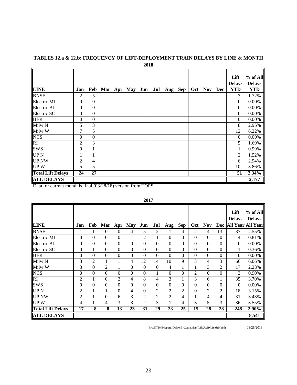|                          |                  |                  |     |             | 2018 |     |         |     |     |     |                                     |                                           |
|--------------------------|------------------|------------------|-----|-------------|------|-----|---------|-----|-----|-----|-------------------------------------|-------------------------------------------|
| <b>LINE</b>              | Jan              | Feb              | Mar | Apr May Jun |      | Jul | Aug Sep | Oct | Nov | Dec | Lift<br><b>Delays</b><br><b>YTD</b> | $%$ of All<br><b>Delays</b><br><b>YTD</b> |
| <b>BNSF</b>              | $\overline{2}$   | 5                |     |             |      |     |         |     |     |     | 7                                   | 1.72%                                     |
| Electric ML              | $\theta$         | $\mathbf{0}$     |     |             |      |     |         |     |     |     | $\mathbf{0}$                        | 0.00%                                     |
| Electric BI              | $\boldsymbol{0}$ | $\boldsymbol{0}$ |     |             |      |     |         |     |     |     | 0                                   | 0.00%                                     |
| Electric SC              | $\overline{0}$   | $\overline{0}$   |     |             |      |     |         |     |     |     | $\theta$                            | 0.00%                                     |
| <b>HER</b>               | $\theta$         | $\mathbf{0}$     |     |             |      |     |         |     |     |     | $\boldsymbol{0}$                    | 0.00%                                     |
| Milw <sub>N</sub>        | 5                | 3                |     |             |      |     |         |     |     |     | 8                                   | 2.95%                                     |
| Milw W                   | 7                | 5                |     |             |      |     |         |     |     |     | 12                                  | 6.22%                                     |
| <b>NCS</b>               | $\theta$         | $\mathbf{0}$     |     |             |      |     |         |     |     |     | $\theta$                            | 0.00%                                     |
| RI                       | $\overline{c}$   | 3                |     |             |      |     |         |     |     |     | 5                                   | 1.69%                                     |
| <b>SWS</b>               | $\boldsymbol{0}$ |                  |     |             |      |     |         |     |     |     |                                     | 0.99%                                     |
| UP <sub>N</sub>          |                  |                  |     |             |      |     |         |     |     |     | 2                                   | 1.52%                                     |
| <b>UP NW</b>             | 2                | 4                |     |             |      |     |         |     |     |     | 6                                   | 2.94%                                     |
| <b>UPW</b>               | 5                | 5                |     |             |      |     |         |     |     |     | 10                                  | 3.86%                                     |
| <b>Total Lift Delays</b> | 24               | 27               |     |             |      |     |         |     |     |     | 51                                  | 2.34%                                     |
| <b>ALL DELAYS</b>        |                  |                  |     |             |      |     |         |     |     |     |                                     | 2,177                                     |

# **TABLES 12.a & 12.b: FREQUENCY OF LIFT-DEPLOYMENT TRAIN DELAYS BY LINE & MONTH**

Data for current month is final (03/28/18) version from TOPS.

|                          |                  |                    |                  |                  |                  |                  |                  |                  |                  |                  |                  |                  | Lift<br><b>Delays</b> | % of All<br><b>Delays</b> |
|--------------------------|------------------|--------------------|------------------|------------------|------------------|------------------|------------------|------------------|------------------|------------------|------------------|------------------|-----------------------|---------------------------|
| <b>LINE</b>              | Jan              | Feb                | <b>Mar</b>       | Apr              | <b>May</b>       | Jun              | Jul              | Aug              | Sep              | Oct              | <b>Nov</b>       | <b>Dec</b>       |                       | <b>All Year All Year</b>  |
| <b>BNSF</b>              |                  | 1                  | $\Omega$         | $\theta$         | 4                | 5                | 2                | 1                | 4                | 2                | $\overline{4}$   | 13               | 37                    | 2.55%                     |
| Electric ML              | $\theta$         | $\boldsymbol{0}$   | $\theta$         | $\overline{0}$   | 1                | $\overline{2}$   | 1                | $\boldsymbol{0}$ | $\mathbf{0}$     | $\mathbf{0}$     | $\mathbf{0}$     | $\Omega$         | $\overline{4}$        | 0.81%                     |
| Electric BI              | $\overline{0}$   | $\theta$           | $\Omega$         | 0                | $\theta$         | $\overline{0}$   | 0                | $\boldsymbol{0}$ | $\theta$         | $\overline{0}$   | $\mathbf{0}$     | $\Omega$         | $\mathbf{0}$          | 0.00%                     |
| Electric SC              | $\theta$         | 1                  | $\theta$         | 0                | $\boldsymbol{0}$ | $\boldsymbol{0}$ | $\mathbf{0}$     | $\boldsymbol{0}$ | $\mathbf{0}$     | $\theta$         | $\mathbf{0}$     | $\theta$         | 1                     | 0.36%                     |
| <b>HER</b>               | $\overline{0}$   | $\Omega$           | $\mathbf{0}$     | $\overline{0}$   | $\boldsymbol{0}$ | $\boldsymbol{0}$ | $\boldsymbol{0}$ | $\mathbf{0}$     | $\boldsymbol{0}$ | $\boldsymbol{0}$ | $\boldsymbol{0}$ | $\boldsymbol{0}$ | $\mathbf{0}$          | 0.00%                     |
| Milw <sub>N</sub>        | 3                | $\overline{2}$     | T                |                  | 4                | 12               | 14               | 10               | 9                | 3                | $\overline{4}$   | 3                | 66                    | 6.06%                     |
| Milw W                   | 3                | $\theta$           | 2                | 1                | $\boldsymbol{0}$ | $\boldsymbol{0}$ | $\boldsymbol{0}$ | 4                | $\mathbf{1}$     | 1                | 3                | $\mathfrak{2}$   | 17                    | 2.23%                     |
| <b>NCS</b>               | $\mathbf{0}$     | $\boldsymbol{0}$   | $\boldsymbol{0}$ | $\overline{0}$   | $\boldsymbol{0}$ | $\boldsymbol{0}$ | $\mathbf{1}$     | $\mathbf{0}$     | $\mathbf{0}$     | $\overline{2}$   | $\boldsymbol{0}$ | $\mathbf{0}$     | 3                     | 0.90%                     |
| RI                       | $\mathfrak{2}$   | 1                  | $\mathbf{0}$     | 2                | 4                | 8                | 4                | 3                | $\mathbf{1}$     | 3                | 6                |                  | 35                    | 3.70%                     |
| <b>SWS</b>               | $\boldsymbol{0}$ | $\Omega$           | $\boldsymbol{0}$ | $\boldsymbol{0}$ | $\boldsymbol{0}$ | $\boldsymbol{0}$ | $\boldsymbol{0}$ | $\boldsymbol{0}$ | $\boldsymbol{0}$ | $\boldsymbol{0}$ | $\overline{0}$   | $\boldsymbol{0}$ | $\Omega$              | 0.00%                     |
| <b>UPN</b>               | 2                |                    |                  | $\boldsymbol{0}$ | 4                | $\mathbf{0}$     | $\overline{2}$   | $\boldsymbol{2}$ | $\overline{2}$   | $\theta$         | $\overline{2}$   | $\overline{2}$   | 18                    | 3.15%                     |
| <b>UP NW</b>             | 2                |                    | $\theta$         | 6                | 3                | 2                | $\overline{2}$   | $\overline{2}$   | 4                |                  | $\overline{4}$   | 4                | 31                    | 3.43%                     |
| <b>UPW</b>               | 4                |                    | 4                | 3                | 3                | 2                | 3                | 1                | 4                | 3                | 5                | 3                | 36                    | 3.55%                     |
| <b>Total Lift Delays</b> | $\overline{17}$  | $\overline{\bf 8}$ | 8                | $\overline{13}$  | 23               | $\overline{31}$  | $\overline{29}$  | $\overline{23}$  | $\overline{25}$  | $\overline{15}$  | 28               | 28               | 248                   | 2.90%                     |
| <b>ALL DELAYS</b>        |                  |                    |                  |                  |                  |                  |                  |                  |                  |                  |                  |                  |                       | 8,541                     |

**2017**

P:\ONTIME\report\[DelaysByCause.xlsm]LiftUseByLine&Month 03/28/2018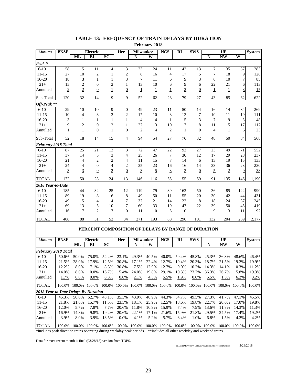|                                      |                |                |                                                    |                 |                  |                       | r coruary 2010 |                |                        |                |                |                                           |                 |               |
|--------------------------------------|----------------|----------------|----------------------------------------------------|-----------------|------------------|-----------------------|----------------|----------------|------------------------|----------------|----------------|-------------------------------------------|-----------------|---------------|
| <b>Minutes</b>                       | <b>BNSF</b>    | <b>ML</b>      | Electric<br>BI                                     | SC              | Her              | <b>Milwaukee</b><br>N | W              | <b>NCS</b>     | $\overline{\text{RI}}$ | <b>SWS</b>     | $\mathbf N$    | $\overline{UP}$<br>$\overline{\text{NW}}$ | W               | <b>System</b> |
|                                      |                |                |                                                    |                 |                  |                       |                |                |                        |                |                |                                           |                 |               |
| Peak <sup>*</sup>                    |                |                |                                                    |                 |                  |                       |                |                |                        |                |                |                                           |                 |               |
| $6 - 10$                             | 58             | 15             | 11                                                 | 4               | 3                | 23                    | 24             | 11             | 42                     | 13             | $\tau$         | 35                                        | 37              | 283           |
| $11 - 15$                            | 27             | 10             | $\overline{c}$                                     | $\mathbf{1}$    | $\sqrt{2}$       | 8                     | 16             | $\overline{4}$ | 17                     | 5              | $\overline{7}$ | 18                                        | 9               | 126           |
| $16 - 20$                            | 18             | 3              | 1                                                  | $\mathbf{1}$    | 3                | 7                     | 11             | 6              | 9                      | 3              | 6              | 10                                        | 7               | 85            |
| $21+$                                | 15             | $\overline{c}$ | $\overline{0}$                                     | $\overline{c}$  | 1                | 13                    | 10             | 6              | 9                      | 6              | 22             | 21                                        | 6               | 113           |
| Annulled                             | $\overline{2}$ | $\sqrt{2}$     | $\overline{0}$                                     | $\mathbf 1$     | $\overline{0}$   | $\overline{1}$        | $\overline{1}$ | 1              | $\overline{2}$         | $\overline{0}$ | $\mathbf 1$    | $\overline{1}$                            | 3               | 15            |
| Sub-Total                            | 120            | 32             | 14                                                 | 9               | 9                | 52                    | 62             | 28             | 79                     | 27             | 43             | 85                                        | 62              | 622           |
| Off-Peak **                          |                |                |                                                    |                 |                  |                       |                |                |                        |                |                |                                           |                 |               |
| $6 - 10$                             | 29             | 10             | 10                                                 | 9               | $\boldsymbol{0}$ | 49                    | 23             | 11             | 50                     | 14             | 16             | 14                                        | 34              | 269           |
| $11 - 15$                            | 10             | $\overline{4}$ | 3                                                  | $\overline{c}$  | $\overline{c}$   | 17                    | 10             | 3              | 13                     | 7              | 10             | 11                                        | 19              | 111           |
| $16-20$                              | 3              | 1              | 1                                                  | $\mathbf{1}$    | 1                | 4                     | $\overline{4}$ | 1              | 5                      | 3              | 7              | 9                                         | 8               | 48            |
| $21+$                                | 9              | $\mathfrak{2}$ | $\boldsymbol{0}$                                   | $\overline{c}$  | 1                | 22                    | 13             | 10             | 7                      | 8              | 11             | 15                                        | 17              | 117           |
| Annulled                             | 1              | $\mathbf 1$    | $\overline{0}$                                     | $\overline{1}$  | $\overline{0}$   | $\overline{2}$        | $\overline{4}$ | $\overline{2}$ | $\mathbf 1$            | $\overline{0}$ | $\overline{4}$ | $\overline{1}$                            | 6               | 23            |
| Sub-Total                            | 52             | 18             | 14                                                 | 15              | 4                | 94                    | 54             | 27             | 76                     | 32             | 48             | 50                                        | 84              | 568           |
| February 2018 Total                  |                |                |                                                    |                 |                  |                       |                |                |                        |                |                |                                           |                 |               |
|                                      |                | 25             |                                                    |                 |                  | 72                    | 47             | 22             | 92                     | 27             | 23             | 49                                        |                 |               |
| $6 - 10$<br>$11 - 15$                | 87<br>37       | 14             | 21                                                 | 13              | 3                | 25                    |                | 7              | 30                     |                | 17             | 29                                        | 71              | 552<br>237    |
|                                      |                |                | 5                                                  | 3               | 4                |                       | 26             |                |                        | 12             |                |                                           | 28              |               |
| 16-20                                | 21             | 4              | 2                                                  | $\overline{c}$  | 4                | 11                    | 15             | 7              | 14                     | 6              | 13             | 19                                        | 15              | 133           |
| $21+$                                | 24             | 4              | $\boldsymbol{0}$                                   | $\overline{4}$  | $\overline{c}$   | 35                    | 23             | 16             | 16                     | 14             | 33             | 36                                        | 23              | 230           |
| Annulled                             | $\overline{3}$ | $\overline{3}$ | $\overline{0}$                                     | $\overline{2}$  | $\underline{0}$  | $\overline{3}$        | $\overline{5}$ | $\overline{3}$ | $\overline{3}$         | $\overline{0}$ | $\overline{5}$ | $\overline{2}$                            | 9               | 38            |
| <b>TOTAL</b>                         | 172            | 50             | 28                                                 | 24              | 13               | 146                   | 116            | 55             | 155                    | 59             | 91             | 135                                       | 146             | 1,190         |
| 2018 Year-to-Date                    |                |                |                                                    |                 |                  |                       |                |                |                        |                |                |                                           |                 |               |
| $6 - 10$                             | 185            | 44             | 32                                                 | 25              | 12               | 119                   | 79             | 39             | 162                    | 50             | 36             | 85                                        | 122             | 990           |
| 11-15                                | 89             | 19             | 8                                                  | 6               | 8                | 49                    | 50             | 11             | 55                     | 20             | 30             | 42                                        | 44              | 431           |
| 16-20                                | 49             | 5              | 4                                                  | 4               | 7                | 32                    | 21             | 14             | 22                     | 8              | 18             | 24                                        | 37              | 245           |
| $21+$                                | 69             | 13             | 5                                                  | 10              | 7                | 60                    | 33             | 19             | 47                     | 22             | 39             | 50                                        | 45              | 419           |
| Annulled                             | <u>16</u>      | $\overline{7}$ | $\overline{2}$                                     | $\overline{1}$  | $\overline{0}$   | 11                    | 10             | $\overline{5}$ | 10                     | $\overline{1}$ | $\overline{9}$ | 3                                         | $\overline{11}$ | 92            |
| <b>TOTAL</b>                         | 408            | 88             | 51                                                 | 52              | 34               | 271                   | 193            | 88             | 296                    | 101            | 132            | 204                                       | 259             | 2,177         |
|                                      |                |                |                                                    |                 |                  |                       |                |                |                        |                |                |                                           |                 |               |
|                                      |                |                | PERCENT COMPOSITION OF DELAYS BY RANGE OF DURATION |                 |                  |                       |                |                |                        |                |                |                                           |                 |               |
|                                      |                |                |                                                    |                 |                  |                       |                |                |                        | <b>SWS</b>     |                |                                           |                 |               |
| <b>Minutes</b>                       | <b>BNSF</b>    | ML             | Electric<br>BI                                     | $\overline{SC}$ | Her              | <b>Milwaukee</b><br>N | W              | <b>NCS</b>     | $\mathbf{R}$           |                | ${\bf N}$      | UP<br>$\overline{\text{NW}}$              | W               | <b>System</b> |
|                                      |                |                |                                                    |                 |                  |                       |                |                |                        |                |                |                                           |                 |               |
| <b>February 2018 Total</b>           |                |                |                                                    |                 |                  |                       |                |                |                        |                |                |                                           |                 |               |
| $6-10$                               | 50.6%          | 50.0%          | 75.0%                                              | 54.2%           | 23.1%            | 49.3%                 | 40.5%          | 40.0%          | 59.4%                  | 45.8%          | 25.3%          | 36.3%                                     | 48.6%           | 46.4%         |
| $11 - 15$                            | 21.5%          | 28.0%          | 17.9%                                              | 12.5%           | 30.8%            | 17.1%                 | 22.4%          | 12.7%          | 19.4%                  | 20.3%          | 18.7%          | 21.5%                                     | 19.2%           | 19.9%         |
| 16-20                                | 12.2%          | 8.0%           | 7.1%                                               | 8.3%            | 30.8%            | 7.5%                  | 12.9%          | 12.7%          | 9.0%                   | 10.2%          | 14.3%          | 14.1%                                     | 10.3%           | 11.2%         |
| $21+$                                | 14.0%          | 8.0%           | 0.0%                                               | 16.7%           | 15.4%            | 24.0%                 | 19.8%          | 29.1%          | 10.3%                  | 23.7%          | 36.3%          | 26.7%                                     | 15.8%           | 19.3%         |
| Annulled                             | 1.7%           | 6.0%           | 0.0%                                               | 8.3%            | 0.0%             | 2.1%                  | 4.3%           | 5.5%           | 1.9%                   | 0.0%           | 5.5%           | 1.5%                                      | 6.2%            | 3.2%          |
| <b>TOTAL</b>                         | 100.0%         |                | 100.0% 100.0% 100.0%                               |                 | 100.0%           | 100.0%                |                | 100.0% 100.0%  | 100.0%                 | 100.0%         | 100.0%         | 100.0%                                    | 100.0%          | 100.0%        |
| 2018 Year-to-Date Delays By Duration |                |                |                                                    |                 |                  |                       |                |                |                        |                |                |                                           |                 |               |
| $6 - 10$                             | 45.3%          | 50.0%          | 62.7%                                              | 48.1%           | 35.3%            | 43.9%                 | 40.9%          | 44.3%          | 54.7%                  | 49.5%          | 27.3%          | 41.7%                                     | 47.1%           | 45.5%         |
| $11 - 15$                            | 21.8%          | 21.6%          | 15.7%                                              | 11.5%           | 23.5%            | 18.1%                 | 25.9%          | 12.5%          | 18.6%                  | 19.8%          | 22.7%          | 20.6%                                     | 17.0%           | 19.8%         |
| 16-20                                | 12.0%          | 5.7%           | 7.8%                                               | 7.7%            | 20.6%            | 11.8%                 | 10.9%          | 15.9%          | 7.4%                   | 7.9%           | 13.6%          | 11.8%                                     | 14.3%           | 11.3%         |
| $21+$                                | 16.9%          | 14.8%          | 9.8%                                               | 19.2%           | 20.6%            | 22.1%                 | 17.1%          | 21.6%          | 15.9%                  | 21.8%          | 29.5%          | 24.5%                                     | 17.4%           | 19.2%         |
| Annulled                             | 3.9%           | 8.0%           | 3.9%                                               | 13.5%           | 0.0%             | 4.1%                  | 5.2%           | 5.7%           | 3.4%                   | 1.0%           | 6.8%           | 1.5%                                      | 4.2%            | 4.2%          |

#### **TABLE 13: FREQUENCY OF TRAIN DELAYS BY DURATION February 2018**

\*Includes peak direction trains operating during weekday peak periods. \*\*Includes all other weekday and weekend trains.

Data for most recent month is final (03/28/18) version from TOPS.

TOTAL 100.0% 100.0% 100.0% 100.0% 100.0% 100.0% 100.0% 100.0% 100.0% 100.0% 100.0% 100.0% 100.0% 100.0%